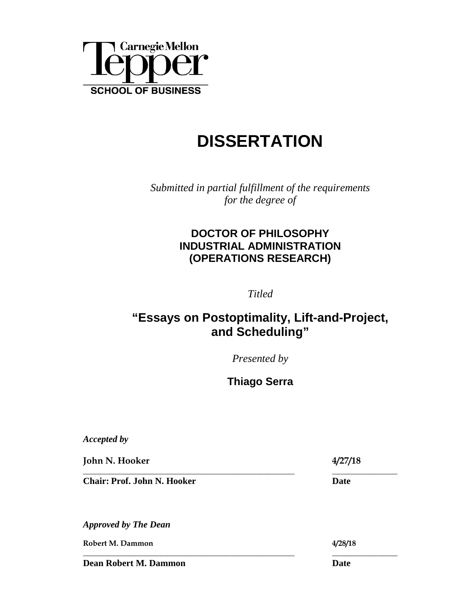

# **DISSERTATION**

*Submitted in partial fulfillment of the requirements for the degree of*

### **DOCTOR OF PHILOSOPHY INDUSTRIAL ADMINISTRATION (OPERATIONS RESEARCH)**

*Titled*

### **"Essays on Postoptimality, Lift-and-Project, and Scheduling"**

*Presented by*

**Thiago Serra**

**\_\_\_\_\_\_\_\_\_\_\_\_\_\_\_\_\_\_\_\_\_\_\_\_\_\_\_\_\_\_\_\_\_\_\_\_\_\_\_\_\_\_\_\_\_\_\_\_\_\_\_\_\_\_\_ \_\_\_\_\_\_\_\_\_\_\_\_\_\_\_\_\_** 

*Accepted by*

**John N. Hooker 4/27/18** 

**\_\_\_\_\_\_\_\_\_\_\_\_\_\_\_\_\_\_\_\_\_\_\_\_\_\_\_\_\_\_\_\_\_\_\_\_\_\_\_\_\_\_\_\_\_\_\_\_\_\_\_\_\_\_\_ \_\_\_\_\_\_\_\_\_\_\_\_\_\_\_\_\_ Chair: Prof. John N. Hooker** Date

*Approved by The Dean*

**Robert M. Dammon 4/28/18**

**Dean Robert M. Dammon Date**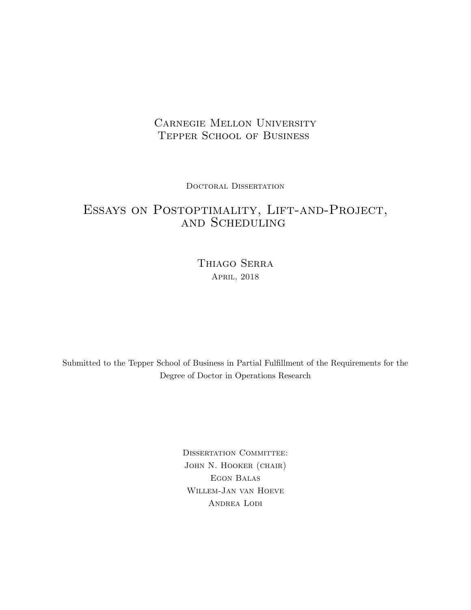### Carnegie Mellon University Tepper School of Business

Doctoral Dissertation

### Essays on Postoptimality, Lift-and-Project, and Scheduling

Thiago Serra April, 2018

Submitted to the Tepper School of Business in Partial Fulfillment of the Requirements for the Degree of Doctor in Operations Research

> DISSERTATION COMMITTEE: John N. Hooker (chair) Egon Balas Willem-Jan van Hoeve ANDREA LODI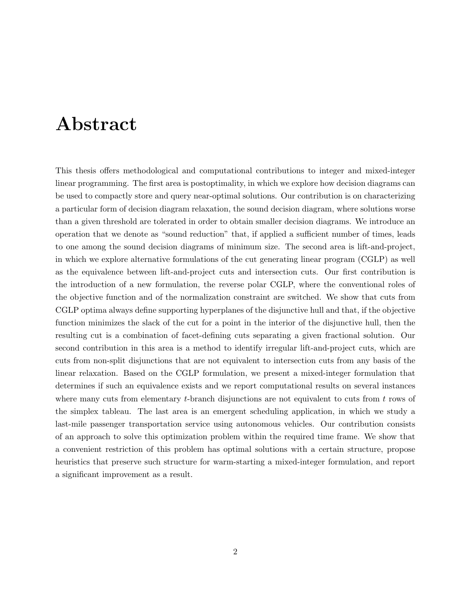## Abstract

This thesis offers methodological and computational contributions to integer and mixed-integer linear programming. The first area is postoptimality, in which we explore how decision diagrams can be used to compactly store and query near-optimal solutions. Our contribution is on characterizing a particular form of decision diagram relaxation, the sound decision diagram, where solutions worse than a given threshold are tolerated in order to obtain smaller decision diagrams. We introduce an operation that we denote as "sound reduction" that, if applied a sufficient number of times, leads to one among the sound decision diagrams of minimum size. The second area is lift-and-project, in which we explore alternative formulations of the cut generating linear program (CGLP) as well as the equivalence between lift-and-project cuts and intersection cuts. Our first contribution is the introduction of a new formulation, the reverse polar CGLP, where the conventional roles of the objective function and of the normalization constraint are switched. We show that cuts from CGLP optima always define supporting hyperplanes of the disjunctive hull and that, if the objective function minimizes the slack of the cut for a point in the interior of the disjunctive hull, then the resulting cut is a combination of facet-defining cuts separating a given fractional solution. Our second contribution in this area is a method to identify irregular lift-and-project cuts, which are cuts from non-split disjunctions that are not equivalent to intersection cuts from any basis of the linear relaxation. Based on the CGLP formulation, we present a mixed-integer formulation that determines if such an equivalence exists and we report computational results on several instances where many cuts from elementary t-branch disjunctions are not equivalent to cuts from t rows of the simplex tableau. The last area is an emergent scheduling application, in which we study a last-mile passenger transportation service using autonomous vehicles. Our contribution consists of an approach to solve this optimization problem within the required time frame. We show that a convenient restriction of this problem has optimal solutions with a certain structure, propose heuristics that preserve such structure for warm-starting a mixed-integer formulation, and report a significant improvement as a result.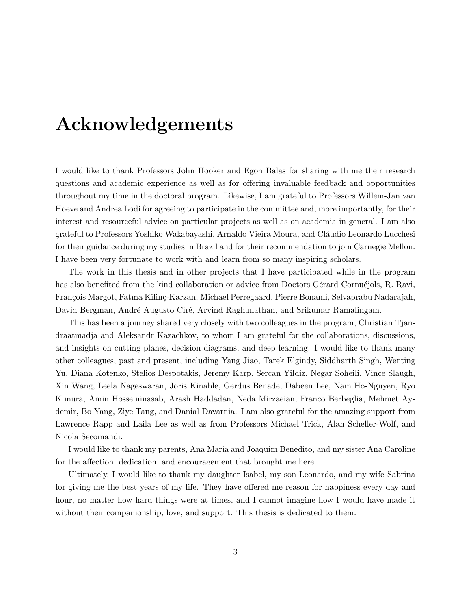# Acknowledgements

I would like to thank Professors John Hooker and Egon Balas for sharing with me their research questions and academic experience as well as for offering invaluable feedback and opportunities throughout my time in the doctoral program. Likewise, I am grateful to Professors Willem-Jan van Hoeve and Andrea Lodi for agreeing to participate in the committee and, more importantly, for their interest and resourceful advice on particular projects as well as on academia in general. I am also grateful to Professors Yoshiko Wakabayashi, Arnaldo Vieira Moura, and Cláudio Leonardo Lucchesi for their guidance during my studies in Brazil and for their recommendation to join Carnegie Mellon. I have been very fortunate to work with and learn from so many inspiring scholars.

The work in this thesis and in other projects that I have participated while in the program has also benefited from the kind collaboration or advice from Doctors Gérard Cornuéjols, R. Ravi, François Margot, Fatma Kilinç-Karzan, Michael Perregaard, Pierre Bonami, Selvaprabu Nadarajah, David Bergman, André Augusto Ciré, Arvind Raghunathan, and Srikumar Ramalingam.

This has been a journey shared very closely with two colleagues in the program, Christian Tjandraatmadja and Aleksandr Kazachkov, to whom I am grateful for the collaborations, discussions, and insights on cutting planes, decision diagrams, and deep learning. I would like to thank many other colleagues, past and present, including Yang Jiao, Tarek Elgindy, Siddharth Singh, Wenting Yu, Diana Kotenko, Stelios Despotakis, Jeremy Karp, Sercan Yildiz, Negar Soheili, Vince Slaugh, Xin Wang, Leela Nageswaran, Joris Kinable, Gerdus Benade, Dabeen Lee, Nam Ho-Nguyen, Ryo Kimura, Amin Hosseininasab, Arash Haddadan, Neda Mirzaeian, Franco Berbeglia, Mehmet Aydemir, Bo Yang, Ziye Tang, and Danial Davarnia. I am also grateful for the amazing support from Lawrence Rapp and Laila Lee as well as from Professors Michael Trick, Alan Scheller-Wolf, and Nicola Secomandi.

I would like to thank my parents, Ana Maria and Joaquim Benedito, and my sister Ana Caroline for the affection, dedication, and encouragement that brought me here.

Ultimately, I would like to thank my daughter Isabel, my son Leonardo, and my wife Sabrina for giving me the best years of my life. They have offered me reason for happiness every day and hour, no matter how hard things were at times, and I cannot imagine how I would have made it without their companionship, love, and support. This thesis is dedicated to them.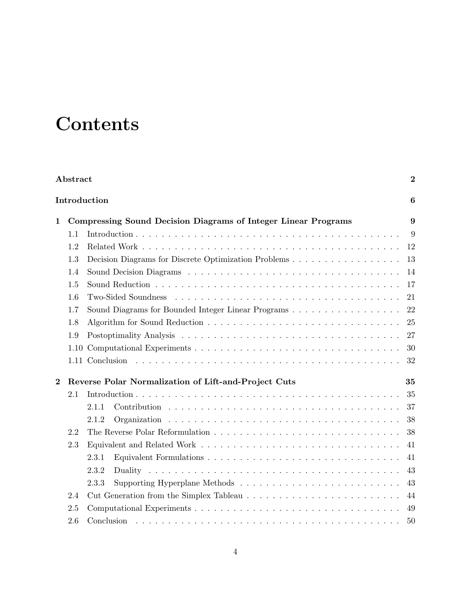# **Contents**

|                  | Abstract |                                                                       | $\boldsymbol{2}$ |
|------------------|----------|-----------------------------------------------------------------------|------------------|
|                  |          | Introduction                                                          | 6                |
| $\mathbf{1}$     |          | <b>Compressing Sound Decision Diagrams of Integer Linear Programs</b> | 9                |
|                  | 1.1      |                                                                       | 9                |
|                  | 1.2      |                                                                       | 12               |
|                  | 1.3      | Decision Diagrams for Discrete Optimization Problems                  | 13               |
|                  | 1.4      |                                                                       | 14               |
|                  | 1.5      |                                                                       | 17               |
|                  | 1.6      | Two-Sided Soundness                                                   | 21               |
|                  | 1.7      | Sound Diagrams for Bounded Integer Linear Programs                    | 22               |
|                  | 1.8      |                                                                       | 25               |
|                  | 1.9      |                                                                       | 27               |
|                  | 1.10     |                                                                       | 30               |
|                  |          |                                                                       | 32               |
| $\boldsymbol{2}$ |          | Reverse Polar Normalization of Lift-and-Project Cuts                  | 35               |
|                  | 2.1      |                                                                       | 35               |
|                  |          | 2.1.1                                                                 | 37               |
|                  |          | 2.1.2                                                                 | 38               |
|                  | 2.2      |                                                                       | 38               |
|                  | 2.3      |                                                                       | 41               |
|                  |          | 2.3.1                                                                 | 41               |
|                  |          | 2.3.2                                                                 | 43               |
|                  |          | 2.3.3                                                                 | 43               |
|                  | 2.4      |                                                                       | 44               |
|                  | 2.5      |                                                                       | 49               |
|                  | 2.6      | Conclusion                                                            | 50               |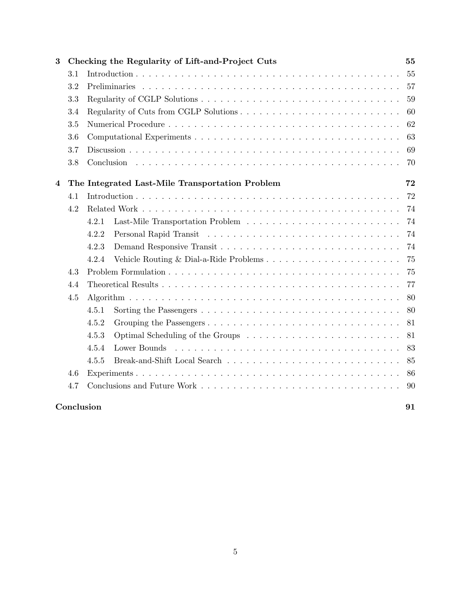| 3 |            | Checking the Regularity of Lift-and-Project Cuts | 55 |
|---|------------|--------------------------------------------------|----|
|   | 3.1        |                                                  | 55 |
|   | 3.2        |                                                  | 57 |
|   | 3.3        |                                                  | 59 |
|   | 3.4        |                                                  | 60 |
|   | 3.5        |                                                  | 62 |
|   | 3.6        |                                                  | 63 |
|   | 3.7        |                                                  | 69 |
|   | 3.8        |                                                  | 70 |
| 4 |            | The Integrated Last-Mile Transportation Problem  | 72 |
|   | 4.1        |                                                  | 72 |
|   | 4.2        |                                                  | 74 |
|   |            | 4.2.1                                            | 74 |
|   |            | 4.2.2                                            | 74 |
|   |            | 4.2.3                                            | 74 |
|   |            | 4.2.4<br>Vehicle Routing & Dial-a-Ride Problems  | 75 |
|   | 4.3        |                                                  | 75 |
|   | 4.4        |                                                  | 77 |
|   | 4.5        |                                                  | 80 |
|   |            | 4.5.1                                            | 80 |
|   |            | 4.5.2                                            | 81 |
|   |            | 4.5.3                                            | 81 |
|   |            | 4.5.4<br>Lower Bounds                            | 83 |
|   |            | 4.5.5                                            | 85 |
|   | 4.6        |                                                  | 86 |
|   | 4.7        |                                                  | 90 |
|   | Conclusion |                                                  | 91 |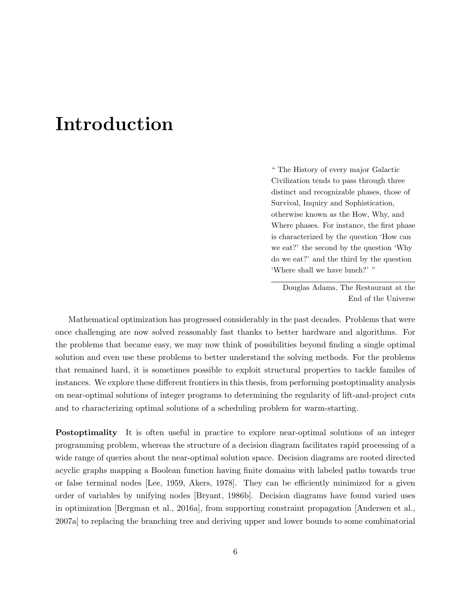# Introduction

" The History of every major Galactic Civilization tends to pass through three distinct and recognizable phases, those of Survival, Inquiry and Sophistication, otherwise known as the How, Why, and Where phases. For instance, the first phase is characterized by the question 'How can we eat?' the second by the question 'Why do we eat?' and the third by the question 'Where shall we have lunch?' "

Douglas Adams, The Restaurant at the End of the Universe

Mathematical optimization has progressed considerably in the past decades. Problems that were once challenging are now solved reasonably fast thanks to better hardware and algorithms. For the problems that became easy, we may now think of possibilities beyond finding a single optimal solution and even use these problems to better understand the solving methods. For the problems that remained hard, it is sometimes possible to exploit structural properties to tackle familes of instances. We explore these different frontiers in this thesis, from performing postoptimality analysis on near-optimal solutions of integer programs to determining the regularity of lift-and-project cuts and to characterizing optimal solutions of a scheduling problem for warm-starting.

Postoptimality It is often useful in practice to explore near-optimal solutions of an integer programming problem, whereas the structure of a decision diagram facilitates rapid processing of a wide range of queries about the near-optimal solution space. Decision diagrams are rooted directed acyclic graphs mapping a Boolean function having finite domains with labeled paths towards true or false terminal nodes [Lee, 1959, Akers, 1978]. They can be efficiently minimized for a given order of variables by unifying nodes [Bryant, 1986b]. Decision diagrams have found varied uses in optimization [Bergman et al., 2016a], from supporting constraint propagation [Andersen et al., 2007a] to replacing the branching tree and deriving upper and lower bounds to some combinatorial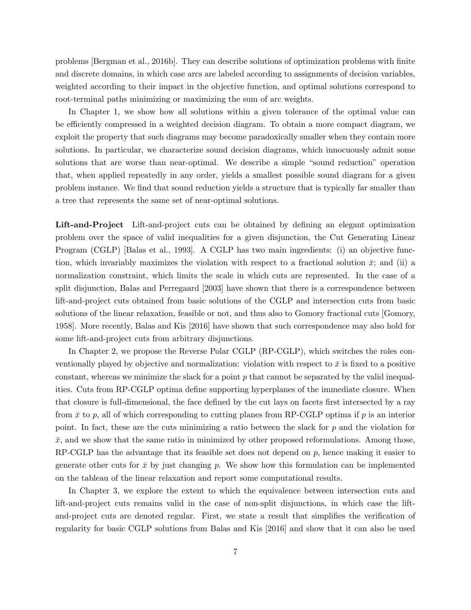problems [Bergman et al., 2016b]. They can describe solutions of optimization problems with finite and discrete domains, in which case arcs are labeled according to assignments of decision variables, weighted according to their impact in the objective function, and optimal solutions correspond to root-terminal paths minimizing or maximizing the sum of arc weights.

In Chapter 1, we show how all solutions within a given tolerance of the optimal value can be efficiently compressed in a weighted decision diagram. To obtain a more compact diagram, we exploit the property that such diagrams may become paradoxically smaller when they contain more solutions. In particular, we characterize sound decision diagrams, which innocuously admit some solutions that are worse than near-optimal. We describe a simple "sound reduction" operation that, when applied repeatedly in any order, yields a smallest possible sound diagram for a given problem instance. We find that sound reduction yields a structure that is typically far smaller than a tree that represents the same set of near-optimal solutions.

Lift-and-Project Lift-and-project cuts can be obtained by defining an elegant optimization problem over the space of valid inequalities for a given disjunction, the Cut Generating Linear Program (CGLP) [Balas et al., 1993]. A CGLP has two main ingredients: (i) an objective function, which invariably maximizes the violation with respect to a fractional solution  $\bar{x}$ ; and (ii) a normalization constraint, which limits the scale in which cuts are represented. In the case of a split disjunction, Balas and Perregaard [2003] have shown that there is a correspondence between lift-and-project cuts obtained from basic solutions of the CGLP and intersection cuts from basic solutions of the linear relaxation, feasible or not, and thus also to Gomory fractional cuts [Gomory, 1958]. More recently, Balas and Kis [2016] have shown that such correspondence may also hold for some lift-and-project cuts from arbitrary disjunctions.

In Chapter 2, we propose the Reverse Polar CGLP (RP-CGLP), which switches the roles conventionally played by objective and normalization: violation with respect to  $\bar{x}$  is fixed to a positive constant, whereas we minimize the slack for a point  $p$  that cannot be separated by the valid inequalities. Cuts from RP-CGLP optima define supporting hyperplanes of the immediate closure. When that closure is full-dimensional, the face defined by the cut lays on facets first intersected by a ray from  $\bar{x}$  to p, all of which corresponding to cutting planes from RP-CGLP optima if p is an interior point. In fact, these are the cuts minimizing a ratio between the slack for p and the violation for  $\bar{x}$ , and we show that the same ratio in minimized by other proposed reformulations. Among those,  $RP\text{-}GLP$  has the advantage that its feasible set does not depend on p, hence making it easier to generate other cuts for  $\bar{x}$  by just changing p. We show how this formulation can be implemented on the tableau of the linear relaxation and report some computational results.

In Chapter 3, we explore the extent to which the equivalence between intersection cuts and lift-and-project cuts remains valid in the case of non-split disjunctions, in which case the liftand-project cuts are denoted regular. First, we state a result that simplifies the verification of regularity for basic CGLP solutions from Balas and Kis [2016] and show that it can also be used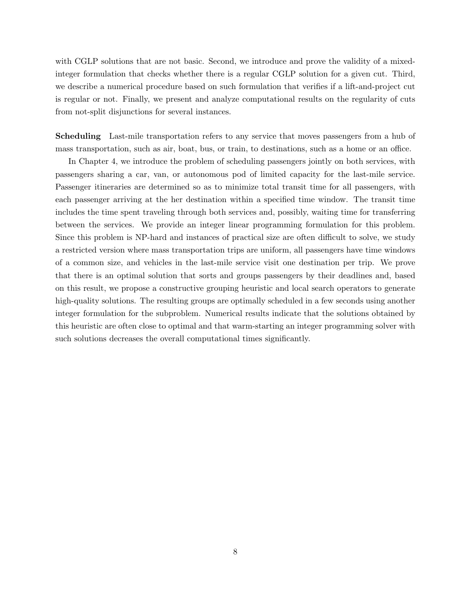with CGLP solutions that are not basic. Second, we introduce and prove the validity of a mixedinteger formulation that checks whether there is a regular CGLP solution for a given cut. Third, we describe a numerical procedure based on such formulation that verifies if a lift-and-project cut is regular or not. Finally, we present and analyze computational results on the regularity of cuts from not-split disjunctions for several instances.

Scheduling Last-mile transportation refers to any service that moves passengers from a hub of mass transportation, such as air, boat, bus, or train, to destinations, such as a home or an office.

In Chapter 4, we introduce the problem of scheduling passengers jointly on both services, with passengers sharing a car, van, or autonomous pod of limited capacity for the last-mile service. Passenger itineraries are determined so as to minimize total transit time for all passengers, with each passenger arriving at the her destination within a specified time window. The transit time includes the time spent traveling through both services and, possibly, waiting time for transferring between the services. We provide an integer linear programming formulation for this problem. Since this problem is NP-hard and instances of practical size are often difficult to solve, we study a restricted version where mass transportation trips are uniform, all passengers have time windows of a common size, and vehicles in the last-mile service visit one destination per trip. We prove that there is an optimal solution that sorts and groups passengers by their deadlines and, based on this result, we propose a constructive grouping heuristic and local search operators to generate high-quality solutions. The resulting groups are optimally scheduled in a few seconds using another integer formulation for the subproblem. Numerical results indicate that the solutions obtained by this heuristic are often close to optimal and that warm-starting an integer programming solver with such solutions decreases the overall computational times significantly.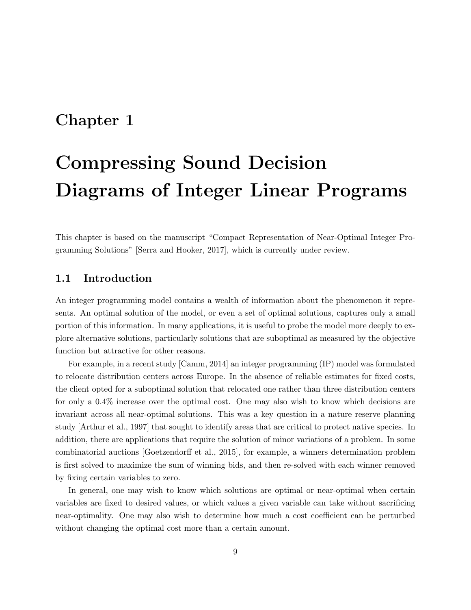## Chapter 1

# Compressing Sound Decision Diagrams of Integer Linear Programs

This chapter is based on the manuscript "Compact Representation of Near-Optimal Integer Programming Solutions" [Serra and Hooker, 2017], which is currently under review.

#### 1.1 Introduction

An integer programming model contains a wealth of information about the phenomenon it represents. An optimal solution of the model, or even a set of optimal solutions, captures only a small portion of this information. In many applications, it is useful to probe the model more deeply to explore alternative solutions, particularly solutions that are suboptimal as measured by the objective function but attractive for other reasons.

For example, in a recent study [Camm, 2014] an integer programming (IP) model was formulated to relocate distribution centers across Europe. In the absence of reliable estimates for fixed costs, the client opted for a suboptimal solution that relocated one rather than three distribution centers for only a 0.4% increase over the optimal cost. One may also wish to know which decisions are invariant across all near-optimal solutions. This was a key question in a nature reserve planning study [Arthur et al., 1997] that sought to identify areas that are critical to protect native species. In addition, there are applications that require the solution of minor variations of a problem. In some combinatorial auctions [Goetzendorff et al., 2015], for example, a winners determination problem is first solved to maximize the sum of winning bids, and then re-solved with each winner removed by fixing certain variables to zero.

In general, one may wish to know which solutions are optimal or near-optimal when certain variables are fixed to desired values, or which values a given variable can take without sacrificing near-optimality. One may also wish to determine how much a cost coefficient can be perturbed without changing the optimal cost more than a certain amount.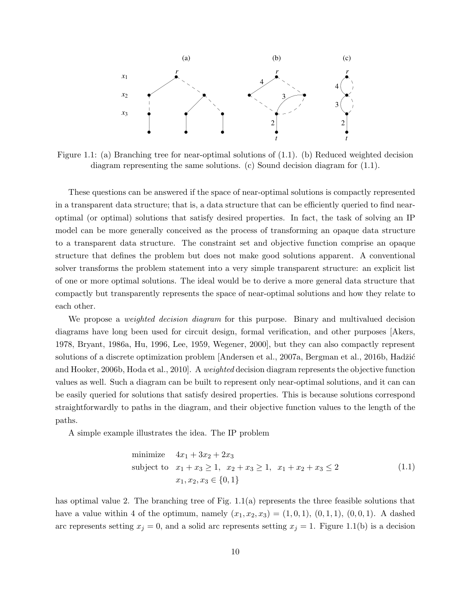

Figure 1.1: (a) Branching tree for near-optimal solutions of (1.1). (b) Reduced weighted decision diagram representing the same solutions. (c) Sound decision diagram for (1.1).

These questions can be answered if the space of near-optimal solutions is compactly represented in a transparent data structure; that is, a data structure that can be efficiently queried to find nearoptimal (or optimal) solutions that satisfy desired properties. In fact, the task of solving an IP model can be more generally conceived as the process of transforming an opaque data structure to a transparent data structure. The constraint set and objective function comprise an opaque structure that defines the problem but does not make good solutions apparent. A conventional solver transforms the problem statement into a very simple transparent structure: an explicit list of one or more optimal solutions. The ideal would be to derive a more general data structure that compactly but transparently represents the space of near-optimal solutions and how they relate to each other.

We propose a *weighted decision diagram* for this purpose. Binary and multivalued decision diagrams have long been used for circuit design, formal verification, and other purposes [Akers, 1978, Bryant, 1986a, Hu, 1996, Lee, 1959, Wegener, 2000], but they can also compactly represent solutions of a discrete optimization problem [Andersen et al., 2007a, Bergman et al., 2016b, Hadžić and Hooker, 2006b, Hoda et al., 2010]. A weighted decision diagram represents the objective function values as well. Such a diagram can be built to represent only near-optimal solutions, and it can can be easily queried for solutions that satisfy desired properties. This is because solutions correspond straightforwardly to paths in the diagram, and their objective function values to the length of the paths.

A simple example illustrates the idea. The IP problem

minimize 
$$
4x_1 + 3x_2 + 2x_3
$$
  
subject to  $x_1 + x_3 \ge 1$ ,  $x_2 + x_3 \ge 1$ ,  $x_1 + x_2 + x_3 \le 2$   
 $x_1, x_2, x_3 \in \{0, 1\}$  (1.1)

has optimal value 2. The branching tree of Fig. 1.1(a) represents the three feasible solutions that have a value within 4 of the optimum, namely  $(x_1, x_2, x_3) = (1, 0, 1), (0, 1, 1), (0, 0, 1).$  A dashed arc represents setting  $x_j = 0$ , and a solid arc represents setting  $x_j = 1$ . Figure 1.1(b) is a decision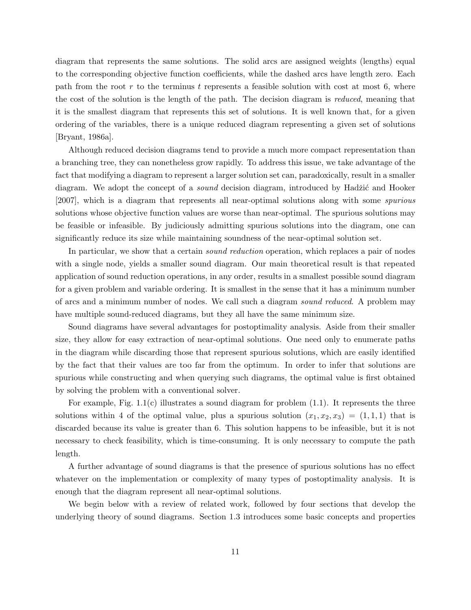diagram that represents the same solutions. The solid arcs are assigned weights (lengths) equal to the corresponding objective function coefficients, while the dashed arcs have length zero. Each path from the root r to the terminus t represents a feasible solution with cost at most 6, where the cost of the solution is the length of the path. The decision diagram is reduced, meaning that it is the smallest diagram that represents this set of solutions. It is well known that, for a given ordering of the variables, there is a unique reduced diagram representing a given set of solutions [Bryant, 1986a].

Although reduced decision diagrams tend to provide a much more compact representation than a branching tree, they can nonetheless grow rapidly. To address this issue, we take advantage of the fact that modifying a diagram to represent a larger solution set can, paradoxically, result in a smaller diagram. We adopt the concept of a *sound* decision diagram, introduced by Hadžić and Hooker [2007], which is a diagram that represents all near-optimal solutions along with some spurious solutions whose objective function values are worse than near-optimal. The spurious solutions may be feasible or infeasible. By judiciously admitting spurious solutions into the diagram, one can significantly reduce its size while maintaining soundness of the near-optimal solution set.

In particular, we show that a certain *sound reduction* operation, which replaces a pair of nodes with a single node, yields a smaller sound diagram. Our main theoretical result is that repeated application of sound reduction operations, in any order, results in a smallest possible sound diagram for a given problem and variable ordering. It is smallest in the sense that it has a minimum number of arcs and a minimum number of nodes. We call such a diagram sound reduced. A problem may have multiple sound-reduced diagrams, but they all have the same minimum size.

Sound diagrams have several advantages for postoptimality analysis. Aside from their smaller size, they allow for easy extraction of near-optimal solutions. One need only to enumerate paths in the diagram while discarding those that represent spurious solutions, which are easily identified by the fact that their values are too far from the optimum. In order to infer that solutions are spurious while constructing and when querying such diagrams, the optimal value is first obtained by solving the problem with a conventional solver.

For example, Fig.  $1.1(c)$  illustrates a sound diagram for problem  $(1.1)$ . It represents the three solutions within 4 of the optimal value, plus a spurious solution  $(x_1, x_2, x_3) = (1, 1, 1)$  that is discarded because its value is greater than 6. This solution happens to be infeasible, but it is not necessary to check feasibility, which is time-consuming. It is only necessary to compute the path length.

A further advantage of sound diagrams is that the presence of spurious solutions has no effect whatever on the implementation or complexity of many types of postoptimality analysis. It is enough that the diagram represent all near-optimal solutions.

We begin below with a review of related work, followed by four sections that develop the underlying theory of sound diagrams. Section 1.3 introduces some basic concepts and properties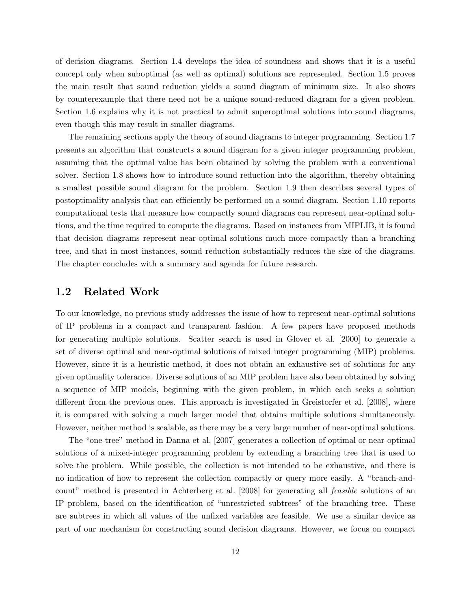of decision diagrams. Section 1.4 develops the idea of soundness and shows that it is a useful concept only when suboptimal (as well as optimal) solutions are represented. Section 1.5 proves the main result that sound reduction yields a sound diagram of minimum size. It also shows by counterexample that there need not be a unique sound-reduced diagram for a given problem. Section 1.6 explains why it is not practical to admit superoptimal solutions into sound diagrams, even though this may result in smaller diagrams.

The remaining sections apply the theory of sound diagrams to integer programming. Section 1.7 presents an algorithm that constructs a sound diagram for a given integer programming problem, assuming that the optimal value has been obtained by solving the problem with a conventional solver. Section 1.8 shows how to introduce sound reduction into the algorithm, thereby obtaining a smallest possible sound diagram for the problem. Section 1.9 then describes several types of postoptimality analysis that can efficiently be performed on a sound diagram. Section 1.10 reports computational tests that measure how compactly sound diagrams can represent near-optimal solutions, and the time required to compute the diagrams. Based on instances from MIPLIB, it is found that decision diagrams represent near-optimal solutions much more compactly than a branching tree, and that in most instances, sound reduction substantially reduces the size of the diagrams. The chapter concludes with a summary and agenda for future research.

#### 1.2 Related Work

To our knowledge, no previous study addresses the issue of how to represent near-optimal solutions of IP problems in a compact and transparent fashion. A few papers have proposed methods for generating multiple solutions. Scatter search is used in Glover et al. [2000] to generate a set of diverse optimal and near-optimal solutions of mixed integer programming (MIP) problems. However, since it is a heuristic method, it does not obtain an exhaustive set of solutions for any given optimality tolerance. Diverse solutions of an MIP problem have also been obtained by solving a sequence of MIP models, beginning with the given problem, in which each seeks a solution different from the previous ones. This approach is investigated in Greistorfer et al. [2008], where it is compared with solving a much larger model that obtains multiple solutions simultaneously. However, neither method is scalable, as there may be a very large number of near-optimal solutions.

The "one-tree" method in Danna et al. [2007] generates a collection of optimal or near-optimal solutions of a mixed-integer programming problem by extending a branching tree that is used to solve the problem. While possible, the collection is not intended to be exhaustive, and there is no indication of how to represent the collection compactly or query more easily. A "branch-andcount" method is presented in Achterberg et al. [2008] for generating all feasible solutions of an IP problem, based on the identification of "unrestricted subtrees" of the branching tree. These are subtrees in which all values of the unfixed variables are feasible. We use a similar device as part of our mechanism for constructing sound decision diagrams. However, we focus on compact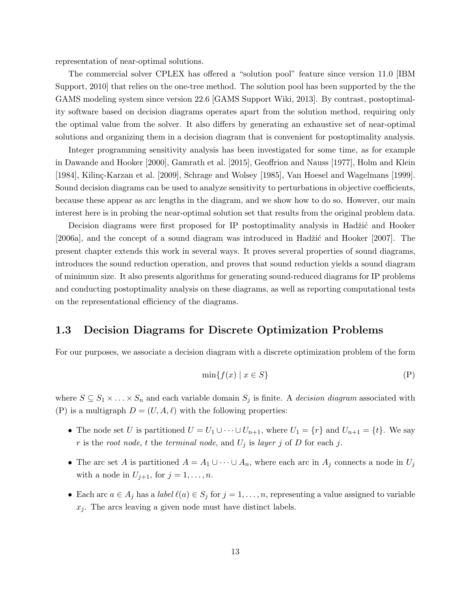representation of near-optimal solutions.

The commercial solver CPLEX has offered a "solution pool" feature since version 11.0 [IBM Support, 2010] that relies on the one-tree method. The solution pool has been supported by the the GAMS modeling system since version 22.6 [GAMS Support Wiki, 2013]. By contrast, postoptimality software based on decision diagrams operates apart from the solution method, requiring only the optimal value from the solver. It also differs by generating an exhaustive set of near-optimal solutions and organizing them in a decision diagram that is convenient for postoptimality analysis.

Integer programming sensitivity analysis has been investigated for some time, as for example in Dawande and Hooker [2000], Gamrath et al. [2015], Geoffrion and Nauss [1977], Holm and Klein [1984], Kilinç-Karzan et al. [2009], Schrage and Wolsey [1985], Van Hoesel and Wagelmans [1999]. Sound decision diagrams can be used to analyze sensitivity to perturbations in objective coefficients, because these appear as arc lengths in the diagram, and we show how to do so. However, our main interest here is in probing the near-optimal solution set that results from the original problem data.

Decision diagrams were first proposed for IP postoptimality analysis in Hadžić and Hooker [2006a], and the concept of a sound diagram was introduced in Hadžić and Hooker [2007]. The present chapter extends this work in several ways. It proves several properties of sound diagrams, introduces the sound reduction operation, and proves that sound reduction yields a sound diagram of minimum size. It also presents algorithms for generating sound-reduced diagrams for IP problems and conducting postoptimality analysis on these diagrams, as well as reporting computational tests on the representational efficiency of the diagrams.

#### 1.3 Decision Diagrams for Discrete Optimization Problems

For our purposes, we associate a decision diagram with a discrete optimization problem of the form

$$
\min\{f(x) \mid x \in S\} \tag{P}
$$

where  $S \subseteq S_1 \times \ldots \times S_n$  and each variable domain  $S_j$  is finite. A *decision diagram* associated with (P) is a multigraph  $D = (U, A, \ell)$  with the following properties:

- The node set U is partitioned  $U = U_1 \cup \cdots \cup U_{n+1}$ , where  $U_1 = \{r\}$  and  $U_{n+1} = \{t\}$ . We say r is the root node, t the terminal node, and  $U_j$  is layer j of D for each j.
- The arc set A is partitioned  $A = A_1 \cup \cdots \cup A_n$ , where each arc in  $A_j$  connects a node in  $U_j$ with a node in  $U_{j+1}$ , for  $j = 1, ..., n$ .
- Each arc  $a \in A_j$  has a *label*  $\ell(a) \in S_j$  for  $j = 1, \ldots, n$ , representing a value assigned to variable  $x_i$ . The arcs leaving a given node must have distinct labels.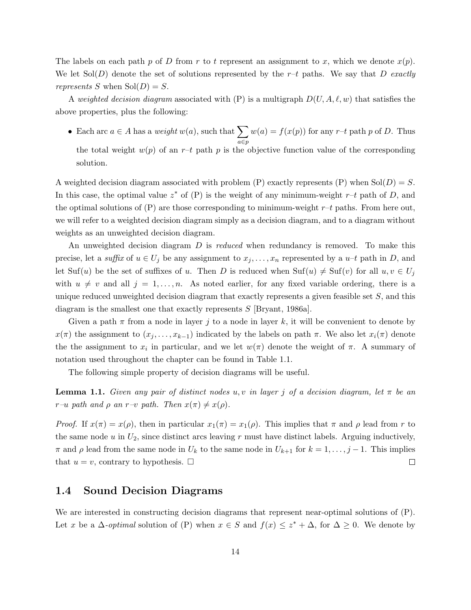The labels on each path p of D from r to t represent an assignment to x, which we denote  $x(p)$ . We let  $Sol(D)$  denote the set of solutions represented by the r-t paths. We say that D exactly represents S when  $Sol(D) = S$ .

A weighted decision diagram associated with (P) is a multigraph  $D(U, A, \ell, w)$  that satisfies the above properties, plus the following:

• Each arc  $a \in A$  has a *weight*  $w(a)$ , such that  $\sum$ a∈p  $w(a) = f(x(p))$  for any  $r$ -t path p of D. Thus the total weight  $w(p)$  of an r-t path p is the objective function value of the corresponding solution.

A weighted decision diagram associated with problem (P) exactly represents (P) when  $Sol(D) = S$ . In this case, the optimal value  $z^*$  of (P) is the weight of any minimum-weight  $r-t$  path of D, and the optimal solutions of  $(P)$  are those corresponding to minimum-weight  $r-t$  paths. From here out, we will refer to a weighted decision diagram simply as a decision diagram, and to a diagram without weights as an unweighted decision diagram.

An unweighted decision diagram D is reduced when redundancy is removed. To make this precise, let a suffix of  $u \in U_j$  be any assignment to  $x_j, \ldots, x_n$  represented by a  $u-t$  path in D, and let Suf(u) be the set of suffixes of u. Then D is reduced when  $\text{Suf}(u) \neq \text{Suf}(v)$  for all  $u, v \in U_j$ with  $u \neq v$  and all  $j = 1, \ldots, n$ . As noted earlier, for any fixed variable ordering, there is a unique reduced unweighted decision diagram that exactly represents a given feasible set  $S$ , and this diagram is the smallest one that exactly represents S [Bryant, 1986a].

Given a path  $\pi$  from a node in layer j to a node in layer k, it will be convenient to denote by  $x(\pi)$  the assignment to  $(x_j, \ldots, x_{k-1})$  indicated by the labels on path  $\pi$ . We also let  $x_i(\pi)$  denote the the assignment to  $x_i$  in particular, and we let  $w(\pi)$  denote the weight of  $\pi$ . A summary of notation used throughout the chapter can be found in Table 1.1.

The following simple property of decision diagrams will be useful.

**Lemma 1.1.** Given any pair of distinct nodes u, v in layer j of a decision diagram, let  $\pi$  be an r–u path and  $\rho$  an r–v path. Then  $x(\pi) \neq x(\rho)$ .

*Proof.* If  $x(\pi) = x(\rho)$ , then in particular  $x_1(\pi) = x_1(\rho)$ . This implies that  $\pi$  and  $\rho$  lead from r to the same node  $u$  in  $U_2$ , since distinct arcs leaving r must have distinct labels. Arguing inductively,  $\pi$  and  $\rho$  lead from the same node in  $U_k$  to the same node in  $U_{k+1}$  for  $k = 1, \ldots, j-1$ . This implies that  $u = v$ , contrary to hypothesis.  $\Box$  $\Box$ 

#### 1.4 Sound Decision Diagrams

We are interested in constructing decision diagrams that represent near-optimal solutions of (P). Let x be a  $\Delta$ -*optimal* solution of (P) when  $x \in S$  and  $f(x) \leq z^* + \Delta$ , for  $\Delta \geq 0$ . We denote by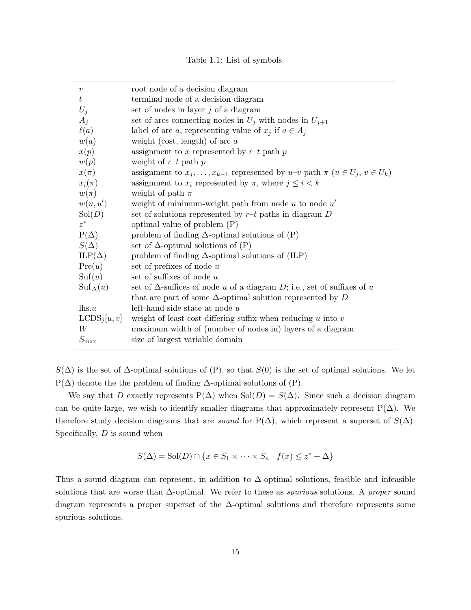|  |  |  |  | Table 1.1: List of symbols. |  |
|--|--|--|--|-----------------------------|--|
|--|--|--|--|-----------------------------|--|

| $\mathfrak{r}$           | root node of a decision diagram                                                               |
|--------------------------|-----------------------------------------------------------------------------------------------|
| $t\,$                    | terminal node of a decision diagram                                                           |
| $U_i$                    | set of nodes in layer $j$ of a diagram                                                        |
| $A_i$                    | set of arcs connecting nodes in $U_j$ with nodes in $U_{j+1}$                                 |
| $\ell(a)$                | label of arc a, representing value of $x_j$ if $a \in A_j$                                    |
| w(a)                     | weight (cost, length) of arc $a$                                                              |
| x(p)                     | assignment to x represented by $r-t$ path p                                                   |
| w(p)                     | weight of $r$ -t path p                                                                       |
| $x(\pi)$                 | assignment to $x_j, \ldots, x_{k-1}$ represented by $u-v$ path $\pi$ $(u \in U_j, v \in U_k)$ |
| $x_i(\pi)$               | assignment to $x_i$ represented by $\pi$ , where $j \leq i < k$                               |
| $w(\pi)$                 | weight of path $\pi$                                                                          |
| w(u, u')                 | weight of minimum-weight path from node $u$ to node $u'$                                      |
| Sol(D)                   | set of solutions represented by $r-t$ paths in diagram $D$                                    |
| $z^*$                    | optimal value of problem $(P)$                                                                |
| $P(\Delta)$              | problem of finding $\Delta$ -optimal solutions of $(P)$                                       |
| $S(\Delta)$              | set of $\Delta$ -optimal solutions of (P)                                                     |
| $ILP(\Delta)$            | problem of finding $\Delta$ -optimal solutions of (ILP)                                       |
| Pre(u)                   | set of prefixes of node $u$                                                                   |
| $\mathrm{Suf}(u)$        | set of suffixes of node $u$                                                                   |
| $\text{Suf}_{\Delta}(u)$ | set of $\Delta$ -suffices of node u of a diagram D; i.e., set of suffixes of u                |
|                          | that are part of some $\Delta$ -optimal solution represented by D                             |
| $\ln s.u$                | left-hand-side state at node $u$                                                              |
| LCDS <sub>j</sub> [u, v] | weight of least-cost differing suffix when reducing $u$ into $v$                              |
| W                        | maximum width of (number of nodes in) layers of a diagram                                     |
| $S_{\rm max}$            | size of largest variable domain                                                               |

 $S(\Delta)$  is the set of  $\Delta$ -optimal solutions of (P), so that  $S(0)$  is the set of optimal solutions. We let  $P(\Delta)$  denote the the problem of finding  $\Delta$ -optimal solutions of  $(P)$ .

We say that D exactly represents  $P(\Delta)$  when  $Sol(D) = S(\Delta)$ . Since such a decision diagram can be quite large, we wish to identify smaller diagrams that approximately represent  $P(\Delta)$ . We therefore study decision diagrams that are *sound* for P( $\Delta$ ), which represent a superset of  $S(\Delta)$ . Specifically,  $D$  is sound when

$$
S(\Delta) = Sol(D) \cap \{x \in S_1 \times \cdots \times S_n \mid f(x) \leq z^* + \Delta\}
$$

Thus a sound diagram can represent, in addition to ∆-optimal solutions, feasible and infeasible solutions that are worse than  $\Delta$ -optimal. We refer to these as *spurious* solutions. A *proper* sound diagram represents a proper superset of the ∆-optimal solutions and therefore represents some spurious solutions.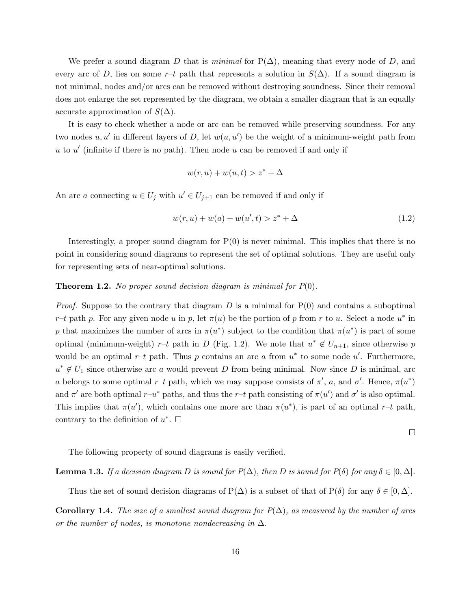We prefer a sound diagram D that is *minimal* for  $P(\Delta)$ , meaning that every node of D, and every arc of D, lies on some r–t path that represents a solution in  $S(\Delta)$ . If a sound diagram is not minimal, nodes and/or arcs can be removed without destroying soundness. Since their removal does not enlarge the set represented by the diagram, we obtain a smaller diagram that is an equally accurate approximation of  $S(\Delta)$ .

It is easy to check whether a node or arc can be removed while preserving soundness. For any two nodes  $u, u'$  in different layers of D, let  $w(u, u')$  be the weight of a minimum-weight path from  $u$  to  $u'$  (infinite if there is no path). Then node  $u$  can be removed if and only if

$$
w(r, u) + w(u, t) > z^* + \Delta
$$

An arc a connecting  $u \in U_j$  with  $u' \in U_{j+1}$  can be removed if and only if

$$
w(r, u) + w(a) + w(u', t) > z^* + \Delta
$$
\n(1.2)

Interestingly, a proper sound diagram for  $P(0)$  is never minimal. This implies that there is no point in considering sound diagrams to represent the set of optimal solutions. They are useful only for representing sets of near-optimal solutions.

#### **Theorem 1.2.** No proper sound decision diagram is minimal for  $P(0)$ .

*Proof.* Suppose to the contrary that diagram  $D$  is a minimal for  $P(0)$  and contains a suboptimal r-t path p. For any given node u in p, let  $\pi(u)$  be the portion of p from r to u. Select a node  $u^*$  in p that maximizes the number of arcs in  $\pi(u^*)$  subject to the condition that  $\pi(u^*)$  is part of some optimal (minimum-weight) r-t path in D (Fig. 1.2). We note that  $u^* \notin U_{n+1}$ , since otherwise p would be an optimal  $r-t$  path. Thus p contains an arc a from  $u^*$  to some node u'. Furthermore,  $u^* \notin U_1$  since otherwise arc a would prevent D from being minimal. Now since D is minimal, arc a belongs to some optimal r-t path, which we may suppose consists of  $\pi'$ , a, and  $\sigma'$ . Hence,  $\pi(u^*)$ and  $\pi'$  are both optimal  $r-u^*$  paths, and thus the  $r-t$  path consisting of  $\pi(u')$  and  $\sigma'$  is also optimal. This implies that  $\pi(u')$ , which contains one more arc than  $\pi(u^*)$ , is part of an optimal r-t path, contrary to the definition of  $u^*$ .  $\Box$ 

 $\Box$ 

The following property of sound diagrams is easily verified.

**Lemma 1.3.** If a decision diagram D is sound for  $P(\Delta)$ , then D is sound for  $P(\delta)$  for any  $\delta \in [0, \Delta]$ .

Thus the set of sound decision diagrams of P( $\Delta$ ) is a subset of that of P( $\delta$ ) for any  $\delta \in [0, \Delta]$ .

**Corollary 1.4.** The size of a smallest sound diagram for  $P(\Delta)$ , as measured by the number of arcs or the number of nodes, is monotone nondecreasing in  $\Delta$ .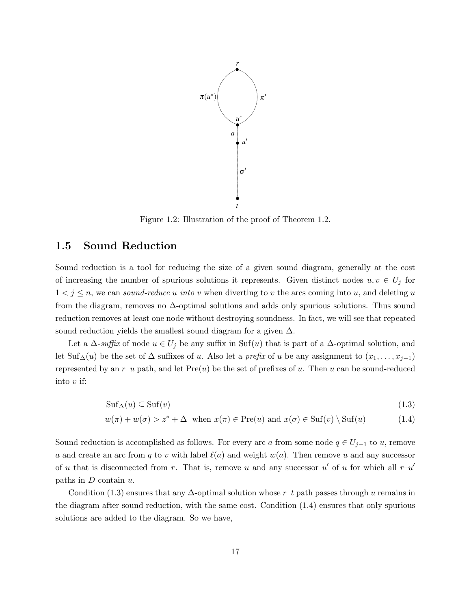

Figure 1.2: Illustration of the proof of Theorem 1.2.

#### 1.5 Sound Reduction

Sound reduction is a tool for reducing the size of a given sound diagram, generally at the cost of increasing the number of spurious solutions it represents. Given distinct nodes  $u, v \in U_j$  for  $1 < j \leq n$ , we can sound-reduce u into v when diverting to v the arcs coming into u, and deleting u from the diagram, removes no  $\Delta$ -optimal solutions and adds only spurious solutions. Thus sound reduction removes at least one node without destroying soundness. In fact, we will see that repeated sound reduction yields the smallest sound diagram for a given  $\Delta$ .

Let a  $\Delta$ -suffix of node  $u \in U_j$  be any suffix in Suf(u) that is part of a  $\Delta$ -optimal solution, and let Suf<sub>∆</sub>(u) be the set of  $\Delta$  suffixes of u. Also let a *prefix* of u be any assignment to  $(x_1, \ldots, x_{j-1})$ represented by an  $r-u$  path, and let  $Pre(u)$  be the set of prefixes of u. Then u can be sound-reduced into  $v$  if:

$$
\mathrm{Suf}_{\Delta}(u) \subseteq \mathrm{Suf}(v) \tag{1.3}
$$

$$
w(\pi) + w(\sigma) > z^* + \Delta \quad \text{when } x(\pi) \in \text{Pre}(u) \text{ and } x(\sigma) \in \text{Suf}(v) \setminus \text{Suf}(u) \tag{1.4}
$$

Sound reduction is accomplished as follows. For every arc a from some node  $q \in U_{j-1}$  to u, remove a and create an arc from q to v with label  $\ell(a)$  and weight  $w(a)$ . Then remove u and any successor of u that is disconnected from r. That is, remove u and any successor u' of u for which all  $r-u'$ paths in  $D$  contain  $u$ .

Condition (1.3) ensures that any  $\Delta$ -optimal solution whose r–t path passes through u remains in the diagram after sound reduction, with the same cost. Condition (1.4) ensures that only spurious solutions are added to the diagram. So we have,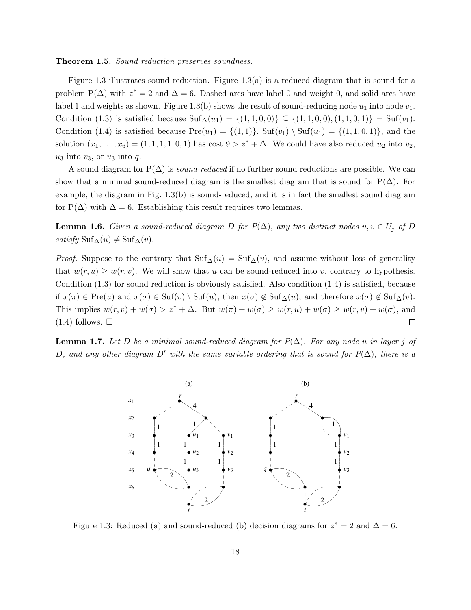#### **Theorem 1.5.** Sound reduction preserves soundness.

Figure 1.3 illustrates sound reduction. Figure 1.3(a) is a reduced diagram that is sound for a problem  $P(\Delta)$  with  $z^* = 2$  and  $\Delta = 6$ . Dashed arcs have label 0 and weight 0, and solid arcs have label 1 and weights as shown. Figure 1.3(b) shows the result of sound-reducing node  $u_1$  into node  $v_1$ . Condition (1.3) is satisfied because  $\text{Suf}_{\Delta}(u_1) = \{(1,1,0,0)\} \subseteq \{(1,1,0,0), (1,1,0,1)\} = \text{Suf}(v_1)$ . Condition (1.4) is satisfied because  $Pre(u_1) = \{(1,1)\}\$ ,  $Suf(v_1) \setminus Suf(u_1) = \{(1,1,0,1)\}\$ , and the solution  $(x_1, \ldots, x_6) = (1, 1, 1, 1, 0, 1)$  has cost  $9 > z^* + \Delta$ . We could have also reduced  $u_2$  into  $v_2$ .  $u_3$  into  $v_3$ , or  $u_3$  into  $q$ .

A sound diagram for  $P(\Delta)$  is *sound-reduced* if no further sound reductions are possible. We can show that a minimal sound-reduced diagram is the smallest diagram that is sound for  $P(\Delta)$ . For example, the diagram in Fig. 1.3(b) is sound-reduced, and it is in fact the smallest sound diagram for P( $\Delta$ ) with  $\Delta = 6$ . Establishing this result requires two lemmas.

**Lemma 1.6.** Given a sound-reduced diagram D for  $P(\Delta)$ , any two distinct nodes  $u, v \in U_j$  of D *satisfy* Suf<sub> $\Delta$ </sub> $(u) \neq$  Suf $_{\Delta}$  $(v)$ .

*Proof.* Suppose to the contrary that  $\text{Suf}_{\Delta}(u) = \text{Suf}_{\Delta}(v)$ , and assume without loss of generality that  $w(r, u) \geq w(r, v)$ . We will show that u can be sound-reduced into v, contrary to hypothesis. Condition (1.3) for sound reduction is obviously satisfied. Also condition (1.4) is satisfied, because if  $x(\pi) \in \text{Pre}(u)$  and  $x(\sigma) \in \text{Suf}(v) \setminus \text{Suf}(u)$ , then  $x(\sigma) \notin \text{Suf}_{\Delta}(u)$ , and therefore  $x(\sigma) \notin \text{Suf}_{\Delta}(v)$ . This implies  $w(r, v) + w(\sigma) > z^* + \Delta$ . But  $w(\pi) + w(\sigma) \ge w(r, u) + w(\sigma) \ge w(r, v) + w(\sigma)$ , and  $(1.4)$  follows.  $\square$  $\Box$ 

**Lemma 1.7.** Let D be a minimal sound-reduced diagram for  $P(\Delta)$ . For any node u in layer j of D, and any other diagram D' with the same variable ordering that is sound for  $P(\Delta)$ , there is a



Figure 1.3: Reduced (a) and sound-reduced (b) decision diagrams for  $z^* = 2$  and  $\Delta = 6$ .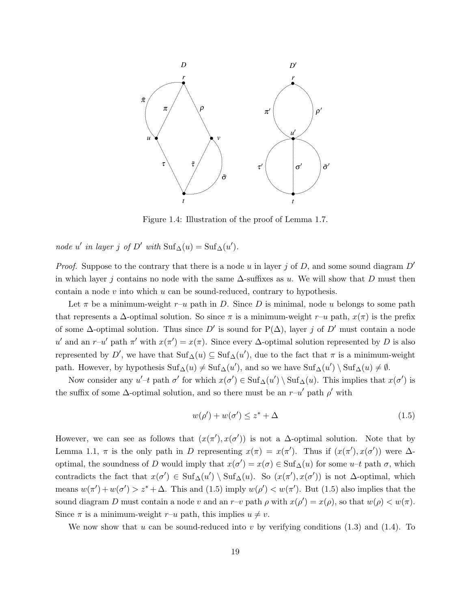

Figure 1.4: Illustration of the proof of Lemma 1.7.

node u' in layer j of D' with  $\text{Suf}_{\Delta}(u) = \text{Suf}_{\Delta}(u')$ .

*Proof.* Suppose to the contrary that there is a node u in layer j of D, and some sound diagram  $D'$ in which layer j contains no node with the same  $\Delta$ -suffixes as u. We will show that D must then contain a node  $v$  into which  $u$  can be sound-reduced, contrary to hypothesis.

Let  $\pi$  be a minimum-weight  $r-u$  path in D. Since D is minimal, node u belongs to some path that represents a  $\Delta$ -optimal solution. So since  $\pi$  is a minimum-weight r–u path,  $x(\pi)$  is the prefix of some  $\Delta$ -optimal solution. Thus since D' is sound for P( $\Delta$ ), layer j of D' must contain a node u' and an r–u' path  $\pi'$  with  $x(\pi') = x(\pi)$ . Since every  $\Delta$ -optimal solution represented by D is also represented by D', we have that  $\text{Suf}_{\Delta}(u) \subseteq \text{Suf}_{\Delta}(u')$ , due to the fact that  $\pi$  is a minimum-weight path. However, by hypothesis  $\text{Suf}_{\Delta}(u) \neq \text{Suf}_{\Delta}(u')$ , and so we have  $\text{Suf}_{\Delta}(u') \setminus \text{Suf}_{\Delta}(u) \neq \emptyset$ .

Now consider any  $u'$ -t path  $\sigma'$  for which  $x(\sigma') \in \text{Suf}_{\Delta}(u') \setminus \text{Suf}_{\Delta}(u)$ . This implies that  $x(\sigma')$  is the suffix of some  $\Delta$ -optimal solution, and so there must be an  $r-u'$  path  $\rho'$  with

$$
w(\rho') + w(\sigma') \le z^* + \Delta \tag{1.5}
$$

However, we can see as follows that  $(x(\pi'), x(\sigma'))$  is not a  $\Delta$ -optimal solution. Note that by Lemma 1.1,  $\pi$  is the only path in D representing  $x(\pi) = x(\pi')$ . Thus if  $(x(\pi'), x(\sigma'))$  were  $\Delta$ optimal, the soundness of D would imply that  $x(\sigma') = x(\sigma) \in \text{Suf}_{\Delta}(u)$  for some  $u-t$  path  $\sigma$ , which contradicts the fact that  $x(\sigma') \in \mathrm{Suf}_{\Delta}(u') \setminus \mathrm{Suf}_{\Delta}(u)$ . So  $(x(\pi'), x(\sigma'))$  is not  $\Delta$ -optimal, which means  $w(\pi') + w(\sigma') > z^* + \Delta$ . This and (1.5) imply  $w(\rho') < w(\pi')$ . But (1.5) also implies that the sound diagram D must contain a node v and an r-v path  $\rho$  with  $x(\rho') = x(\rho)$ , so that  $w(\rho) < w(\pi)$ . Since  $\pi$  is a minimum-weight  $r-u$  path, this implies  $u \neq v$ .

We now show that u can be sound-reduced into v by verifying conditions  $(1.3)$  and  $(1.4)$ . To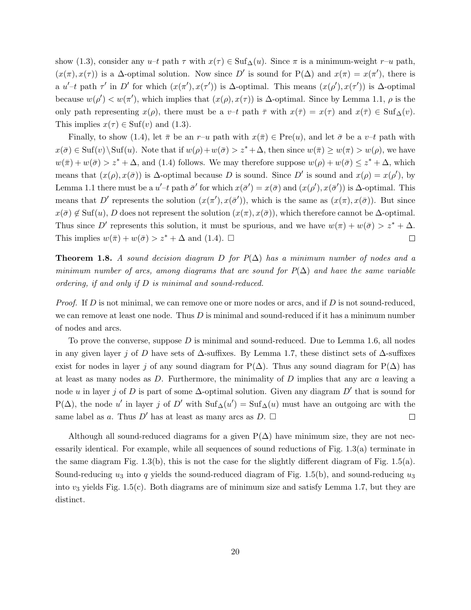show (1.3), consider any u–t path  $\tau$  with  $x(\tau) \in \text{Suf}_{\Delta}(u)$ . Since  $\pi$  is a minimum-weight  $r-u$  path,  $(x(\pi), x(\tau))$  is a  $\Delta$ -optimal solution. Now since D' is sound for P( $\Delta$ ) and  $x(\pi) = x(\pi')$ , there is a  $u'$ -t path  $\tau'$  in D' for which  $(x(\tau'), x(\tau'))$  is  $\Delta$ -optimal. This means  $(x(\rho'), x(\tau'))$  is  $\Delta$ -optimal because  $w(\rho') < w(\pi')$ , which implies that  $(x(\rho), x(\tau))$  is  $\Delta$ -optimal. Since by Lemma 1.1,  $\rho$  is the only path representing  $x(\rho)$ , there must be a v–t path  $\bar{\tau}$  with  $x(\bar{\tau}) = x(\tau)$  and  $x(\bar{\tau}) \in \text{Suf}_{\Delta}(v)$ . This implies  $x(\tau) \in Suf(v)$  and  $(1.3)$ .

Finally, to show (1.4), let  $\bar{\pi}$  be an r–u path with  $x(\bar{\pi}) \in Pre(u)$ , and let  $\bar{\sigma}$  be a v–t path with  $x(\bar{\sigma}) \in Suf(v) \setminus Suf(u)$ . Note that if  $w(\rho) + w(\bar{\sigma}) > z^* + \Delta$ , then since  $w(\bar{\pi}) \geq w(\pi) > w(\rho)$ , we have  $w(\bar{\pi}) + w(\bar{\sigma}) > z^* + \Delta$ , and (1.4) follows. We may therefore suppose  $w(\rho) + w(\bar{\sigma}) \leq z^* + \Delta$ , which means that  $(x(\rho), x(\bar{\sigma}))$  is  $\Delta$ -optimal because D is sound. Since D' is sound and  $x(\rho) = x(\rho')$ , by Lemma 1.1 there must be a  $u'-t$  path  $\bar{\sigma}'$  for which  $x(\bar{\sigma}') = x(\bar{\sigma})$  and  $(x(\rho'), x(\bar{\sigma}'))$  is  $\Delta$ -optimal. This means that D' represents the solution  $(x(\pi'), x(\bar{\sigma}'))$ , which is the same as  $(x(\pi), x(\bar{\sigma}))$ . But since  $x(\bar{\sigma}) \notin Suf(u)$ , D does not represent the solution  $(x(\bar{\sigma}), x(\bar{\sigma}))$ , which therefore cannot be  $\Delta$ -optimal. Thus since D' represents this solution, it must be spurious, and we have  $w(\pi) + w(\bar{\sigma}) > z^* + \Delta$ . This implies  $w(\bar{\pi}) + w(\bar{\sigma}) > z^* + \Delta$  and (1.4).  $\Box$  $\Box$ 

**Theorem 1.8.** A sound decision diagram D for  $P(\Delta)$  has a minimum number of nodes and a minimum number of arcs, among diagrams that are sound for  $P(\Delta)$  and have the same variable ordering, if and only if D is minimal and sound-reduced.

*Proof.* If D is not minimal, we can remove one or more nodes or arcs, and if D is not sound-reduced, we can remove at least one node. Thus  $D$  is minimal and sound-reduced if it has a minimum number of nodes and arcs.

To prove the converse, suppose  $D$  is minimal and sound-reduced. Due to Lemma 1.6, all nodes in any given layer j of D have sets of  $\Delta$ -suffixes. By Lemma 1.7, these distinct sets of  $\Delta$ -suffixes exist for nodes in layer j of any sound diagram for P( $\Delta$ ). Thus any sound diagram for P( $\Delta$ ) has at least as many nodes as  $D$ . Furthermore, the minimality of  $D$  implies that any arc  $a$  leaving a node u in layer j of D is part of some  $\Delta$ -optimal solution. Given any diagram D' that is sound for  $P(\Delta)$ , the node u' in layer j of D' with  $\text{Suf}_{\Delta}(u') = \text{Suf}_{\Delta}(u)$  must have an outgoing arc with the same label as a. Thus D' has at least as many arcs as D.  $\Box$  $\Box$ 

Although all sound-reduced diagrams for a given  $P(\Delta)$  have minimum size, they are not necessarily identical. For example, while all sequences of sound reductions of Fig. 1.3(a) terminate in the same diagram Fig.  $1.3(b)$ , this is not the case for the slightly different diagram of Fig.  $1.5(a)$ . Sound-reducing  $u_3$  into q yields the sound-reduced diagram of Fig. 1.5(b), and sound-reducing  $u_3$ into  $v_3$  yields Fig. 1.5(c). Both diagrams are of minimum size and satisfy Lemma 1.7, but they are distinct.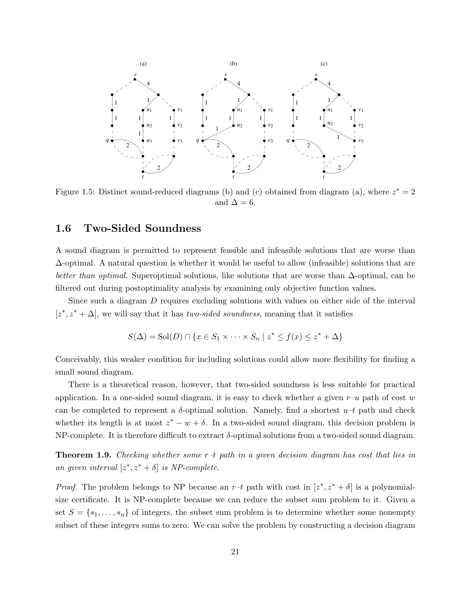

Figure 1.5: Distinct sound-reduced diagrams (b) and (c) obtained from diagram (a), where  $z^* = 2$ and  $\Delta = 6$ .

#### 1.6 Two-Sided Soundness

A sound diagram is permitted to represent feasible and infeasible solutions that are worse than  $\Delta$ -optimal. A natural question is whether it would be useful to allow (infeasible) solutions that are better than optimal. Superoptimal solutions, like solutions that are worse than ∆-optimal, can be filtered out during postoptimality analysis by examining only objective function values.

Since such a diagram D requires excluding solutions with values on either side of the interval  $[z^*, z^* + \Delta]$ , we will say that it has *two-sided soundness*, meaning that it satisfies

$$
S(\Delta) = Sol(D) \cap \{x \in S_1 \times \cdots \times S_n \mid z^* \le f(x) \le z^* + \Delta\}
$$

Conceivably, this weaker condition for including solutions could allow more flexibility for finding a small sound diagram.

There is a theoretical reason, however, that two-sided soundness is less suitable for practical application. In a one-sided sound diagram, it is easy to check whether a given  $r-u$  path of cost w can be completed to represent a  $\delta$ -optimal solution. Namely, find a shortest  $u-t$  path and check whether its length is at most  $z^* - w + \delta$ . In a two-sided sound diagram, this decision problem is NP-complete. It is therefore difficult to extract  $\delta$ -optimal solutions from a two-sided sound diagram.

**Theorem 1.9.** Checking whether some  $r-t$  path in a given decision diagram has cost that lies in an given interval  $[z^*, z^* + \delta]$  is NP-complete.

*Proof.* The problem belongs to NP because an  $r-t$  path with cost in  $[z^*, z^* + \delta]$  is a polynomialsize certificate. It is NP-complete because we can reduce the subset sum problem to it. Given a set  $S = \{s_1, \ldots, s_n\}$  of integers, the subset sum problem is to determine whether some nonempty subset of these integers sums to zero. We can solve the problem by constructing a decision diagram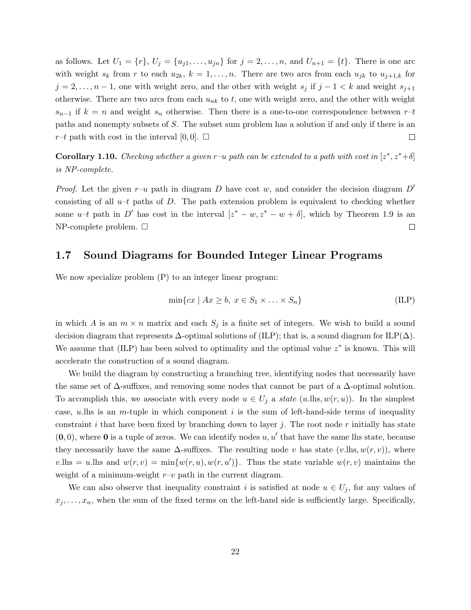as follows. Let  $U_1 = \{r\}, U_j = \{u_{j1}, \ldots, u_{jn}\}$  for  $j = 2, \ldots, n$ , and  $U_{n+1} = \{t\}$ . There is one arc with weight  $s_k$  from r to each  $u_{2k}$ ,  $k = 1, \ldots, n$ . There are two arcs from each  $u_{jk}$  to  $u_{j+1,k}$  for  $j = 2, \ldots, n-1$ , one with weight zero, and the other with weight  $s_j$  if  $j - 1 < k$  and weight  $s_{j+1}$ otherwise. There are two arcs from each  $u_{nk}$  to t, one with weight zero, and the other with weight  $s_{n-1}$  if  $k = n$  and weight  $s_n$  otherwise. Then there is a one-to-one correspondence between  $r-t$ paths and nonempty subsets of S. The subset sum problem has a solution if and only if there is an  $r-t$  path with cost in the interval [0, 0].  $\Box$  $\Box$ 

**Corollary 1.10.** Checking whether a given r-u path can be extended to a path with cost in  $[z^*, z^* + \delta]$ is NP-complete.

*Proof.* Let the given  $r-u$  path in diagram D have cost w, and consider the decision diagram D' consisting of all  $u-t$  paths of D. The path extension problem is equivalent to checking whether some  $u-t$  path in D' has cost in the interval  $[z^* - w, z^* - w + \delta]$ , which by Theorem 1.9 is an  $NP$ -complete problem.  $\square$  $\Box$ 

#### 1.7 Sound Diagrams for Bounded Integer Linear Programs

We now specialize problem (P) to an integer linear program:

$$
\min\{cx \mid Ax \ge b, \ x \in S_1 \times \ldots \times S_n\} \tag{ILP}
$$

in which A is an  $m \times n$  matrix and each  $S_j$  is a finite set of integers. We wish to build a sound decision diagram that represents  $\Delta$ -optimal solutions of (ILP); that is, a sound diagram for ILP( $\Delta$ ). We assume that  $(ILP)$  has been solved to optimality and the optimal value  $z^*$  is known. This will accelerate the construction of a sound diagram.

We build the diagram by constructing a branching tree, identifying nodes that necessarily have the same set of  $\Delta$ -suffixes, and removing some nodes that cannot be part of a  $\Delta$ -optimal solution. To accomplish this, we associate with every node  $u \in U_j$  a *state* (u.lhs,  $w(r, u)$ ). In the simplest case, u.lhs is an m-tuple in which component i is the sum of left-hand-side terms of inequality constraint i that have been fixed by branching down to layer i. The root node r initially has state  $(0,0)$ , where 0 is a tuple of zeros. We can identify nodes  $u, u'$  that have the same lhs state, because they necessarily have the same  $\Delta$ -suffixes. The resulting node v has state (v.lhs,  $w(r, v)$ ), where  $v.\text{lhs} = u.\text{Ins} \text{ and } w(r, v) = \min\{w(r, u), w(r, u')\}.$  Thus the state variable  $w(r, v)$  maintains the weight of a minimum-weight  $r-v$  path in the current diagram.

We can also observe that inequality constraint i is satisfied at node  $u \in U_j$ , for any values of  $x_j, \ldots, x_n$ , when the sum of the fixed terms on the left-hand side is sufficiently large. Specifically,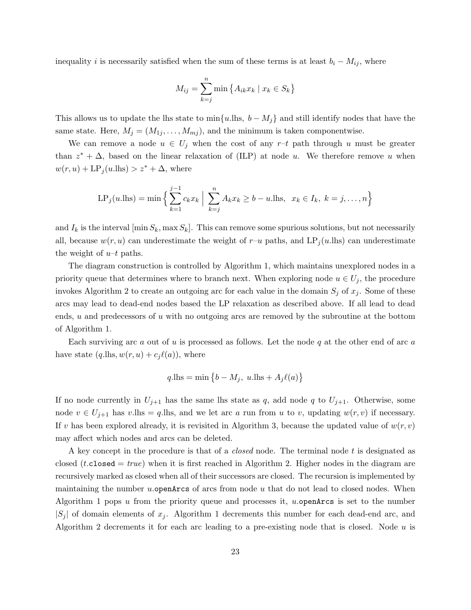inequality i is necessarily satisfied when the sum of these terms is at least  $b_i - M_{ij}$ , where

$$
M_{ij} = \sum_{k=j}^{n} \min \left\{ A_{ik} x_k \mid x_k \in S_k \right\}
$$

This allows us to update the lhs state to min ${u$ . Ihs,  $b - M_j$  and still identify nodes that have the same state. Here,  $M_j = (M_{1j}, \ldots, M_{mj})$ , and the minimum is taken componentwise.

We can remove a node  $u \in U_j$  when the cost of any r-t path through u must be greater than  $z^* + \Delta$ , based on the linear relaxation of (ILP) at node u. We therefore remove u when  $w(r, u) + \text{LP}_j(u.\text{lhs}) > z^* + \Delta$ , where

$$
LP_j(u.\text{lhs}) = \min \Big\{ \sum_{k=1}^{j-1} c_k x_k \Big| \sum_{k=j}^{n} A_k x_k \ge b - u.\text{lhs}, \ x_k \in I_k, \ k = j, \dots, n \Big\}
$$

and  $I_k$  is the interval  $[\min S_k, \max S_k]$ . This can remove some spurious solutions, but not necessarily all, because  $w(r, u)$  can underestimate the weight of r–u paths, and LP<sub>j</sub>(u.lhs) can underestimate the weight of  $u-t$  paths.

The diagram construction is controlled by Algorithm 1, which maintains unexplored nodes in a priority queue that determines where to branch next. When exploring node  $u \in U_j$ , the procedure invokes Algorithm 2 to create an outgoing arc for each value in the domain  $S_j$  of  $x_j$ . Some of these arcs may lead to dead-end nodes based the LP relaxation as described above. If all lead to dead ends,  $u$  and predecessors of  $u$  with no outgoing arcs are removed by the subroutine at the bottom of Algorithm 1.

Each surviving arc  $a$  out of  $u$  is processed as follows. Let the node  $q$  at the other end of arc  $a$ have state  $(q.\text{hls}, w(r, u) + c_i \ell(a))$ , where

$$
q.\mathrm{lns} = \min\left\{b - M_j, u.\mathrm{lns} + A_j\ell(a)\right\}
$$

If no node currently in  $U_{j+1}$  has the same lhs state as q, add node q to  $U_{j+1}$ . Otherwise, some node  $v \in U_{j+1}$  has v.lhs = q.lhs, and we let arc a run from u to v, updating  $w(r, v)$  if necessary. If v has been explored already, it is revisited in Algorithm 3, because the updated value of  $w(r, v)$ may affect which nodes and arcs can be deleted.

A key concept in the procedure is that of a *closed* node. The terminal node t is designated as closed (t.closed = true) when it is first reached in Algorithm 2. Higher nodes in the diagram are recursively marked as closed when all of their successors are closed. The recursion is implemented by maintaining the number *u*.openArcs of arcs from node *u* that do not lead to closed nodes. When Algorithm 1 pops u from the priority queue and processes it, u.openArcs is set to the number  $|S_i|$  of domain elements of  $x_i$ . Algorithm 1 decrements this number for each dead-end arc, and Algorithm 2 decrements it for each arc leading to a pre-existing node that is closed. Node  $u$  is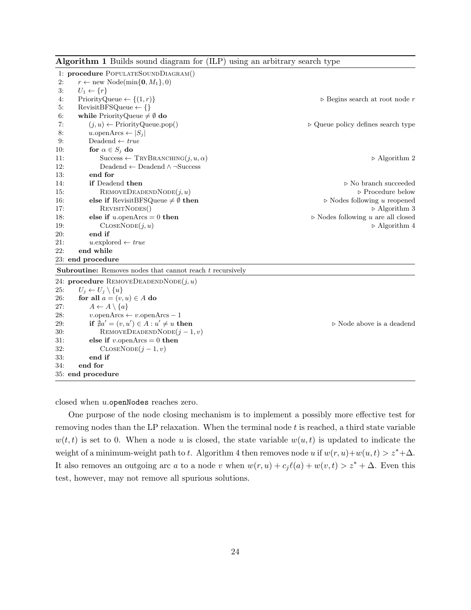|     | 1: procedure POPULATESOUNDDIAGRAM()                                |                                                   |
|-----|--------------------------------------------------------------------|---------------------------------------------------|
| 2:  | $r \leftarrow \text{new Node}(\min\{\mathbf{0}, M_1\}, 0)$         |                                                   |
| 3:  | $U_1 \leftarrow \{r\}$                                             |                                                   |
| 4:  | PriorityQueue $\leftarrow \{(1,r)\}\$                              | $\triangleright$ Begins search at root node r     |
| 5:  | $RewistBFSQueue \leftarrow \{\}$                                   |                                                   |
| 6:  | while PriorityQueue $\neq \emptyset$ do                            |                                                   |
| 7:  | $(j, u) \leftarrow$ Priority Queue.pop()                           | $\triangleright$ Queue policy defines search type |
| 8:  | u.openArcs $\leftarrow  S_j $                                      |                                                   |
| 9:  | Deadend $\leftarrow true$                                          |                                                   |
| 10: | for $\alpha \in S_j$ do                                            |                                                   |
| 11: | Success $\leftarrow$ TRYBRANCHING $(j, u, \alpha)$                 | $\triangleright$ Algorithm 2                      |
| 12: | Deadend $\leftarrow$ Deadend $\wedge \neg$ Success                 |                                                   |
| 13: | end for                                                            |                                                   |
| 14: | if Deadend then                                                    | $\triangleright$ No branch succeeded              |
| 15: | $\text{REMOVEDEADENDNODE}(j, u)$                                   | $\triangleright$ Procedure below                  |
| 16: | else if RevisitBFSQueue $\neq \emptyset$ then                      | $\triangleright$ Nodes following u reopened       |
| 17: | REVISITNODES()                                                     | $\triangleright$ Algorithm 3                      |
| 18: | else if $u$ .open $Arcs = 0$ then                                  | $\triangleright$ Nodes following u are all closed |
| 19: | $\text{CLOSENode}(j, u)$                                           | $\triangleright$ Algorithm 4                      |
| 20: | end if                                                             |                                                   |
| 21: | $u$ explored $\leftarrow true$                                     |                                                   |
| 22: | end while                                                          |                                                   |
|     | 23: end procedure                                                  |                                                   |
|     | <b>Subroutine:</b> Removes nodes that cannot reach $t$ recursively |                                                   |
|     | 24: procedure REMOVEDEADENDNODE $(j, u)$                           |                                                   |
| 25: | $U_j \leftarrow U_j \setminus \{u\}$                               |                                                   |
| 26: | for all $a = (v, u) \in A$ do                                      |                                                   |
| 27: | $A \leftarrow A \setminus \{a\}$                                   |                                                   |
| 28: | $v.\text{openArcs} \leftarrow v.\text{openArcs} - 1$               |                                                   |
| 29: | if $\neq a' = (v, u') \in A : u' \neq u$ then                      | $\triangleright$ Node above is a deadend          |
| 30: | REMOVEDEADENDNODE $(j-1, v)$                                       |                                                   |
| 31: | else if v. open $\text{Arcs} = 0$ then                             |                                                   |
| 32: | $\text{CLOSENode}(j-1, v)$                                         |                                                   |
| 33: | end if                                                             |                                                   |
| 34: | end for                                                            |                                                   |
|     | 35: end procedure                                                  |                                                   |

Algorithm 1 Builds sound diagram for (ILP) using an arbitrary search type

closed when u.openNodes reaches zero.

One purpose of the node closing mechanism is to implement a possibly more effective test for removing nodes than the LP relaxation. When the terminal node  $t$  is reached, a third state variable  $w(t, t)$  is set to 0. When a node u is closed, the state variable  $w(u, t)$  is updated to indicate the weight of a minimum-weight path to t. Algorithm 4 then removes node u if  $w(r, u)+w(u, t) > z^*+\Delta$ . It also removes an outgoing arc a to a node v when  $w(r, u) + c_j \ell(a) + w(v, t) > z^* + \Delta$ . Even this test, however, may not remove all spurious solutions.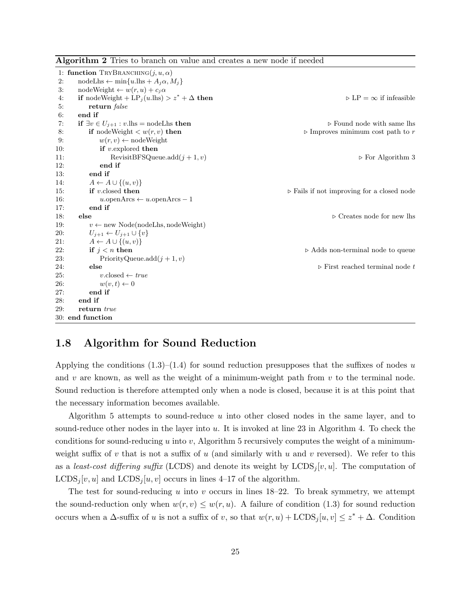|     | 1: function TRYBRANCHING $(j, u, \alpha)$                         |                                                           |
|-----|-------------------------------------------------------------------|-----------------------------------------------------------|
| 2:  | $\text{nodeLhs} \leftarrow \min\{u.\text{lhs} + A_j\alpha, M_j\}$ |                                                           |
| 3:  | $nodeWeight \leftarrow w(r, u) + c_j \alpha$                      |                                                           |
| 4:  | if nodeWeight + LP <sub>j</sub> (u.lhs) > $z^* + \Delta$ then     | $\triangleright$ LP = $\infty$ if infeasible              |
| 5:  | return false                                                      |                                                           |
| 6:  | end if                                                            |                                                           |
| 7:  | if $\exists v \in U_{j+1} : v.\text{lhs} = \text{nodeLhs then}$   | $\triangleright$ Found node with same lhs                 |
| 8:  | if nodeWeight $\langle w(r, v)$ then                              | $\triangleright$ Improves minimum cost path to $r$        |
| 9:  | $w(r, v) \leftarrow$ nodeWeight                                   |                                                           |
| 10: | if $v$ explored then                                              |                                                           |
| 11: | RevisitBFSQueue.add $(j + 1, v)$                                  | $\triangleright$ For Algorithm 3                          |
| 12: | end if                                                            |                                                           |
| 13: | end if                                                            |                                                           |
| 14: | $A \leftarrow A \cup \{(u, v)\}\$                                 |                                                           |
| 15: | if v.closed then                                                  | $\triangleright$ Fails if not improving for a closed node |
| 16: | $u.\text{openArcs} \leftarrow u.\text{openArcs} - 1$              |                                                           |
| 17: | end if                                                            |                                                           |
| 18: | else                                                              | $\triangleright$ Creates node for new lhs                 |
| 19: | $v \leftarrow$ new Node(nodeLhs, nodeWeight)                      |                                                           |
| 20: | $U_{j+1} \leftarrow U_{j+1} \cup \{v\}$                           |                                                           |
| 21: | $A \leftarrow A \cup \{(u, v)\}\$                                 |                                                           |
| 22: | if $j < n$ then                                                   | $\triangleright$ Adds non-terminal node to queue          |
| 23: | PriorityQueue.add $(j + 1, v)$                                    |                                                           |
| 24: | else                                                              | $\triangleright$ First reached terminal node t            |
| 25: | $v.\text{closed} \leftarrow true$                                 |                                                           |
| 26: | $w(v,t) \leftarrow 0$                                             |                                                           |
| 27: | end if                                                            |                                                           |
| 28: | end if                                                            |                                                           |
| 29: | return true                                                       |                                                           |
|     | 30: end function                                                  |                                                           |

Algorithm 2 Tries to branch on value and creates a new node if needed

#### 1.8 Algorithm for Sound Reduction

Applying the conditions  $(1.3)$ – $(1.4)$  for sound reduction presupposes that the suffixes of nodes u and  $v$  are known, as well as the weight of a minimum-weight path from  $v$  to the terminal node. Sound reduction is therefore attempted only when a node is closed, because it is at this point that the necessary information becomes available.

Algorithm 5 attempts to sound-reduce  $u$  into other closed nodes in the same layer, and to sound-reduce other nodes in the layer into u. It is invoked at line 23 in Algorithm 4. To check the conditions for sound-reducing u into v, Algorithm 5 recursively computes the weight of a minimumweight suffix of v that is not a suffix of u (and similarly with u and v reversed). We refer to this as a least-cost differing suffix (LCDS) and denote its weight by  $LCDS_i[v, u]$ . The computation of  $LCDS_i[v, u]$  and  $LCDS_i[u, v]$  occurs in lines 4–17 of the algorithm.

The test for sound-reducing u into v occurs in lines  $18-22$ . To break symmetry, we attempt the sound-reduction only when  $w(r, v) \leq w(r, u)$ . A failure of condition (1.3) for sound reduction occurs when a  $\Delta$ -suffix of u is not a suffix of v, so that  $w(r, u) + \text{LCDS}_j[u, v] \leq z^* + \Delta$ . Condition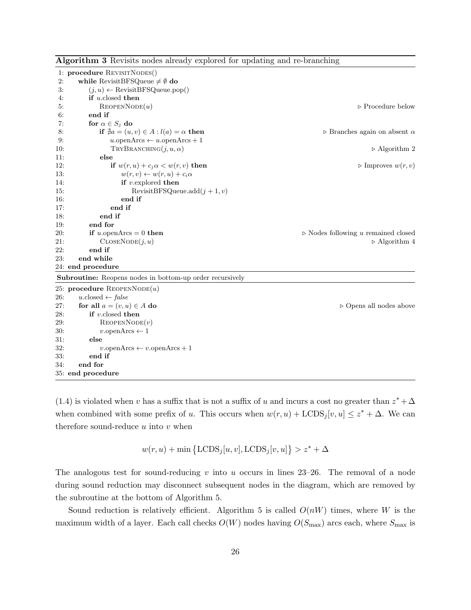| Algorithm 3 Revisits nodes already explored for updating and re-branching |  |  |  |  |  |  |  |  |
|---------------------------------------------------------------------------|--|--|--|--|--|--|--|--|
|---------------------------------------------------------------------------|--|--|--|--|--|--|--|--|

|     | 1: procedure REVISITNODES()                                     |                                                      |
|-----|-----------------------------------------------------------------|------------------------------------------------------|
| 2:  | while RevisitBFSQueue $\neq \emptyset$ do                       |                                                      |
| 3:  | $(j, u) \leftarrow$ Revisit BFSQueue.pop()                      |                                                      |
| 4:  | if $u$ closed then                                              |                                                      |
| 5:  | REOPENNODE(u)                                                   | $\triangleright$ Procedure below                     |
| 6:  | end if                                                          |                                                      |
| 7:  | for $\alpha \in S_j$ do                                         |                                                      |
| 8:  | if $\neq a = (u, v) \in A : l(a) = \alpha$ then                 | $\triangleright$ Branches again on absent $\alpha$   |
| 9:  | $u.\text{openArcs} \leftarrow u.\text{openArcs} + 1$            |                                                      |
| 10: | $TRYB$ RANCHING $(j, u, \alpha)$                                | $\triangleright$ Algorithm 2                         |
| 11: | else                                                            |                                                      |
| 12: | if $w(r, u) + c_j \alpha < w(r, v)$ then                        | $\triangleright$ Improves $w(r, v)$                  |
| 13: | $w(r, v) \leftarrow w(r, u) + c_i \alpha$                       |                                                      |
| 14: | if $v$ explored then                                            |                                                      |
| 15: | RevisitBFSQueue.add $(j + 1, v)$                                |                                                      |
| 16: | end if                                                          |                                                      |
| 17: | end if                                                          |                                                      |
| 18: | end if                                                          |                                                      |
| 19: | end for                                                         |                                                      |
| 20: | if u.openArcs = 0 then                                          | $\triangleright$ Nodes following $u$ remained closed |
| 21: | $\text{CLOSENode}(j, u)$                                        | $\triangleright$ Algorithm 4                         |
| 22: | end if                                                          |                                                      |
| 23: | end while                                                       |                                                      |
|     | 24: end procedure                                               |                                                      |
|     | <b>Subroutine:</b> Reopens nodes in bottom-up order recursively |                                                      |
|     | 25: procedure REOPENNODE $(u)$                                  |                                                      |
| 26: | $u.\text{closed} \leftarrow false$                              |                                                      |
| 27: | for all $a = (v, u) \in A$ do                                   | $\triangleright$ Opens all nodes above               |
| 28: | if $v$ closed then                                              |                                                      |
| 29: | REOPENNODE(v)                                                   |                                                      |
| 30: | $v.\text{openArcs} \leftarrow 1$                                |                                                      |
| 31: | else                                                            |                                                      |
| 32: | $v.\text{openArcs} \leftarrow v.\text{openArcs} + 1$            |                                                      |
| 33: | end if                                                          |                                                      |
| 34: | end for                                                         |                                                      |
|     | 35: end procedure                                               |                                                      |

(1.4) is violated when v has a suffix that is not a suffix of u and incurs a cost no greater than  $z^* + \Delta$ when combined with some prefix of u. This occurs when  $w(r, u) + \text{LCDS}_j[v, u] \leq z^* + \Delta$ . We can therefore sound-reduce  $u$  into  $v$  when

 $w(r, u) + \min\left\{\text{LCDS}_j[u, v], \text{LCDS}_j[v, u]\right\} > z^* + \Delta$ 

The analogous test for sound-reducing  $v$  into  $u$  occurs in lines 23–26. The removal of a node during sound reduction may disconnect subsequent nodes in the diagram, which are removed by the subroutine at the bottom of Algorithm 5.

Sound reduction is relatively efficient. Algorithm 5 is called  $O(nW)$  times, where W is the maximum width of a layer. Each call checks  $O(W)$  nodes having  $O(S_{\text{max}})$  arcs each, where  $S_{\text{max}}$  is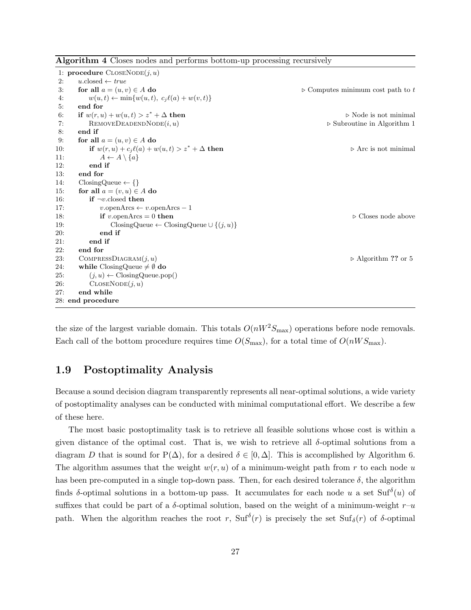| <b>Algorithm 4</b> Closes nodes and performs bottom-up processing recursively |  |  |  |  |
|-------------------------------------------------------------------------------|--|--|--|--|
|                                                                               |  |  |  |  |

|     | 1: <b>procedure</b> $\text{CLOSENode}(j, u)$              |                                                  |
|-----|-----------------------------------------------------------|--------------------------------------------------|
| 2:  | $u.\text{closed} \leftarrow true$                         |                                                  |
| 3:  | for all $a = (u, v) \in A$ do                             | $\triangleright$ Computes minimum cost path to t |
| 4:  | $w(u,t) \leftarrow \min\{w(u,t), c_j\ell(a) + w(v,t)\}\$  |                                                  |
| 5:  | end for                                                   |                                                  |
| 6:  | if $w(r, u) + w(u, t) > z^* + \Delta$ then                | $\triangleright$ Node is not minimal             |
| 7:  | $\text{RemovEDEADENDNODE}(i, u)$                          | $\triangleright$ Subroutine in Algorithm 1       |
| 8:  | end if                                                    |                                                  |
| 9:  | for all $a = (u, v) \in A$ do                             |                                                  |
| 10: | if $w(r, u) + c_j \ell(a) + w(u, t) > z^* + \Delta$ then  | $\triangleright$ Arc is not minimal              |
| 11: | $A \leftarrow A \setminus \{a\}$                          |                                                  |
| 12: | end if                                                    |                                                  |
| 13: | end for                                                   |                                                  |
| 14: | $\text{ClosingQueue} \leftarrow \{\}$                     |                                                  |
| 15: | for all $a = (v, u) \in A$ do                             |                                                  |
| 16: | if $\neg v$ closed then                                   |                                                  |
| 17: | $v.\text{openArcs} \leftarrow v.\text{openArcs} - 1$      |                                                  |
| 18: | if v.openArcs = 0 then                                    | $\triangleright$ Closes node above               |
| 19: | ClosingQueue $\leftarrow$ ClosingQueue $\cup \{(j, u)\}\$ |                                                  |
| 20: | end if                                                    |                                                  |
| 21: | end if                                                    |                                                  |
| 22: | end for                                                   |                                                  |
| 23: | COMPRESSDIAGRAM $(j, u)$                                  | $\triangleright$ Algorithm ?? or 5               |
| 24: | while ClosingQueue $\neq \emptyset$ do                    |                                                  |
| 25: | $(j, u) \leftarrow \text{ClosingQueue.pop}()$             |                                                  |
| 26: | $\text{CLOSENode}(j, u)$                                  |                                                  |
| 27: | end while                                                 |                                                  |
|     | 28: end procedure                                         |                                                  |

the size of the largest variable domain. This totals  $O(nW^2S_{\text{max}})$  operations before node removals. Each call of the bottom procedure requires time  $O(S_{\text{max}})$ , for a total time of  $O(nWS_{\text{max}})$ .

#### 1.9 Postoptimality Analysis

Because a sound decision diagram transparently represents all near-optimal solutions, a wide variety of postoptimality analyses can be conducted with minimal computational effort. We describe a few of these here.

The most basic postoptimality task is to retrieve all feasible solutions whose cost is within a given distance of the optimal cost. That is, we wish to retrieve all  $\delta$ -optimal solutions from a diagram D that is sound for P( $\Delta$ ), for a desired  $\delta \in [0, \Delta]$ . This is accomplished by Algorithm 6. The algorithm assumes that the weight  $w(r, u)$  of a minimum-weight path from r to each node u has been pre-computed in a single top-down pass. Then, for each desired tolerance  $\delta$ , the algorithm finds  $\delta$ -optimal solutions in a bottom-up pass. It accumulates for each node u a set Suf $\delta(u)$  of suffixes that could be part of a  $\delta$ -optimal solution, based on the weight of a minimum-weight  $r-u$ path. When the algorithm reaches the root r,  $\text{Suf}^{\delta}(r)$  is precisely the set  $\text{Suf}_{\delta}(r)$  of  $\delta$ -optimal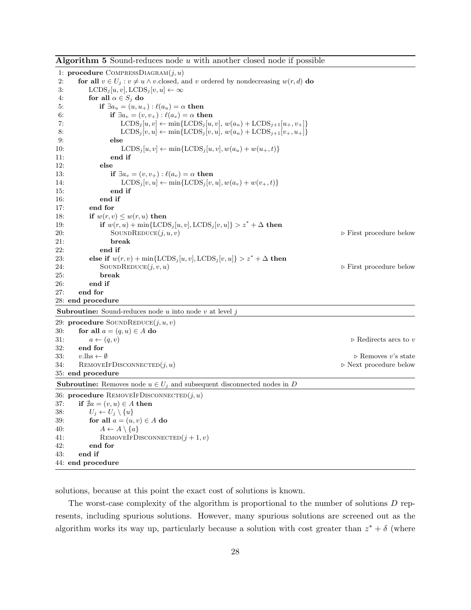| $\boldsymbol{\mathcal{A}}$ is a community of $\boldsymbol{\mathcal{A}}$ and $\boldsymbol{\mathcal{A}}$ with another closed flour if possible |                                        |
|----------------------------------------------------------------------------------------------------------------------------------------------|----------------------------------------|
| 1: procedure COMPRESSDIAGRAM $(j, u)$                                                                                                        |                                        |
| 2:<br>for all $v \in U_j : v \neq u \wedge v$ closed, and v ordered by nondecreasing $w(r, d)$ do                                            |                                        |
| 3:<br>$LCDS_i[u, v], LCDS_i[v, u] \leftarrow \infty$                                                                                         |                                        |
| for all $\alpha \in S_j$ do<br>4:                                                                                                            |                                        |
| if $\exists a_u = (u, u_+) : \ell(a_u) = \alpha$ then<br>5:                                                                                  |                                        |
| if $\exists a_v = (v, v_+) : \ell(a_v) = \alpha$ then<br>6:                                                                                  |                                        |
| $\text{LCDS}_{j}[u, v] \leftarrow \min\{\text{LCDS}_{j}[u, v], w(a_u) + \text{LCDS}_{j+1}[u_{+}, v_{+}]\}$<br>7:                             |                                        |
| $\text{LCDS}_j[v, u] \leftarrow \min\{\text{LCDS}_j[v, u], w(a_u) + \text{LCDS}_{j+1}[v_+, u_+]\}$<br>8:                                     |                                        |
| else<br>9:                                                                                                                                   |                                        |
| $\text{LCDS}_{j}[u, v] \leftarrow \min\{\text{LCDS}_{j}[u, v], w(a_u) + w(u_+, t)\}\$<br>10:                                                 |                                        |
| end if<br>11:                                                                                                                                |                                        |
| 12:<br>else                                                                                                                                  |                                        |
| if $\exists a_v = (v, v_+) : \ell(a_v) = \alpha$ then<br>13:                                                                                 |                                        |
| $\text{LCDS}_j[v, u] \leftarrow \min\{\text{LCDS}_j[v, u], w(a_v) + w(v_+, t)\}\$<br>14:                                                     |                                        |
| end if<br>15:                                                                                                                                |                                        |
| end if<br>16:                                                                                                                                |                                        |
| end for<br>17:                                                                                                                               |                                        |
| if $w(r, v) \leq w(r, u)$ then<br>18:                                                                                                        |                                        |
| if $w(r, u) + \min\{ \text{LCDS}_j[u, v], \text{LCDS}_j[v, u] \} > z^* + \Delta$ then<br>19:                                                 |                                        |
| SOUNDREDUCE $(j, u, v)$<br>20:                                                                                                               | $\triangleright$ First procedure below |
| break<br>21:                                                                                                                                 |                                        |
| 22:<br>end if                                                                                                                                |                                        |
| else if $w(r, v) + \min\{ \text{LCDS}_j[u, v], \text{LCDS}_j[v, u] \} > z^* + \Delta$ then<br>23:                                            |                                        |
| 24:<br>SOUNDREDUCE $(j, v, u)$                                                                                                               | $\triangleright$ First procedure below |
| break<br>25:                                                                                                                                 |                                        |
| end if<br>26:                                                                                                                                |                                        |
| end for<br>27:                                                                                                                               |                                        |
| 28: end procedure                                                                                                                            |                                        |
| <b>Subroutine:</b> Sound-reduces node $u$ into node $v$ at level $j$                                                                         |                                        |
| 29: procedure SOUNDREDUCE $(j, u, v)$                                                                                                        |                                        |
| for all $a = (q, u) \in A$ do<br>30:                                                                                                         |                                        |
| $a \leftarrow (q, v)$<br>31:                                                                                                                 | $\triangleright$ Redirects arcs to v   |
| end for<br>32:                                                                                                                               |                                        |
| $v.\text{hs} \leftarrow \emptyset$<br>33:                                                                                                    | $\triangleright$ Removes v's state     |
| 34:<br>$\text{Remov}$ EIFDISCONNECTED $(j, u)$                                                                                               | $\triangleright$ Next procedure below  |
| 35: end procedure                                                                                                                            |                                        |
| <b>Subroutine:</b> Removes node $u \in U_j$ and subsequent disconnected nodes in D                                                           |                                        |
| 36: procedure REMOVEIFDISCONNECTED $(j, u)$                                                                                                  |                                        |
| 37:<br>if $\exists a = (v, u) \in A$ then                                                                                                    |                                        |
| $U_j \leftarrow U_j \setminus \{u\}$<br>38:                                                                                                  |                                        |
| 39:<br>for all $a = (u, v) \in A$ do                                                                                                         |                                        |
| $A \leftarrow A \setminus \{a\}$<br>40:                                                                                                      |                                        |
| REMOVEIFDISCONNECTED $(j + 1, v)$<br>41:                                                                                                     |                                        |
| end for<br>42:                                                                                                                               |                                        |
| end if<br>43:                                                                                                                                |                                        |
| 44: end procedure                                                                                                                            |                                        |

Algorithm 5 Sound-reduces node  $u$  with another closed node if possible

solutions, because at this point the exact cost of solutions is known.

The worst-case complexity of the algorithm is proportional to the number of solutions D represents, including spurious solutions. However, many spurious solutions are screened out as the algorithm works its way up, particularly because a solution with cost greater than  $z^* + \delta$  (where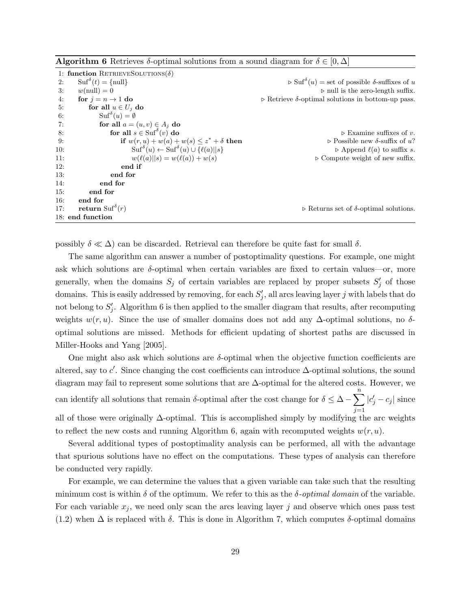|--|

|     | 1: function RETRIEVESOLUTIONS( $\delta$ )                                          |                                                                                                                   |
|-----|------------------------------------------------------------------------------------|-------------------------------------------------------------------------------------------------------------------|
| 2:  | $\text{Suf}^{\delta}(t) = \{\text{null}\}\$                                        | $\triangleright$ Suf <sup><math>\delta</math></sup> ( <i>u</i> ) = set of possible $\delta$ -suffixes of <i>u</i> |
| 3:  | $w(\text{null})=0$                                                                 | $\triangleright$ null is the zero-length suffix.                                                                  |
| 4:  | for $j = n \rightarrow 1$ do                                                       | $\triangleright$ Retrieve $\delta$ -optimal solutions in bottom-up pass.                                          |
| 5:  | for all $u \in U_j$ do                                                             |                                                                                                                   |
| 6:  | $\mathrm{Suf}^\delta(u) = \emptyset$                                               |                                                                                                                   |
| 7:  | for all $a = (u, v) \in A_i$ do                                                    |                                                                                                                   |
| -8: | for all $s \in \mathrm{Suf}^{\delta}(v)$ do                                        | $\triangleright$ Examine suffixes of v.                                                                           |
| 9:  | if $w(r, u) + w(a) + w(s) \leq z^* + \delta$ then                                  | $\triangleright$ Possible new $\delta$ -suffix of u?                                                              |
| 10: | $\mathrm{Suf}^{\delta}(u) \leftarrow \mathrm{Suf}^{\delta}(u) \cup \{\ell(a)  s\}$ | $\triangleright$ Append $\ell(a)$ to suffix s.                                                                    |
| 11: | $w(\ell(a)  s) = w(\ell(a)) + w(s)$                                                | $\triangleright$ Compute weight of new suffix.                                                                    |
| 12: | end if                                                                             |                                                                                                                   |
| 13: | end for                                                                            |                                                                                                                   |
| 14: | end for                                                                            |                                                                                                                   |
| 15: | end for                                                                            |                                                                                                                   |
| 16: | end for                                                                            |                                                                                                                   |
| 17: | return Suf $\delta(r)$                                                             | $\triangleright$ Returns set of $\delta$ -optimal solutions.                                                      |
|     | 18: end function                                                                   |                                                                                                                   |

possibly  $\delta \ll \Delta$ ) can be discarded. Retrieval can therefore be quite fast for small  $\delta$ .

The same algorithm can answer a number of postoptimality questions. For example, one might ask which solutions are  $\delta$ -optimal when certain variables are fixed to certain values—or, more generally, when the domains  $S_j$  of certain variables are replaced by proper subsets  $S'_j$  of those domains. This is easily addressed by removing, for each  $S'_{j}$ , all arcs leaving layer j with labels that do not belong to  $S'_j$ . Algorithm 6 is then applied to the smaller diagram that results, after recomputing weights  $w(r, u)$ . Since the use of smaller domains does not add any  $\Delta$ -optimal solutions, no  $\delta$ optimal solutions are missed. Methods for efficient updating of shortest paths are discussed in Miller-Hooks and Yang [2005].

One might also ask which solutions are  $\delta$ -optimal when the objective function coefficients are altered, say to  $c'$ . Since changing the cost coefficients can introduce  $\Delta$ -optimal solutions, the sound diagram may fail to represent some solutions that are ∆-optimal for the altered costs. However, we can identify all solutions that remain  $\delta$ -optimal after the cost change for  $\delta \leq \Delta - \sum_{n=1}^{\infty}$  $j=1$  $|c_j' - c_j|$  since all of those were originally ∆-optimal. This is accomplished simply by modifying the arc weights to reflect the new costs and running Algorithm 6, again with recomputed weights  $w(r, u)$ .

Several additional types of postoptimality analysis can be performed, all with the advantage that spurious solutions have no effect on the computations. These types of analysis can therefore be conducted very rapidly.

For example, we can determine the values that a given variable can take such that the resulting minimum cost is within  $\delta$  of the optimum. We refer to this as the  $\delta$ -*optimal domain* of the variable. For each variable  $x_j$ , we need only scan the arcs leaving layer j and observe which ones pass test (1.2) when  $\Delta$  is replaced with  $\delta$ . This is done in Algorithm 7, which computes  $\delta$ -optimal domains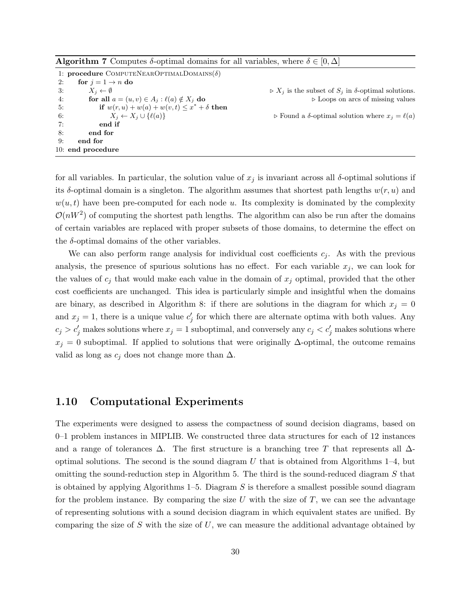**Algorithm 7** Computes  $\delta$ -optimal domains for all variables, where  $\delta \in [0, \Delta]$ 

|    | 1: <b>procedure</b> COMPUTENEAROPTIMALDOMAINS( $\delta$ ) |                                                                             |
|----|-----------------------------------------------------------|-----------------------------------------------------------------------------|
| 2: | for $j = 1 \rightarrow n$ do                              |                                                                             |
| 3: | $X_i \leftarrow \emptyset$                                | $\triangleright X_i$ is the subset of $S_i$ in $\delta$ -optimal solutions. |
| 4: | for all $a = (u, v) \in A_j : \ell(a) \notin X_j$ do      | $\triangleright$ Loops on arcs of missing values                            |
| 5: | if $w(r, u) + w(a) + w(v, t) \leq x^* + \delta$ then      |                                                                             |
| 6: | $X_i \leftarrow X_i \cup \{\ell(a)\}\$                    | $\triangleright$ Found a $\delta$ -optimal solution where $x_i = \ell(a)$   |
| 7: | end if                                                    |                                                                             |
| 8: | end for                                                   |                                                                             |
| 9: | end for                                                   |                                                                             |
|    | 10: end procedure                                         |                                                                             |

for all variables. In particular, the solution value of  $x_j$  is invariant across all  $\delta$ -optimal solutions if its  $\delta$ -optimal domain is a singleton. The algorithm assumes that shortest path lengths  $w(r, u)$  and  $w(u, t)$  have been pre-computed for each node u. Its complexity is dominated by the complexity  $\mathcal{O}(nW^2)$  of computing the shortest path lengths. The algorithm can also be run after the domains of certain variables are replaced with proper subsets of those domains, to determine the effect on the  $\delta$ -optimal domains of the other variables.

We can also perform range analysis for individual cost coefficients  $c_j$ . As with the previous analysis, the presence of spurious solutions has no effect. For each variable  $x_j$ , we can look for the values of  $c_j$  that would make each value in the domain of  $x_j$  optimal, provided that the other cost coefficients are unchanged. This idea is particularly simple and insightful when the domains are binary, as described in Algorithm 8: if there are solutions in the diagram for which  $x_i = 0$ and  $x_j = 1$ , there is a unique value  $c'_j$  for which there are alternate optima with both values. Any  $c_j > c'_j$  makes solutions where  $x_j = 1$  suboptimal, and conversely any  $c_j < c'_j$  makes solutions where  $x_j = 0$  suboptimal. If applied to solutions that were originally  $\Delta$ -optimal, the outcome remains valid as long as  $c_j$  does not change more than  $\Delta$ .

#### 1.10 Computational Experiments

The experiments were designed to assess the compactness of sound decision diagrams, based on 0–1 problem instances in MIPLIB. We constructed three data structures for each of 12 instances and a range of tolerances  $\Delta$ . The first structure is a branching tree T that represents all  $\Delta$ optimal solutions. The second is the sound diagram  $U$  that is obtained from Algorithms 1–4, but omitting the sound-reduction step in Algorithm 5. The third is the sound-reduced diagram  $S$  that is obtained by applying Algorithms  $1-5$ . Diagram S is therefore a smallest possible sound diagram for the problem instance. By comparing the size  $U$  with the size of  $T$ , we can see the advantage of representing solutions with a sound decision diagram in which equivalent states are unified. By comparing the size of  $S$  with the size of  $U$ , we can measure the additional advantage obtained by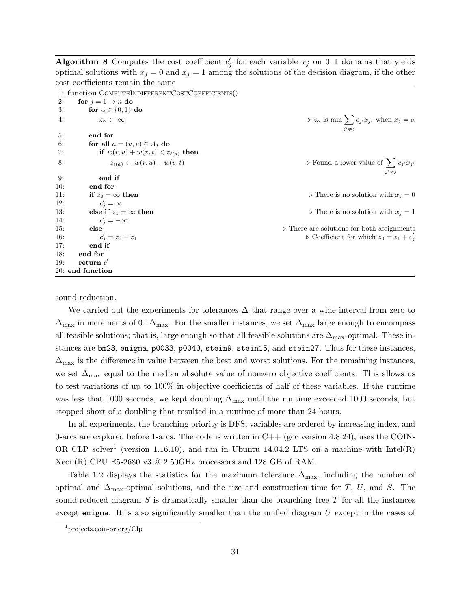Algorithm 8 Computes the cost coefficient  $c'_j$  for each variable  $x_j$  on 0–1 domains that yields optimal solutions with  $x_j = 0$  and  $x_j = 1$  among the solutions of the decision diagram, if the other cost coefficients remain the same

|     | 1: function COMPUTEINDIFFERENTCOSTCOEFFICIENTS() |                                                                                    |
|-----|--------------------------------------------------|------------------------------------------------------------------------------------|
| 2:  | for $j = 1 \rightarrow n$ do                     |                                                                                    |
| 3:  | for $\alpha \in \{0,1\}$ do                      |                                                                                    |
| 4:  | $z_{\alpha} \leftarrow \infty$                   | $\rhd z_{\alpha}$ is min $\sum c_{j'} x_{j'}$ when $x_{j} = \alpha$<br>$i' \neq i$ |
| 5:  | end for                                          |                                                                                    |
| 6:  | for all $a = (u, v) \in A_j$ do                  |                                                                                    |
| 7:  | if $w(r, u) + w(v, t) < z_{\ell(a)}$ then        |                                                                                    |
| 8:  | $z_{\ell(a)} \leftarrow w(r, u) + w(v, t)$       | $\triangleright$ Found a lower value of $\sum c_{j'}x_{j'}$<br>$i' \neq i$         |
| 9:  | end if                                           |                                                                                    |
| 10: | end for                                          |                                                                                    |
| 11: | if $z_0 = \infty$ then                           | $\triangleright$ There is no solution with $x_j = 0$                               |
| 12: | $c'_i = \infty$                                  |                                                                                    |
| 13: | else if $z_1 = \infty$ then                      | $\triangleright$ There is no solution with $x_j = 1$                               |
| 14: | $c_i'=-\infty$                                   |                                                                                    |
| 15: | else                                             | $\triangleright$ There are solutions for both assignments                          |
| 16: | $c'_i = z_0 - z_1$                               | $\triangleright$ Coefficient for which $z_0 = z_1 + c'_j$                          |
| 17: | end if                                           |                                                                                    |
| 18: | end for                                          |                                                                                    |
| 19: | return $c'$                                      |                                                                                    |
|     | 20: end function                                 |                                                                                    |

sound reduction.

We carried out the experiments for tolerances  $\Delta$  that range over a wide interval from zero to  $\Delta_{\text{max}}$  in increments of  $0.1\Delta_{\text{max}}$ . For the smaller instances, we set  $\Delta_{\text{max}}$  large enough to encompass all feasible solutions; that is, large enough so that all feasible solutions are  $\Delta_{\text{max}}$ -optimal. These instances are bm23, enigma, p0033, p0040, stein9, stein15, and stein27. Thus for these instances,  $\Delta_{\text{max}}$  is the difference in value between the best and worst solutions. For the remaining instances, we set  $\Delta_{\text{max}}$  equal to the median absolute value of nonzero objective coefficients. This allows us to test variations of up to 100% in objective coefficients of half of these variables. If the runtime was less that 1000 seconds, we kept doubling  $\Delta_{\text{max}}$  until the runtime exceeded 1000 seconds, but stopped short of a doubling that resulted in a runtime of more than 24 hours.

In all experiments, the branching priority is DFS, variables are ordered by increasing index, and 0-arcs are explored before 1-arcs. The code is written in  $C++$  (gcc version 4.8.24), uses the COIN-OR CLP solver<sup>1</sup> (version 1.16.10), and ran in Ubuntu 14.04.2 LTS on a machine with Intel(R) Xeon(R) CPU E5-2680 v3  $@$  2.50GHz processors and 128 GB of RAM.

Table 1.2 displays the statistics for the maximum tolerance  $\Delta_{\text{max}}$ , including the number of optimal and  $\Delta_{\text{max}}$ -optimal solutions, and the size and construction time for T, U, and S. The sound-reduced diagram  $S$  is dramatically smaller than the branching tree  $T$  for all the instances except enigma. It is also significantly smaller than the unified diagram  $U$  except in the cases of

<sup>1</sup> projects.coin-or.org/Clp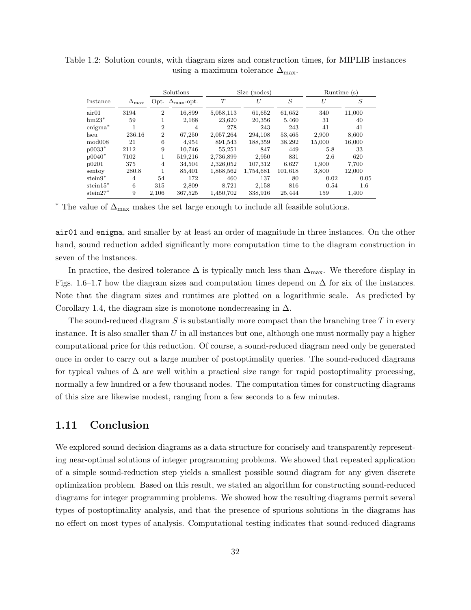|                     |                    | Solutions      |                                  | Size (nodes) |           |         | Runtime (s) |         |
|---------------------|--------------------|----------------|----------------------------------|--------------|-----------|---------|-------------|---------|
| Instance            | $\Delta_{\rm max}$ |                | Opt. $\Delta_{\text{max}}$ -opt. | T            | U         | S       | U           | S       |
| air01               | 3194               | $\overline{2}$ | 16,899                           | 5,058,113    | 61,652    | 61,652  | 340         | 11,000  |
| $bm23^*$            | 59                 |                | 2,168                            | 23,620       | 20,356    | 5,460   | 31          | 40      |
| $\mathrm{enigma}^*$ |                    | $\overline{2}$ | 4                                | 278          | 243       | 243     | 41          | 41      |
| lseu                | 236.16             | $\overline{2}$ | 67,250                           | 2,057,264    | 294.108   | 53.465  | 2.900       | 8,600   |
| mod008              | 21                 | 6              | 4.954                            | 891,543      | 188,359   | 38,292  | 15,000      | 16,000  |
| $p0033*$            | 2112               | 9              | 10.746                           | 55,251       | 847       | 449     | 5.8         | 33      |
| $p0040*$            | 7102               |                | 519,216                          | 2,736,899    | 2,950     | 831     | 2.6         | 620     |
| p0201               | 375                | 4              | 34,504                           | 2,326,052    | 107,312   | 6,627   | 1,900       | 7,700   |
| sentov              | 280.8              |                | 85,401                           | 1,868,562    | 1,754,681 | 101,618 | 3,800       | 12,000  |
| $\rm{stein}9^*$     | 4                  | 54             | 172                              | 460          | 137       | 80      | 0.02        | 0.05    |
| $stein15*$          | 6                  | 315            | 2,809                            | 8,721        | 2,158     | 816     | 0.54        | $1.6\,$ |
| $\rm stein27^*$     | 9                  | 2,106          | 367,525                          | 1,450,702    | 338,916   | 25.444  | 159         | 1.400   |

Table 1.2: Solution counts, with diagram sizes and construction times, for MIPLIB instances using a maximum tolerance  $\Delta_{\text{max}}$ .

\* The value of  $\Delta_{\text{max}}$  makes the set large enough to include all feasible solutions.

air01 and enigma, and smaller by at least an order of magnitude in three instances. On the other hand, sound reduction added significantly more computation time to the diagram construction in seven of the instances.

In practice, the desired tolerance  $\Delta$  is typically much less than  $\Delta_{\text{max}}$ . We therefore display in Figs. 1.6–1.7 how the diagram sizes and computation times depend on  $\Delta$  for six of the instances. Note that the diagram sizes and runtimes are plotted on a logarithmic scale. As predicted by Corollary 1.4, the diagram size is monotone nondecreasing in  $\Delta$ .

The sound-reduced diagram S is substantially more compact than the branching tree  $T$  in every instance. It is also smaller than  $U$  in all instances but one, although one must normally pay a higher computational price for this reduction. Of course, a sound-reduced diagram need only be generated once in order to carry out a large number of postoptimality queries. The sound-reduced diagrams for typical values of  $\Delta$  are well within a practical size range for rapid postoptimality processing, normally a few hundred or a few thousand nodes. The computation times for constructing diagrams of this size are likewise modest, ranging from a few seconds to a few minutes.

#### 1.11 Conclusion

We explored sound decision diagrams as a data structure for concisely and transparently representing near-optimal solutions of integer programming problems. We showed that repeated application of a simple sound-reduction step yields a smallest possible sound diagram for any given discrete optimization problem. Based on this result, we stated an algorithm for constructing sound-reduced diagrams for integer programming problems. We showed how the resulting diagrams permit several types of postoptimality analysis, and that the presence of spurious solutions in the diagrams has no effect on most types of analysis. Computational testing indicates that sound-reduced diagrams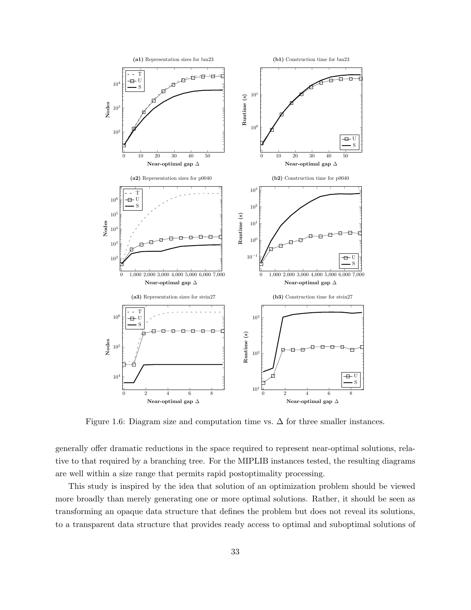

Figure 1.6: Diagram size and computation time vs.  $\Delta$  for three smaller instances.

generally offer dramatic reductions in the space required to represent near-optimal solutions, relative to that required by a branching tree. For the MIPLIB instances tested, the resulting diagrams are well within a size range that permits rapid postoptimality processing.

This study is inspired by the idea that solution of an optimization problem should be viewed more broadly than merely generating one or more optimal solutions. Rather, it should be seen as transforming an opaque data structure that defines the problem but does not reveal its solutions, to a transparent data structure that provides ready access to optimal and suboptimal solutions of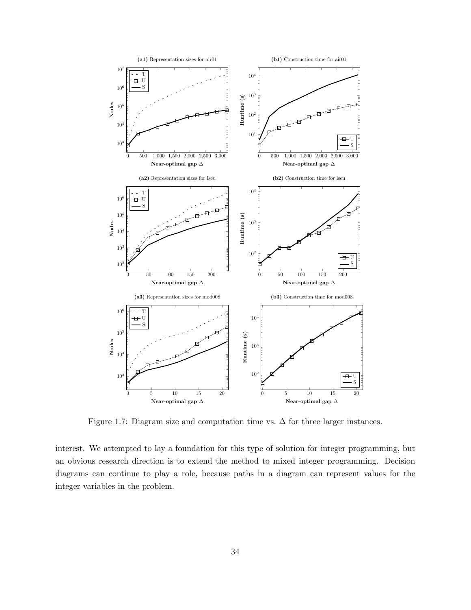

Figure 1.7: Diagram size and computation time vs.  $\Delta$  for three larger instances.

interest. We attempted to lay a foundation for this type of solution for integer programming, but an obvious research direction is to extend the method to mixed integer programming. Decision diagrams can continue to play a role, because paths in a diagram can represent values for the integer variables in the problem.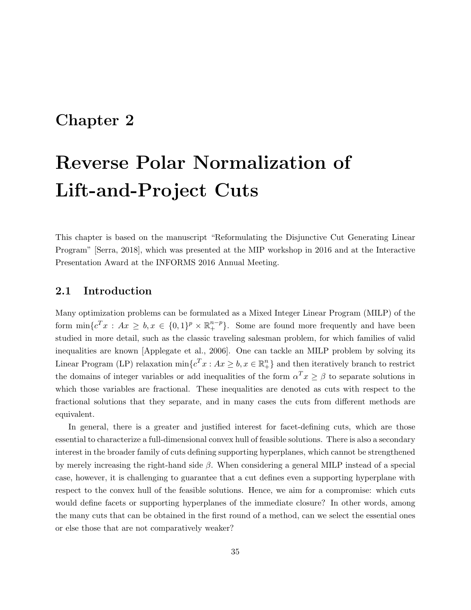### Chapter 2

# Reverse Polar Normalization of Lift-and-Project Cuts

This chapter is based on the manuscript "Reformulating the Disjunctive Cut Generating Linear Program" [Serra, 2018], which was presented at the MIP workshop in 2016 and at the Interactive Presentation Award at the INFORMS 2016 Annual Meeting.

#### 2.1 Introduction

Many optimization problems can be formulated as a Mixed Integer Linear Program (MILP) of the form  $\min\{c^T x : Ax \geq b, x \in \{0,1\}^p \times \mathbb{R}^{n-p}_+\}.$  Some are found more frequently and have been studied in more detail, such as the classic traveling salesman problem, for which families of valid inequalities are known [Applegate et al., 2006]. One can tackle an MILP problem by solving its Linear Program (LP) relaxation  $\min\{c^T x : Ax \geq b, x \in \mathbb{R}^n_+\}$  and then iteratively branch to restrict the domains of integer variables or add inequalities of the form  $\alpha^T x \ge \beta$  to separate solutions in which those variables are fractional. These inequalities are denoted as cuts with respect to the fractional solutions that they separate, and in many cases the cuts from different methods are equivalent.

In general, there is a greater and justified interest for facet-defining cuts, which are those essential to characterize a full-dimensional convex hull of feasible solutions. There is also a secondary interest in the broader family of cuts defining supporting hyperplanes, which cannot be strengthened by merely increasing the right-hand side  $\beta$ . When considering a general MILP instead of a special case, however, it is challenging to guarantee that a cut defines even a supporting hyperplane with respect to the convex hull of the feasible solutions. Hence, we aim for a compromise: which cuts would define facets or supporting hyperplanes of the immediate closure? In other words, among the many cuts that can be obtained in the first round of a method, can we select the essential ones or else those that are not comparatively weaker?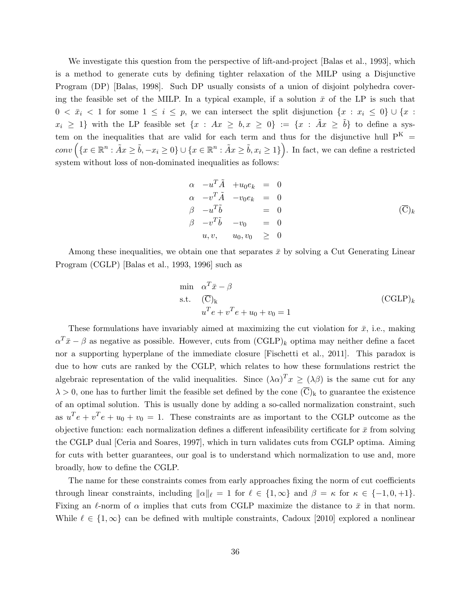We investigate this question from the perspective of lift-and-project [Balas et al., 1993], which is a method to generate cuts by defining tighter relaxation of the MILP using a Disjunctive Program (DP) [Balas, 1998]. Such DP usually consists of a union of disjoint polyhedra covering the feasible set of the MILP. In a typical example, if a solution  $\bar{x}$  of the LP is such that  $0 < \bar{x}_i < 1$  for some  $1 \leq i \leq p$ , we can intersect the split disjunction  $\{x : x_i \leq 0\} \cup \{x : x_i \leq 0\}$  $x_i \geq 1$ } with the LP feasible set  $\{x : Ax \geq b, x \geq 0\} := \{x : \tilde{A}x \geq \tilde{b}\}$  to define a system on the inequalities that are valid for each term and thus for the disjunctive hull  $P^{K}$  =  $conv\left(\{x \in \mathbb{R}^n : \tilde{A}x \ge \tilde{b}, -x_i \ge 0\} \cup \{x \in \mathbb{R}^n : \tilde{A}x \ge \tilde{b}, x_i \ge 1\}\right)$ . In fact, we can define a restricted system without loss of non-dominated inequalities as follows:

$$
\alpha -u^{T} \tilde{A} + u_{0} e_{k} = 0
$$
  
\n
$$
\alpha -v^{T} \tilde{A} - v_{0} e_{k} = 0
$$
  
\n
$$
\beta -u^{T} \tilde{b} = 0
$$
  
\n
$$
\beta -v^{T} \tilde{b} - v_{0} = 0
$$
  
\n
$$
u, v, \quad u_{0}, v_{0} \ge 0
$$
\n
$$
( \overline{C} )_{k}
$$

Among these inequalities, we obtain one that separates  $\bar{x}$  by solving a Cut Generating Linear Program (CGLP) [Balas et al., 1993, 1996] such as

$$
\begin{aligned}\n\min \quad &\alpha^T \bar{x} - \beta \\
\text{s.t.} \quad &(\overline{\text{C}})_k \\
& u^T e + v^T e + u_0 + v_0 = 1\n\end{aligned}\n\tag{CGLP}_k
$$

These formulations have invariably aimed at maximizing the cut violation for  $\bar{x}$ , i.e., making  $\alpha^T \bar{x} - \beta$  as negative as possible. However, cuts from  $(\text{CGLP})_k$  optima may neither define a facet nor a supporting hyperplane of the immediate closure [Fischetti et al., 2011]. This paradox is due to how cuts are ranked by the CGLP, which relates to how these formulations restrict the algebraic representation of the valid inequalities. Since  $(\lambda \alpha)^T x \ge (\lambda \beta)$  is the same cut for any  $\lambda > 0$ , one has to further limit the feasible set defined by the cone  $(\overline{C})_k$  to guarantee the existence of an optimal solution. This is usually done by adding a so-called normalization constraint, such as  $u^T e + v^T e + u_0 + v_0 = 1$ . These constraints are as important to the CGLP outcome as the objective function: each normalization defines a different infeasibility certificate for  $\bar{x}$  from solving the CGLP dual [Ceria and Soares, 1997], which in turn validates cuts from CGLP optima. Aiming for cuts with better guarantees, our goal is to understand which normalization to use and, more broadly, how to define the CGLP.

The name for these constraints comes from early approaches fixing the norm of cut coefficients through linear constraints, including  $\|\alpha\|_{\ell} = 1$  for  $\ell \in \{1, \infty\}$  and  $\beta = \kappa$  for  $\kappa \in \{-1, 0, +1\}.$ Fixing an  $\ell$ -norm of  $\alpha$  implies that cuts from CGLP maximize the distance to  $\bar{x}$  in that norm. While  $\ell \in \{1, \infty\}$  can be defined with multiple constraints, Cadoux [2010] explored a nonlinear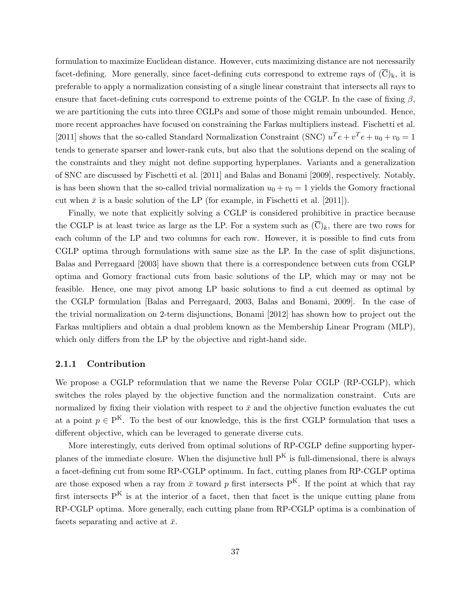formulation to maximize Euclidean distance. However, cuts maximizing distance are not necessarily facet-defining. More generally, since facet-defining cuts correspond to extreme rays of  $(\overline{C})_k$ , it is preferable to apply a normalization consisting of a single linear constraint that intersects all rays to ensure that facet-defining cuts correspond to extreme points of the CGLP. In the case of fixing  $\beta$ , we are partitioning the cuts into three CGLPs and some of those might remain unbounded. Hence, more recent approaches have focused on constraining the Farkas multipliers instead. Fischetti et al. [2011] shows that the so-called Standard Normalization Constraint (SNC)  $u^T e + v^T e + u_0 + v_0 = 1$ tends to generate sparser and lower-rank cuts, but also that the solutions depend on the scaling of the constraints and they might not define supporting hyperplanes. Variants and a generalization of SNC are discussed by Fischetti et al. [2011] and Balas and Bonami [2009], respectively. Notably, is has been shown that the so-called trivial normalization  $u_0 + v_0 = 1$  yields the Gomory fractional cut when  $\bar{x}$  is a basic solution of the LP (for example, in Fischetti et al. [2011]).

Finally, we note that explicitly solving a CGLP is considered prohibitive in practice because the CGLP is at least twice as large as the LP. For a system such as  $(C)_k$ , there are two rows for each column of the LP and two columns for each row. However, it is possible to find cuts from CGLP optima through formulations with same size as the LP. In the case of split disjunctions, Balas and Perregaard [2003] have shown that there is a correspondence between cuts from CGLP optima and Gomory fractional cuts from basic solutions of the LP, which may or may not be feasible. Hence, one may pivot among LP basic solutions to find a cut deemed as optimal by the CGLP formulation [Balas and Perregaard, 2003, Balas and Bonami, 2009]. In the case of the trivial normalization on 2-term disjunctions, Bonami [2012] has shown how to project out the Farkas multipliers and obtain a dual problem known as the Membership Linear Program (MLP), which only differs from the LP by the objective and right-hand side.

### 2.1.1 Contribution

We propose a CGLP reformulation that we name the Reverse Polar CGLP (RP-CGLP), which switches the roles played by the objective function and the normalization constraint. Cuts are normalized by fixing their violation with respect to  $\bar{x}$  and the objective function evaluates the cut at a point  $p \in P^{K}$ . To the best of our knowledge, this is the first CGLP formulation that uses a different objective, which can be leveraged to generate diverse cuts.

More interestingly, cuts derived from optimal solutions of RP-CGLP define supporting hyperplanes of the immediate closure. When the disjunctive hull  $P^{K}$  is full-dimensional, there is always a facet-defining cut from some RP-CGLP optimum. In fact, cutting planes from RP-CGLP optima are those exposed when a ray from  $\bar{x}$  toward p first intersects  $P^{K}$ . If the point at which that ray first intersects  $P^{K}$  is at the interior of a facet, then that facet is the unique cutting plane from RP-CGLP optima. More generally, each cutting plane from RP-CGLP optima is a combination of facets separating and active at  $\bar{x}$ .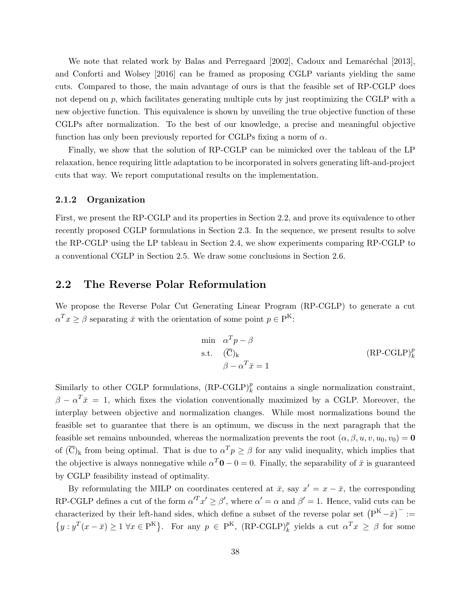We note that related work by Balas and Perregaard  $[2002]$ , Cadoux and Lemaréchal  $[2013]$ , and Conforti and Wolsey [2016] can be framed as proposing CGLP variants yielding the same cuts. Compared to those, the main advantage of ours is that the feasible set of RP-CGLP does not depend on  $p$ , which facilitates generating multiple cuts by just reoptimizing the CGLP with a new objective function. This equivalence is shown by unveiling the true objective function of these CGLPs after normalization. To the best of our knowledge, a precise and meaningful objective function has only been previously reported for CGLPs fixing a norm of  $\alpha$ .

Finally, we show that the solution of RP-CGLP can be mimicked over the tableau of the LP relaxation, hence requiring little adaptation to be incorporated in solvers generating lift-and-project cuts that way. We report computational results on the implementation.

#### 2.1.2 Organization

First, we present the RP-CGLP and its properties in Section 2.2, and prove its equivalence to other recently proposed CGLP formulations in Section 2.3. In the sequence, we present results to solve the RP-CGLP using the LP tableau in Section 2.4, we show experiments comparing RP-CGLP to a conventional CGLP in Section 2.5. We draw some conclusions in Section 2.6.

## 2.2 The Reverse Polar Reformulation

We propose the Reverse Polar Cut Generating Linear Program (RP-CGLP) to generate a cut  $\alpha^T x \ge \beta$  separating  $\bar{x}$  with the orientation of some point  $p \in P^K$ :

$$
\begin{aligned}\n\min \quad & \alpha^T p - \beta \\
\text{s.t.} \quad & (\overline{\mathbf{C}})_{\mathbf{k}} \\
& \beta - \alpha^T \bar{x} = 1\n\end{aligned} \tag{RP-CGLP}^p_k
$$

Similarly to other CGLP formulations,  $(RP\text{-}G\text{L}P)_k^p$  contains a single normalization constraint,  $\beta - \alpha^T \bar{x} = 1$ , which fixes the violation conventionally maximized by a CGLP. Moreover, the interplay between objective and normalization changes. While most normalizations bound the feasible set to guarantee that there is an optimum, we discuss in the next paragraph that the feasible set remains unbounded, whereas the normalization prevents the root  $(\alpha, \beta, u, v, u_0, v_0) = 0$ of  $(\overline{C})_k$  from being optimal. That is due to  $\alpha^T p \ge \beta$  for any valid inequality, which implies that the objective is always nonnegative while  $\alpha^T \mathbf{0} - 0 = 0$ . Finally, the separability of  $\bar{x}$  is guaranteed by CGLP feasibility instead of optimality.

By reformulating the MILP on coordinates centered at  $\bar{x}$ , say  $x' = x - \bar{x}$ , the corresponding RP-CGLP defines a cut of the form  $\alpha^T x' \ge \beta'$ , where  $\alpha' = \alpha$  and  $\beta' = 1$ . Hence, valid cuts can be characterized by their left-hand sides, which define a subset of the reverse polar set  $(P^K - \bar{x})^- :=$  $\{y : y^T(x - \bar{x}) \ge 1 \,\forall x \in P^K\}.$  For any  $p \in P^K$ ,  $(RP\text{-}G\text{L}P)^p_k$  yields a cut  $\alpha^T x \ge \beta$  for some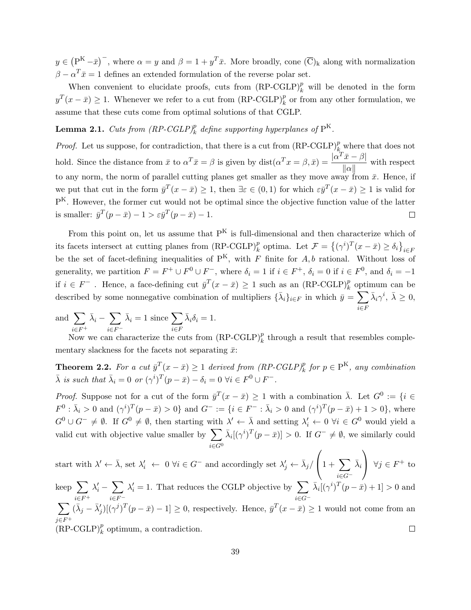$y \in (P<sup>K</sup> - \bar{x})$ , where  $\alpha = y$  and  $\beta = 1 + y<sup>T</sup> \bar{x}$ . More broadly, cone  $(\overline{C})_k$  along with normalization  $\beta - \alpha^T \bar{x} = 1$  defines an extended formulation of the reverse polar set.

When convenient to elucidate proofs, cuts from  $(RP\text{-}G\text{L}P)^p_k$  will be denoted in the form  $y^T(x - \bar{x}) \ge 1$ . Whenever we refer to a cut from (RP-CGLP)<sup>p</sup><sub>k</sub> or from any other formulation, we assume that these cuts come from optimal solutions of that CGLP.

**Lemma 2.1.** Cuts from  $(RP\text{-}G\text{L}P)^p_k$  define supporting hyperplanes of  $P^K$ .

*Proof.* Let us suppose, for contradiction, that there is a cut from  $(RP\text{-}G\text{L}P)_{k_\text{max}}^p$  where that does not hold. Since the distance from  $\bar{x}$  to  $\alpha^T \bar{x} = \beta$  is given by  $dist(\alpha^T x = \beta, \bar{x}) = \frac{|\alpha^T \bar{x} - \beta|}{\| \cdot \| \cdot \|}$  $\frac{d\mathbf{x} - \mu_1}{\|\alpha\|}$  with respect to any norm, the norm of parallel cutting planes get smaller as they move away from  $\bar{x}$ . Hence, if we put that cut in the form  $\bar{y}^T(x-\bar{x}) \geq 1$ , then  $\exists \varepsilon \in (0,1)$  for which  $\varepsilon \bar{y}^T(x-\bar{x}) \geq 1$  is valid for P<sup>K</sup>. However, the former cut would not be optimal since the objective function value of the latter is smaller:  $\bar{y}^T(p-\bar{x}) - 1 > \varepsilon \bar{y}^T(p-\bar{x}) - 1.$  $\Box$ 

From this point on, let us assume that  $P^{K}$  is full-dimensional and then characterize which of its facets intersect at cutting planes from  $(RP\text{-}G\text{L}P)_k^p$  optima. Let  $\mathcal{F} = \{(\gamma^i)^T(x-\bar{x}) \ge \delta_i\}_{i \in F}$ be the set of facet-defining inequalities of  $P^{K}$ , with F finite for  $A, b$  rational. Without loss of generality, we partition  $F = F^+ \cup F^0 \cup F^-$ , where  $\delta_i = 1$  if  $i \in F^+$ ,  $\delta_i = 0$  if  $i \in F^0$ , and  $\delta_i = -1$ if  $i \in F^-$ . Hence, a face-defining cut  $\bar{y}^T(x - \bar{x}) \ge 1$  such as an (RP-CGLP)<sup>p</sup><sub>k</sub> optimum can be described by some nonnegative combination of multipliers  $\{\bar{\lambda}_i\}_{i \in F}$  in which  $\bar{y} = \sum$  $\bar{\lambda}_i \gamma^i, \ \bar{\lambda} \geq 0,$ 

and  $\sum$  $i \in F^+$  $\bar{\lambda}_i - \sum$  $i \in F^ \bar{\lambda}_i = 1$  since  $\sum$ i∈F  $\bar{\lambda}_i \delta_i = 1.$ 

Now we can characterize the cuts from  $(RP\text{-}G\text{L}P)_k^p$  through a result that resembles complementary slackness for the facets not separating  $\bar{x}$ :

i∈F

**Theorem 2.2.** For a cut  $\bar{y}^T(x - \bar{x}) \ge 1$  derived from  $(RP\text{-}CGLP)^p_k$  for  $p \in P^K$ , any combination  $\bar{\lambda}$  is such that  $\bar{\lambda}_i = 0$  or  $(\gamma^i)^T (p - \bar{x}) - \delta_i = 0 \ \forall i \in F^0 \cup F^-$ .

*Proof.* Suppose not for a cut of the form  $\bar{y}^T(x-\bar{x}) \ge 1$  with a combination  $\bar{\lambda}$ . Let  $G^0 := \{i \in$  $F^0: \bar{\lambda}_i > 0$  and  $(\gamma^i)^T (p - \bar{x}) > 0$ } and  $G^- := \{i \in F^- : \bar{\lambda}_i > 0$  and  $(\gamma^i)^T (p - \bar{x}) + 1 > 0\}$ , where  $G^0 \cup G^- \neq \emptyset$ . If  $G^0 \neq \emptyset$ , then starting with  $\lambda' \leftarrow \overline{\lambda}$  and setting  $\lambda'_i \leftarrow 0$   $\forall i \in G^0$  would yield a valid cut with objective value smaller by  $\sum$  $i \in G^0$  $\bar{\lambda}_i[(\gamma^i)^T(p-\bar{x})] > 0.$  If  $G^- \neq \emptyset$ , we similarly could

 $\sqrt{ }$  $\setminus$ start with  $\lambda' \leftarrow \bar{\lambda}$ , set  $\lambda'_i \leftarrow 0 \ \forall i \in G^-$  and accordingly set  $\lambda'_j \leftarrow \bar{\lambda}_j$  $\left(1+\sum_{i\in G^-}\right)$  $\bar{\lambda}_i$  $\forall j$  ∈  $F^+$  to keep  $\sum$  $\lambda'_i - \sum$  $\lambda_i' = 1$ . That reduces the CGLP objective by  $\sum$  $\bar{\lambda}_i[(\gamma^i)^T(p-\bar{x})+1] > 0$  and  $i \in F^+$  $i \in F^$ i∈G<sup>−</sup>  $\sum$  $(\bar{\lambda}_j - \bar{\lambda}'_j)[(\gamma^j)^T(p - \bar{x}) - 1] \ge 0$ , respectively. Hence,  $\bar{y}^T(x - \bar{x}) \ge 1$  would not come from an  $j \in F^+$  $(RP\text{-}G\text{L}P)^p_k$  optimum, a contradiction.  $\Box$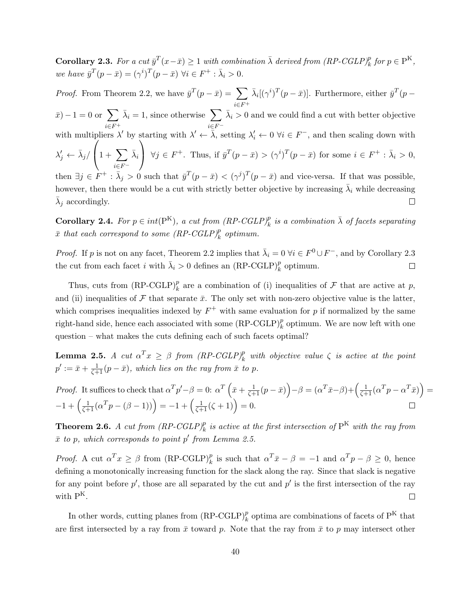**Corollary 2.3.** For a cut  $\bar{y}^T(x-\bar{x}) \ge 1$  with combination  $\bar{\lambda}$  derived from  $(RP\text{-}G\text{L}P)^p_k$  for  $p \in P^K$ , we have  $\bar{y}^T(p - \bar{x}) = (\gamma^i)^T (p - \bar{x}) \ \forall i \in F^+ : \bar{\lambda}_i > 0.$ 

*Proof.* From Theorem 2.2, we have  $\bar{y}^T(p - \bar{x}) = \sum$  $\bar{\lambda}_i[(\gamma^i)^T(p-\bar{x})]$ . Furthermore, either  $\bar{y}^T(p-\bar{x})$  $i \in F^+$  $(\bar{x}) - 1 = 0$  or  $\sum$  $\bar{\lambda}_i = 1$ , since otherwise  $\sum$  $\bar{\lambda}_i > 0$  and we could find a cut with better objective  $i \in F^+$  $i \in F^$ with multipliers  $\lambda'$  by starting with  $\lambda' \leftarrow \overline{\lambda}$ , setting  $\lambda'_i \leftarrow 0$   $\forall i \in F^-$ , and then scaling down with  $\sqrt{ }$  $\setminus$  $\lambda'_j \leftarrow \bar{\lambda}_j/$  $\left(1+\sum_{i\in F^-}\right)$  $\bar{\lambda}_i$  $\bigg\{\forall j \in F^+$ . Thus, if  $\bar{y}^T(p - \bar{x}) > (\gamma^i)^T(p - \bar{x})$  for some  $i \in F^+ : \bar{\lambda}_i > 0$ , then  $\exists j \in F^+ : \bar{\lambda}_j > 0$  such that  $\bar{y}^T(p - \bar{x}) < (\gamma^j)^T(p - \bar{x})$  and vice-versa. If that was possible, however, then there would be a cut with strictly better objective by increasing  $\bar{\lambda}_i$  while decreasing  $\bar{\lambda}_j$  accordingly.  $\Box$ 

**Corollary 2.4.** For  $p \in int(P^{K})$ , a cut from  $(RP\text{-}G\text{L}P)^p_k$  is a combination  $\bar{\lambda}$  of facets separating  $\bar{x}$  that each correspond to some  $(RP\text{-}G\text{L}P)^p_k$  optimum.

*Proof.* If p is not on any facet, Theorem 2.2 implies that  $\bar{\lambda}_i = 0 \ \forall i \in F^0 \cup F^-$ , and by Corollary 2.3 the cut from each facet *i* with  $\bar{\lambda}_i > 0$  defines an  $(RP\text{-}G\text{L}P)_k^p$  optimum.  $\Box$ 

Thus, cuts from  $(RP\text{-}G\text{L}P)^p_k$  are a combination of (i) inequalities of  $\mathcal F$  that are active at p, and (ii) inequalities of F that separate  $\bar{x}$ . The only set with non-zero objective value is the latter, which comprises inequalities indexed by  $F^+$  with same evaluation for p if normalized by the same right-hand side, hence each associated with some  $(RP\text{-}G\text{L}P)_k^p$  optimum. We are now left with one question – what makes the cuts defining each of such facets optimal?

**Lemma 2.5.** A cut  $\alpha^T x \geq \beta$  from  $(RP\text{-}G\text{L}P)^p_k$  with objective value  $\zeta$  is active at the point  $p' := \bar{x} + \frac{1}{\zeta + 1}(p - \bar{x}),$  which lies on the ray from  $\bar{x}$  to p.

*Proof.* It suffices to check that 
$$
\alpha^T p' - \beta = 0
$$
:  $\alpha^T \left( \bar{x} + \frac{1}{\zeta + 1} (p - \bar{x}) \right) - \beta = (\alpha^T \bar{x} - \beta) + \left( \frac{1}{\zeta + 1} (\alpha^T p - \alpha^T \bar{x}) \right) = -1 + \left( \frac{1}{\zeta + 1} (\alpha^T p - (\beta - 1)) \right) = -1 + \left( \frac{1}{\zeta + 1} (\zeta + 1) \right) = 0.$ 

**Theorem 2.6.** A cut from  $(RP\text{-}CGLP)_k^p$  is active at the first intersection of  $P^K$  with the ray from  $\bar{x}$  to p, which corresponds to point p' from Lemma 2.5.

*Proof.* A cut  $\alpha^T x \ge \beta$  from  $(RP-CGLP)^p_k$  is such that  $\alpha^T \bar{x} - \beta = -1$  and  $\alpha^T p - \beta \ge 0$ , hence defining a monotonically increasing function for the slack along the ray. Since that slack is negative for any point before  $p'$ , those are all separated by the cut and  $p'$  is the first intersection of the ray with  $P^{K}$ .  $\Box$ 

In other words, cutting planes from  $(RP\text{-}G\text{L}P)_k^p$  optima are combinations of facets of  $P^K$  that are first intersected by a ray from  $\bar{x}$  toward p. Note that the ray from  $\bar{x}$  to p may intersect other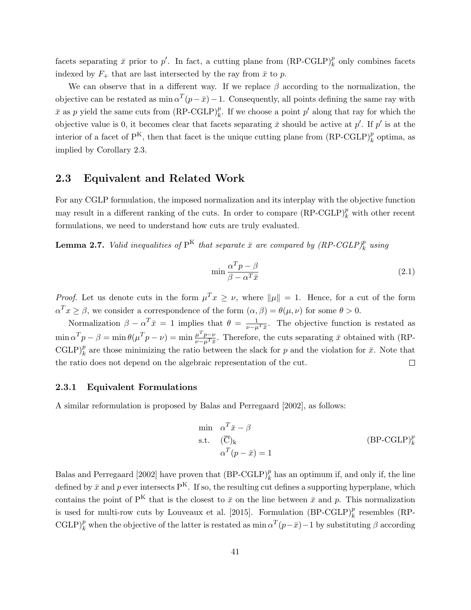facets separating  $\bar{x}$  prior to  $p'$ . In fact, a cutting plane from  $(RP\text{-}G\text{L}P)^p_k$  only combines facets indexed by  $F_+$  that are last intersected by the ray from  $\bar{x}$  to p.

We can observe that in a different way. If we replace  $\beta$  according to the normalization, the objective can be restated as  $\min \alpha^T(p-\bar{x})-1$ . Consequently, all points defining the same ray with  $\bar{x}$  as p yield the same cuts from  $(RP-CGLP)_k^p$ . If we choose a point p' along that ray for which the objective value is 0, it becomes clear that facets separating  $\bar{x}$  should be active at  $p'$ . If  $p'$  is at the interior of a facet of  $P^{K}$ , then that facet is the unique cutting plane from  $(RP\text{-}G\text{L}P)^{p}_{k}$  optima, as implied by Corollary 2.3.

### 2.3 Equivalent and Related Work

For any CGLP formulation, the imposed normalization and its interplay with the objective function may result in a different ranking of the cuts. In order to compare  $(RP\text{-}G\text{L}P)_k^p$  with other recent formulations, we need to understand how cuts are truly evaluated.

**Lemma 2.7.** Valid inequalities of  $P^{K}$  that separate  $\bar{x}$  are compared by  $(RP\text{-}G\text{L}P)^p_k$  using

$$
\min \frac{\alpha^T p - \beta}{\beta - \alpha^T \bar{x}} \tag{2.1}
$$

*Proof.* Let us denote cuts in the form  $\mu^T x \geq \nu$ , where  $\|\mu\| = 1$ . Hence, for a cut of the form  $\alpha^T x \ge \beta$ , we consider a correspondence of the form  $(\alpha, \beta) = \theta(\mu, \nu)$  for some  $\theta > 0$ .

Normalization  $\beta - \alpha^T \bar{x} = 1$  implies that  $\theta = \frac{1}{\nu - \mu^T \bar{x}}$ . The objective function is restated as  $\min \alpha^T p - \beta = \min \theta(\mu^T p - \nu) = \min \frac{\mu^T p - \nu}{\nu - \mu^T \bar{x}}$  $\frac{\mu^2 p - \nu}{\nu - \mu^T \bar{x}}$ . Therefore, the cuts separating  $\bar{x}$  obtained with (RP-CGLP)<sup>p</sup><sub>k</sub> are those minimizing the ratio between the slack for p and the violation for  $\bar{x}$ . Note that the ratio does not depend on the algebraic representation of the cut.  $\Box$ 

### 2.3.1 Equivalent Formulations

A similar reformulation is proposed by Balas and Perregaard [2002], as follows:

$$
\begin{array}{ll}\n\text{min} & \alpha^T \bar{x} - \beta \\
\text{s.t.} & (\overline{\text{C}})_k \\
& \alpha^T (p - \bar{x}) = 1\n\end{array} \tag{BP-CGLP)}_k^p
$$

Balas and Perregaard [2002] have proven that  $(BP-{\rm CGLP})_k^p$  has an optimum if, and only if, the line defined by  $\bar{x}$  and p ever intersects P<sup>K</sup>. If so, the resulting cut defines a supporting hyperplane, which contains the point of  $P^{K}$  that is the closest to  $\bar{x}$  on the line between  $\bar{x}$  and p. This normalization is used for multi-row cuts by Louveaux et al. [2015]. Formulation  $(BP-CGLP)_k^p$  resembles  $(RP-P)$ CGLP)<sup>p</sup><sub>k</sub> when the objective of the latter is restated as min  $\alpha^T(p-\bar{x})-1$  by substituting  $\beta$  according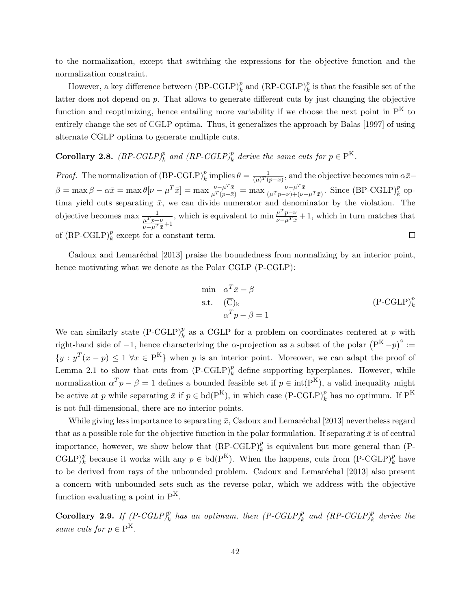to the normalization, except that switching the expressions for the objective function and the normalization constraint.

However, a key difference between  $(BP\text{-}CGLP)_k^p$  and  $(\text{RP-}CGLP)_k^p$  is that the feasible set of the latter does not depend on p. That allows to generate different cuts by just changing the objective function and reoptimizing, hence entailing more variability if we choose the next point in  $P<sup>K</sup>$  to entirely change the set of CGLP optima. Thus, it generalizes the approach by Balas [1997] of using alternate CGLP optima to generate multiple cuts.

# **Corollary 2.8.**  $(BP\text{-}CGLP)_k^p$  and  $(RP\text{-}CGLP)_k^p$  derive the same cuts for  $p \in P^K$ .

*Proof.* The normalization of  $(BP-CGLP)_k^p$  implies  $\theta = \frac{1}{(\mu)^T(i)}$  $\frac{1}{(\mu)^T(p-\bar{x})}$ , and the objective becomes min  $\alpha\bar{x}$  $\beta = \max \beta - \alpha \bar{x} = \max \theta[\nu - \mu^T \bar{x}] = \max \frac{\nu - \mu^T \bar{x}}{\mu^T (p - \bar{x})}$  $\frac{\nu-\mu^T\bar{x}}{\mu^T(p-\bar{x})} = \max \frac{\nu-\mu^T\bar{x}}{(\mu^T p-\nu)+(\nu-\mu)}$  $\frac{\nu-\mu^T\bar{x}}{(\mu^Tp-\nu)+(\nu-\mu^T\bar{x})}$ . Since  $(BP\text{-}G\text{L}P)^p_k$  optima yield cuts separating  $\bar{x}$ , we can divide numerator and denominator by the violation. The , which is equivalent to min  $\frac{\mu^T p - \nu}{\mu - \mu T \bar{s}}$ objective becomes max  $\frac{1}{\mu^T p - \nu}$  $\frac{\mu^2 p - \nu}{\nu - \mu^T \bar{x}} + 1$ , which in turn matches that  $\frac{\mu}{\nu-\mu^T\bar{x}}+1$ of  $(RP\text{-}G\text{L}P)^p_k$  except for a constant term.  $\Box$ 

Cadoux and Lemaréchal [2013] praise the boundedness from normalizing by an interior point, hence motivating what we denote as the Polar CGLP (P-CGLP):

$$
\begin{array}{ll}\n\text{min} & \alpha^T \bar{x} - \beta \\
\text{s.t.} & (\overline{\mathbf{C}})_k \\
& \alpha^T p - \beta = 1\n\end{array}\n\tag{P-CGLP}^p_k
$$

We can similarly state  $(P\text{-}\text{CGLP})_k^p$  as a CGLP for a problem on coordinates centered at p with right-hand side of -1, hence characterizing the  $\alpha$ -projection as a subset of the polar  $(P^{K}-p)^{\circ}$  :=  $\{y : y^T(x - p) \leq 1 \,\forall x \in P^K\}$  when p is an interior point. Moreover, we can adapt the proof of Lemma 2.1 to show that cuts from  $(P\text{-}CGLP)_k^p$  define supporting hyperplanes. However, while normalization  $\alpha^T p - \beta = 1$  defines a bounded feasible set if  $p \in \text{int}(P^K)$ , a valid inequality might be active at p while separating  $\bar{x}$  if  $p \in bd(P^K)$ , in which case  $(P\text{-}CGLP)_k^p$  has no optimum. If  $P^K$ is not full-dimensional, there are no interior points.

While giving less importance to separating  $\bar{x}$ , Cadoux and Lemaréchal [2013] nevertheless regard that as a possible role for the objective function in the polar formulation. If separating  $\bar{x}$  is of central importance, however, we show below that  $(RP\text{-}G\text{L}P)^p_k$  is equivalent but more general than (P-CGLP)<sup>p</sup><sub>k</sub> because it works with any  $p \in \text{bd}(P^{K})$ . When the happens, cuts from  $(P\text{-}CGLP)$ <sup>p</sup><sub>k</sub> have to be derived from rays of the unbounded problem. Cadoux and Lemaréchal [2013] also present a concern with unbounded sets such as the reverse polar, which we address with the objective function evaluating a point in  $P^{K}$ .

Corollary 2.9. If  $(P\text{-}CGLP)_k^p$  has an optimum, then  $(P\text{-}CGLP)_k^p$  and  $(RP\text{-}CGLP)_k^p$  derive the same cuts for  $p \in P^{K}$ .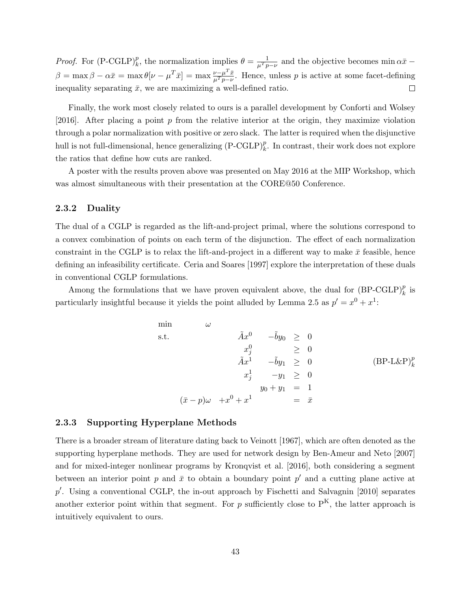*Proof.* For  $(P\text{-}CGLP)_k^p$ , the normalization implies  $\theta = \frac{1}{\mu^T p - \nu}$  and the objective becomes min  $\alpha \bar{x}$  $\beta = \max \beta - \alpha \bar{x} = \max \theta[\nu - \mu^T \bar{x}] = \max \frac{\nu - \mu^T \bar{x}}{\mu^T p - \nu}$  $\frac{\nu-\mu-x}{\mu^Tp-\nu}$ . Hence, unless p is active at some facet-defining inequality separating  $\bar{x}$ , we are maximizing a well-defined ratio.  $\Box$ 

Finally, the work most closely related to ours is a parallel development by Conforti and Wolsey [2016]. After placing a point  $p$  from the relative interior at the origin, they maximize violation through a polar normalization with positive or zero slack. The latter is required when the disjunctive hull is not full-dimensional, hence generalizing  $(P\text{-}CGLP)_k^p$ . In contrast, their work does not explore the ratios that define how cuts are ranked.

A poster with the results proven above was presented on May 2016 at the MIP Workshop, which was almost simultaneous with their presentation at the CORE@50 Conference.

### 2.3.2 Duality

The dual of a CGLP is regarded as the lift-and-project primal, where the solutions correspond to a convex combination of points on each term of the disjunction. The effect of each normalization constraint in the CGLP is to relax the lift-and-project in a different way to make  $\bar{x}$  feasible, hence defining an infeasibility certificate. Ceria and Soares [1997] explore the interpretation of these duals in conventional CGLP formulations.

Among the formulations that we have proven equivalent above, the dual for  $(BP\text{-}CGLP)_k^p$  is particularly insightful because it yields the point alluded by Lemma 2.5 as  $p' = x^0 + x^1$ :

$$
\begin{array}{rcl}\n\min & \omega & \\
\text{s.t.} & \tilde{A}x^0 & -\tilde{b}y_0 \geq 0 \\
x_j^0 & \geq 0 \\
\tilde{A}x^1 & -\tilde{b}y_1 \geq 0 \\
x_j^1 & -y_1 \geq 0 \\
x_j^1 & -y_1 \geq 0 \\
y_0 + y_1 = 1 \\
(\bar{x} - p)\omega & +x^0 + x^1 = \bar{x}\n\end{array} \tag{BP-L\&P}_k^p
$$

#### 2.3.3 Supporting Hyperplane Methods

There is a broader stream of literature dating back to Veinott [1967], which are often denoted as the supporting hyperplane methods. They are used for network design by Ben-Ameur and Neto [2007] and for mixed-integer nonlinear programs by Kronqvist et al. [2016], both considering a segment between an interior point p and  $\bar{x}$  to obtain a boundary point p' and a cutting plane active at  $p'$ . Using a conventional CGLP, the in-out approach by Fischetti and Salvagnin [2010] separates another exterior point within that segment. For p sufficiently close to  $P^{K}$ , the latter approach is intuitively equivalent to ours.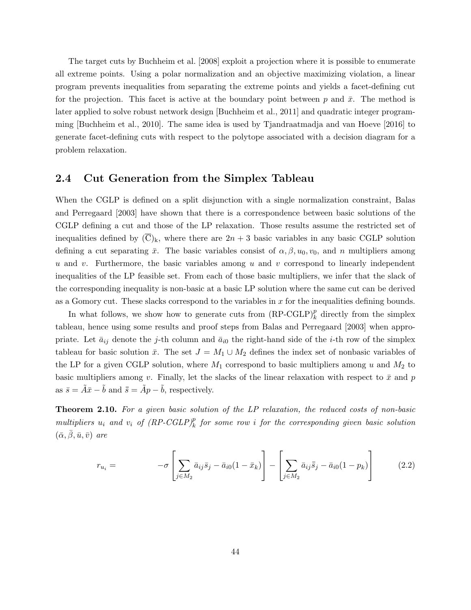The target cuts by Buchheim et al. [2008] exploit a projection where it is possible to enumerate all extreme points. Using a polar normalization and an objective maximizing violation, a linear program prevents inequalities from separating the extreme points and yields a facet-defining cut for the projection. This facet is active at the boundary point between p and  $\bar{x}$ . The method is later applied to solve robust network design [Buchheim et al., 2011] and quadratic integer programming [Buchheim et al., 2010]. The same idea is used by Tjandraatmadja and van Hoeve [2016] to generate facet-defining cuts with respect to the polytope associated with a decision diagram for a problem relaxation.

### 2.4 Cut Generation from the Simplex Tableau

When the CGLP is defined on a split disjunction with a single normalization constraint, Balas and Perregaard [2003] have shown that there is a correspondence between basic solutions of the CGLP defining a cut and those of the LP relaxation. Those results assume the restricted set of inequalities defined by  $(\overline{C})_k$ , where there are  $2n + 3$  basic variables in any basic CGLP solution defining a cut separating  $\bar{x}$ . The basic variables consist of  $\alpha, \beta, u_0, v_0$ , and n multipliers among u and v. Furthermore, the basic variables among u and v correspond to linearly independent inequalities of the LP feasible set. From each of those basic multipliers, we infer that the slack of the corresponding inequality is non-basic at a basic LP solution where the same cut can be derived as a Gomory cut. These slacks correspond to the variables in  $x$  for the inequalities defining bounds.

In what follows, we show how to generate cuts from  $(RP\text{-}G\text{L}P)^p_k$  directly from the simplex tableau, hence using some results and proof steps from Balas and Perregaard [2003] when appropriate. Let  $\bar{a}_{ij}$  denote the j-th column and  $\bar{a}_{i0}$  the right-hand side of the *i*-th row of the simplex tableau for basic solution  $\bar{x}$ . The set  $J = M_1 \cup M_2$  defines the index set of nonbasic variables of the LP for a given CGLP solution, where  $M_1$  correspond to basic multipliers among u and  $M_2$  to basic multipliers among v. Finally, let the slacks of the linear relaxation with respect to  $\bar{x}$  and p as  $\bar{s} = \tilde{A}\bar{x} - \tilde{b}$  and  $\bar{\bar{s}} = \tilde{A}p - \tilde{b}$ , respectively.

**Theorem 2.10.** For a given basic solution of the LP relaxation, the reduced costs of non-basic multipliers  $u_i$  and  $v_i$  of  $(RP\text{-}G\text{L}P)^p_k$  for some row i for the corresponding given basic solution  $(\bar{\alpha}, \beta, \bar{u}, \bar{v})$  are

$$
r_{u_i} = -\sigma \left[ \sum_{j \in M_2} \bar{a}_{ij} \bar{s}_j - \bar{a}_{i0} (1 - \bar{x}_k) \right] - \left[ \sum_{j \in M_2} \bar{a}_{ij} \bar{\bar{s}}_j - \bar{a}_{i0} (1 - p_k) \right]
$$
(2.2)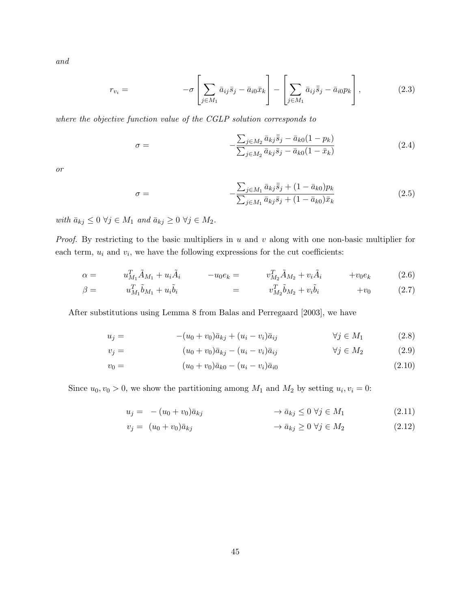and

$$
r_{v_i} = -\sigma \left[ \sum_{j \in M_1} \bar{a}_{ij} \bar{s}_j - \bar{a}_{i0} \bar{x}_k \right] - \left[ \sum_{j \in M_1} \bar{a}_{ij} \bar{\bar{s}}_j - \bar{a}_{i0} p_k \right],
$$
(2.3)

where the objective function value of the CGLP solution corresponds to

$$
\sigma = -\frac{\sum_{j \in M_2} \bar{a}_{kj} \bar{s}_j - \bar{a}_{k0} (1 - p_k)}{\sum_{j \in M_2} \bar{a}_{kj} \bar{s}_j - \bar{a}_{k0} (1 - \bar{x}_k)}
$$
(2.4)

or

$$
\sigma = -\frac{\sum_{j \in M_1} \bar{a}_{kj} \bar{s}_j + (1 - \bar{a}_{k0}) p_k}{\sum_{j \in M_1} \bar{a}_{kj} \bar{s}_j + (1 - \bar{a}_{k0}) \bar{x}_k}
$$
(2.5)

with  $\bar{a}_{kj} \leq 0 \ \forall j \in M_1$  and  $\bar{a}_{kj} \geq 0 \ \forall j \in M_2$ .

*Proof.* By restricting to the basic multipliers in  $u$  and  $v$  along with one non-basic multiplier for each term,  $u_i$  and  $v_i$ , we have the following expressions for the cut coefficients:

$$
\alpha = u_{M_1}^T \tilde{A}_{M_1} + u_i \tilde{A}_i \qquad -u_0 e_k = v_{M_2}^T \tilde{A}_{M_2} + v_i \tilde{A}_i \qquad +v_0 e_k \qquad (2.6)
$$

$$
\beta = u_{M_1}^T \tilde{b}_{M_1} + u_i \tilde{b}_i = v_{M_2}^T \tilde{b}_{M_2} + v_i \tilde{b}_i + v_0 \qquad (2.7)
$$

After substitutions using Lemma 8 from Balas and Perregaard [2003], we have

$$
u_j = -(u_0 + v_0)\bar{a}_{kj} + (u_i - v_i)\bar{a}_{ij} \qquad \forall j \in M_1
$$
 (2.8)

$$
v_j = (u_0 + v_0)\bar{a}_{kj} - (u_i - v_i)\bar{a}_{ij} \qquad \forall j \in M_2
$$
 (2.9)

$$
v_0 = (u_0 + v_0)\bar{a}_{k0} - (u_i - v_i)\bar{a}_{i0}
$$
\n(2.10)

Since  $u_0, v_0 > 0$ , we show the partitioning among  $M_1$  and  $M_2$  by setting  $u_i, v_i = 0$ :

$$
u_j = - (u_0 + v_0)\bar{a}_{kj} \qquad \longrightarrow \bar{a}_{kj} \le 0 \,\forall j \in M_1 \tag{2.11}
$$

$$
v_j = (u_0 + v_0)\bar{a}_{kj} \qquad \qquad \to \bar{a}_{kj} \ge 0 \,\forall j \in M_2 \tag{2.12}
$$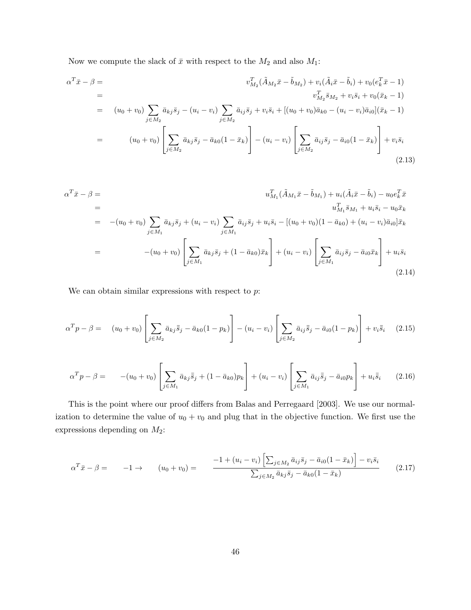Now we compute the slack of  $\bar{x}$  with respect to the  $M_2$  and also  $M_1$ :

$$
\alpha^T \bar{x} - \beta = \n\begin{aligned}\nv_{M_2}^T (\tilde{A}_{M_2} \bar{x} - \tilde{b}_{M_2}) + v_i (\tilde{A}_i \bar{x} - \tilde{b}_i) + v_0 (e_k^T \bar{x} - 1) \\
&= \n\begin{aligned}\nv_{M_2}^T \bar{s}_{M_2} + v_i \bar{s}_i + v_0 (\bar{x}_k - 1) \\
&= \n\end{aligned} \\
&= \n\begin{aligned}\n(u_0 + v_0) \sum_{j \in M_2} \bar{a}_{kj} \bar{s}_j - (u_i - v_i) \sum_{j \in M_2} \bar{a}_{ij} \bar{s}_j + v_i \bar{s}_i + [(u_0 + v_0) \bar{a}_{k0} - (u_i - v_i) \bar{a}_{i0}] (\bar{x}_k - 1) \\
&= \n\begin{aligned}\n(u_0 + v_0) \left[ \sum_{j \in M_2} \bar{a}_{kj} \bar{s}_j - \bar{a}_{k0} (1 - \bar{x}_k) \right] - (u_i - v_i) \left[ \sum_{j \in M_2} \bar{a}_{ij} \bar{s}_j - \bar{a}_{i0} (1 - \bar{x}_k) \right] + v_i \bar{s}_i\n\end{aligned}\n\end{aligned}
$$
\n(2.13)

$$
\alpha^{T}\bar{x} - \beta =
$$
\n
$$
=
$$
\n
$$
=
$$
\n
$$
=
$$
\n
$$
=
$$
\n
$$
=
$$
\n
$$
=
$$
\n
$$
=
$$
\n
$$
=
$$
\n
$$
=
$$
\n
$$
u_{M_{1}}^{T}(\tilde{A}_{M_{1}}\bar{x} - \tilde{b}_{M_{1}}) + u_{i}(\tilde{A}_{i}\bar{x} - \tilde{b}_{i}) - u_{0}e_{k}^{T}\bar{x}
$$
\n
$$
=
$$
\n
$$
u_{M_{1}}^{T}\bar{s}_{M_{1}} + u_{i}\bar{s}_{i} - u_{0}\bar{x}_{k}
$$
\n
$$
=
$$
\n
$$
- (u_{0} + v_{0}) \left[ \sum_{j \in M_{1}} \bar{a}_{kj}\bar{s}_{j} + (1 - \bar{a}_{k0})\bar{x}_{k} \right] + (u_{i} - v_{i}) \left[ \sum_{j \in M_{1}} \bar{a}_{ij}\bar{s}_{j} - \bar{a}_{i0}\bar{x}_{k} \right] + u_{i}\bar{s}_{i}
$$
\n
$$
(2.14)
$$

We can obtain similar expressions with respect to  $p$ :

$$
\alpha^T p - \beta = (u_0 + v_0) \left[ \sum_{j \in M_2} \bar{a}_{kj} \bar{\bar{s}}_j - \bar{a}_{k0} (1 - p_k) \right] - (u_i - v_i) \left[ \sum_{j \in M_2} \bar{a}_{ij} \bar{\bar{s}}_j - \bar{a}_{i0} (1 - p_k) \right] + v_i \bar{\bar{s}}_i \quad (2.15)
$$

$$
\alpha^T p - \beta = - (u_0 + v_0) \left[ \sum_{j \in M_1} \bar{a}_{kj} \bar{s}_j + (1 - \bar{a}_{k0}) p_k \right] + (u_i - v_i) \left[ \sum_{j \in M_1} \bar{a}_{ij} \bar{s}_j - \bar{a}_{i0} p_k \right] + u_i \bar{s}_i \qquad (2.16)
$$

This is the point where our proof differs from Balas and Perregaard [2003]. We use our normalization to determine the value of  $u_0 + v_0$  and plug that in the objective function. We first use the expressions depending on  $\mathcal{M}_2$  :

$$
\alpha^T \bar{x} - \beta = -1 \to \qquad (u_0 + v_0) = \qquad \frac{-1 + (u_i - v_i) \left[ \sum_{j \in M_2} \bar{a}_{ij} \bar{s}_j - \bar{a}_{i0} (1 - \bar{x}_k) \right] - v_i \bar{s}_i}{\sum_{j \in M_2} \bar{a}_{kj} \bar{s}_j - \bar{a}_{k0} (1 - \bar{x}_k)} \tag{2.17}
$$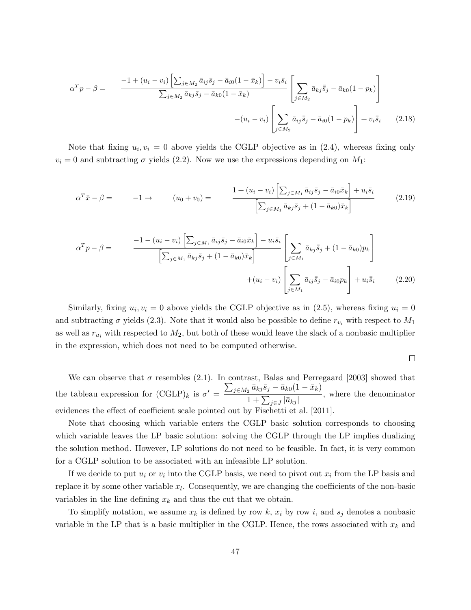$$
\alpha^T p - \beta = \frac{-1 + (u_i - v_i) \left[ \sum_{j \in M_2} \bar{a}_{ij} \bar{s}_j - \bar{a}_{i0} (1 - \bar{x}_k) \right] - v_i \bar{s}_i}{\sum_{j \in M_2} \bar{a}_{kj} \bar{s}_j - \bar{a}_{k0} (1 - \bar{x}_k)} \left[ \sum_{j \in M_2} \bar{a}_{kj} \bar{s}_j - \bar{a}_{k0} (1 - p_k) \right] + v_i \bar{\bar{s}}_i
$$
\n
$$
- (u_i - v_i) \left[ \sum_{j \in M_2} \bar{a}_{ij} \bar{s}_j - \bar{a}_{i0} (1 - p_k) \right] + v_i \bar{\bar{s}}_i \qquad (2.18)
$$

Note that fixing  $u_i, v_i = 0$  above yields the CGLP objective as in  $(2.4)$ , whereas fixing only  $v_i = 0$  and subtracting  $\sigma$  yields (2.2). Now we use the expressions depending on  $M_1$ :

$$
\alpha^T \bar{x} - \beta = -1 \rightarrow (u_0 + v_0) = \frac{1 + (u_i - v_i) \left[ \sum_{j \in M_1} \bar{a}_{ij} \bar{s}_j - \bar{a}_{i0} \bar{x}_k \right] + u_i \bar{s}_i}{\left[ \sum_{j \in M_1} \bar{a}_{kj} \bar{s}_j + (1 - \bar{a}_{k0}) \bar{x}_k \right]}
$$
(2.19)

$$
\alpha^T p - \beta = \frac{-1 - (u_i - v_i) \left[ \sum_{j \in M_1} \bar{a}_{ij} \bar{s}_j - \bar{a}_{i0} \bar{x}_k \right] - u_i \bar{s}_i}{\left[ \sum_{j \in M_1} \bar{a}_{kj} \bar{s}_j + (1 - \bar{a}_{k0}) \bar{x}_k \right]} \left[ \sum_{j \in M_1} \bar{a}_{kj} \bar{s}_j + (1 - \bar{a}_{k0}) p_k \right] + (u_i - v_i) \left[ \sum_{j \in M_1} \bar{a}_{ij} \bar{s}_j - \bar{a}_{i0} p_k \right] + u_i \bar{s}_i \tag{2.20}
$$

Similarly, fixing  $u_i, v_i = 0$  above yields the CGLP objective as in (2.5), whereas fixing  $u_i = 0$ and subtracting  $\sigma$  yields (2.3). Note that it would also be possible to define  $r_{v_i}$  with respect to  $M_1$ as well as  $r_{u_i}$  with respected to  $M_2$ , but both of these would leave the slack of a nonbasic multiplier in the expression, which does not need to be computed otherwise.

$$
\Box
$$

We can observe that  $\sigma$  resembles (2.1). In contrast, Balas and Perregaard [2003] showed that the tableau expression for  $(\text{CGLP})_k$  is  $\sigma' = \frac{\sum_{j \in M_2} \bar{a}_{kj} \bar{s}_j - \bar{a}_{k0}(1 - \bar{x}_k)}{1 + \sum_{j \in M_2} |\bar{s}_j|}$  $\frac{1}{1 + \sum_{j \in J} |\bar{a}_{kj}|}$ , where the denominator evidences the effect of coefficient scale pointed out by Fischetti et al. [2011].

Note that choosing which variable enters the CGLP basic solution corresponds to choosing which variable leaves the LP basic solution: solving the CGLP through the LP implies dualizing the solution method. However, LP solutions do not need to be feasible. In fact, it is very common for a CGLP solution to be associated with an infeasible LP solution.

If we decide to put  $u_i$  or  $v_i$  into the CGLP basis, we need to pivot out  $x_i$  from the LP basis and replace it by some other variable  $x_l$ . Consequently, we are changing the coefficients of the non-basic variables in the line defining  $x_k$  and thus the cut that we obtain.

To simplify notation, we assume  $x_k$  is defined by row k,  $x_i$  by row i, and  $s_j$  denotes a nonbasic variable in the LP that is a basic multiplier in the CGLP. Hence, the rows associated with  $x_k$  and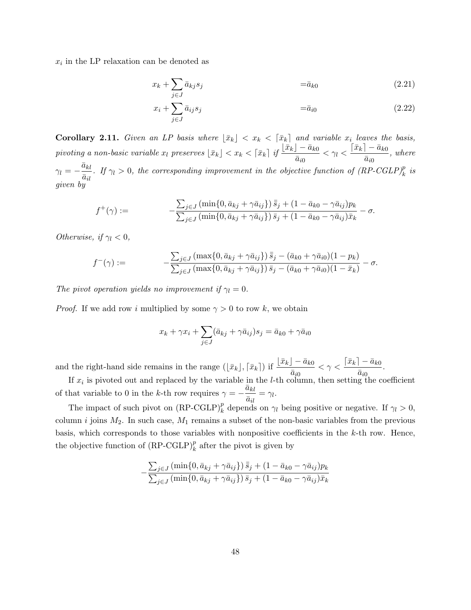$x_i$  in the LP relaxation can be denoted as

$$
x_k + \sum_{j \in J} \bar{a}_{kj} s_j \qquad \qquad = \bar{a}_{k0} \tag{2.21}
$$

$$
x_i + \sum_{j \in J} \bar{a}_{ij} s_j \qquad \qquad = \bar{a}_{i0} \tag{2.22}
$$

**Corollary 2.11.** Given an LP basis where  $\lfloor \bar{x}_k \rfloor < x_k < \lfloor \bar{x}_k \rfloor$  and variable  $x_i$  leaves the basis,  $\begin{equation} \textit{pivoting a non-basic variable} \ x_l \ \textit{preserves} \ \lfloor \bar{x}_k \rfloor < x_k < \lceil \bar{x}_k \rceil \ \textit{if} \ \frac{\lfloor \bar{x}_k \rfloor - \bar{a}_{k0}}{\bar{a}_{i0}} < \gamma_l < \frac{\lceil \bar{x}_k \rceil - \bar{a}_{k0}}{\bar{a}_{i0}} \end{equation}$  $rac{a_{k0}}{\bar{a}_{i0}},$  where  $\gamma_l=-\frac{\bar{a}_{kl}}{\bar{a}_{il}}$  $\frac{a_{kl}}{\bar{a}_{il}}$ . If  $\gamma_l > 0$ , the corresponding improvement in the objective function of  $(RP\text{-}G\text{L}P)^p_k$  is given by

$$
f^{+}(\gamma) := -\frac{\sum_{j \in J} (\min\{0, \bar{a}_{kj} + \gamma \bar{a}_{ij}\}) \bar{s}_j + (1 - \bar{a}_{k0} - \gamma \bar{a}_{ij}) p_k}{\sum_{j \in J} (\min\{0, \bar{a}_{kj} + \gamma \bar{a}_{ij}\}) \bar{s}_j + (1 - \bar{a}_{k0} - \gamma \bar{a}_{ij}) \bar{x}_k} - \sigma.
$$

Otherwise, if  $\gamma_l < 0$ ,

$$
f^{-}(\gamma) := -\frac{\sum_{j \in J} (\max\{0, \bar{a}_{kj} + \gamma \bar{a}_{ij}\}) \bar{s}_j - (\bar{a}_{k0} + \gamma \bar{a}_{i0})(1 - p_k)}{\sum_{j \in J} (\max\{0, \bar{a}_{kj} + \gamma \bar{a}_{ij}\}) \bar{s}_j - (\bar{a}_{k0} + \gamma \bar{a}_{i0})(1 - \bar{x}_k)} - \sigma.
$$

The pivot operation yields no improvement if  $\gamma_l = 0$ .

*Proof.* If we add row i multiplied by some  $\gamma > 0$  to row k, we obtain

$$
x_k + \gamma x_i + \sum_{j \in J} (\bar{a}_{kj} + \gamma \bar{a}_{ij}) s_j = \bar{a}_{k0} + \gamma \bar{a}_{i0}
$$

and the right-hand side remains in the range  $(\lfloor \bar{x}_k \rfloor, \lceil \bar{x}_k \rceil)$  if  $\frac{\lfloor \bar{x}_k \rfloor - \bar{a}_{k0}}{\bar{a}_{i0}} < \gamma < \frac{\lceil \bar{x}_k \rceil - \bar{a}_{k0}}{\bar{a}_{i0}}$  $rac{a_{k0}}{\bar{a}_{i0}}$ .

If  $x_i$  is pivoted out and replaced by the variable in the *l*-th column, then setting the coefficient of that variable to 0 in the k-th row requires  $\gamma = -\frac{\bar{a}_{kl}}{\bar{a}_{kl}}$  $\frac{\overline{\alpha_{kl}}}{\overline{a}_{il}} = \gamma_l.$ 

The impact of such pivot on  $(RP-CGLP)_k^p$  depends on  $\gamma_l$  being positive or negative. If  $\gamma_l > 0$ , column i joins  $M_2$ . In such case,  $M_1$  remains a subset of the non-basic variables from the previous basis, which corresponds to those variables with nonpositive coefficients in the k-th row. Hence, the objective function of  $(RP\text{-}G\text{L}P)^p_k$  after the pivot is given by

$$
-\frac{\sum_{j\in J} (\min\{0, \bar{a}_{kj} + \gamma \bar{a}_{ij}\}) \bar{s}_j + (1 - \bar{a}_{k0} - \gamma \bar{a}_{ij}) p_k}{\sum_{j\in J} (\min\{0, \bar{a}_{kj} + \gamma \bar{a}_{ij}\}) \bar{s}_j + (1 - \bar{a}_{k0} - \gamma \bar{a}_{ij}) \bar{x}_k}
$$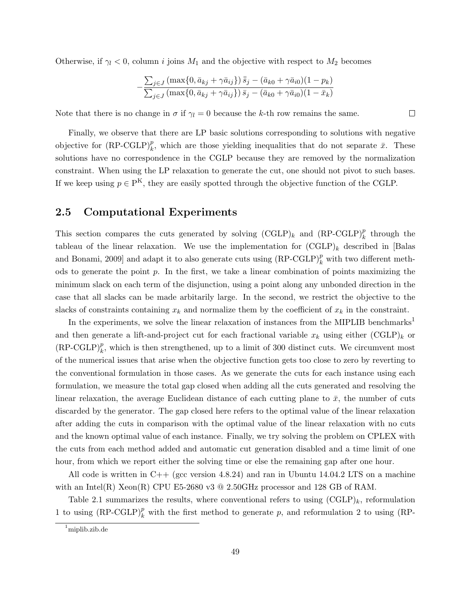Otherwise, if  $\gamma_l < 0$ , column i joins  $M_1$  and the objective with respect to  $M_2$  becomes

$$
-\frac{\sum_{j\in J} (\max\{0, \bar{a}_{kj} + \gamma \bar{a}_{ij}\}) \bar{s}_j - (\bar{a}_{k0} + \gamma \bar{a}_{i0})(1 - p_k)}{\sum_{j\in J} (\max\{0, \bar{a}_{kj} + \gamma \bar{a}_{ij}\}) \bar{s}_j - (\bar{a}_{k0} + \gamma \bar{a}_{i0})(1 - \bar{x}_k)}
$$

 $\Box$ 

Note that there is no change in  $\sigma$  if  $\gamma_l = 0$  because the k-th row remains the same.

Finally, we observe that there are LP basic solutions corresponding to solutions with negative objective for  $(RP\text{-}G\text{L}P)_k^p$ , which are those yielding inequalities that do not separate  $\bar{x}$ . These solutions have no correspondence in the CGLP because they are removed by the normalization constraint. When using the LP relaxation to generate the cut, one should not pivot to such bases. If we keep using  $p \in P^{K}$ , they are easily spotted through the objective function of the CGLP.

### 2.5 Computational Experiments

This section compares the cuts generated by solving  $(CGLP)_k$  and  $(RP-CGLP)_k^p$  through the tableau of the linear relaxation. We use the implementation for  $(CGLP)_k$  described in [Balas and Bonami, 2009] and adapt it to also generate cuts using  $(RP\text{-}G\text{L}P)_k^p$  with two different methods to generate the point  $p$ . In the first, we take a linear combination of points maximizing the minimum slack on each term of the disjunction, using a point along any unbonded direction in the case that all slacks can be made arbitarily large. In the second, we restrict the objective to the slacks of constraints containing  $x_k$  and normalize them by the coefficient of  $x_k$  in the constraint.

In the experiments, we solve the linear relaxation of instances from the MIPLIB benchmarks<sup>1</sup> and then generate a lift-and-project cut for each fractional variable  $x_k$  using either  $(CGLP)_k$  or  $(RP-CGLP)_k^p$ , which is then strengthened, up to a limit of 300 distinct cuts. We circumvent most of the numerical issues that arise when the objective function gets too close to zero by reverting to the conventional formulation in those cases. As we generate the cuts for each instance using each formulation, we measure the total gap closed when adding all the cuts generated and resolving the linear relaxation, the average Euclidean distance of each cutting plane to  $\bar{x}$ , the number of cuts discarded by the generator. The gap closed here refers to the optimal value of the linear relaxation after adding the cuts in comparison with the optimal value of the linear relaxation with no cuts and the known optimal value of each instance. Finally, we try solving the problem on CPLEX with the cuts from each method added and automatic cut generation disabled and a time limit of one hour, from which we report either the solving time or else the remaining gap after one hour.

All code is written in C++ (gcc version 4.8.24) and ran in Ubuntu 14.04.2 LTS on a machine with an Intel(R) Xeon(R) CPU E5-2680 v3  $@$  2.50GHz processor and 128 GB of RAM.

Table 2.1 summarizes the results, where conventional refers to using  $(CGLP)_k$ , reformulation 1 to using  $(RP-CGLP)_k^p$  with the first method to generate p, and reformulation 2 to using  $(RP-CGLP)_k^p$ 

 $1$ miplib.zib.de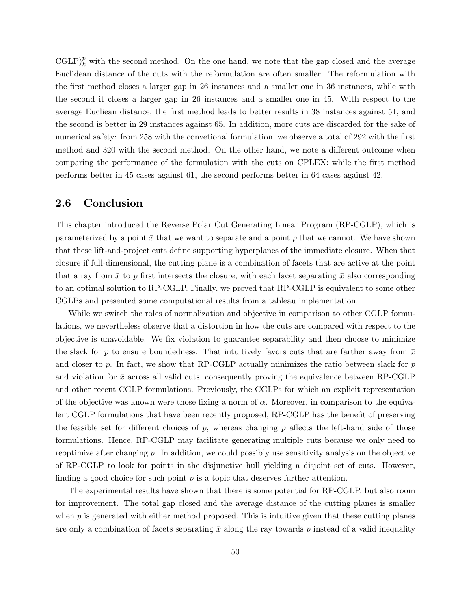$\mathrm{CGLP}_{k}^p$  with the second method. On the one hand, we note that the gap closed and the average Euclidean distance of the cuts with the reformulation are often smaller. The reformulation with the first method closes a larger gap in 26 instances and a smaller one in 36 instances, while with the second it closes a larger gap in 26 instances and a smaller one in 45. With respect to the average Eucliean distance, the first method leads to better results in 38 instances against 51, and the second is better in 29 instances against 65. In addition, more cuts are discarded for the sake of numerical safety: from 258 with the convetional formulation, we observe a total of 292 with the first method and 320 with the second method. On the other hand, we note a different outcome when comparing the performance of the formulation with the cuts on CPLEX: while the first method performs better in 45 cases against 61, the second performs better in 64 cases against 42.

# 2.6 Conclusion

This chapter introduced the Reverse Polar Cut Generating Linear Program (RP-CGLP), which is parameterized by a point  $\bar{x}$  that we want to separate and a point p that we cannot. We have shown that these lift-and-project cuts define supporting hyperplanes of the immediate closure. When that closure if full-dimensional, the cutting plane is a combination of facets that are active at the point that a ray from  $\bar{x}$  to p first intersects the closure, with each facet separating  $\bar{x}$  also corresponding to an optimal solution to RP-CGLP. Finally, we proved that RP-CGLP is equivalent to some other CGLPs and presented some computational results from a tableau implementation.

While we switch the roles of normalization and objective in comparison to other CGLP formulations, we nevertheless observe that a distortion in how the cuts are compared with respect to the objective is unavoidable. We fix violation to guarantee separability and then choose to minimize the slack for p to ensure boundedness. That intuitively favors cuts that are farther away from  $\bar{x}$ and closer to  $p$ . In fact, we show that RP-CGLP actually minimizes the ratio between slack for  $p$ and violation for  $\bar{x}$  across all valid cuts, consequently proving the equivalence between RP-CGLP and other recent CGLP formulations. Previously, the CGLPs for which an explicit representation of the objective was known were those fixing a norm of  $\alpha$ . Moreover, in comparison to the equivalent CGLP formulations that have been recently proposed, RP-CGLP has the benefit of preserving the feasible set for different choices of  $p$ , whereas changing  $p$  affects the left-hand side of those formulations. Hence, RP-CGLP may facilitate generating multiple cuts because we only need to reoptimize after changing p. In addition, we could possibly use sensitivity analysis on the objective of RP-CGLP to look for points in the disjunctive hull yielding a disjoint set of cuts. However, finding a good choice for such point  $p$  is a topic that deserves further attention.

The experimental results have shown that there is some potential for RP-CGLP, but also room for improvement. The total gap closed and the average distance of the cutting planes is smaller when  $p$  is generated with either method proposed. This is intuitive given that these cutting planes are only a combination of facets separating  $\bar{x}$  along the ray towards p instead of a valid inequality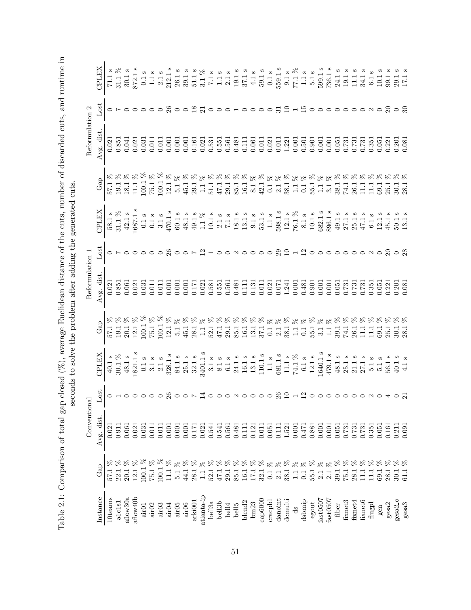|        | $-1$<br>Search S                                                                                                                                                                                                                                |  |
|--------|-------------------------------------------------------------------------------------------------------------------------------------------------------------------------------------------------------------------------------------------------|--|
|        | $5o$ c $-1o$ c $-1o$ c $-1o$                                                                                                                                                                                                                    |  |
|        |                                                                                                                                                                                                                                                 |  |
|        |                                                                                                                                                                                                                                                 |  |
|        |                                                                                                                                                                                                                                                 |  |
|        | いろできりりこすく キク そうとうこう フキャラ クター                                                                                                                                                                                                                    |  |
|        | j<br>Ì                                                                                                                                                                                                                                          |  |
|        | in the contract of the contract of the contract of the contract of the contract of the contract of the contract of the contract of the contract of the contract of the contract of the contract of the contract of the contrac<br>$\frac{1}{2}$ |  |
|        | Ï<br>くくい こうしょう こうこう                                                                                                                                                                                                                             |  |
| ;<br>; | - 12、11、11、11、11、1                                                                                                                                                                                                                              |  |
| ļ      | $\vert$<br>i<br>I<br>I                                                                                                                                                                                                                          |  |
|        |                                                                                                                                                                                                                                                 |  |
|        |                                                                                                                                                                                                                                                 |  |
|        | 1                                                                                                                                                                                                                                               |  |
|        | ١                                                                                                                                                                                                                                               |  |
|        |                                                                                                                                                                                                                                                 |  |
|        |                                                                                                                                                                                                                                                 |  |
|        | $\overline{a}$<br>)<br>ļ<br>į<br>į<br>i<br>j<br>l<br>l<br>֚֚֕֕<br>)                                                                                                                                                                             |  |
| ί      |                                                                                                                                                                                                                                                 |  |
|        | l<br>֕                                                                                                                                                                                                                                          |  |
|        | Í<br>١<br>l                                                                                                                                                                                                                                     |  |

|                     |                                                                | Conventional       | $S_{\rm C}$           |                                                                                                                                                                                                                                                                                                                                                                                          |                                                                                                                                                                                                                                                                                                      | conds to solve the problem after adding the generated cuts<br>Reformulation                         |                                                                         |                                                                                                                                                                                                                                                                                                                                                           |                                                                                                 | Reformulation                                          | $\mathbf{\Omega}$                                                    |                                                                                                                                                                                                                                                                                                               |
|---------------------|----------------------------------------------------------------|--------------------|-----------------------|------------------------------------------------------------------------------------------------------------------------------------------------------------------------------------------------------------------------------------------------------------------------------------------------------------------------------------------------------------------------------------------|------------------------------------------------------------------------------------------------------------------------------------------------------------------------------------------------------------------------------------------------------------------------------------------------------|-----------------------------------------------------------------------------------------------------|-------------------------------------------------------------------------|-----------------------------------------------------------------------------------------------------------------------------------------------------------------------------------------------------------------------------------------------------------------------------------------------------------------------------------------------------------|-------------------------------------------------------------------------------------------------|--------------------------------------------------------|----------------------------------------------------------------------|---------------------------------------------------------------------------------------------------------------------------------------------------------------------------------------------------------------------------------------------------------------------------------------------------------------|
| Instance            | $\rm{Gap}$                                                     | Avg. dist.         | Lost                  | CPLEX                                                                                                                                                                                                                                                                                                                                                                                    | GaD                                                                                                                                                                                                                                                                                                  | Avg. dist                                                                                           | Ξ                                                                       | CPLEX                                                                                                                                                                                                                                                                                                                                                     | $\rm{Gap}$                                                                                      | Avg. dist                                              | $\log$                                                               | CPLEX                                                                                                                                                                                                                                                                                                         |
| 10teams             |                                                                | 0.021              | odooooogoor dooowoooo |                                                                                                                                                                                                                                                                                                                                                                                          | $\begin{array}{c} 57.1 \\ 19.1 \\ 20.1 \\ 100.1 \\ 100.1 \\ \end{array}$                                                                                                                                                                                                                             | 0.021                                                                                               |                                                                         | $\begin{array}{c} 58.1 \text{ s} \\ 31.1 \text{ }\% \end{array}$                                                                                                                                                                                                                                                                                          | $\begin{array}{l} 57.1 \\ 19.1 \\ 18.1 \\ 11.1 \\ 100.1 \\ 100.1 \\ 12.1 \\ 5.1 \\ \end{array}$ |                                                        |                                                                      |                                                                                                                                                                                                                                                                                                               |
| alclsl              | $\begin{array}{c} 57.1~\% \\ 22.1~\% \\ 20.1~\% \end{array}$   | 0.911              |                       | $40.1$ s $30.1$ %                                                                                                                                                                                                                                                                                                                                                                        |                                                                                                                                                                                                                                                                                                      | 0.851                                                                                               |                                                                         |                                                                                                                                                                                                                                                                                                                                                           |                                                                                                 | $\!\!\!\begin{array}{c}0.021\0.851\end{array}\!\!\!\!$ |                                                                      |                                                                                                                                                                                                                                                                                                               |
| $_{\rm{aflow30a}}$  |                                                                | 0.061              |                       |                                                                                                                                                                                                                                                                                                                                                                                          |                                                                                                                                                                                                                                                                                                      | 0.061                                                                                               |                                                                         |                                                                                                                                                                                                                                                                                                                                                           |                                                                                                 | 0.041                                                  |                                                                      |                                                                                                                                                                                                                                                                                                               |
| aflow40b            | $12.1~\%$                                                      | 0.021              |                       | $\begin{array}{c} 48.1 \text{ s} \\ 1821.1 \text{ s} \end{array}$                                                                                                                                                                                                                                                                                                                        |                                                                                                                                                                                                                                                                                                      | $\frac{0.021}{0.031}$                                                                               |                                                                         | $42.1~\mathrm{s}$ 1687.1 $\mathrm{s}$                                                                                                                                                                                                                                                                                                                     |                                                                                                 | 0.021                                                  |                                                                      |                                                                                                                                                                                                                                                                                                               |
| air01               | $\begin{array}{c} 100.1~\% \\ 75.1~\% \end{array}$             | 0.031              |                       |                                                                                                                                                                                                                                                                                                                                                                                          | 88888,88                                                                                                                                                                                                                                                                                             |                                                                                                     | $\begin{array}{ccc} \circ & \circ & \circ & \circ & \circ \end{array}$  | $\begin{array}{l} 0.1\text{ s} \\ 0.1\text{ s} \\ 0.1\text{ s} \\ 470.1\text{ s} \\ 49.1\text{ s} \\ 44.1\text{ s} \\ 49.1\text{ s} \\ 11\text{ s} \\ 21.3\text{ s} \\ 51.4\text{ s} \\ 61.5\text{ s} \\ 71.1\text{ s} \\ 81.3\text{ s} \\ 91.3\text{ s} \\ 91.4\text{ s} \\ 91.5\text{ s} \\ 121.1\text{ s} \\ 938.1\text{ s} \\ 121.1\text{ s} \\ 123.$ | ***********************************                                                             | 0.031                                                  | $\begin{array}{ccc} \circ & \circ & \circ & \circ \circ \end{array}$ | $\begin{array}{l} 1.15 \\ 2.11 \\ 3.01 \\ 4.12 \\ 5.03 \\ 6.05 \\ 7.11 \\ 8.05 \\ 1.11 \\ 2.12 \\ 2.13 \\ 2.14 \\ 2.11 \\ 2.12 \\ 2.13 \\ 2.14 \\ 2.15 \\ 2.16 \\ 2.17 \\ 2.18 \\ 2.19 \\ 2.19 \\ 2.10 \\ 2.11 \\ 2.12 \\ 2.13 \\ 2.14 \\ 2.15 \\ 2.15 \\ 2.16 \\ 2.17 \\ 2.18 \\ 2.19 \\ 2.19 \\ 2.10 \\ 2.$ |
| air02               |                                                                | 0.011              |                       | $\begin{array}{l} 0.1 \text{ s} \\ 3.1 \text{ s} \\ 2.1 \text{ s} \\ 328.1 \text{ s} \\ 33.1 \text{ s} \\ 34.1 \text{ s} \\ 34.1 \text{ s} \\ 3.1 \text{ s} \\ 3.1 \text{ s} \\ 3.1 \text{ s} \\ 3.1 \text{ s} \\ 3.1 \text{ s} \\ 3.1 \text{ s} \\ 3.1 \text{ s} \\ 3.1 \text{ s} \\ 3.1 \text{ s} \\ 3.1 \text{ s} \\ 3.1 \text{ s} \\ 3.1 \text{ s} \\ 3.1 \text{ s} \\ 3.1 \text{ s$ |                                                                                                                                                                                                                                                                                                      | 0.011                                                                                               |                                                                         |                                                                                                                                                                                                                                                                                                                                                           |                                                                                                 | 0.011                                                  |                                                                      |                                                                                                                                                                                                                                                                                                               |
| airO3               | $\frac{8}{6}$<br>$100.1$                                       | 0.011              |                       |                                                                                                                                                                                                                                                                                                                                                                                          | 100.1                                                                                                                                                                                                                                                                                                | 0.011                                                                                               |                                                                         |                                                                                                                                                                                                                                                                                                                                                           |                                                                                                 | 0.011                                                  |                                                                      |                                                                                                                                                                                                                                                                                                               |
| air04               | $\aleph$<br>11.1                                               | 0.001              |                       |                                                                                                                                                                                                                                                                                                                                                                                          | 12.1                                                                                                                                                                                                                                                                                                 | 0.001                                                                                               | 26                                                                      |                                                                                                                                                                                                                                                                                                                                                           |                                                                                                 | 0.001                                                  | $\mathcal{S}$                                                        |                                                                                                                                                                                                                                                                                                               |
| air05               | $\begin{array}{c} 5.1\ \% \\ 44.1\ \% \\ 28.1\ \% \end{array}$ | 0.001              |                       |                                                                                                                                                                                                                                                                                                                                                                                          | $\overline{5}$ .                                                                                                                                                                                                                                                                                     | $\begin{array}{c} 0.001 \\ 0.001 \\ 0.171 \end{array}$                                              |                                                                         |                                                                                                                                                                                                                                                                                                                                                           |                                                                                                 | 0.001                                                  |                                                                      |                                                                                                                                                                                                                                                                                                               |
| air06               |                                                                | 0.001              |                       |                                                                                                                                                                                                                                                                                                                                                                                          |                                                                                                                                                                                                                                                                                                      |                                                                                                     |                                                                         |                                                                                                                                                                                                                                                                                                                                                           |                                                                                                 | 0.001                                                  |                                                                      |                                                                                                                                                                                                                                                                                                               |
| arki001             |                                                                | 0.171              |                       |                                                                                                                                                                                                                                                                                                                                                                                          | $\begin{array}{c} 45.1 \\ 28.1 \\ 1.1 \end{array}$                                                                                                                                                                                                                                                   |                                                                                                     | $\circ$ $\circ$ $\sim$ $\frac{\circ}{\cdot}$                            |                                                                                                                                                                                                                                                                                                                                                           | $\frac{45.1}{29.1}$                                                                             | 0.161                                                  | $\circ$ $\circ$ $\frac{\infty}{2}$ $\frac{\infty}{2}$                |                                                                                                                                                                                                                                                                                                               |
| atlanta-ip          | $8^{\circ}$<br>$\equiv$                                        | 0.021              |                       |                                                                                                                                                                                                                                                                                                                                                                                          |                                                                                                                                                                                                                                                                                                      | 0.021                                                                                               |                                                                         |                                                                                                                                                                                                                                                                                                                                                           |                                                                                                 | 0.021                                                  |                                                                      |                                                                                                                                                                                                                                                                                                               |
| bell3a              |                                                                | 0.541              |                       |                                                                                                                                                                                                                                                                                                                                                                                          |                                                                                                                                                                                                                                                                                                      |                                                                                                     |                                                                         |                                                                                                                                                                                                                                                                                                                                                           |                                                                                                 | 0.531                                                  |                                                                      |                                                                                                                                                                                                                                                                                                               |
| bell3b              |                                                                | 0.541              |                       |                                                                                                                                                                                                                                                                                                                                                                                          |                                                                                                                                                                                                                                                                                                      | 0.551<br>0.551<br>0.561                                                                             |                                                                         |                                                                                                                                                                                                                                                                                                                                                           |                                                                                                 | $0.551$<br>$0.561$                                     | $\circ$                                                              |                                                                                                                                                                                                                                                                                                               |
| bell4               |                                                                | 0.561              |                       |                                                                                                                                                                                                                                                                                                                                                                                          | $52.1$<br>$47.1$<br>$29.1$<br>$85.1$                                                                                                                                                                                                                                                                 |                                                                                                     | $\begin{array}{c} \n - \circ \circ \circ \circ \circ \circ \end{array}$ |                                                                                                                                                                                                                                                                                                                                                           |                                                                                                 |                                                        |                                                                      |                                                                                                                                                                                                                                                                                                               |
| <b>bell5</b>        |                                                                | 0.481              |                       |                                                                                                                                                                                                                                                                                                                                                                                          |                                                                                                                                                                                                                                                                                                      | 0.481                                                                                               |                                                                         |                                                                                                                                                                                                                                                                                                                                                           |                                                                                                 | 0.481                                                  |                                                                      |                                                                                                                                                                                                                                                                                                               |
| blend <sub>2</sub>  |                                                                | 0.111              |                       |                                                                                                                                                                                                                                                                                                                                                                                          |                                                                                                                                                                                                                                                                                                      | 0.111                                                                                               |                                                                         |                                                                                                                                                                                                                                                                                                                                                           |                                                                                                 | 0.111                                                  |                                                                      |                                                                                                                                                                                                                                                                                                               |
| bm23                |                                                                | 0.121              |                       |                                                                                                                                                                                                                                                                                                                                                                                          |                                                                                                                                                                                                                                                                                                      |                                                                                                     |                                                                         |                                                                                                                                                                                                                                                                                                                                                           |                                                                                                 | 0.061                                                  |                                                                      |                                                                                                                                                                                                                                                                                                               |
| cap6000             |                                                                | 0.011              |                       |                                                                                                                                                                                                                                                                                                                                                                                          | $\begin{array}{c} 16.1 \\ 13.1 \\ 37.1 \\ 0.1 \end{array}$                                                                                                                                                                                                                                           |                                                                                                     |                                                                         |                                                                                                                                                                                                                                                                                                                                                           |                                                                                                 | $\frac{0.011}{0.021}$                                  |                                                                      |                                                                                                                                                                                                                                                                                                               |
| cracpbl             |                                                                | 0.051              |                       |                                                                                                                                                                                                                                                                                                                                                                                          |                                                                                                                                                                                                                                                                                                      |                                                                                                     | $\circ$                                                                 |                                                                                                                                                                                                                                                                                                                                                           |                                                                                                 |                                                        | $\circ$                                                              |                                                                                                                                                                                                                                                                                                               |
| danoint             |                                                                | 0.111              | 26                    |                                                                                                                                                                                                                                                                                                                                                                                          |                                                                                                                                                                                                                                                                                                      |                                                                                                     | 29                                                                      |                                                                                                                                                                                                                                                                                                                                                           |                                                                                                 | 0.011                                                  | $\Xi$                                                                |                                                                                                                                                                                                                                                                                                               |
| dcmulti             |                                                                | 1.521              |                       |                                                                                                                                                                                                                                                                                                                                                                                          |                                                                                                                                                                                                                                                                                                      |                                                                                                     | $\overline{10}$                                                         |                                                                                                                                                                                                                                                                                                                                                           |                                                                                                 | $\frac{1.221}{0.501}$                                  | $\frac{1}{1}$                                                        |                                                                                                                                                                                                                                                                                                               |
| ds                  |                                                                |                    |                       |                                                                                                                                                                                                                                                                                                                                                                                          |                                                                                                                                                                                                                                                                                                      |                                                                                                     |                                                                         |                                                                                                                                                                                                                                                                                                                                                           |                                                                                                 |                                                        |                                                                      |                                                                                                                                                                                                                                                                                                               |
| dsbmip              |                                                                | $0.001$<br>$0.471$ | $2 - 20000$           |                                                                                                                                                                                                                                                                                                                                                                                          | $\begin{array}{ll} 2.1 & 2.1 \\ 3.8 & 1.1 \\ 4.1 & 5.1 \\ 5.1 & 3.1 \\ 5.1 & 1.1 \\ 6.1 & 1.1 \\ 7.1 & 1.1 \\ 8.1 & 1.1 \\ 9.1 & 1.1 \\ 10.1 & 1.1 \\ 11.1 & 1.1 \\ 12.1 & 1.1 \\ 13.1 & 1.1 \\ 14.1 & 1.1 \\ 15.1 & 1.1 \\ 16.1 & 1.1 \\ 17.1 & 1.1 \\ 18.1 & 1.1 \\ 19.1 & 1.1 \\ 10.1 & 1.1 \\ 1$ | $\begin{array}{l} 0.131 \\ 0.011 \\ 0.021 \\ 0.071 \\ 1.241 \\ 0.001 \\ 0.481 \\ 0.901 \end{array}$ | 2000000                                                                 |                                                                                                                                                                                                                                                                                                                                                           |                                                                                                 |                                                        | $\Xi$ 0                                                              |                                                                                                                                                                                                                                                                                                               |
| egout               |                                                                | 0.881              |                       |                                                                                                                                                                                                                                                                                                                                                                                          |                                                                                                                                                                                                                                                                                                      |                                                                                                     |                                                                         |                                                                                                                                                                                                                                                                                                                                                           |                                                                                                 | 0.901                                                  |                                                                      |                                                                                                                                                                                                                                                                                                               |
| fast0507            |                                                                | 0.001              |                       | $\begin{array}{c} 1640.1 \text{ s} \\ 479.1 \text{ s} \end{array}$                                                                                                                                                                                                                                                                                                                       |                                                                                                                                                                                                                                                                                                      |                                                                                                     |                                                                         |                                                                                                                                                                                                                                                                                                                                                           |                                                                                                 | 0.001                                                  |                                                                      |                                                                                                                                                                                                                                                                                                               |
| fast0507            |                                                                | 0.001              |                       |                                                                                                                                                                                                                                                                                                                                                                                          |                                                                                                                                                                                                                                                                                                      |                                                                                                     |                                                                         |                                                                                                                                                                                                                                                                                                                                                           |                                                                                                 | 0.001                                                  |                                                                      |                                                                                                                                                                                                                                                                                                               |
| fiber               |                                                                | 0.051              |                       | $48.1~\mathrm{s}$                                                                                                                                                                                                                                                                                                                                                                        | 39.1                                                                                                                                                                                                                                                                                                 |                                                                                                     |                                                                         |                                                                                                                                                                                                                                                                                                                                                           |                                                                                                 | 0.051                                                  |                                                                      |                                                                                                                                                                                                                                                                                                               |
| fixnet <sub>3</sub> |                                                                | 0.731              |                       |                                                                                                                                                                                                                                                                                                                                                                                          |                                                                                                                                                                                                                                                                                                      |                                                                                                     |                                                                         |                                                                                                                                                                                                                                                                                                                                                           |                                                                                                 | 0.731                                                  |                                                                      |                                                                                                                                                                                                                                                                                                               |
| fixnet4             |                                                                | 0.731              |                       | $\begin{array}{l} 25.1 \text{ s} \\ 21.1 \text{ s} \\ 27.1 \text{ s} \\ 5.1 \text{ s} \\ 5.1 \text{ s} \\ 56.1 \text{ s} \end{array}$                                                                                                                                                                                                                                                    | 26.1                                                                                                                                                                                                                                                                                                 | $\begin{array}{r} 0.001 \\ 0.061 \\ 0.051 \\ 0.731 \\ 0.731 \\ 0.351 \\ 0.351 \\ 0.051 \end{array}$ |                                                                         | $\begin{array}{l} 682.1 \\ 896.1 \\ 49.1 \\ 27.1 \\ 47.1 \\ \end{array}$                                                                                                                                                                                                                                                                                  |                                                                                                 | 0.731                                                  |                                                                      |                                                                                                                                                                                                                                                                                                               |
| fixnet6             |                                                                | 0.731              |                       |                                                                                                                                                                                                                                                                                                                                                                                          | Ξ                                                                                                                                                                                                                                                                                                    |                                                                                                     | $0$ $\alpha$ $0$ $\alpha$                                               |                                                                                                                                                                                                                                                                                                                                                           | Ξ                                                                                               | $\frac{0.731}{0.351}$                                  | $\circ$ $\circ$ $\circ$ $\%$                                         |                                                                                                                                                                                                                                                                                                               |
| $\rm{fugpl}$        |                                                                | 0.351              |                       |                                                                                                                                                                                                                                                                                                                                                                                          | $\frac{11}{10}$                                                                                                                                                                                                                                                                                      |                                                                                                     |                                                                         | $6.1\,$                                                                                                                                                                                                                                                                                                                                                   | $\frac{11}{6}$                                                                                  |                                                        |                                                                      |                                                                                                                                                                                                                                                                                                               |
| gen                 |                                                                | 0.051              |                       |                                                                                                                                                                                                                                                                                                                                                                                          |                                                                                                                                                                                                                                                                                                      |                                                                                                     |                                                                         | 12.1                                                                                                                                                                                                                                                                                                                                                      |                                                                                                 | 0.051                                                  |                                                                      |                                                                                                                                                                                                                                                                                                               |
| gesa <sub>2</sub>   |                                                                | 0.161              |                       |                                                                                                                                                                                                                                                                                                                                                                                          | 25.1                                                                                                                                                                                                                                                                                                 | 0.221                                                                                               |                                                                         | $\frac{1}{45}$ .                                                                                                                                                                                                                                                                                                                                          | 25.1                                                                                            | 0.221                                                  |                                                                      |                                                                                                                                                                                                                                                                                                               |
| $gesa2-$            |                                                                | 0.211              |                       | $\overline{40.1}$                                                                                                                                                                                                                                                                                                                                                                        | *****************************<br>$\overline{30}$ .                                                                                                                                                                                                                                                   | $\frac{0.201}{0.081}$                                                                               | $\circ$ $\frac{8}{2}$                                                   | $\frac{1}{13}$ .                                                                                                                                                                                                                                                                                                                                          | $\%$ $\%$<br>$\overline{30}$ .                                                                  | 0.201                                                  | $\circ$ කි                                                           | 29.1                                                                                                                                                                                                                                                                                                          |
| gesa3               |                                                                | 0.091              |                       |                                                                                                                                                                                                                                                                                                                                                                                          | 28.1                                                                                                                                                                                                                                                                                                 |                                                                                                     |                                                                         |                                                                                                                                                                                                                                                                                                                                                           | 28.                                                                                             | 0.08                                                   |                                                                      |                                                                                                                                                                                                                                                                                                               |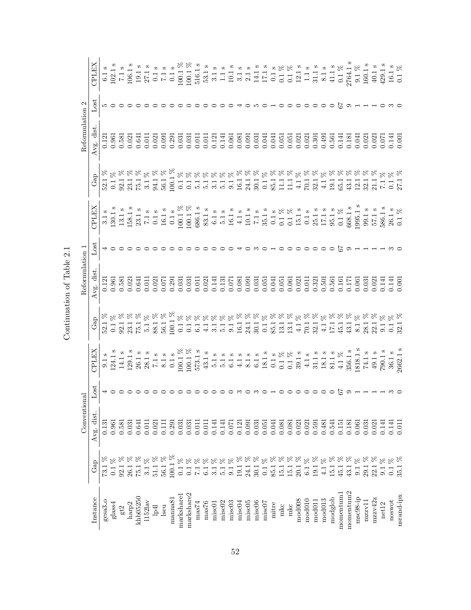|                        |                                        | Conventional       |                                       |                                                                                                                                                                                                                                                                                                                                                                              | Reformulation 1                                                                                                                                     |         |                                                                                                                                                                                                                                                                                                                                            |     | Reformulation 2 |                                                        |                                                                                                                                                                                                                                                                                                                                                                              |
|------------------------|----------------------------------------|--------------------|---------------------------------------|------------------------------------------------------------------------------------------------------------------------------------------------------------------------------------------------------------------------------------------------------------------------------------------------------------------------------------------------------------------------------|-----------------------------------------------------------------------------------------------------------------------------------------------------|---------|--------------------------------------------------------------------------------------------------------------------------------------------------------------------------------------------------------------------------------------------------------------------------------------------------------------------------------------------|-----|-----------------|--------------------------------------------------------|------------------------------------------------------------------------------------------------------------------------------------------------------------------------------------------------------------------------------------------------------------------------------------------------------------------------------------------------------------------------------|
| Instance               | $\rm{Gap}$                             | Avg. dist.         | $_{\text{lost}}$                      | CPLEX                                                                                                                                                                                                                                                                                                                                                                        | Avg. dist                                                                                                                                           | Lost    | <b>CPLEX</b>                                                                                                                                                                                                                                                                                                                               | Gap | Avg. dist       | $_{\text{lost}}$                                       | <b>CPLEX</b>                                                                                                                                                                                                                                                                                                                                                                 |
| gesa3 <sub>-0</sub>    |                                        | 0.131              |                                       | $\begin{array}{l} 9.1 \text{ s} \\ 124.1 \text{ s} \\ 14.1 \text{ s} \\ 26.1 \text{ s} \\ 26.1 \text{ s} \\ 28.1 \text{ s} \\ 26.1 \text{ s} \\ 26.1 \text{ s} \\ 26.1 \text{ s} \\ 26.1 \text{ s} \\ 26.1 \text{ s} \\ 26.1 \text{ s} \\ 26.1 \text{ s} \\ 26.1 \text{ s} \\ 26.1 \text{ s} \\ 26.1 \text{ s} \\ 26.1 \text{ s} \\ 26.1 \text{ s} \\ 26.1 \text{ s} \\ 26.$ |                                                                                                                                                     |         | 3.1 s<br>130.1 s<br>130.1 s<br>5.1 s<br>5.1 s<br>5.1 s<br>5.1 s<br>5.1 s<br>5.1 s<br>5.1 s<br>5.1 s<br>5.1 s<br>5.1 s<br>5.1 s<br>5.1 s<br>5.1 s<br>5.1 s<br>5.1 c<br>10.1 c<br>10.1 c<br>5.1 c<br>5.1 c<br>5.1 c<br>5.1 c<br>5.0 s<br>5.1 c<br>5.1 c<br>5.1 c<br>5.1 c<br>5.1 c<br>5.1 c<br>5.1 c<br>5.1 c<br>5.1 c<br>5.1 c<br>5.1 c<br> |     | 0.121           |                                                        |                                                                                                                                                                                                                                                                                                                                                                              |
| glass4                 | $\aleph$<br>0.1                        | 0.961              |                                       |                                                                                                                                                                                                                                                                                                                                                                              |                                                                                                                                                     |         |                                                                                                                                                                                                                                                                                                                                            |     |                 | 500                                                    |                                                                                                                                                                                                                                                                                                                                                                              |
| $\operatorname{gt}2$   |                                        | 0.581              |                                       |                                                                                                                                                                                                                                                                                                                                                                              | $\begin{array}{l} 0.121 \\ 0.961 \\ 0.581 \\ 0.021 \\ 0.041 \\ 0.011 \\ 0.021 \\ 0.031 \\ 0.031 \\ 0.031 \\ 0.031 \\ 0.031 \\ 0.031 \\ \end{array}$ |         |                                                                                                                                                                                                                                                                                                                                            |     |                 |                                                        |                                                                                                                                                                                                                                                                                                                                                                              |
| harp <sup>2</sup>      |                                        | 0.031              |                                       |                                                                                                                                                                                                                                                                                                                                                                              |                                                                                                                                                     |         |                                                                                                                                                                                                                                                                                                                                            |     |                 |                                                        |                                                                                                                                                                                                                                                                                                                                                                              |
| khb05250               |                                        | 0.641              |                                       |                                                                                                                                                                                                                                                                                                                                                                              |                                                                                                                                                     |         |                                                                                                                                                                                                                                                                                                                                            |     |                 |                                                        |                                                                                                                                                                                                                                                                                                                                                                              |
| $1152$ lav             |                                        | 0.011              |                                       |                                                                                                                                                                                                                                                                                                                                                                              |                                                                                                                                                     |         |                                                                                                                                                                                                                                                                                                                                            |     |                 |                                                        |                                                                                                                                                                                                                                                                                                                                                                              |
| lp4                    |                                        | 0.021              |                                       |                                                                                                                                                                                                                                                                                                                                                                              |                                                                                                                                                     |         |                                                                                                                                                                                                                                                                                                                                            |     |                 |                                                        |                                                                                                                                                                                                                                                                                                                                                                              |
| lseu                   |                                        | 0.111              |                                       |                                                                                                                                                                                                                                                                                                                                                                              |                                                                                                                                                     |         |                                                                                                                                                                                                                                                                                                                                            |     |                 |                                                        |                                                                                                                                                                                                                                                                                                                                                                              |
| manna81                |                                        | 0.291              |                                       |                                                                                                                                                                                                                                                                                                                                                                              |                                                                                                                                                     |         |                                                                                                                                                                                                                                                                                                                                            |     |                 |                                                        |                                                                                                                                                                                                                                                                                                                                                                              |
| markshare1             | $8^{\circ}$<br>$\overline{0.1}$        | 0.031              |                                       |                                                                                                                                                                                                                                                                                                                                                                              |                                                                                                                                                     |         |                                                                                                                                                                                                                                                                                                                                            |     |                 |                                                        |                                                                                                                                                                                                                                                                                                                                                                              |
| ${\rm mark share 2}$   |                                        | 0.031              |                                       |                                                                                                                                                                                                                                                                                                                                                                              |                                                                                                                                                     |         |                                                                                                                                                                                                                                                                                                                                            |     |                 |                                                        | $\begin{array}{l} 6.1\,\text{s}\\ 102.1\,\text{s}\\ 11.5\,\text{S}\\ 12.6\,\text{S}\\ 13.1\,\text{s}\\ 14.1\,\text{S}\\ 15.1\,\text{s}\\ 16.1\,\text{s}\\ 17.1\,\text{s}\\ 18.1\,\text{s}\\ 19.1\,\text{s}\\ 10.1\,\text{s}\\ 11.1\,\text{S}\\ 12.1\,\text{s}\\ 13.1\,\text{s}\\ 14.1\,\text{S}\\ 15.1\,\text{s}\\ 16.1\,\text{s}\\ 17.1\,\text{S}\\ 18.1\,\text{S}\\ 19.1\$ |
| $\rm mas74$            |                                        | 0.011              |                                       |                                                                                                                                                                                                                                                                                                                                                                              |                                                                                                                                                     |         |                                                                                                                                                                                                                                                                                                                                            |     |                 |                                                        |                                                                                                                                                                                                                                                                                                                                                                              |
| mas76                  |                                        | 0.011              |                                       |                                                                                                                                                                                                                                                                                                                                                                              |                                                                                                                                                     |         |                                                                                                                                                                                                                                                                                                                                            |     |                 |                                                        |                                                                                                                                                                                                                                                                                                                                                                              |
| misc01                 |                                        | 0.141              |                                       |                                                                                                                                                                                                                                                                                                                                                                              |                                                                                                                                                     |         |                                                                                                                                                                                                                                                                                                                                            |     |                 |                                                        |                                                                                                                                                                                                                                                                                                                                                                              |
| misc <sub>02</sub>     |                                        | 0.141              |                                       |                                                                                                                                                                                                                                                                                                                                                                              |                                                                                                                                                     |         |                                                                                                                                                                                                                                                                                                                                            |     |                 |                                                        |                                                                                                                                                                                                                                                                                                                                                                              |
| misc03                 |                                        | 0.071              |                                       |                                                                                                                                                                                                                                                                                                                                                                              |                                                                                                                                                     |         |                                                                                                                                                                                                                                                                                                                                            |     |                 |                                                        |                                                                                                                                                                                                                                                                                                                                                                              |
| misc04                 |                                        | 0.121              |                                       |                                                                                                                                                                                                                                                                                                                                                                              |                                                                                                                                                     |         |                                                                                                                                                                                                                                                                                                                                            |     |                 |                                                        |                                                                                                                                                                                                                                                                                                                                                                              |
| misc <sub>05</sub>     |                                        | $0.091$<br>$0.031$ |                                       |                                                                                                                                                                                                                                                                                                                                                                              |                                                                                                                                                     |         |                                                                                                                                                                                                                                                                                                                                            |     |                 |                                                        |                                                                                                                                                                                                                                                                                                                                                                              |
| misc06                 |                                        |                    |                                       |                                                                                                                                                                                                                                                                                                                                                                              |                                                                                                                                                     |         |                                                                                                                                                                                                                                                                                                                                            |     |                 |                                                        |                                                                                                                                                                                                                                                                                                                                                                              |
| misc07                 |                                        | 0.051              | $\circ \rightarrow \circ \circ \circ$ |                                                                                                                                                                                                                                                                                                                                                                              |                                                                                                                                                     |         |                                                                                                                                                                                                                                                                                                                                            |     |                 | $\begin{array}{c} 0.000000 \\ 0.000000 \\ \end{array}$ |                                                                                                                                                                                                                                                                                                                                                                              |
| mitre                  |                                        | 0.041              |                                       |                                                                                                                                                                                                                                                                                                                                                                              |                                                                                                                                                     |         |                                                                                                                                                                                                                                                                                                                                            |     |                 |                                                        |                                                                                                                                                                                                                                                                                                                                                                              |
| mkc                    |                                        | 0.081              |                                       |                                                                                                                                                                                                                                                                                                                                                                              |                                                                                                                                                     |         |                                                                                                                                                                                                                                                                                                                                            |     |                 |                                                        |                                                                                                                                                                                                                                                                                                                                                                              |
| mkc                    |                                        | 0.081              |                                       |                                                                                                                                                                                                                                                                                                                                                                              |                                                                                                                                                     |         |                                                                                                                                                                                                                                                                                                                                            |     |                 |                                                        |                                                                                                                                                                                                                                                                                                                                                                              |
| mod008                 |                                        | 0.021              |                                       |                                                                                                                                                                                                                                                                                                                                                                              |                                                                                                                                                     |         |                                                                                                                                                                                                                                                                                                                                            |     |                 |                                                        |                                                                                                                                                                                                                                                                                                                                                                              |
| mod010                 |                                        | 0.021              |                                       |                                                                                                                                                                                                                                                                                                                                                                              |                                                                                                                                                     |         |                                                                                                                                                                                                                                                                                                                                            |     |                 |                                                        |                                                                                                                                                                                                                                                                                                                                                                              |
| mod <sub>011</sub>     | $\delta^{\!\mathcal{S}}_{\!0}$<br>19.1 | 0.591              |                                       |                                                                                                                                                                                                                                                                                                                                                                              |                                                                                                                                                     |         |                                                                                                                                                                                                                                                                                                                                            |     |                 | $\circ \circ \circ \circ$                              |                                                                                                                                                                                                                                                                                                                                                                              |
| mod <sub>013</sub>     |                                        | 0.481              |                                       |                                                                                                                                                                                                                                                                                                                                                                              |                                                                                                                                                     |         |                                                                                                                                                                                                                                                                                                                                            |     |                 |                                                        |                                                                                                                                                                                                                                                                                                                                                                              |
| modglob                |                                        | 0.541              |                                       |                                                                                                                                                                                                                                                                                                                                                                              |                                                                                                                                                     |         |                                                                                                                                                                                                                                                                                                                                            |     |                 |                                                        |                                                                                                                                                                                                                                                                                                                                                                              |
| momentum <sup>1</sup>  |                                        | 0.151              |                                       |                                                                                                                                                                                                                                                                                                                                                                              |                                                                                                                                                     |         |                                                                                                                                                                                                                                                                                                                                            |     |                 |                                                        |                                                                                                                                                                                                                                                                                                                                                                              |
| momentum <sub>2</sub>  |                                        | 0.181              |                                       |                                                                                                                                                                                                                                                                                                                                                                              |                                                                                                                                                     | $\circ$ |                                                                                                                                                                                                                                                                                                                                            |     |                 |                                                        |                                                                                                                                                                                                                                                                                                                                                                              |
| msc98-ip               |                                        | 0.061              |                                       |                                                                                                                                                                                                                                                                                                                                                                              |                                                                                                                                                     |         |                                                                                                                                                                                                                                                                                                                                            |     |                 |                                                        |                                                                                                                                                                                                                                                                                                                                                                              |
| maxzv1                 |                                        | 0.031              |                                       |                                                                                                                                                                                                                                                                                                                                                                              |                                                                                                                                                     |         |                                                                                                                                                                                                                                                                                                                                            |     |                 | 50 H H H O                                             |                                                                                                                                                                                                                                                                                                                                                                              |
| mzzv42z                |                                        | 0.021              |                                       |                                                                                                                                                                                                                                                                                                                                                                              |                                                                                                                                                     |         |                                                                                                                                                                                                                                                                                                                                            |     |                 |                                                        |                                                                                                                                                                                                                                                                                                                                                                              |
| $\operatorname{net12}$ |                                        | 0.141              |                                       |                                                                                                                                                                                                                                                                                                                                                                              |                                                                                                                                                     |         |                                                                                                                                                                                                                                                                                                                                            |     |                 |                                                        |                                                                                                                                                                                                                                                                                                                                                                              |
| noswot                 |                                        | 0.141              |                                       |                                                                                                                                                                                                                                                                                                                                                                              |                                                                                                                                                     |         |                                                                                                                                                                                                                                                                                                                                            |     |                 |                                                        |                                                                                                                                                                                                                                                                                                                                                                              |
| nsrand-ipx             | $\overline{35.1}$                      | 0.011              |                                       | 1662.1                                                                                                                                                                                                                                                                                                                                                                       |                                                                                                                                                     |         |                                                                                                                                                                                                                                                                                                                                            |     |                 |                                                        |                                                                                                                                                                                                                                                                                                                                                                              |

Continuation of Table  $2.1\,$ Continuation of Table 2.1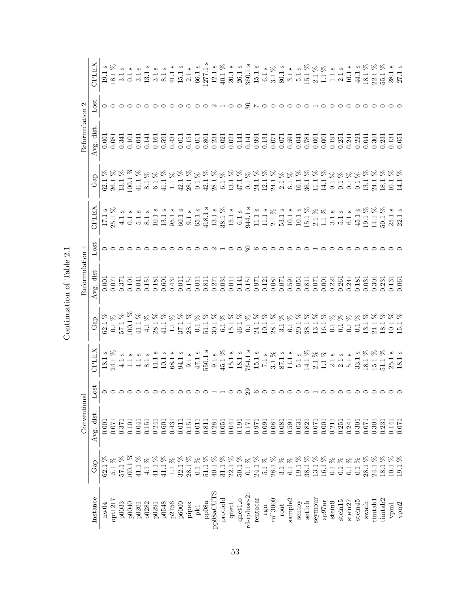|                     |                                                                                                                                                                                                                                                                                                                                                                                                                                                                                                    | Conventional                                           |                                                                                                    |              |     | Reformulation 1                                                                                                                                                                                                                                                                                     |       |                                                                                                                                                                                                                                                                                                                                                                                                                                         |                | Reformulation 2                                                             |                                     |                                                                                                                                                                                                                                                                                                                                                                                                                                  |
|---------------------|----------------------------------------------------------------------------------------------------------------------------------------------------------------------------------------------------------------------------------------------------------------------------------------------------------------------------------------------------------------------------------------------------------------------------------------------------------------------------------------------------|--------------------------------------------------------|----------------------------------------------------------------------------------------------------|--------------|-----|-----------------------------------------------------------------------------------------------------------------------------------------------------------------------------------------------------------------------------------------------------------------------------------------------------|-------|-----------------------------------------------------------------------------------------------------------------------------------------------------------------------------------------------------------------------------------------------------------------------------------------------------------------------------------------------------------------------------------------------------------------------------------------|----------------|-----------------------------------------------------------------------------|-------------------------------------|----------------------------------------------------------------------------------------------------------------------------------------------------------------------------------------------------------------------------------------------------------------------------------------------------------------------------------------------------------------------------------------------------------------------------------|
| Instance            | $\mathbf{Gap}$                                                                                                                                                                                                                                                                                                                                                                                                                                                                                     | Avg. dist                                              | 380                                                                                                | <b>CHITA</b> | GaD | Avg. dist                                                                                                                                                                                                                                                                                           | Lost  | CPLEX                                                                                                                                                                                                                                                                                                                                                                                                                                   | $\mathbf{Gap}$ | Avg. dist                                                                   | $_{\rm lost}$                       | <b>CPLEX</b>                                                                                                                                                                                                                                                                                                                                                                                                                     |
| nw04                | $\begin{array}{l} 62.1~\% \\ 5.1~\% \\ 57.1~\% \end{array}$                                                                                                                                                                                                                                                                                                                                                                                                                                        | 0.001                                                  |                                                                                                    | 18.1         |     |                                                                                                                                                                                                                                                                                                     |       |                                                                                                                                                                                                                                                                                                                                                                                                                                         |                | 0.001                                                                       |                                     |                                                                                                                                                                                                                                                                                                                                                                                                                                  |
| opt1217             |                                                                                                                                                                                                                                                                                                                                                                                                                                                                                                    | 0.071                                                  | $\circ\circ\circ\circ\circ\circ\circ$                                                              | $\sim$ $\%$  |     | $\begin{array}{c} 0.001\\ 0.071\\ 0.101\\ 0.041\\ 0.041\\ 0.181\\ 0.601\\ 0.601\\ 0.041\\ 0.001\\ 0.001\\ 0.001\\ 0.001\\ 0.001\\ 0.001\\ 0.001\\ 0.001\\ 0.001\\ 0.001\\ 0.001\\ 0.001\\ 0.001\\ 0.001\\ 0.001\\ 0.001\\ 0.001\\ 0.001\\ 0.001\\ 0.001\\ 0.001\\ 0.$                               | 00000 |                                                                                                                                                                                                                                                                                                                                                                                                                                         |                | 0.081                                                                       | 000000                              |                                                                                                                                                                                                                                                                                                                                                                                                                                  |
| p0033               |                                                                                                                                                                                                                                                                                                                                                                                                                                                                                                    | 0.371                                                  |                                                                                                    |              |     |                                                                                                                                                                                                                                                                                                     |       |                                                                                                                                                                                                                                                                                                                                                                                                                                         |                | 0.341                                                                       |                                     |                                                                                                                                                                                                                                                                                                                                                                                                                                  |
| p0040               | R<br>100.1                                                                                                                                                                                                                                                                                                                                                                                                                                                                                         | 0.101                                                  |                                                                                                    |              |     |                                                                                                                                                                                                                                                                                                     |       |                                                                                                                                                                                                                                                                                                                                                                                                                                         |                | 0.101                                                                       |                                     |                                                                                                                                                                                                                                                                                                                                                                                                                                  |
| p0201               | $41.1~\%$                                                                                                                                                                                                                                                                                                                                                                                                                                                                                          | 0.041                                                  |                                                                                                    |              |     |                                                                                                                                                                                                                                                                                                     |       |                                                                                                                                                                                                                                                                                                                                                                                                                                         |                | 0.041                                                                       |                                     |                                                                                                                                                                                                                                                                                                                                                                                                                                  |
| p0282               | $\%$ $\%$<br>$\frac{1}{4}$                                                                                                                                                                                                                                                                                                                                                                                                                                                                         | 0.151                                                  |                                                                                                    |              |     |                                                                                                                                                                                                                                                                                                     |       |                                                                                                                                                                                                                                                                                                                                                                                                                                         |                | 0.141                                                                       |                                     |                                                                                                                                                                                                                                                                                                                                                                                                                                  |
| p0291               |                                                                                                                                                                                                                                                                                                                                                                                                                                                                                                    | 0.241                                                  |                                                                                                    |              |     |                                                                                                                                                                                                                                                                                                     |       |                                                                                                                                                                                                                                                                                                                                                                                                                                         |                |                                                                             |                                     |                                                                                                                                                                                                                                                                                                                                                                                                                                  |
| p0548               |                                                                                                                                                                                                                                                                                                                                                                                                                                                                                                    | 0.601                                                  |                                                                                                    |              |     |                                                                                                                                                                                                                                                                                                     |       |                                                                                                                                                                                                                                                                                                                                                                                                                                         |                |                                                                             |                                     |                                                                                                                                                                                                                                                                                                                                                                                                                                  |
| p2756               |                                                                                                                                                                                                                                                                                                                                                                                                                                                                                                    | 0.431                                                  |                                                                                                    |              |     |                                                                                                                                                                                                                                                                                                     |       |                                                                                                                                                                                                                                                                                                                                                                                                                                         |                |                                                                             |                                     |                                                                                                                                                                                                                                                                                                                                                                                                                                  |
| p6000               |                                                                                                                                                                                                                                                                                                                                                                                                                                                                                                    | 0.01                                                   |                                                                                                    |              |     |                                                                                                                                                                                                                                                                                                     |       |                                                                                                                                                                                                                                                                                                                                                                                                                                         |                |                                                                             |                                     |                                                                                                                                                                                                                                                                                                                                                                                                                                  |
| pipex               | $\begin{array}{l} \mathcal{R}\ \mathcal{R}\ \mathcal{R}\ \mathcal{R}\ \mathcal{R}\ \mathcal{R}\ \mathcal{R}\ \mathcal{R}\ \mathcal{R}\ \mathcal{R}\ \mathcal{R}\ \mathcal{R}\ \mathcal{R}\ \mathcal{R}\ \mathcal{R}\ \mathcal{R}\ \mathcal{R}\ \mathcal{R}\ \mathcal{R}\ \mathcal{R}\ \mathcal{R}\ \mathcal{R}\ \mathcal{R}\ \mathcal{R}\ \mathcal{R}\ \mathcal{R}\ \mathcal{R}\ \mathcal{R}\ \mathcal{R}\ \mathcal{R}\ \mathcal{R}\ \mathcal{R}\ \mathcal{R}\ \mathcal{R}\ \mathcal{R}\ \mathcal$ | 0.15                                                   |                                                                                                    |              |     | 0.15                                                                                                                                                                                                                                                                                                |       |                                                                                                                                                                                                                                                                                                                                                                                                                                         |                | $\begin{array}{c} 0.161 \\ 0.591 \\ 0.431 \\ 0.011 \\ 0.011 \\ \end{array}$ |                                     |                                                                                                                                                                                                                                                                                                                                                                                                                                  |
| ${\rm pk1}$         |                                                                                                                                                                                                                                                                                                                                                                                                                                                                                                    | 0.011                                                  |                                                                                                    |              |     | 0.011                                                                                                                                                                                                                                                                                               |       |                                                                                                                                                                                                                                                                                                                                                                                                                                         |                |                                                                             |                                     |                                                                                                                                                                                                                                                                                                                                                                                                                                  |
| $pp08a$             |                                                                                                                                                                                                                                                                                                                                                                                                                                                                                                    | 0.811                                                  |                                                                                                    |              |     | 0.811                                                                                                                                                                                                                                                                                               |       |                                                                                                                                                                                                                                                                                                                                                                                                                                         |                |                                                                             |                                     |                                                                                                                                                                                                                                                                                                                                                                                                                                  |
| pp08aCUTS           |                                                                                                                                                                                                                                                                                                                                                                                                                                                                                                    | 0.281                                                  |                                                                                                    |              |     | 0.271                                                                                                                                                                                                                                                                                               |       |                                                                                                                                                                                                                                                                                                                                                                                                                                         |                |                                                                             |                                     |                                                                                                                                                                                                                                                                                                                                                                                                                                  |
| protfold            |                                                                                                                                                                                                                                                                                                                                                                                                                                                                                                    | 0.051                                                  | $\circ \circ \mathop{\neg} \mathop{\neg} \mathop{\neg} \mathop{\neg} \mathop{\circ} \mathop{\neg}$ |              |     |                                                                                                                                                                                                                                                                                                     |       |                                                                                                                                                                                                                                                                                                                                                                                                                                         |                |                                                                             | $\circ \circ \neg \neg \circ \circ$ |                                                                                                                                                                                                                                                                                                                                                                                                                                  |
| $qnet1$             |                                                                                                                                                                                                                                                                                                                                                                                                                                                                                                    | 0.041                                                  |                                                                                                    |              |     |                                                                                                                                                                                                                                                                                                     |       |                                                                                                                                                                                                                                                                                                                                                                                                                                         |                |                                                                             |                                     |                                                                                                                                                                                                                                                                                                                                                                                                                                  |
| qnet1_0             |                                                                                                                                                                                                                                                                                                                                                                                                                                                                                                    | 0.191                                                  |                                                                                                    |              |     |                                                                                                                                                                                                                                                                                                     |       |                                                                                                                                                                                                                                                                                                                                                                                                                                         |                |                                                                             |                                     |                                                                                                                                                                                                                                                                                                                                                                                                                                  |
| rd-rplusc-21        |                                                                                                                                                                                                                                                                                                                                                                                                                                                                                                    | 0.171                                                  |                                                                                                    |              |     |                                                                                                                                                                                                                                                                                                     |       |                                                                                                                                                                                                                                                                                                                                                                                                                                         |                |                                                                             |                                     |                                                                                                                                                                                                                                                                                                                                                                                                                                  |
| rentacar            |                                                                                                                                                                                                                                                                                                                                                                                                                                                                                                    | 0.971                                                  |                                                                                                    |              |     |                                                                                                                                                                                                                                                                                                     |       |                                                                                                                                                                                                                                                                                                                                                                                                                                         |                |                                                                             |                                     |                                                                                                                                                                                                                                                                                                                                                                                                                                  |
| rgn                 |                                                                                                                                                                                                                                                                                                                                                                                                                                                                                                    | 0.091                                                  |                                                                                                    |              |     |                                                                                                                                                                                                                                                                                                     |       |                                                                                                                                                                                                                                                                                                                                                                                                                                         |                |                                                                             |                                     |                                                                                                                                                                                                                                                                                                                                                                                                                                  |
| $r$ oll $3000$      |                                                                                                                                                                                                                                                                                                                                                                                                                                                                                                    | 0.081                                                  |                                                                                                    |              |     |                                                                                                                                                                                                                                                                                                     |       |                                                                                                                                                                                                                                                                                                                                                                                                                                         |                |                                                                             |                                     |                                                                                                                                                                                                                                                                                                                                                                                                                                  |
| $_{\rm rot}$        |                                                                                                                                                                                                                                                                                                                                                                                                                                                                                                    |                                                        |                                                                                                    |              |     |                                                                                                                                                                                                                                                                                                     |       |                                                                                                                                                                                                                                                                                                                                                                                                                                         |                |                                                                             |                                     |                                                                                                                                                                                                                                                                                                                                                                                                                                  |
| sample2             |                                                                                                                                                                                                                                                                                                                                                                                                                                                                                                    | $\begin{array}{c} 0.081 \\ 0.591 \\ 0.031 \end{array}$ |                                                                                                    |              |     | $\begin{array}{c} 0.031 \\ 0.011 \\ 0.141 \\ 0.151 \\ 0.0121 \\ 0.000 \\ 0.000 \\ 0.000 \\ 0.001 \\ 0.001 \\ 0.001 \\ 0.001 \\ 0.001 \\ 0.001 \\ 0.001 \\ 0.001 \\ 0.001 \\ 0.001 \\ 0.001 \\ 0.001 \\ 0.001 \\ 0.001 \\ 0.001 \\ 0.001 \\ 0.001 \\ 0.001 \\ 0.001 \\ 0.001 \\ 0.001 \\ 0.001 \\ 0$ |       |                                                                                                                                                                                                                                                                                                                                                                                                                                         |                |                                                                             | R N 0 0 0 0 0 0 H                   |                                                                                                                                                                                                                                                                                                                                                                                                                                  |
| sentoy              |                                                                                                                                                                                                                                                                                                                                                                                                                                                                                                    |                                                        |                                                                                                    |              |     |                                                                                                                                                                                                                                                                                                     |       |                                                                                                                                                                                                                                                                                                                                                                                                                                         |                |                                                                             |                                     |                                                                                                                                                                                                                                                                                                                                                                                                                                  |
| set1ch              |                                                                                                                                                                                                                                                                                                                                                                                                                                                                                                    | 0.821                                                  |                                                                                                    |              |     |                                                                                                                                                                                                                                                                                                     |       |                                                                                                                                                                                                                                                                                                                                                                                                                                         |                |                                                                             |                                     |                                                                                                                                                                                                                                                                                                                                                                                                                                  |
| seymour             |                                                                                                                                                                                                                                                                                                                                                                                                                                                                                                    | 0.071                                                  |                                                                                                    |              |     |                                                                                                                                                                                                                                                                                                     |       |                                                                                                                                                                                                                                                                                                                                                                                                                                         |                |                                                                             |                                     |                                                                                                                                                                                                                                                                                                                                                                                                                                  |
| sp97ar              |                                                                                                                                                                                                                                                                                                                                                                                                                                                                                                    | 0.001                                                  |                                                                                                    |              |     | 0.001                                                                                                                                                                                                                                                                                               |       |                                                                                                                                                                                                                                                                                                                                                                                                                                         |                |                                                                             |                                     |                                                                                                                                                                                                                                                                                                                                                                                                                                  |
| $\rm{stein}9$       | $0.1\,$                                                                                                                                                                                                                                                                                                                                                                                                                                                                                            | 0.211                                                  |                                                                                                    |              |     | 0.221                                                                                                                                                                                                                                                                                               |       |                                                                                                                                                                                                                                                                                                                                                                                                                                         |                |                                                                             |                                     |                                                                                                                                                                                                                                                                                                                                                                                                                                  |
| stein <sub>15</sub> | 0.1                                                                                                                                                                                                                                                                                                                                                                                                                                                                                                | 0.251                                                  |                                                                                                    |              |     | 0.261                                                                                                                                                                                                                                                                                               |       |                                                                                                                                                                                                                                                                                                                                                                                                                                         |                |                                                                             |                                     |                                                                                                                                                                                                                                                                                                                                                                                                                                  |
| stein <sub>2</sub>  | $\begin{aligned} \mathcal{R} &\,\mathcal{R} \,\mathcal{R} \,\mathcal{R} \\ \mathcal{R} &\,\mathcal{R} \end{aligned}$<br>$\overline{0}$ .                                                                                                                                                                                                                                                                                                                                                           | 0.241                                                  |                                                                                                    |              |     | 0.241                                                                                                                                                                                                                                                                                               |       |                                                                                                                                                                                                                                                                                                                                                                                                                                         |                |                                                                             |                                     |                                                                                                                                                                                                                                                                                                                                                                                                                                  |
| stein45             | $\overline{C}$                                                                                                                                                                                                                                                                                                                                                                                                                                                                                     | 0.301                                                  |                                                                                                    |              |     | 0.181                                                                                                                                                                                                                                                                                               |       |                                                                                                                                                                                                                                                                                                                                                                                                                                         |                |                                                                             |                                     |                                                                                                                                                                                                                                                                                                                                                                                                                                  |
| $_{\rm swath}$      | $\alpha$<br>28.1                                                                                                                                                                                                                                                                                                                                                                                                                                                                                   | 0.071                                                  |                                                                                                    |              |     | 0.031                                                                                                                                                                                                                                                                                               |       |                                                                                                                                                                                                                                                                                                                                                                                                                                         |                |                                                                             |                                     |                                                                                                                                                                                                                                                                                                                                                                                                                                  |
| timtab <sub>1</sub> | 24.1                                                                                                                                                                                                                                                                                                                                                                                                                                                                                               | 0.301                                                  |                                                                                                    |              |     | 0.301                                                                                                                                                                                                                                                                                               |       |                                                                                                                                                                                                                                                                                                                                                                                                                                         |                |                                                                             |                                     |                                                                                                                                                                                                                                                                                                                                                                                                                                  |
| timtab <sub>2</sub> |                                                                                                                                                                                                                                                                                                                                                                                                                                                                                                    | 0.231                                                  |                                                                                                    |              |     | 0.231                                                                                                                                                                                                                                                                                               |       |                                                                                                                                                                                                                                                                                                                                                                                                                                         |                |                                                                             |                                     | $\begin{array}{l} \texttt{13}\ \texttt{14}\ \texttt{15}\ \texttt{16}\ \texttt{17}\ \texttt{18}\ \texttt{19}\ \texttt{19}\ \texttt{19}\ \texttt{19}\ \texttt{19}\ \texttt{19}\ \texttt{19}\ \texttt{19}\ \texttt{19}\ \texttt{19}\ \texttt{19}\ \texttt{19}\ \texttt{19}\ \texttt{19}\ \texttt{19}\ \texttt{19}\ \texttt{19}\ \texttt{19}\ \texttt{19}\ \texttt{19}\ \texttt{19}\ \texttt{19}\ \texttt{19}\ \texttt{19}\ \texttt$ |
| $v\mathrm{pm}1$     | $\frac{18}{10}$ $\frac{1}{19}$                                                                                                                                                                                                                                                                                                                                                                                                                                                                     | 0.141                                                  |                                                                                                    |              |     | $\frac{0.131}{0.061}$                                                                                                                                                                                                                                                                               |       | $\begin{array}{l} \mathbf{1.71} \times \mathbf{8}\\ \mathbf{1.71} \times \mathbf{1.71} \times \mathbf{1.71} \times \mathbf{1.71} \times \mathbf{1.71} \times \mathbf{1.71} \times \mathbf{1.71} \times \mathbf{1.71} \times \mathbf{1.71} \times \mathbf{1.71} \times \mathbf{1.71} \times \mathbf{1.71} \times \mathbf{1.71} \times \mathbf{1.71} \times \mathbf{1.71} \times \mathbf{1.71} \times \mathbf{1.71} \times \mathbf{1.71}$ |                |                                                                             |                                     |                                                                                                                                                                                                                                                                                                                                                                                                                                  |
| ${\tt vpm2}$        |                                                                                                                                                                                                                                                                                                                                                                                                                                                                                                    | 0.071                                                  |                                                                                                    |              |     |                                                                                                                                                                                                                                                                                                     |       |                                                                                                                                                                                                                                                                                                                                                                                                                                         |                |                                                                             |                                     |                                                                                                                                                                                                                                                                                                                                                                                                                                  |

Continuation of Table  $2.1\,$ Continuation of Table 2.1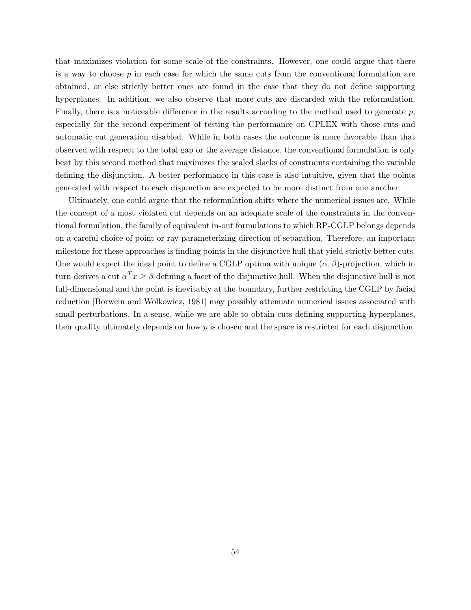that maximizes violation for some scale of the constraints. However, one could argue that there is a way to choose  $p$  in each case for which the same cuts from the conventional formulation are obtained, or else strictly better ones are found in the case that they do not define supporting hyperplanes. In addition, we also observe that more cuts are discarded with the reformulation. Finally, there is a noticeable difference in the results according to the method used to generate  $p$ , especially for the second experiment of testing the performance on CPLEX with those cuts and automatic cut generation disabled. While in both cases the outcome is more favorable than that observed with respect to the total gap or the average distance, the conventional formulation is only beat by this second method that maximizes the scaled slacks of constraints containing the variable defining the disjunction. A better performance in this case is also intuitive, given that the points generated with respect to each disjunction are expected to be more distinct from one another.

Ultimately, one could argue that the reformulation shifts where the numerical issues are. While the concept of a most violated cut depends on an adequate scale of the constraints in the conventional formulation, the family of equivalent in-out formulations to which RP-CGLP belongs depends on a careful choice of point or ray parameterizing direction of separation. Therefore, an important milestone for these approaches is finding points in the disjunctive hull that yield strictly better cuts. One would expect the ideal point to define a CGLP optima with unique  $(\alpha, \beta)$ -projection, which in turn derives a cut  $\alpha^T x \ge \beta$  defining a facet of the disjunctive hull. When the disjunctive hull is not full-dimensional and the point is inevitably at the boundary, further restricting the CGLP by facial reduction [Borwein and Wolkowicz, 1981] may possibly attenuate numerical issues associated with small perturbations. In a sense, while we are able to obtain cuts defining supporting hyperplanes, their quality ultimately depends on how  $p$  is chosen and the space is restricted for each disjunction.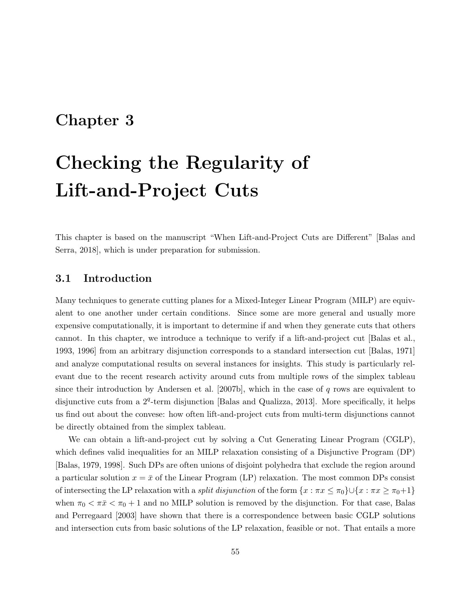# Chapter 3

# Checking the Regularity of Lift-and-Project Cuts

This chapter is based on the manuscript "When Lift-and-Project Cuts are Different" [Balas and Serra, 2018], which is under preparation for submission.

### 3.1 Introduction

Many techniques to generate cutting planes for a Mixed-Integer Linear Program (MILP) are equivalent to one another under certain conditions. Since some are more general and usually more expensive computationally, it is important to determine if and when they generate cuts that others cannot. In this chapter, we introduce a technique to verify if a lift-and-project cut [Balas et al., 1993, 1996] from an arbitrary disjunction corresponds to a standard intersection cut [Balas, 1971] and analyze computational results on several instances for insights. This study is particularly relevant due to the recent research activity around cuts from multiple rows of the simplex tableau since their introduction by Andersen et al. [2007b], which in the case of  $q$  rows are equivalent to disjunctive cuts from a  $2^q$ -term disjunction [Balas and Qualizza, 2013]. More specifically, it helps us find out about the convese: how often lift-and-project cuts from multi-term disjunctions cannot be directly obtained from the simplex tableau.

We can obtain a lift-and-project cut by solving a Cut Generating Linear Program (CGLP), which defines valid inequalities for an MILP relaxation consisting of a Disjunctive Program (DP) [Balas, 1979, 1998]. Such DPs are often unions of disjoint polyhedra that exclude the region around a particular solution  $x = \bar{x}$  of the Linear Program (LP) relaxation. The most common DPs consist of intersecting the LP relaxation with a *split disjunction* of the form  $\{x : \pi x \leq \pi_0\} \cup \{x : \pi x \geq \pi_0 + 1\}$ when  $\pi_0 < \pi \bar{x} < \pi_0 + 1$  and no MILP solution is removed by the disjunction. For that case, Balas and Perregaard [2003] have shown that there is a correspondence between basic CGLP solutions and intersection cuts from basic solutions of the LP relaxation, feasible or not. That entails a more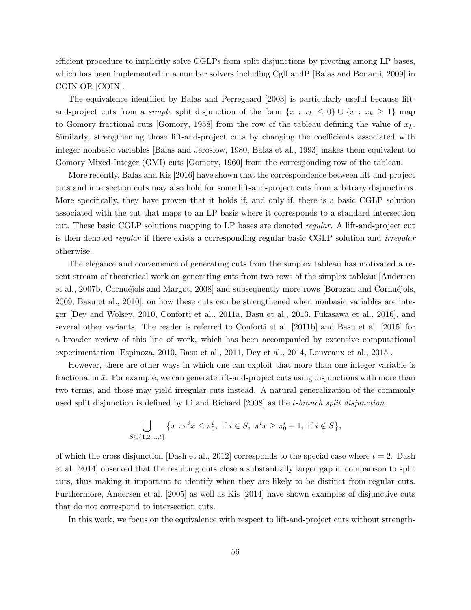efficient procedure to implicitly solve CGLPs from split disjunctions by pivoting among LP bases, which has been implemented in a number solvers including CglLandP [Balas and Bonami, 2009] in COIN-OR [COIN].

The equivalence identified by Balas and Perregaard [2003] is particularly useful because liftand-project cuts from a *simple* split disjunction of the form  $\{x : x_k \leq 0\} \cup \{x : x_k \geq 1\}$  map to Gomory fractional cuts [Gomory, 1958] from the row of the tableau defining the value of  $x_k$ . Similarly, strengthening those lift-and-project cuts by changing the coefficients associated with integer nonbasic variables [Balas and Jeroslow, 1980, Balas et al., 1993] makes them equivalent to Gomory Mixed-Integer (GMI) cuts [Gomory, 1960] from the corresponding row of the tableau.

More recently, Balas and Kis [2016] have shown that the correspondence between lift-and-project cuts and intersection cuts may also hold for some lift-and-project cuts from arbitrary disjunctions. More specifically, they have proven that it holds if, and only if, there is a basic CGLP solution associated with the cut that maps to an LP basis where it corresponds to a standard intersection cut. These basic CGLP solutions mapping to LP bases are denoted regular. A lift-and-project cut is then denoted regular if there exists a corresponding regular basic CGLP solution and irregular otherwise.

The elegance and convenience of generating cuts from the simplex tableau has motivated a recent stream of theoretical work on generating cuts from two rows of the simplex tableau [Andersen et al., 2007b, Cornuéjols and Margot, 2008] and subsequently more rows [Borozan and Cornuéjols, 2009, Basu et al., 2010], on how these cuts can be strengthened when nonbasic variables are integer [Dey and Wolsey, 2010, Conforti et al., 2011a, Basu et al., 2013, Fukasawa et al., 2016], and several other variants. The reader is referred to Conforti et al. [2011b] and Basu et al. [2015] for a broader review of this line of work, which has been accompanied by extensive computational experimentation [Espinoza, 2010, Basu et al., 2011, Dey et al., 2014, Louveaux et al., 2015].

However, there are other ways in which one can exploit that more than one integer variable is fractional in  $\bar{x}$ . For example, we can generate lift-and-project cuts using disjunctions with more than two terms, and those may yield irregular cuts instead. A natural generalization of the commonly used split disjunction is defined by Li and Richard [2008] as the t-branch split disjunction

$$
\bigcup_{S \subseteq \{1,2,\ldots,t\}} \{x : \pi^i x \le \pi_0^i, \text{ if } i \in S; \ \pi^i x \ge \pi_0^i + 1, \text{ if } i \notin S\},\
$$

of which the cross disjunction [Dash et al., 2012] corresponds to the special case where  $t = 2$ . Dash et al. [2014] observed that the resulting cuts close a substantially larger gap in comparison to split cuts, thus making it important to identify when they are likely to be distinct from regular cuts. Furthermore, Andersen et al. [2005] as well as Kis [2014] have shown examples of disjunctive cuts that do not correspond to intersection cuts.

In this work, we focus on the equivalence with respect to lift-and-project cuts without strength-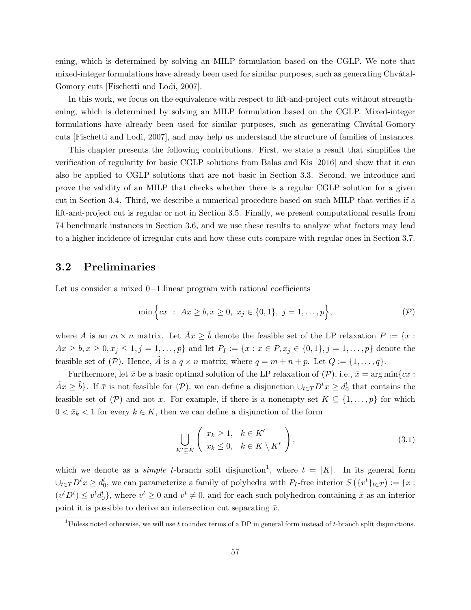ening, which is determined by solving an MILP formulation based on the CGLP. We note that mixed-integer formulations have already been used for similar purposes, such as generating Chvátal-Gomory cuts [Fischetti and Lodi, 2007].

In this work, we focus on the equivalence with respect to lift-and-project cuts without strengthening, which is determined by solving an MILP formulation based on the CGLP. Mixed-integer formulations have already been used for similar purposes, such as generating Chvatal-Gomory cuts [Fischetti and Lodi, 2007], and may help us understand the structure of families of instances.

This chapter presents the following contributions. First, we state a result that simplifies the verification of regularity for basic CGLP solutions from Balas and Kis [2016] and show that it can also be applied to CGLP solutions that are not basic in Section 3.3. Second, we introduce and prove the validity of an MILP that checks whether there is a regular CGLP solution for a given cut in Section 3.4. Third, we describe a numerical procedure based on such MILP that verifies if a lift-and-project cut is regular or not in Section 3.5. Finally, we present computational results from 74 benchmark instances in Section 3.6, and we use these results to analyze what factors may lead to a higher incidence of irregular cuts and how these cuts compare with regular ones in Section 3.7.

# 3.2 Preliminaries

Let us consider a mixed 0−1 linear program with rational coefficients

$$
\min \Big\{ cx \; : \; Ax \geq b, x \geq 0, \; x_j \in \{0, 1\}, \; j = 1, \dots, p \Big\},\tag{P}
$$

where A is an  $m \times n$  matrix. Let  $\tilde{A}x \geq \tilde{b}$  denote the feasible set of the LP relaxation  $P := \{x :$  $Ax \geq b, x \geq 0, x_j \leq 1, j = 1, \ldots, p$  and let  $P_I := \{x : x \in P, x_j \in \{0, 1\}, j = 1, \ldots, p\}$  denote the feasible set of  $(\mathcal{P})$ . Hence,  $\tilde{A}$  is a  $q \times n$  matrix, where  $q = m + n + p$ . Let  $Q := \{1, \ldots, q\}$ .

Furthermore, let  $\bar{x}$  be a basic optimal solution of the LP relaxation of  $(\mathcal{P})$ , i.e.,  $\bar{x} = \arg \min \{cx :$  $\tilde{A}x \geq \tilde{b}$ . If  $\bar{x}$  is not feasible for  $(\mathcal{P})$ , we can define a disjunction  $\cup_{t\in T}D^tx \geq d_0^t$  that contains the feasible set of  $(\mathcal{P})$  and not  $\bar{x}$ . For example, if there is a nonempty set  $K \subseteq \{1, \ldots, p\}$  for which  $0 < \bar{x}_k < 1$  for every  $k \in K$ , then we can define a disjunction of the form

$$
\bigcup_{K' \subseteq K} \left( \begin{array}{c} x_k \ge 1, & k \in K' \\ x_k \le 0, & k \in K \setminus K' \end{array} \right), \tag{3.1}
$$

which we denote as a *simple t*-branch split disjunction<sup>1</sup>, where  $t = |K|$ . In its general form  $\cup_{t\in T}D^tx\geq d_0^t$ , we can parameterize a family of polyhedra with  $P_I$ -free interior  $S(\{v^t\}_{t\in T}) := \{x:$  $(v<sup>t</sup>D<sup>t</sup>) \leq v<sup>t</sup>d<sub>0</sub><sup>t</sup>$ , where  $v<sup>t</sup> \geq 0$  and  $v<sup>t</sup> \neq 0$ , and for each such polyhedron containing  $\bar{x}$  as an interior point it is possible to derive an intersection cut separating  $\bar{x}$ .

<sup>&</sup>lt;sup>1</sup>Unless noted otherwise, we will use t to index terms of a DP in general form instead of t-branch split disjunctions.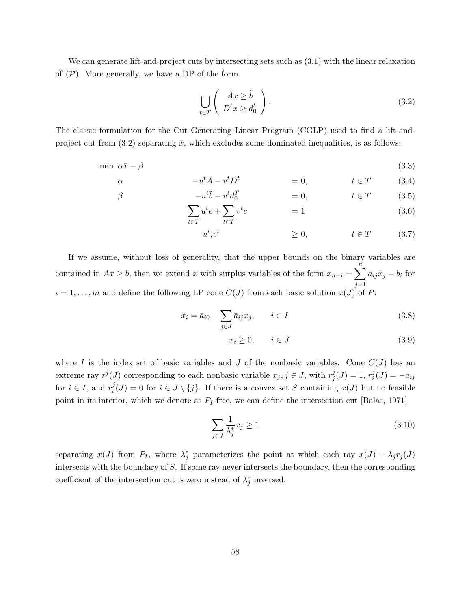We can generate lift-and-project cuts by intersecting sets such as (3.1) with the linear relaxation of  $(P)$ . More generally, we have a DP of the form

$$
\bigcup_{t \in T} \left( \begin{array}{c} \tilde{A}x \ge \tilde{b} \\ D^t x \ge d_0^t \end{array} \right). \tag{3.2}
$$

The classic formulation for the Cut Generating Linear Program (CGLP) used to find a lift-andproject cut from  $(3.2)$  separating  $\bar{x}$ , which excludes some dominated inequalities, is as follows:

$$
\min \ \alpha \bar{x} - \beta \tag{3.3}
$$

$$
\alpha \qquad \qquad -u^t \tilde{A} - v^t D^t \qquad \qquad = 0, \qquad \qquad t \in T \qquad (3.4)
$$

$$
\beta \qquad \qquad -u^t \tilde{b} - v^t d_0^T \qquad \qquad = 0, \qquad \qquad t \in T \qquad (3.5)
$$

$$
\sum_{t \in T} u^t e + \sum_{t \in T} v^t e = 1 \tag{3.6}
$$

 $u^t$  $\geq 0, \qquad t \in T \qquad (3.7)$ 

If we assume, without loss of generality, that the upper bounds on the binary variables are contained in  $Ax \geq b$ , then we extend x with surplus variables of the form  $x_{n+i} = \sum_{i=1}^{n}$  $j=1$  $a_{ij}x_j - b_i$  for  $i = 1, \ldots, m$  and define the following LP cone  $C(J)$  from each basic solution  $x(J)$  of P:

$$
x_i = \bar{a}_{i0} - \sum_{j \in J} \bar{a}_{ij} x_j, \qquad i \in I
$$
\n
$$
(3.8)
$$

$$
x_i \ge 0, \qquad i \in J \tag{3.9}
$$

where I is the index set of basic variables and J of the nonbasic variables. Cone  $C(J)$  has an extreme ray  $r^j(J)$  corresponding to each nonbasic variable  $x_j, j \in J$ , with  $r^j_j$  $j^j_j(J) = 1, r^j_i$  $i<sup>J</sup>(J) = -\bar{a}_{ij}$ for  $i \in I$ , and  $r_i^j$  $i<sup>j</sup>(J) = 0$  for  $i \in J \setminus \{j\}$ . If there is a convex set S containing  $x(J)$  but no feasible point in its interior, which we denote as  $P_I$ -free, we can define the intersection cut [Balas, 1971]

$$
\sum_{j \in J} \frac{1}{\lambda_j^*} x_j \ge 1 \tag{3.10}
$$

separating  $x(J)$  from  $P_I$ , where  $\lambda_j^*$  parameterizes the point at which each ray  $x(J) + \lambda_j r_j(J)$ intersects with the boundary of  $S$ . If some ray never intersects the boundary, then the corresponding coefficient of the intersection cut is zero instead of  $\lambda_j^*$  inversed.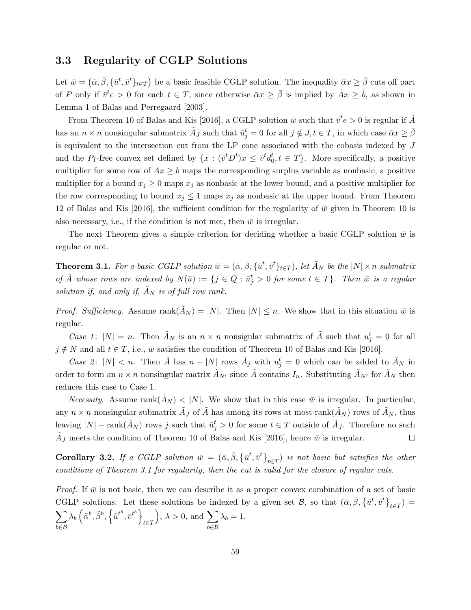### 3.3 Regularity of CGLP Solutions

Let  $\bar{w} = (\bar{\alpha}, \bar{\beta}, \{\bar{u}^t, \bar{v}^t\}_{t \in T})$  be a basic feasible CGLP solution. The inequality  $\bar{\alpha}x \ge \bar{\beta}$  cuts off part of P only if  $\bar{v}^t e > 0$  for each  $t \in T$ , since otherwise  $\bar{\alpha}x \geq \bar{\beta}$  is implied by  $\tilde{A}x \geq \tilde{b}$ , as shown in Lemma 1 of Balas and Perregaard [2003].

From Theorem 10 of Balas and Kis [2016], a CGLP solution  $\bar{w}$  such that  $\bar{v}^t e > 0$  is regular if  $\tilde{A}$ has an  $n \times n$  nonsingular submatrix  $\tilde{A}_J$  such that  $\bar{u}_j^t = 0$  for all  $j \notin J$ ,  $t \in T$ , in which case  $\bar{\alpha}x \geq \bar{\beta}$ is equivalent to the intersection cut from the LP cone associated with the cobasis indexed by J and the P<sub>I</sub>-free convex set defined by  $\{x : (\bar{v}^t D^t)x \leq \bar{v}^t d_0^t, t \in T\}$ . More specifically, a positive multiplier for some row of  $Ax \geq b$  maps the corresponding surplus variable as nonbasic, a positive multiplier for a bound  $x_j \geq 0$  maps  $x_j$  as nonbasic at the lower bound, and a positive multiplier for the row corresponding to bound  $x_j \leq 1$  maps  $x_j$  as nonbasic at the upper bound. From Theorem 12 of Balas and Kis [2016], the sufficient condition for the regularity of  $\bar{w}$  given in Theorem 10 is also necessary, i.e., if the condition is not met, then  $\bar{w}$  is irregular.

The next Theorem gives a simple criterion for deciding whether a basic CGLP solution  $\bar{w}$  is regular or not.

**Theorem 3.1.** For a basic CGLP solution  $\bar{w} = (\bar{\alpha}, \bar{\beta}, \{\bar{u}^t, \bar{v}^t\}_{t \in T})$ , let  $\tilde{A}_N$  be the  $|N| \times n$  submatrix of  $\tilde{A}$  whose rows are indexed by  $N(\bar{u}) := \{j \in Q : \bar{u}_j^t > 0 \text{ for some } t \in T\}$ . Then  $\bar{w}$  is a regular solution if, and only if,  $\tilde{A}_N$  is of full row rank.

*Proof. Sufficiency.* Assume rank $(A_N) = |N|$ . Then  $|N| \leq n$ . We show that in this situation  $\bar{w}$  is regular.

Case 1:  $|N| = n$ . Then  $\tilde{A}_N$  is an  $n \times n$  nonsigular submatrix of  $\tilde{A}$  such that  $u_j^t = 0$  for all  $j \notin N$  and all  $t \in T$ , i.e.,  $\bar{w}$  satisfies the condition of Theorem 10 of Balas and Kis [2016].

Case 2:  $|N| < n$ . Then  $\tilde{A}$  has  $n - |N|$  rows  $\tilde{A}_j$  with  $u_j^t = 0$  which can be added to  $\tilde{A}_N$  in order to form an  $n \times n$  nonsingular matrix  $\tilde{A}_{N'}$  since  $\tilde{A}$  contains  $I_n$ . Substituting  $\tilde{A}_{N'}$  for  $\tilde{A}_N$  then reduces this case to Case 1.

*Necessity.* Assume rank $(A_N)$  < |N|. We show that in this case  $\bar{w}$  is irregular. In particular, any  $n \times n$  nonsingular submatrix  $\tilde{A}_J$  of  $\tilde{A}$  has among its rows at most rank $(\tilde{A}_N)$  rows of  $\tilde{A}_N$ , thus leaving  $|N|$  – rank $(\tilde{A}_N)$  rows j such that  $\bar{u}_j^t > 0$  for some  $t \in T$  outside of  $\tilde{A}_J$ . Therefore no such  $\tilde{A}_J$  meets the condition of Theorem 10 of Balas and Kis [2016], hence  $\bar{w}$  is irregular.  $\Box$ 

**Corollary 3.2.** If a CGLP solution  $\bar{w} = (\bar{\alpha}, \bar{\beta}, {\{\bar{u}^t, \bar{v}^t\}}_{t \in T})$  is not basic but satisfies the other conditions of Theorem 3.1 for regularity, then the cut is valid for the closure of regular cuts.

*Proof.* If  $\bar{w}$  is not basic, then we can describe it as a proper convex combination of a set of basic CGLP solutions. Let these solutions be indexed by a given set  $\mathcal{B}$ , so that  $(\bar{\alpha}, \bar{\beta}, \{\bar{u}^t, \bar{v}^t\}_{t \in T}) =$  $\sum$ b∈B  $\lambda_b\left(\tilde{\alpha}^b,\tilde{\beta}^b,\left\{\tilde{u}^{t^b},\bar{v}^{t^b}\right\}\right)$ t∈T  $\big), \lambda > 0, \text{ and } \sum$ b∈B  $\lambda_b = 1.$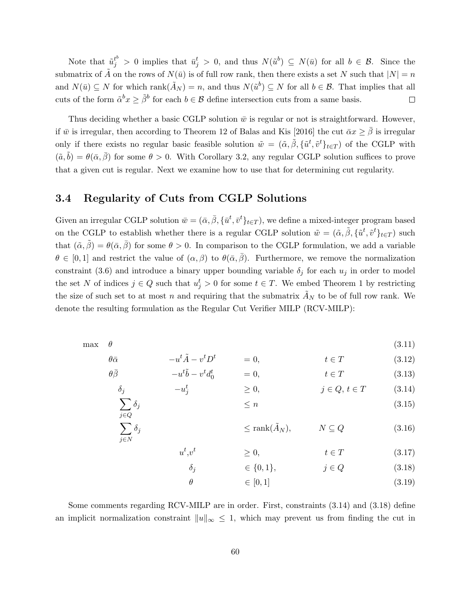Note that  $\tilde{u}_j^{t} > 0$  implies that  $\tilde{u}_j^{t} > 0$ , and thus  $N(\tilde{u}^b) \subseteq N(\bar{u})$  for all  $b \in \mathcal{B}$ . Since the submatrix of  $\tilde{A}$  on the rows of  $N(\bar{u})$  is of full row rank, then there exists a set N such that  $|N| = n$ and  $N(\bar{u}) \subseteq N$  for which  $\text{rank}(\tilde{A}_N) = n$ , and thus  $N(\tilde{u}^b) \subseteq N$  for all  $b \in \mathcal{B}$ . That implies that all cuts of the form  $\tilde{\alpha}^b x \geq \tilde{\beta}^b$  for each  $b \in \mathcal{B}$  define intersection cuts from a same basis.  $\Box$ 

Thus deciding whether a basic CGLP solution  $\bar{w}$  is regular or not is straightforward. However, if  $\bar{w}$  is irregular, then according to Theorem 12 of Balas and Kis [2016] the cut  $\bar{\alpha}x \ge \beta$  is irregular only if there exists no regular basic feasible solution  $\tilde{w} = (\tilde{\alpha}, \tilde{\beta}, \{\tilde{u}^t, \tilde{v}^t\}_{t \in T})$  of the CGLP with  $(\tilde{a}, \tilde{b}) = \theta(\bar{\alpha}, \bar{\beta})$  for some  $\theta > 0$ . With Corollary 3.2, any regular CGLP solution suffices to prove that a given cut is regular. Next we examine how to use that for determining cut regularity.

### 3.4 Regularity of Cuts from CGLP Solutions

 $\tilde{t}$ 

 $u^t$ 

 $\sum$ j∈N

Given an irregular CGLP solution  $\bar{w} = (\bar{\alpha}, \bar{\beta}, \{\bar{u}^t, \bar{v}^t\}_{t \in T})$ , we define a mixed-integer program based on the CGLP to establish whether there is a regular CGLP solution  $\tilde{w} = (\tilde{\alpha}, \tilde{\beta}, \{\tilde{u}^t, \tilde{v}^t\}_{t \in T})$  such that  $(\tilde{\alpha}, \tilde{\beta}) = \theta(\bar{\alpha}, \bar{\beta})$  for some  $\theta > 0$ . In comparison to the CGLP formulation, we add a variable  $\theta \in [0,1]$  and restrict the value of  $(\alpha,\beta)$  to  $\theta(\bar{\alpha},\bar{\beta})$ . Furthermore, we remove the normalization constraint (3.6) and introduce a binary upper bounding variable  $\delta_i$  for each  $u_i$  in order to model the set N of indices  $j \in Q$  such that  $u_j^t > 0$  for some  $t \in T$ . We embed Theorem 1 by restricting the size of such set to at most n and requiring that the submatrix  $\overline{A}_N$  to be of full row rank. We denote the resulting formulation as the Regular Cut Verifier MILP (RCV-MILP):

max  $\theta$  (3.11)

$$
\theta \bar{\alpha} \qquad -u^t \tilde{A} - v^t D^t \qquad = 0, \qquad t \in T \qquad (3.12)
$$

$$
\theta \overline{\beta} \qquad -u^t \tilde{b} - v^t d_0^t = 0, \qquad t \in T \qquad (3.13)
$$
  

$$
\delta_j \qquad -u_j^t \qquad \ge 0, \qquad j \in Q, t \in T \qquad (3.14)
$$

$$
\sum_{j \in Q} \delta_j \tag{3.15}
$$

$$
\delta_j \qquad \qquad \leq \text{rank}(\tilde{A}_N), \qquad \qquad N \subseteq Q \qquad (3.16)
$$

$$
,v^t \qquad \qquad \geq 0, \qquad \qquad t \in T \tag{3.17}
$$

$$
\delta_j \qquad \qquad \in \{0, 1\}, \qquad \qquad j \in Q \tag{3.18}
$$

 $\theta \in [0, 1]$  (3.19)

Some comments regarding RCV-MILP are in order. First, constraints (3.14) and (3.18) define an implicit normalization constraint  $||u||_{\infty} \leq 1$ , which may prevent us from finding the cut in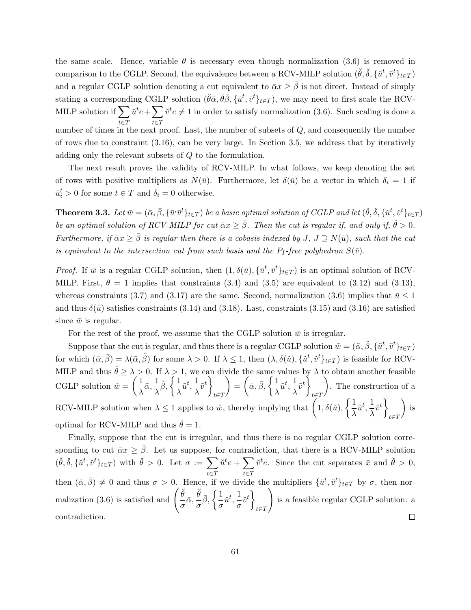the same scale. Hence, variable  $\theta$  is necessary even though normalization (3.6) is removed in comparison to the CGLP. Second, the equivalence between a RCV-MILP solution  $(\check{\theta}, \check{\delta}, \{\check{u}^t, \check{v}^t\}_{t \in T})$ and a regular CGLP solution denoting a cut equivalent to  $\bar{\alpha}x \geq \bar{\beta}$  is not direct. Instead of simply stating a corresponding CGLP solution  $(\check{\theta}\bar{\alpha}, \check{\theta}\bar{\beta}, \{\check{u}^t, \check{v}^t\}_{t\in T})$ , we may need to first scale the RCV-MILP solution if  $\sum$ t∈T  $\breve{u}^t e + \sum$ t∈T  $\check{v}^t e \neq 1$  in order to satisfy normalization (3.6). Such scaling is done a number of times in the next proof. Last, the number of subsets of  $Q$ , and consequently the number of rows due to constraint (3.16), can be very large. In Section 3.5, we address that by iteratively adding only the relevant subsets of Q to the formulation.

The next result proves the validity of RCV-MILP. In what follows, we keep denoting the set of rows with positive multipliers as  $N(\bar{u})$ . Furthermore, let  $\delta(\bar{u})$  be a vector in which  $\delta_i = 1$  if  $\bar{u}_i^t > 0$  for some  $t \in T$  and  $\delta_i = 0$  otherwise.

**Theorem 3.3.** Let  $\bar{w} = (\bar{\alpha}, \bar{\beta}, \{\bar{u}^i\bar{v}^t\}_{t \in T})$  be a basic optimal solution of CGLP and let  $(\check{\theta}, \check{\delta}, \{\check{u}^t, \check{v}^t\}_{t \in T})$ be an optimal solution of RCV-MILP for cut  $\bar{\alpha}x\geq \bar{\beta}$ . Then the cut is regular if, and only if,  $\check{\theta} > 0$ . Furthermore, if  $\bar{\alpha}x\geq\bar{\beta}$  is regular then there is a cobasis indexed by J, J  $\supseteq N(\bar{u})$ , such that the cut is equivalent to the intersection cut from such basis and the  $P_I$ -free polyhedron  $S(\bar{v})$ .

*Proof.* If  $\bar{w}$  is a regular CGLP solution, then  $(1, \delta(\bar{u}), {\{\bar{u}^t, \bar{v}^t\}}_{t \in T})$  is an optimal solution of RCV-MILP. First,  $\theta = 1$  implies that constraints (3.4) and (3.5) are equivalent to (3.12) and (3.13), whereas constraints (3.7) and (3.17) are the same. Second, normalization (3.6) implies that  $\bar{u} \leq 1$ and thus  $\delta(\bar{u})$  satisfies constraints (3.14) and (3.18). Last, constraints (3.15) and (3.16) are satisfied since  $\bar{w}$  is regular.

For the rest of the proof, we assume that the CGLP solution  $\bar{w}$  is irregular.

Suppose that the cut is regular, and thus there is a regular CGLP solution  $\tilde{w} = (\tilde{\alpha}, \tilde{\beta}, \{\tilde{u}^t, \tilde{v}^t\}_{t \in T})$ for which  $(\bar{\alpha}, \bar{\beta}) = \lambda(\tilde{\alpha}, \tilde{\beta})$  for some  $\lambda > 0$ . If  $\lambda \leq 1$ , then  $(\lambda, \delta(\tilde{u}), {\tilde{u}^t}, \tilde{v}^t}_{t \in T})$  is feasible for RCV-MILP and thus  $\check{\theta} \geq \lambda > 0$ . If  $\lambda > 1$ , we can divide the same values by  $\lambda$  to obtain another feasible CGLP solution  $\hat{w} = \begin{pmatrix} 1 \\ 1 \end{pmatrix}$  $\frac{1}{\lambda}\tilde{\alpha}, \frac{1}{\lambda}$  $\frac{1}{\lambda}\tilde{\beta}, \bigg\{\frac{1}{\lambda}$  $\frac{1}{\lambda} \tilde{u}^t, \frac{1}{\lambda}$  $\frac{1}{\lambda} \tilde{v}^t$ t∈T  $\bigg) = \bigg( \bar{\alpha}, \bar{\beta}, \bigg\{ \frac{1}{2} \bigg\}$  $\frac{1}{\lambda} \tilde{u}^t, \frac{1}{\lambda}$  $\frac{1}{\lambda} \tilde{v}^t$ t∈T . The construction of a RCV-MILP solution when  $\lambda \leq 1$  applies to  $\hat{w}$ , thereby implying that  $\left(1, \delta(\tilde{u}), \left\{\frac{1}{\lambda}\right\}\right)$  $\frac{1}{\lambda} \tilde{u}^t, \frac{1}{\lambda}$  $\frac{1}{\lambda} \tilde{v}^t$ t∈T  $\big)$  is optimal for RCV-MILP and thus  $\dot{\theta} = 1$ .

Finally, suppose that the cut is irregular, and thus there is no regular CGLP solution corresponding to cut  $\bar{\alpha}x \geq \beta$ . Let us suppose, for contradiction, that there is a RCV-MILP solution  $(\breve{\theta}, \breve{\delta}, \{\breve{u}^t, \breve{v}^t\}_{t \in T})$  with  $\breve{\theta} > 0$ . Let  $\sigma := \sum$  $\breve{u}^t e + \sum \limits_{k=1}^{\infty}$  $\check{v}^t e$ . Since the cut separates  $\bar{x}$  and  $\check{\theta} > 0$ , t∈T t∈T then  $(\bar{\alpha}, \bar{\beta}) \neq 0$  and thus  $\sigma > 0$ . Hence, if we divide the multipliers  $\{\tilde{u}^t, \tilde{v}^t\}_{t \in T}$  by  $\sigma$ , then normalization (3.6) is satisfied and  $\begin{pmatrix} \breve{\theta} & \overline{\theta} \\ -\overline{\theta} & \overline{\theta} \end{pmatrix}$  $\frac{\breve{\theta}}{\sigma}\bar{\alpha}, \frac{\breve{\theta}}{\sigma}$  $\setminus$  $\frac{\dot{\theta}}{\sigma} \bar{\beta}, \left\{ \frac{1}{\sigma} \right.$  $\left\{\begin{matrix} \frac{1}{v^t} \\ \frac{1}{v^t} \end{matrix}\right\}$  $\frac{1}{\sigma}$ <sub> $\breve{u}^t$ </sub>,  $\frac{1}{\sigma}$ is a feasible regular CGLP solution: a t∈T  $\Box$ contradiction.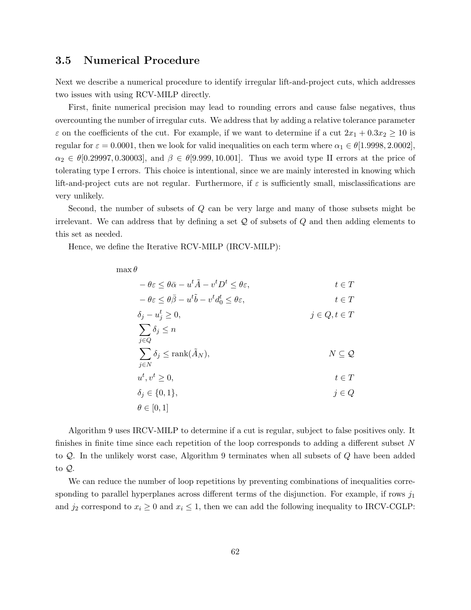## 3.5 Numerical Procedure

Next we describe a numerical procedure to identify irregular lift-and-project cuts, which addresses two issues with using RCV-MILP directly.

First, finite numerical precision may lead to rounding errors and cause false negatives, thus overcounting the number of irregular cuts. We address that by adding a relative tolerance parameter  $\varepsilon$  on the coefficients of the cut. For example, if we want to determine if a cut  $2x_1 + 0.3x_2 \ge 10$  is regular for  $\varepsilon = 0.0001$ , then we look for valid inequalities on each term where  $\alpha_1 \in \theta[1.9998, 2.0002]$ .  $\alpha_2 \in \theta[0.29997, 0.30003],$  and  $\beta \in \theta[9.999, 10.001].$  Thus we avoid type II errors at the price of tolerating type I errors. This choice is intentional, since we are mainly interested in knowing which lift-and-project cuts are not regular. Furthermore, if  $\varepsilon$  is sufficiently small, misclassifications are very unlikely.

Second, the number of subsets of Q can be very large and many of those subsets might be irrelevant. We can address that by defining a set  $\mathcal Q$  of subsets of  $Q$  and then adding elements to this set as needed.

Hence, we define the Iterative RCV-MILP (IRCV-MILP):

 $\max \theta$ 

| $-\theta \varepsilon \leq \theta \bar{\alpha} - u^{t} \tilde{A} - v^{t} D^{t} \leq \theta \varepsilon,$ | $t\in T$           |
|---------------------------------------------------------------------------------------------------------|--------------------|
| $-\theta \varepsilon \leq \theta \bar{\beta} - u^t \tilde{b} - v^t d_0^t \leq \theta \varepsilon,$      | $t \in T$          |
| $\delta_j - u_j^t \geq 0,$                                                                              | $j \in Q, t \in T$ |
| $\sum \delta_j \leq n$                                                                                  |                    |
| $i \in Q$                                                                                               |                    |
| $\sum \delta_j \leq \text{rank}(A_N),$                                                                  | $N\subseteq Q$     |
| $i \in N$                                                                                               |                    |
| $u^t, v^t \geq 0,$                                                                                      | $t \in T$          |
| $\delta_i \in \{0, 1\},\$                                                                               | $j \in Q$          |
| $\theta \in [0,1]$                                                                                      |                    |

Algorithm 9 uses IRCV-MILP to determine if a cut is regular, subject to false positives only. It finishes in finite time since each repetition of the loop corresponds to adding a different subset N to Q. In the unlikely worst case, Algorithm 9 terminates when all subsets of Q have been added to Q.

We can reduce the number of loop repetitions by preventing combinations of inequalities corresponding to parallel hyperplanes across different terms of the disjunction. For example, if rows  $j_1$ and  $j_2$  correspond to  $x_i \geq 0$  and  $x_i \leq 1$ , then we can add the following inequality to IRCV-CGLP: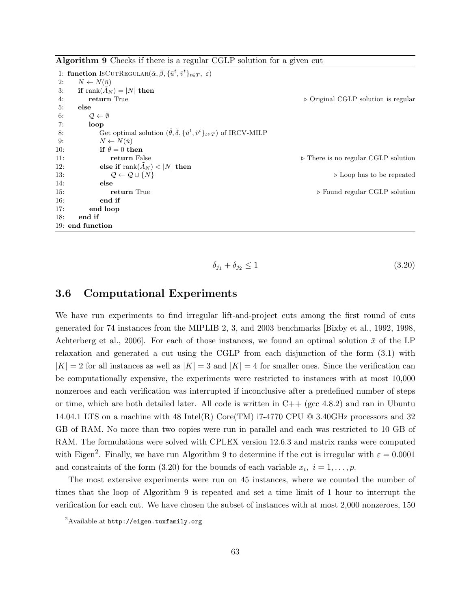Algorithm 9 Checks if there is a regular CGLP solution for a given cut

```
1: function IsCUTREGULAR(\bar{\alpha}, \bar{\beta}, \{\bar{u}^t, \bar{v}^t\}_{t \in T}, \varepsilon)2: N \leftarrow N(\bar{u})3: if \text{rank}(A_N) = |N| then
4: return True ... return True ... return True ... p Original CGLP solution is regular
5: else
6: \mathcal{Q} \leftarrow \emptyset7: loop
 8: Get optimal solution (\check{\theta}, \check{\delta}, {\{\check{u}^t, \check{v}^t\}_{t \in T}}) of IRCV-MILP
9: N \leftarrow N(\check{u})10: if \bar{\theta} = 0 then
11: 11: return False . There is no regular CGLP solution
12: else if \text{rank}(\tilde{A}_N) < |N| then
13: Q \leftarrow Q \cup \{N\} . Doop has to be repeated
14: else
15: return True return True return From Found regular CGLP solution
16: end if
17: end loop
18: end if
19: end function
```

$$
\delta_{j_1} + \delta_{j_2} \le 1 \tag{3.20}
$$

# 3.6 Computational Experiments

We have run experiments to find irregular lift-and-project cuts among the first round of cuts generated for 74 instances from the MIPLIB 2, 3, and 2003 benchmarks [Bixby et al., 1992, 1998, Achterberg et al., 2006]. For each of those instances, we found an optimal solution  $\bar{x}$  of the LP relaxation and generated a cut using the CGLP from each disjunction of the form (3.1) with  $|K| = 2$  for all instances as well as  $|K| = 3$  and  $|K| = 4$  for smaller ones. Since the verification can be computationally expensive, the experiments were restricted to instances with at most 10,000 nonzeroes and each verification was interrupted if inconclusive after a predefined number of steps or time, which are both detailed later. All code is written in  $C++$  (gcc 4.8.2) and ran in Ubuntu 14.04.1 LTS on a machine with 48 Intel(R) Core(TM) i7-4770 CPU @ 3.40GHz processors and 32 GB of RAM. No more than two copies were run in parallel and each was restricted to 10 GB of RAM. The formulations were solved with CPLEX version 12.6.3 and matrix ranks were computed with Eigen<sup>2</sup>. Finally, we have run Algorithm 9 to determine if the cut is irregular with  $\varepsilon = 0.0001$ and constraints of the form (3.20) for the bounds of each variable  $x_i$ ,  $i = 1, \ldots, p$ .

The most extensive experiments were run on 45 instances, where we counted the number of times that the loop of Algorithm 9 is repeated and set a time limit of 1 hour to interrupt the verification for each cut. We have chosen the subset of instances with at most 2,000 nonzeroes, 150

 $^{2}$ Available at http://eigen.tuxfamily.org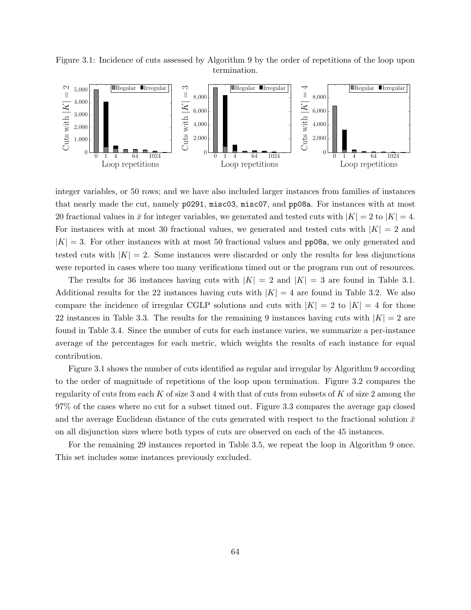



integer variables, or 50 rows; and we have also included larger instances from families of instances that nearly made the cut, namely p0291, misc03, misc07, and pp08a. For instances with at most 20 fractional values in  $\bar{x}$  for integer variables, we generated and tested cuts with  $|K| = 2$  to  $|K| = 4$ . For instances with at most 30 fractional values, we generated and tested cuts with  $|K| = 2$  and  $|K| = 3$ . For other instances with at most 50 fractional values and **pp08a**, we only generated and tested cuts with  $|K| = 2$ . Some instances were discarded or only the results for less disjunctions were reported in cases where too many verifications timed out or the program run out of resources.

The results for 36 instances having cuts with  $|K| = 2$  and  $|K| = 3$  are found in Table 3.1. Additional results for the 22 instances having cuts with  $|K| = 4$  are found in Table 3.2. We also compare the incidence of irregular CGLP solutions and cuts with  $|K| = 2$  to  $|K| = 4$  for those 22 instances in Table 3.3. The results for the remaining 9 instances having cuts with  $|K| = 2$  are found in Table 3.4. Since the number of cuts for each instance varies, we summarize a per-instance average of the percentages for each metric, which weights the results of each instance for equal contribution.

Figure 3.1 shows the number of cuts identified as regular and irregular by Algorithm 9 according to the order of magnitude of repetitions of the loop upon termination. Figure 3.2 compares the regularity of cuts from each K of size 3 and 4 with that of cuts from subsets of K of size 2 among the 97% of the cases where no cut for a subset timed out. Figure 3.3 compares the average gap closed and the average Euclidean distance of the cuts generated with respect to the fractional solution  $\bar{x}$ on all disjunction sizes where both types of cuts are observed on each of the 45 instances.

For the remaining 29 instances reported in Table 3.5, we repeat the loop in Algorithm 9 once. This set includes some instances previously excluded.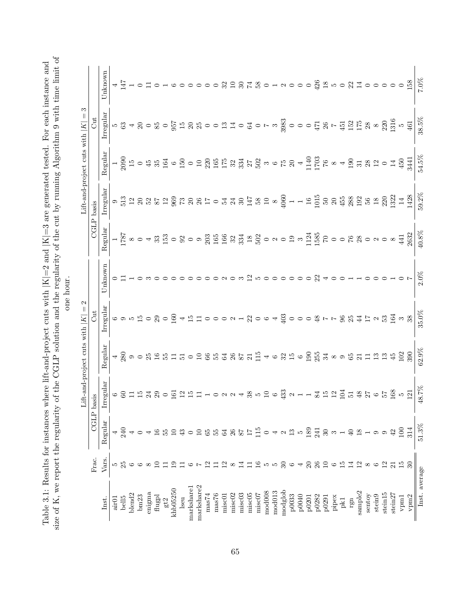size of K, we report the regularity of the CGLP solution and the regularity of the cut by running Algorithm 9 with time limit of size of K, we report the regularity of the CGLP solution and the regularity of the cut by running Algorithm 9 with time limit of Table 3.1: Results for instances where lift-and-project cuts with  $|K|=2$  and  $|K|=3$  are generated tested. For each instance and Table 3.1: Results for instances where lift-and-project cuts with  $|K|=2$  and  $|K|=3$  are generated tested. For each instance and one hour.

|                     |                 |                   |                                                                                             | Lift-and-project cuts with $ K $                                                                     | $\mathbf{\Omega}$                                                                                                                                                                                                                                                                                                                                                                                                                                                                                                      |                         |         |                                                                                                                                                                                                                                                                                                                                                                                                                                                                                        | $\text{lift-and-project cuts with }  K $ | S                                                                                |                         |
|---------------------|-----------------|-------------------|---------------------------------------------------------------------------------------------|------------------------------------------------------------------------------------------------------|------------------------------------------------------------------------------------------------------------------------------------------------------------------------------------------------------------------------------------------------------------------------------------------------------------------------------------------------------------------------------------------------------------------------------------------------------------------------------------------------------------------------|-------------------------|---------|----------------------------------------------------------------------------------------------------------------------------------------------------------------------------------------------------------------------------------------------------------------------------------------------------------------------------------------------------------------------------------------------------------------------------------------------------------------------------------------|------------------------------------------|----------------------------------------------------------------------------------|-------------------------|
|                     | Frac.           | CGLP              |                                                                                             |                                                                                                      | J                                                                                                                                                                                                                                                                                                                                                                                                                                                                                                                      |                         | CGLP    | basis                                                                                                                                                                                                                                                                                                                                                                                                                                                                                  |                                          | Gut                                                                              |                         |
| Inst.               | Vars.           | Regular           | rregular                                                                                    | Regular                                                                                              | Irregular                                                                                                                                                                                                                                                                                                                                                                                                                                                                                                              | Unknown                 | Regular | rregular                                                                                                                                                                                                                                                                                                                                                                                                                                                                               | Regular                                  | Irregular                                                                        | Unknown                 |
| air <sub>01</sub>   | S               |                   |                                                                                             |                                                                                                      |                                                                                                                                                                                                                                                                                                                                                                                                                                                                                                                        |                         |         |                                                                                                                                                                                                                                                                                                                                                                                                                                                                                        |                                          |                                                                                  |                         |
| bell <sub>5</sub>   |                 |                   |                                                                                             |                                                                                                      |                                                                                                                                                                                                                                                                                                                                                                                                                                                                                                                        |                         |         |                                                                                                                                                                                                                                                                                                                                                                                                                                                                                        |                                          |                                                                                  |                         |
| blend2              |                 |                   |                                                                                             |                                                                                                      |                                                                                                                                                                                                                                                                                                                                                                                                                                                                                                                        |                         |         |                                                                                                                                                                                                                                                                                                                                                                                                                                                                                        |                                          |                                                                                  |                         |
| bm23                |                 |                   |                                                                                             |                                                                                                      |                                                                                                                                                                                                                                                                                                                                                                                                                                                                                                                        |                         |         |                                                                                                                                                                                                                                                                                                                                                                                                                                                                                        |                                          |                                                                                  |                         |
| enigma              |                 |                   |                                                                                             |                                                                                                      |                                                                                                                                                                                                                                                                                                                                                                                                                                                                                                                        |                         |         |                                                                                                                                                                                                                                                                                                                                                                                                                                                                                        |                                          |                                                                                  |                         |
| $\rm{Augpl}$        |                 |                   | @G12720                                                                                     |                                                                                                      |                                                                                                                                                                                                                                                                                                                                                                                                                                                                                                                        |                         |         |                                                                                                                                                                                                                                                                                                                                                                                                                                                                                        |                                          |                                                                                  |                         |
| gt2                 |                 |                   |                                                                                             |                                                                                                      |                                                                                                                                                                                                                                                                                                                                                                                                                                                                                                                        |                         |         |                                                                                                                                                                                                                                                                                                                                                                                                                                                                                        |                                          |                                                                                  |                         |
| khb05250            | ⊵               |                   | 161                                                                                         | 4, 双90 第 14 15 15 15 10 12 18 18 18 18 13 14 16 18 14 16 19 19 18 18 18 19 19 19 19 19 19 19 19 19 1 | 69550200151000212064                                                                                                                                                                                                                                                                                                                                                                                                                                                                                                   |                         |         | $\circ \stackrel{m}{\sim} \stackrel{m}{\sim} \stackrel{m}{\sim} \stackrel{m}{\sim} \stackrel{m}{\sim} \stackrel{m}{\sim} \stackrel{m}{\sim} \stackrel{m}{\sim} \stackrel{m}{\sim} \stackrel{m}{\sim} \stackrel{m}{\sim} \stackrel{m}{\sim} \stackrel{m}{\sim} \stackrel{m}{\sim} \stackrel{m}{\sim} \stackrel{m}{\sim} \stackrel{m}{\sim} \stackrel{m}{\sim} \stackrel{m}{\sim} \stackrel{m}{\sim} \stackrel{m}{\sim} \stackrel{m}{\sim} \stackrel{m}{\sim} \stackrel{m}{\sim} \stack$ |                                          |                                                                                  |                         |
| lseu                |                 |                   |                                                                                             |                                                                                                      |                                                                                                                                                                                                                                                                                                                                                                                                                                                                                                                        |                         |         |                                                                                                                                                                                                                                                                                                                                                                                                                                                                                        |                                          |                                                                                  |                         |
| markshare1          |                 |                   | 251                                                                                         |                                                                                                      |                                                                                                                                                                                                                                                                                                                                                                                                                                                                                                                        |                         |         |                                                                                                                                                                                                                                                                                                                                                                                                                                                                                        |                                          |                                                                                  |                         |
| markshare2          |                 |                   |                                                                                             |                                                                                                      |                                                                                                                                                                                                                                                                                                                                                                                                                                                                                                                        |                         |         |                                                                                                                                                                                                                                                                                                                                                                                                                                                                                        |                                          |                                                                                  | 0000 32 3 7 8 0 1 2     |
| $\rm mas74$         |                 | 65                |                                                                                             |                                                                                                      |                                                                                                                                                                                                                                                                                                                                                                                                                                                                                                                        |                         |         |                                                                                                                                                                                                                                                                                                                                                                                                                                                                                        |                                          |                                                                                  |                         |
| $_{\rm mas76}$      |                 | 55                |                                                                                             |                                                                                                      |                                                                                                                                                                                                                                                                                                                                                                                                                                                                                                                        |                         |         |                                                                                                                                                                                                                                                                                                                                                                                                                                                                                        |                                          |                                                                                  |                         |
| misc01              |                 | 64                | $\circ \circ \circ \circ \star$                                                             |                                                                                                      |                                                                                                                                                                                                                                                                                                                                                                                                                                                                                                                        |                         |         |                                                                                                                                                                                                                                                                                                                                                                                                                                                                                        |                                          |                                                                                  |                         |
| misc <sub>02</sub>  |                 | $\frac{26}{87}$   |                                                                                             |                                                                                                      |                                                                                                                                                                                                                                                                                                                                                                                                                                                                                                                        |                         |         |                                                                                                                                                                                                                                                                                                                                                                                                                                                                                        |                                          |                                                                                  |                         |
| misc03              | 4               |                   |                                                                                             |                                                                                                      |                                                                                                                                                                                                                                                                                                                                                                                                                                                                                                                        |                         |         |                                                                                                                                                                                                                                                                                                                                                                                                                                                                                        |                                          |                                                                                  |                         |
| $_{\rm{missC05}}$   |                 | 17                |                                                                                             |                                                                                                      |                                                                                                                                                                                                                                                                                                                                                                                                                                                                                                                        | $^{2}$                  |         |                                                                                                                                                                                                                                                                                                                                                                                                                                                                                        |                                          |                                                                                  |                         |
| misc07              | $\frac{6}{1}$   | 115               |                                                                                             |                                                                                                      |                                                                                                                                                                                                                                                                                                                                                                                                                                                                                                                        |                         |         |                                                                                                                                                                                                                                                                                                                                                                                                                                                                                        |                                          |                                                                                  |                         |
| mod008              | 10 10           |                   |                                                                                             |                                                                                                      |                                                                                                                                                                                                                                                                                                                                                                                                                                                                                                                        | 5000                    |         |                                                                                                                                                                                                                                                                                                                                                                                                                                                                                        |                                          |                                                                                  |                         |
| mod013              |                 |                   |                                                                                             |                                                                                                      |                                                                                                                                                                                                                                                                                                                                                                                                                                                                                                                        |                         |         |                                                                                                                                                                                                                                                                                                                                                                                                                                                                                        |                                          |                                                                                  |                         |
| modglob             | $30\,$          | $\mathbf{\Omega}$ | $\frac{28}{30}$ in $\frac{10}{20}$ ie $\frac{23}{40}$ at $\frac{11}{40}$ ie $\frac{11}{40}$ |                                                                                                      |                                                                                                                                                                                                                                                                                                                                                                                                                                                                                                                        |                         |         |                                                                                                                                                                                                                                                                                                                                                                                                                                                                                        |                                          |                                                                                  |                         |
| p0033               | $\circ$         | 13                |                                                                                             |                                                                                                      |                                                                                                                                                                                                                                                                                                                                                                                                                                                                                                                        | $\circ$ $\circ$ $\circ$ |         |                                                                                                                                                                                                                                                                                                                                                                                                                                                                                        |                                          |                                                                                  | $\circ$ $\circ$ $\circ$ |
| p0040               | 4               | LO.               |                                                                                             |                                                                                                      |                                                                                                                                                                                                                                                                                                                                                                                                                                                                                                                        |                         |         |                                                                                                                                                                                                                                                                                                                                                                                                                                                                                        |                                          |                                                                                  |                         |
| p0201               | $\Omega$        | 189               |                                                                                             |                                                                                                      | $\begin{array}{l} \mathbb{S}\mathbb{S}\circ \mathbb{S}\circ \mathbb{S}\circ \mathbb{S}\circ \mathbb{S}\circ \mathbb{S}\circ \mathbb{S}\circ \mathbb{S}\circ \mathbb{S}\circ \mathbb{S}\circ \mathbb{S}\circ \mathbb{S}\circ \mathbb{S}\circ \mathbb{S}\circ \mathbb{S}\circ \mathbb{S}\circ \mathbb{S}\circ \mathbb{S}\circ \mathbb{S}\circ \mathbb{S}\circ \mathbb{S}\circ \mathbb{S}\circ \mathbb{S}\circ \mathbb{S}\circ \mathbb{S}\circ \mathbb{S}\circ \mathbb{S}\circ \mathbb{S}\circ \mathbb{S}\circ \mathbb{S$ |                         |         | $\begin{array}{l} 4060 \\ -1 \\ -1 \\ 21 \\ -1 \\ 30 \\ -1 \\ 40 \\ -1 \\ 50 \\ -20 \\ -21 \\ -1 \\ 50 \\ -21 \\ -22 \\ -23 \\ -1 \\ 50 \\ -23 \\ -1 \\ 50 \\ -1 \\ 50 \\ -1 \\ 50 \\ -1 \\ 50 \\ -1 \\ 50 \\ -1 \\ 50 \\ -1 \\ 50 \\ -1 \\ 50 \\ -1 \\ 50 \\ -1 \\ 50 \\ -1 \\ 50 \\ -1 \\ 50 \\ -1 \\ 50 \\ -1 \\ 50 \\ -1 \\ 50 \\ -1 \\ 50 \\ -1 \\ 50 \\ -1 \\ 50 \\ -1 \\ 50 \\ -1 \\ 5$                                                                                         |                                          |                                                                                  |                         |
| p0282               | 26              | 241               | 3 5 5 5 5 8 5 6 5 6 6 7                                                                     |                                                                                                      |                                                                                                                                                                                                                                                                                                                                                                                                                                                                                                                        | 22                      |         |                                                                                                                                                                                                                                                                                                                                                                                                                                                                                        |                                          |                                                                                  | 426                     |
| p0291               | $\overline{10}$ | $30\,$            |                                                                                             |                                                                                                      |                                                                                                                                                                                                                                                                                                                                                                                                                                                                                                                        |                         |         |                                                                                                                                                                                                                                                                                                                                                                                                                                                                                        |                                          |                                                                                  | $\overline{18}$         |
| pipex               | $\circ$         | $\infty$          |                                                                                             |                                                                                                      |                                                                                                                                                                                                                                                                                                                                                                                                                                                                                                                        |                         |         |                                                                                                                                                                                                                                                                                                                                                                                                                                                                                        |                                          |                                                                                  |                         |
| ${\rm pk1}$         | $\overline{15}$ |                   |                                                                                             |                                                                                                      |                                                                                                                                                                                                                                                                                                                                                                                                                                                                                                                        |                         |         |                                                                                                                                                                                                                                                                                                                                                                                                                                                                                        |                                          |                                                                                  | $500000000000$          |
| rgn                 | 14              | $\overline{40}$   |                                                                                             |                                                                                                      |                                                                                                                                                                                                                                                                                                                                                                                                                                                                                                                        |                         |         |                                                                                                                                                                                                                                                                                                                                                                                                                                                                                        |                                          |                                                                                  |                         |
| sample2             | 12              | 18                |                                                                                             |                                                                                                      |                                                                                                                                                                                                                                                                                                                                                                                                                                                                                                                        |                         |         |                                                                                                                                                                                                                                                                                                                                                                                                                                                                                        |                                          |                                                                                  |                         |
| sentoy              | $\infty$        |                   |                                                                                             |                                                                                                      |                                                                                                                                                                                                                                                                                                                                                                                                                                                                                                                        |                         |         |                                                                                                                                                                                                                                                                                                                                                                                                                                                                                        |                                          |                                                                                  |                         |
| stein9              | $\circ$         | $\circ$           |                                                                                             |                                                                                                      |                                                                                                                                                                                                                                                                                                                                                                                                                                                                                                                        |                         |         |                                                                                                                                                                                                                                                                                                                                                                                                                                                                                        |                                          |                                                                                  |                         |
| stein <sub>15</sub> | 12              |                   |                                                                                             |                                                                                                      |                                                                                                                                                                                                                                                                                                                                                                                                                                                                                                                        |                         |         |                                                                                                                                                                                                                                                                                                                                                                                                                                                                                        |                                          |                                                                                  |                         |
| stein <sub>27</sub> | 21              | 42                |                                                                                             |                                                                                                      |                                                                                                                                                                                                                                                                                                                                                                                                                                                                                                                        |                         |         |                                                                                                                                                                                                                                                                                                                                                                                                                                                                                        |                                          |                                                                                  |                         |
| $vpm1$              | 15              | 100               |                                                                                             | 102                                                                                                  |                                                                                                                                                                                                                                                                                                                                                                                                                                                                                                                        |                         |         |                                                                                                                                                                                                                                                                                                                                                                                                                                                                                        |                                          |                                                                                  |                         |
| $_{\rm vpm2}$       | $\mathcal{S}$   | 314               |                                                                                             | 390                                                                                                  |                                                                                                                                                                                                                                                                                                                                                                                                                                                                                                                        |                         |         | 1428                                                                                                                                                                                                                                                                                                                                                                                                                                                                                   | 3441                                     | 10 8 4 8 0 8 0 9 9 5 5 8 8 0 0 5 5 4 0 9 0 1 8 8 9 0 0 0 5 8 1 5 8 9 8 8 9 9 9 9 | 158                     |
| Inst. average       |                 | 51.3%             | 48.7%                                                                                       | 62.9%                                                                                                | 35.0%                                                                                                                                                                                                                                                                                                                                                                                                                                                                                                                  | $2.0\%$                 | 40.8%   | 59.2%                                                                                                                                                                                                                                                                                                                                                                                                                                                                                  | 54.5%                                    | 38.5%                                                                            | $7.0\%$                 |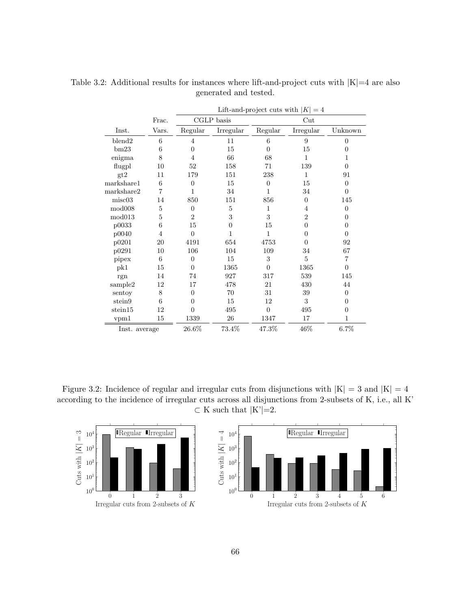|                    |                |                |            |                  | Lift-and-project cuts with $ K =4$ |                  |
|--------------------|----------------|----------------|------------|------------------|------------------------------------|------------------|
|                    | Frac.          |                | CGLP basis |                  | $_{\rm Cut}$                       |                  |
| Inst.              | Vars.          | Regular        | Irregular  | Regular          | Irregular                          | Unknown          |
| blend <sub>2</sub> | 6              | $\overline{4}$ | 11         | 6                | 9                                  | $\overline{0}$   |
| bm23               | 6              | $\theta$       | 15         | $\Omega$         | 15                                 | $\overline{0}$   |
| enigma             | 8              | 4              | 66         | 68               | 1                                  | 1                |
| flugpl             | 10             | 52             | 158        | 71               | 139                                | $\Omega$         |
| gt2                | 11             | 179            | 151        | 238              | $\mathbf{1}$                       | 91               |
| markshare1         | 6              | $\overline{0}$ | 15         | $\boldsymbol{0}$ | 15                                 | $\boldsymbol{0}$ |
| markshare2         | 7              | 1              | 34         | 1                | 34                                 | $\theta$         |
| misc03             | 14             | 850            | 151        | 856              | $\overline{0}$                     | 145              |
| mod008             | $\overline{5}$ | $\overline{0}$ | 5          | 1                | 4                                  | $\boldsymbol{0}$ |
| mod013             | 5              | $\overline{2}$ | 3          | 3                | $\overline{2}$                     | $\theta$         |
| p0033              | 6              | 15             | $\theta$   | 15               | $\overline{0}$                     | $\boldsymbol{0}$ |
| p0040              | $\overline{4}$ | $\theta$       | 1          | 1                | $\Omega$                           | $\theta$         |
| p0201              | 20             | 4191           | 654        | 4753             | $\theta$                           | 92               |
| p0291              | 10             | 106            | 104        | 109              | 34                                 | 67               |
| pipex              | 6              | $\overline{0}$ | 15         | 3                | 5                                  | 7                |
| pk1                | 15             | $\Omega$       | 1365       | $\theta$         | 1365                               | $\overline{0}$   |
| rgn                | 14             | 74             | 927        | 317              | 539                                | 145              |
| sample2            | 12             | 17             | 478        | 21               | 430                                | 44               |
| sentoy             | 8              | $\overline{0}$ | 70         | 31               | 39                                 | $\overline{0}$   |
| stein9             | 6              | $\theta$       | 15         | 12               | 3                                  | $\overline{0}$   |
| stein15            | 12             | $\theta$       | 495        | $\overline{0}$   | 495                                | $\overline{0}$   |
| vpm1               | 15             | 1339           | 26         | 1347             | 17                                 | 1                |
| Inst. average      |                | 26.6%          | 73.4%      | 47.3%            | 46%                                | 6.7%             |

Table 3.2: Additional results for instances where lift-and-project cuts with  $|K|=4$  are also generated and tested.

Figure 3.2: Incidence of regular and irregular cuts from disjunctions with  $|K| = 3$  and  $|K| = 4$ according to the incidence of irregular cuts across all disjunctions from 2-subsets of K, i.e., all K'  $\subset K$  such that  $|K'|=2$ .

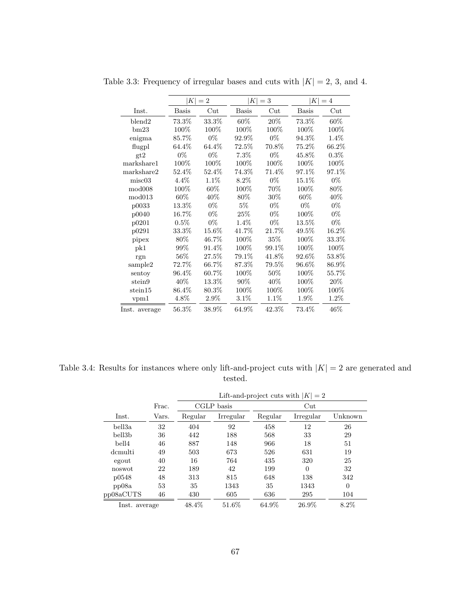|               |              | $ K =2$      | K            | $=$ 3           | $K\vert$     | $=4$            |
|---------------|--------------|--------------|--------------|-----------------|--------------|-----------------|
| Inst.         | <b>Basis</b> | $_{\rm Cut}$ | <b>Basis</b> | $_{\text{Cut}}$ | <b>Basis</b> | $_{\text{Cut}}$ |
| blend2        | 73.3%        | 33.3%        | 60%          | 20%             | 73.3%        | 60%             |
| bm23          | 100%         | 100%         | 100%         | 100%            | 100%         | 100%            |
| enigma        | 85.7%        | $0\%$        | 92.9%        | $0\%$           | 94.3%        | $1.4\%$         |
| flugpl        | 64.4%        | $64.4\%$     | 72.5%        | 70.8%           | $75.2\%$     | 66.2%           |
| gt2           | $0\%$        | $0\%$        | 7.3%         | $0\%$           | 45.8%        | $0.3\%$         |
| markshare1    | 100\%        | $100\%$      | 100%         | $100\%$         | $100\%$      | 100%            |
| markshare2    | 52.4%        | 52.4%        | 74.3%        | 71.4%           | 97.1%        | 97.1%           |
| misc03        | 4.4%         | 1.1%         | $8.2\%$      | $0\%$           | 15.1%        | $0\%$           |
| mod008        | 100%         | $60\%$       | 100%         | 70%             | $100\%$      | 80%             |
| mod013        | 60\%         | $40\%$       | 80%          | $30\%$          | 60%          | 40%             |
| p0033         | 13.3%        | $0\%$        | $5\%$        | $0\%$           | $0\%$        | $0\%$           |
| p0040         | 16.7%        | $0\%$        | 25\%         | $0\%$           | 100%         | $0\%$           |
| p0201         | $0.5\%$      | $0\%$        | $1.4\%$      | $0\%$           | 13.5%        | $0\%$           |
| p0291         | $33.3\%$     | 15.6%        | 41.7%        | 21.7%           | $49.5\%$     | 16.2%           |
| pipex         | 80%          | 46.7%        | 100%         | $35\%$          | 100%         | $33.3\%$        |
| pk1           | 99%          | 91.4%        | 100%         | 99.1%           | 100%         | 100%            |
| rgn           | $56\%$       | $27.5\%$     | 79.1%        | 41.8%           | 92.6%        | 53.8%           |
| sample2       | 72.7%        | 66.7%        | 87.3%        | $79.5\%$        | 96.6%        | 86.9%           |
| sentoy        | 96.4%        | 60.7%        | 100%         | $50\%$          | $100\%$      | 55.7%           |
| stein9        | 40\%         | $13.3\%$     | 90%          | 40\%            | 100%         | 20%             |
| stein15       | $86.4\%$     | 80.3%        | 100%         | 100%            | 100%         | 100%            |
| vpm1          | 4.8%         | $2.9\%$      | $3.1\%$      | 1.1%            | 1.9%         | 1.2%            |
| Inst. average | $56.3\%$     | 38.9%        | 64.9%        | 42.3%           | 73.4%        | 46%             |

Table 3.3: Frequency of irregular bases and cuts with  $|K| = 2$ , 3, and 4.

Table 3.4: Results for instances where only lift-and-project cuts with  $|K| = 2$  are generated and tested.

|               |       |         |            |         | Lift-and-project cuts with $ K =2$ |          |
|---------------|-------|---------|------------|---------|------------------------------------|----------|
|               | Frac. |         | CGLP basis |         | $_{\rm Cut}$                       |          |
| Inst.         | Vars. | Regular | Irregular  | Regular | Irregular                          | Unknown  |
| bell3a        | 32    | 404     | 92         | 458     | 12                                 | 26       |
| bell3b        | 36    | 442     | 188        | 568     | 33                                 | 29       |
| bell4         | 46    | 887     | 148        | 966     | 18                                 | 51       |
| demulti       | 49    | 503     | 673        | 526     | 631                                | 19       |
| egout         | 40    | 16      | 764        | 435     | 320                                | 25       |
| noswot        | 22    | 189     | 42         | 199     | $\overline{0}$                     | 32       |
| p0548         | 48    | 313     | 815        | 648     | 138                                | 342      |
| pp08a         | 53    | 35      | 1343       | 35      | 1343                               | $\Omega$ |
| pp08aCUTS     | 46    | 430     | 605        | 636     | 295                                | 104      |
| Inst. average |       | 48.4%   | 51.6%      | 64.9%   | 26.9%                              | $8.2\%$  |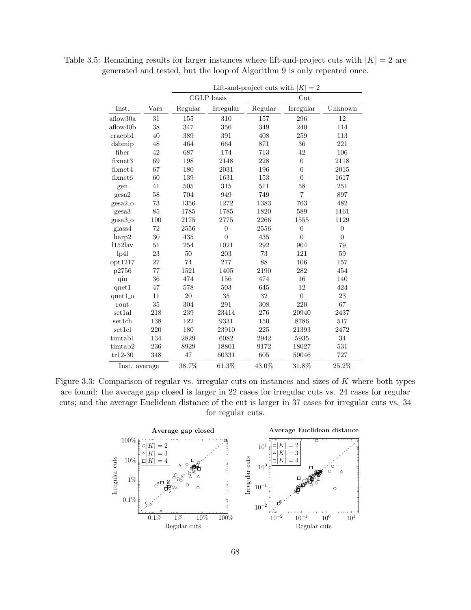|                |       |         |                |         | Lift-and-project cuts with $ K =2$ |                  |
|----------------|-------|---------|----------------|---------|------------------------------------|------------------|
|                |       |         | CGLP basis     |         | Cut                                |                  |
| Inst.          | Vars. | Regular | Irregular      | Regular | Irregular                          | Unknown          |
| aflow30a       | 31    | 155     | 310            | 157     | 296                                | 12               |
| aflow40b       | 38    | 347     | 356            | 349     | 240                                | 114              |
| cracpb1        | 40    | 389     | 391            | 408     | 259                                | 113              |
| dsbmip         | 48    | 464     | 664            | 871     | 36                                 | 221              |
| fiber          | 42    | 687     | 174            | 713     | 42                                 | 106              |
| fixnet3        | 69    | 198     | 2148           | 228     | $\overline{0}$                     | 2118             |
| fixnet4        | 67    | 180     | 2031           | 196     | $\overline{0}$                     | 2015             |
| fixnet6        | 60    | 139     | 1631           | 153     | $\overline{0}$                     | 1617             |
| gen            | 41    | 505     | 315            | 511     | 58                                 | 251              |
| gesa2          | 58    | 704     | 949            | 749     | $\overline{7}$                     | 897              |
| $gesa2_0$      | 73    | 1356    | 1272           | 1383    | 763                                | 482              |
| gesa3          | 85    | 1785    | 1785           | 1820    | 589                                | 1161             |
| gesa3_o        | 100   | 2175    | 2775           | 2266    | 1555                               | 1129             |
| glass4         | 72    | 2556    | $\overline{0}$ | 2556    | $\overline{0}$                     | $\boldsymbol{0}$ |
| harp2          | 30    | 435     | $\overline{0}$ | 435     | $\boldsymbol{0}$                   | $\boldsymbol{0}$ |
| $1152$ lav     | 51    | 254     | 1021           | 292     | 904                                | 79               |
| 1p41           | 23    | $50\,$  | 203            | 73      | 121                                | 59               |
| opt1217        | 27    | 74      | 277            | 88      | 106                                | 157              |
| p2756          | 77    | 1521    | 1405           | 2190    | 282                                | 454              |
| qiu            | 36    | 474     | 156            | 474     | 16                                 | 140              |
| qnet1          | 47    | 578     | 503            | 645     | 12                                 | 424              |
| $qnet1_o$      | 11    | 20      | 35             | 32      | $\boldsymbol{0}$                   | 23               |
| $_{\rm{rout}}$ | 35    | 304     | 291            | 308     | 220                                | 67               |
| set1al         | 218   | 239     | 23414          | 276     | 20940                              | 2437             |
| set1ch         | 138   | 122     | 9331           | 150     | 8786                               | 517              |
| set1cl         | 220   | 180     | 23910          | 225     | 21393                              | 2472             |
| timtab1        | 134   | 2829    | 6082           | 2942    | 5935                               | 34               |
| timtab2        | 236   | 8929    | 18801          | 9172    | 18027                              | 531              |
| $tr12-30$      | 348   | 47      | 60331          | 605     | 59046                              | 727              |
| Inst. average  |       | 38.7%   | 61.3%          | 43.0%   | 31.8%                              | 25.2%            |

Table 3.5: Remaining results for larger instances where lift-and-project cuts with  $|K| = 2$  are generated and tested, but the loop of Algorithm 9 is only repeated once.

Figure 3.3: Comparison of regular vs. irregular cuts on instances and sizes of K where both types are found: the average gap closed is larger in 22 cases for irregular cuts vs. 24 cases for regular cuts; and the average Euclidean distance of the cut is larger in 37 cases for irregular cuts vs. 34 for regular cuts.

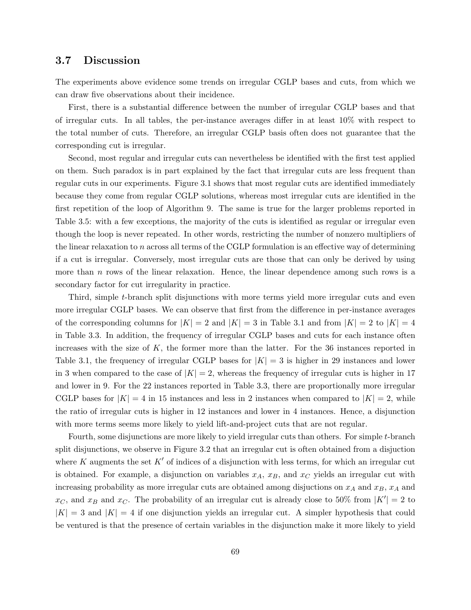### 3.7 Discussion

The experiments above evidence some trends on irregular CGLP bases and cuts, from which we can draw five observations about their incidence.

First, there is a substantial difference between the number of irregular CGLP bases and that of irregular cuts. In all tables, the per-instance averages differ in at least 10% with respect to the total number of cuts. Therefore, an irregular CGLP basis often does not guarantee that the corresponding cut is irregular.

Second, most regular and irregular cuts can nevertheless be identified with the first test applied on them. Such paradox is in part explained by the fact that irregular cuts are less frequent than regular cuts in our experiments. Figure 3.1 shows that most regular cuts are identified immediately because they come from regular CGLP solutions, whereas most irregular cuts are identified in the first repetition of the loop of Algorithm 9. The same is true for the larger problems reported in Table 3.5: with a few exceptions, the majority of the cuts is identified as regular or irregular even though the loop is never repeated. In other words, restricting the number of nonzero multipliers of the linear relaxation to n across all terms of the CGLP formulation is an effective way of determining if a cut is irregular. Conversely, most irregular cuts are those that can only be derived by using more than  $n$  rows of the linear relaxation. Hence, the linear dependence among such rows is a secondary factor for cut irregularity in practice.

Third, simple t-branch split disjunctions with more terms yield more irregular cuts and even more irregular CGLP bases. We can observe that first from the difference in per-instance averages of the corresponding columns for  $|K| = 2$  and  $|K| = 3$  in Table 3.1 and from  $|K| = 2$  to  $|K| = 4$ in Table 3.3. In addition, the frequency of irregular CGLP bases and cuts for each instance often increases with the size of  $K$ , the former more than the latter. For the 36 instances reported in Table 3.1, the frequency of irregular CGLP bases for  $|K| = 3$  is higher in 29 instances and lower in 3 when compared to the case of  $|K| = 2$ , whereas the frequency of irregular cuts is higher in 17 and lower in 9. For the 22 instances reported in Table 3.3, there are proportionally more irregular CGLP bases for  $|K| = 4$  in 15 instances and less in 2 instances when compared to  $|K| = 2$ , while the ratio of irregular cuts is higher in 12 instances and lower in 4 instances. Hence, a disjunction with more terms seems more likely to yield lift-and-project cuts that are not regular.

Fourth, some disjunctions are more likely to yield irregular cuts than others. For simple t-branch split disjunctions, we observe in Figure 3.2 that an irregular cut is often obtained from a disjuction where K augments the set  $K'$  of indices of a disjunction with less terms, for which an irregular cut is obtained. For example, a disjunction on variables  $x_A$ ,  $x_B$ , and  $x_C$  yields an irregular cut with increasing probability as more irregular cuts are obtained among disjuctions on  $x_A$  and  $x_B$ ,  $x_A$  and  $x_C$ , and  $x_B$  and  $x_C$ . The probability of an irregular cut is already close to 50% from  $|K'| = 2$  to  $|K| = 3$  and  $|K| = 4$  if one disjunction yields an irregular cut. A simpler hypothesis that could be ventured is that the presence of certain variables in the disjunction make it more likely to yield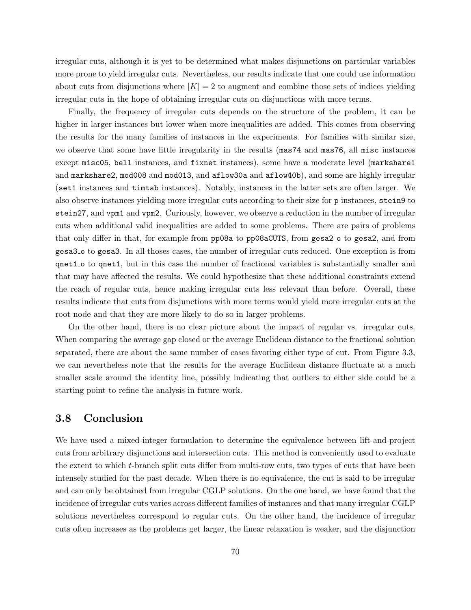irregular cuts, although it is yet to be determined what makes disjunctions on particular variables more prone to yield irregular cuts. Nevertheless, our results indicate that one could use information about cuts from disjunctions where  $|K| = 2$  to augment and combine those sets of indices yielding irregular cuts in the hope of obtaining irregular cuts on disjunctions with more terms.

Finally, the frequency of irregular cuts depends on the structure of the problem, it can be higher in larger instances but lower when more inequalities are added. This comes from observing the results for the many families of instances in the experiments. For families with similar size, we observe that some have little irregularity in the results (mas74 and mas76, all misc instances except misc05, bell instances, and fixnet instances), some have a moderate level (markshare1 and markshare2, mod008 and mod013, and aflow30a and aflow40b), and some are highly irregular (set1 instances and timtab instances). Notably, instances in the latter sets are often larger. We also observe instances yielding more irregular cuts according to their size for p instances, stein9 to stein27, and vpm1 and vpm2. Curiously, however, we observe a reduction in the number of irregular cuts when additional valid inequalities are added to some problems. There are pairs of problems that only differ in that, for example from pp08a to pp08aCUTS, from gesa2<sub>-</sub> o to gesa2, and from gesa3 o to gesa3. In all thoses cases, the number of irregular cuts reduced. One exception is from qnet1 o to qnet1, but in this case the number of fractional variables is substantially smaller and that may have affected the results. We could hypothesize that these additional constraints extend the reach of regular cuts, hence making irregular cuts less relevant than before. Overall, these results indicate that cuts from disjunctions with more terms would yield more irregular cuts at the root node and that they are more likely to do so in larger problems.

On the other hand, there is no clear picture about the impact of regular vs. irregular cuts. When comparing the average gap closed or the average Euclidean distance to the fractional solution separated, there are about the same number of cases favoring either type of cut. From Figure 3.3, we can nevertheless note that the results for the average Euclidean distance fluctuate at a much smaller scale around the identity line, possibly indicating that outliers to either side could be a starting point to refine the analysis in future work.

### 3.8 Conclusion

We have used a mixed-integer formulation to determine the equivalence between lift-and-project cuts from arbitrary disjunctions and intersection cuts. This method is conveniently used to evaluate the extent to which t-branch split cuts differ from multi-row cuts, two types of cuts that have been intensely studied for the past decade. When there is no equivalence, the cut is said to be irregular and can only be obtained from irregular CGLP solutions. On the one hand, we have found that the incidence of irregular cuts varies across different families of instances and that many irregular CGLP solutions nevertheless correspond to regular cuts. On the other hand, the incidence of irregular cuts often increases as the problems get larger, the linear relaxation is weaker, and the disjunction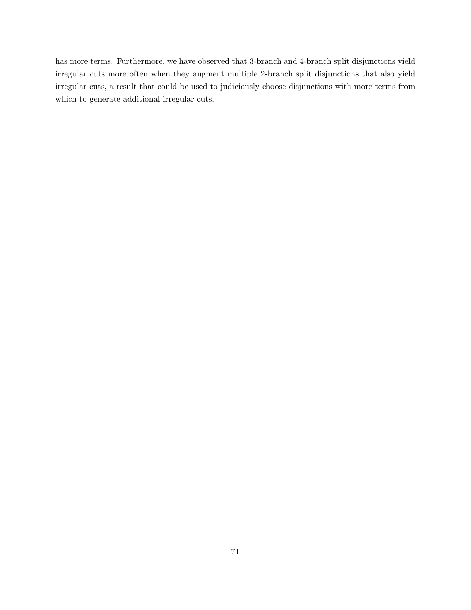has more terms. Furthermore, we have observed that 3-branch and 4-branch split disjunctions yield irregular cuts more often when they augment multiple 2-branch split disjunctions that also yield irregular cuts, a result that could be used to judiciously choose disjunctions with more terms from which to generate additional irregular cuts.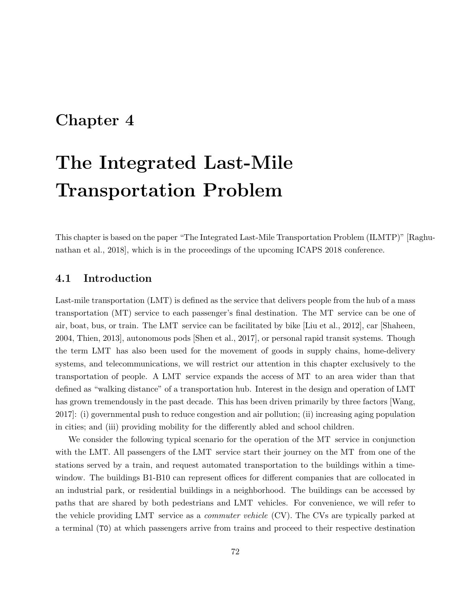## Chapter 4

# The Integrated Last-Mile Transportation Problem

This chapter is based on the paper "The Integrated Last-Mile Transportation Problem (ILMTP)" [Raghunathan et al., 2018], which is in the proceedings of the upcoming ICAPS 2018 conference.

## 4.1 Introduction

Last-mile transportation (LMT) is defined as the service that delivers people from the hub of a mass transportation (MT) service to each passenger's final destination. The MT service can be one of air, boat, bus, or train. The LMT service can be facilitated by bike [Liu et al., 2012], car [Shaheen, 2004, Thien, 2013], autonomous pods [Shen et al., 2017], or personal rapid transit systems. Though the term LMT has also been used for the movement of goods in supply chains, home-delivery systems, and telecommunications, we will restrict our attention in this chapter exclusively to the transportation of people. A LMT service expands the access of MT to an area wider than that defined as "walking distance" of a transportation hub. Interest in the design and operation of LMT has grown tremendously in the past decade. This has been driven primarily by three factors [Wang, 2017]: (i) governmental push to reduce congestion and air pollution; (ii) increasing aging population in cities; and (iii) providing mobility for the differently abled and school children.

We consider the following typical scenario for the operation of the MT service in conjunction with the LMT. All passengers of the LMT service start their journey on the MT from one of the stations served by a train, and request automated transportation to the buildings within a timewindow. The buildings B1-B10 can represent offices for different companies that are collocated in an industrial park, or residential buildings in a neighborhood. The buildings can be accessed by paths that are shared by both pedestrians and LMT vehicles. For convenience, we will refer to the vehicle providing LMT service as a commuter vehicle (CV). The CVs are typically parked at a terminal (T0) at which passengers arrive from trains and proceed to their respective destination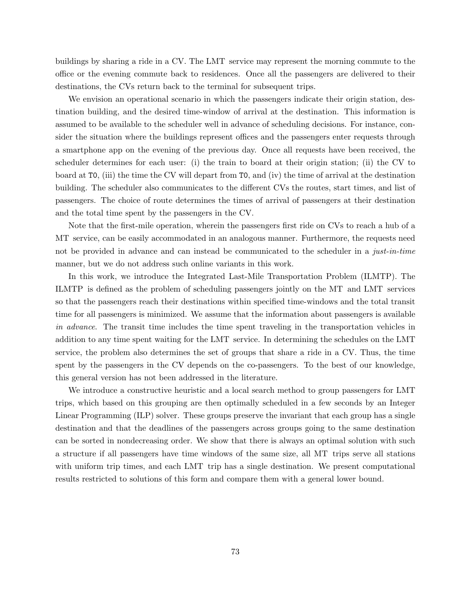buildings by sharing a ride in a CV. The LMT service may represent the morning commute to the office or the evening commute back to residences. Once all the passengers are delivered to their destinations, the CVs return back to the terminal for subsequent trips.

We envision an operational scenario in which the passengers indicate their origin station, destination building, and the desired time-window of arrival at the destination. This information is assumed to be available to the scheduler well in advance of scheduling decisions. For instance, consider the situation where the buildings represent offices and the passengers enter requests through a smartphone app on the evening of the previous day. Once all requests have been received, the scheduler determines for each user: (i) the train to board at their origin station; (ii) the CV to board at T0, (iii) the time the CV will depart from T0, and (iv) the time of arrival at the destination building. The scheduler also communicates to the different CVs the routes, start times, and list of passengers. The choice of route determines the times of arrival of passengers at their destination and the total time spent by the passengers in the CV.

Note that the first-mile operation, wherein the passengers first ride on CVs to reach a hub of a MT service, can be easily accommodated in an analogous manner. Furthermore, the requests need not be provided in advance and can instead be communicated to the scheduler in a just-in-time manner, but we do not address such online variants in this work.

In this work, we introduce the Integrated Last-Mile Transportation Problem (ILMTP). The ILMTP is defined as the problem of scheduling passengers jointly on the MT and LMT services so that the passengers reach their destinations within specified time-windows and the total transit time for all passengers is minimized. We assume that the information about passengers is available in advance. The transit time includes the time spent traveling in the transportation vehicles in addition to any time spent waiting for the LMT service. In determining the schedules on the LMT service, the problem also determines the set of groups that share a ride in a CV. Thus, the time spent by the passengers in the CV depends on the co-passengers. To the best of our knowledge, this general version has not been addressed in the literature.

We introduce a constructive heuristic and a local search method to group passengers for LMT trips, which based on this grouping are then optimally scheduled in a few seconds by an Integer Linear Programming (ILP) solver. These groups preserve the invariant that each group has a single destination and that the deadlines of the passengers across groups going to the same destination can be sorted in nondecreasing order. We show that there is always an optimal solution with such a structure if all passengers have time windows of the same size, all MT trips serve all stations with uniform trip times, and each LMT trip has a single destination. We present computational results restricted to solutions of this form and compare them with a general lower bound.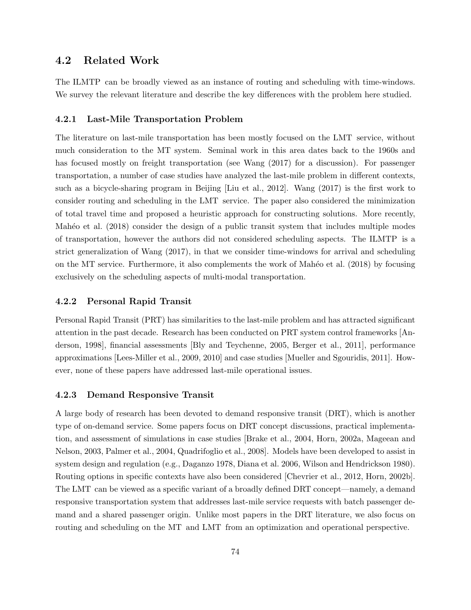## 4.2 Related Work

The ILMTP can be broadly viewed as an instance of routing and scheduling with time-windows. We survey the relevant literature and describe the key differences with the problem here studied.

### 4.2.1 Last-Mile Transportation Problem

The literature on last-mile transportation has been mostly focused on the LMT service, without much consideration to the MT system. Seminal work in this area dates back to the 1960s and has focused mostly on freight transportation (see Wang  $(2017)$  for a discussion). For passenger transportation, a number of case studies have analyzed the last-mile problem in different contexts, such as a bicycle-sharing program in Beijing [Liu et al., 2012]. Wang (2017) is the first work to consider routing and scheduling in the LMT service. The paper also considered the minimization of total travel time and proposed a heuristic approach for constructing solutions. More recently, Mahéo et al. (2018) consider the design of a public transit system that includes multiple modes of transportation, however the authors did not considered scheduling aspects. The ILMTP is a strict generalization of Wang (2017), in that we consider time-windows for arrival and scheduling on the MT service. Furthermore, it also complements the work of Mahéo et al.  $(2018)$  by focusing exclusively on the scheduling aspects of multi-modal transportation.

### 4.2.2 Personal Rapid Transit

Personal Rapid Transit (PRT) has similarities to the last-mile problem and has attracted significant attention in the past decade. Research has been conducted on PRT system control frameworks [Anderson, 1998], financial assessments [Bly and Teychenne, 2005, Berger et al., 2011], performance approximations [Lees-Miller et al., 2009, 2010] and case studies [Mueller and Sgouridis, 2011]. However, none of these papers have addressed last-mile operational issues.

#### 4.2.3 Demand Responsive Transit

A large body of research has been devoted to demand responsive transit (DRT), which is another type of on-demand service. Some papers focus on DRT concept discussions, practical implementation, and assessment of simulations in case studies [Brake et al., 2004, Horn, 2002a, Mageean and Nelson, 2003, Palmer et al., 2004, Quadrifoglio et al., 2008]. Models have been developed to assist in system design and regulation (e.g., Daganzo 1978, Diana et al. 2006, Wilson and Hendrickson 1980). Routing options in specific contexts have also been considered [Chevrier et al., 2012, Horn, 2002b]. The LMT can be viewed as a specific variant of a broadly defined DRT concept—namely, a demand responsive transportation system that addresses last-mile service requests with batch passenger demand and a shared passenger origin. Unlike most papers in the DRT literature, we also focus on routing and scheduling on the MT and LMT from an optimization and operational perspective.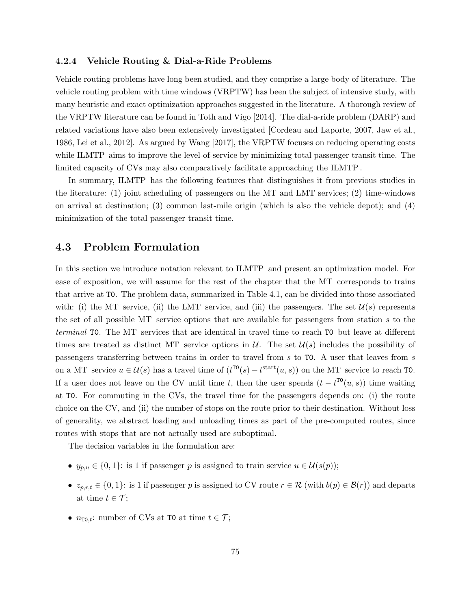#### 4.2.4 Vehicle Routing & Dial-a-Ride Problems

Vehicle routing problems have long been studied, and they comprise a large body of literature. The vehicle routing problem with time windows (VRPTW) has been the subject of intensive study, with many heuristic and exact optimization approaches suggested in the literature. A thorough review of the VRPTW literature can be found in Toth and Vigo [2014]. The dial-a-ride problem (DARP) and related variations have also been extensively investigated [Cordeau and Laporte, 2007, Jaw et al., 1986, Lei et al., 2012]. As argued by Wang [2017], the VRPTW focuses on reducing operating costs while ILMTP aims to improve the level-of-service by minimizing total passenger transit time. The limited capacity of CVs may also comparatively facilitate approaching the ILMTP .

In summary, ILMTP has the following features that distinguishes it from previous studies in the literature: (1) joint scheduling of passengers on the MT and LMT services; (2) time-windows on arrival at destination; (3) common last-mile origin (which is also the vehicle depot); and (4) minimization of the total passenger transit time.

## 4.3 Problem Formulation

In this section we introduce notation relevant to ILMTP and present an optimization model. For ease of exposition, we will assume for the rest of the chapter that the MT corresponds to trains that arrive at T0. The problem data, summarized in Table 4.1, can be divided into those associated with: (i) the MT service, (ii) the LMT service, and (iii) the passengers. The set  $\mathcal{U}(s)$  represents the set of all possible MT service options that are available for passengers from station s to the terminal T0. The MT services that are identical in travel time to reach T0 but leave at different times are treated as distinct MT service options in U. The set  $\mathcal{U}(s)$  includes the possibility of passengers transferring between trains in order to travel from s to T0. A user that leaves from s on a MT service  $u \in \mathcal{U}(s)$  has a travel time of  $(t^{T0}(s) - t^{start}(u, s))$  on the MT service to reach T0. If a user does not leave on the CV until time t, then the user spends  $(t - t^{T0}(u, s))$  time waiting at T0. For commuting in the CVs, the travel time for the passengers depends on: (i) the route choice on the CV, and (ii) the number of stops on the route prior to their destination. Without loss of generality, we abstract loading and unloading times as part of the pre-computed routes, since routes with stops that are not actually used are suboptimal.

The decision variables in the formulation are:

- $y_{p,u} \in \{0,1\}$ : is 1 if passenger p is assigned to train service  $u \in \mathcal{U}(s(p));$
- $z_{p,r,t} \in \{0,1\}$ : is 1 if passenger p is assigned to CV route  $r \in \mathcal{R}$  (with  $b(p) \in \mathcal{B}(r)$ ) and departs at time  $t \in \mathcal{T}$ ;
- $n_{\text{TO},t}$ : number of CVs at T0 at time  $t \in \mathcal{T}$ ;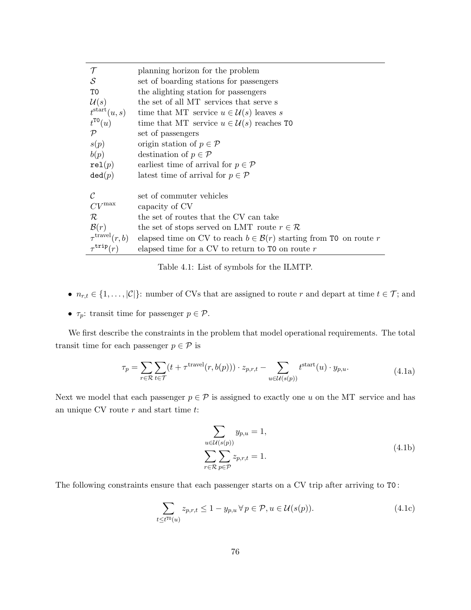| T                            | planning horizon for the problem                                               |
|------------------------------|--------------------------------------------------------------------------------|
| $\mathcal{S}_{0}$            | set of boarding stations for passengers                                        |
| T0                           | the alighting station for passengers                                           |
| $\mathcal{U}(s)$             | the set of all MT services that serve s                                        |
| $t^{\text{start}}(u, s)$     | time that MT service $u \in \mathcal{U}(s)$ leaves s                           |
| $t^{\text{TO}}(u)$           | time that MT service $u \in \mathcal{U}(s)$ reaches TO                         |
| ${\cal P}$                   | set of passengers                                                              |
| s(p)                         | origin station of $p \in \mathcal{P}$                                          |
| b(p)                         | destination of $p \in \mathcal{P}$                                             |
| rel(p)                       | earliest time of arrival for $p \in \mathcal{P}$                               |
| $\texttt{ded}(p)$            | latest time of arrival for $p \in \mathcal{P}$                                 |
|                              |                                                                                |
| $\mathcal C$                 | set of commuter vehicles                                                       |
| $CV^{\max}$                  | capacity of CV                                                                 |
| $\mathcal R$                 | the set of routes that the CV can take                                         |
| $\mathcal{B}(r)$             | the set of stops served on LMT route $r \in \mathcal{R}$                       |
| $\tau^{\text{travel}}(r, b)$ | elapsed time on CV to reach $b \in \mathcal{B}(r)$ starting from T0 on route r |
| $\tau^{\tt trip}(r)$         | elapsed time for a CV to return to $\texttt{T0}$ on route r                    |
|                              |                                                                                |

Table 4.1: List of symbols for the ILMTP.

- $n_{r,t} \in \{1, \ldots, |\mathcal{C}|\}$ : number of CVs that are assigned to route r and depart at time  $t \in \mathcal{T}$ ; and
- $\tau_p$ : transit time for passenger  $p \in \mathcal{P}$ .

We first describe the constraints in the problem that model operational requirements. The total transit time for each passenger  $p \in \mathcal{P}$  is

$$
\tau_p = \sum_{r \in \mathcal{R}} \sum_{t \in \mathcal{T}} (t + \tau^{\text{travel}}(r, b(p))) \cdot z_{p,r,t} - \sum_{u \in \mathcal{U}(s(p))} t^{\text{start}}(u) \cdot y_{p,u}. \tag{4.1a}
$$

Next we model that each passenger  $p \in \mathcal{P}$  is assigned to exactly one u on the MT service and has an unique  $CV$  route  $r$  and start time  $t$ :

$$
\sum_{u \in \mathcal{U}(s(p))} y_{p,u} = 1,
$$
\n
$$
\sum_{r \in \mathcal{R}} \sum_{p \in \mathcal{P}} z_{p,r,t} = 1.
$$
\n(4.1b)

The following constraints ensure that each passenger starts on a CV trip after arriving to T0 :

$$
\sum_{t \leq t^{T0}(u)} z_{p,r,t} \leq 1 - y_{p,u} \,\forall \, p \in \mathcal{P}, u \in \mathcal{U}(s(p)).\tag{4.1c}
$$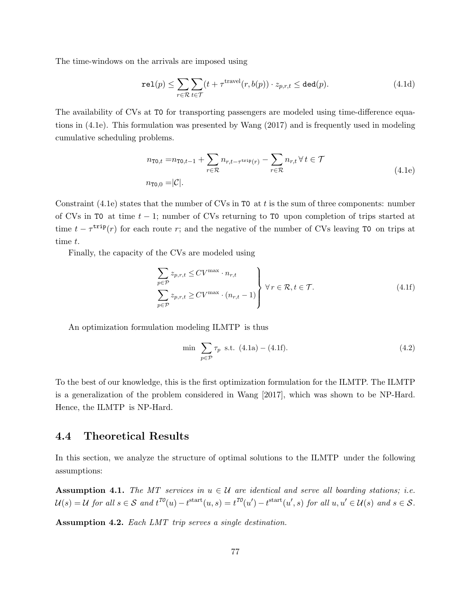The time-windows on the arrivals are imposed using

$$
\text{rel}(p) \le \sum_{r \in \mathcal{R}} \sum_{t \in \mathcal{T}} (t + \tau^{\text{travel}}(r, b(p)) \cdot z_{p,r,t} \le \text{ded}(p). \tag{4.1d}
$$

The availability of CVs at T0 for transporting passengers are modeled using time-difference equations in (4.1e). This formulation was presented by Wang (2017) and is frequently used in modeling cumulative scheduling problems.

$$
n_{\text{TO},t} = n_{\text{TO},t-1} + \sum_{r \in \mathcal{R}} n_{r,t-\tau^{\text{trip}}(r)} - \sum_{r \in \mathcal{R}} n_{r,t} \,\forall \, t \in \mathcal{T}
$$
  
\n
$$
n_{\text{TO},0} = |\mathcal{C}|.
$$
\n(4.1e)

Constraint (4.1e) states that the number of CVs in  $\sigma$  at t is the sum of three components: number of CVs in T0 at time  $t-1$ ; number of CVs returning to T0 upon completion of trips started at time  $t - \tau^{\text{trip}}(r)$  for each route r; and the negative of the number of CVs leaving T0 on trips at time t.

Finally, the capacity of the CVs are modeled using

$$
\sum_{p \in \mathcal{P}} z_{p,r,t} \leq CV^{\max} \cdot n_{r,t} \\
\sum_{p \in \mathcal{P}} z_{p,r,t} \geq CV^{\max} \cdot (n_{r,t} - 1) \qquad \forall r \in \mathcal{R}, t \in \mathcal{T}.
$$
\n(4.1f)

An optimization formulation modeling ILMTP is thus

$$
\min \sum_{p \in \mathcal{P}} \tau_p \text{ s.t. } (4.1a) - (4.1f). \tag{4.2}
$$

To the best of our knowledge, this is the first optimization formulation for the ILMTP. The ILMTP is a generalization of the problem considered in Wang [2017], which was shown to be NP-Hard. Hence, the ILMTP is NP-Hard.

## 4.4 Theoretical Results

In this section, we analyze the structure of optimal solutions to the ILMTP under the following assumptions:

**Assumption 4.1.** The MT services in  $u \in \mathcal{U}$  are identical and serve all boarding stations; i.e.  $\mathcal{U}(s) = \mathcal{U}$  for all  $s \in \mathcal{S}$  and  $t^{TO}(u) - t^{\text{start}}(u, s) = t^{TO}(u') - t^{\text{start}}(u', s)$  for all  $u, u' \in \mathcal{U}(s)$  and  $s \in \mathcal{S}$ .

Assumption 4.2. Each LMT trip serves a single destination.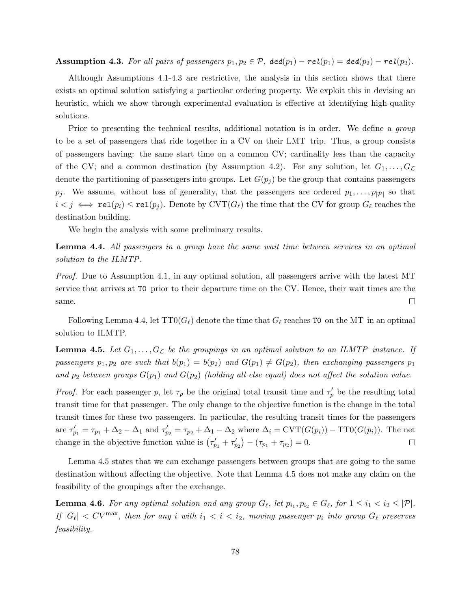**Assumption 4.3.** For all pairs of passengers  $p_1, p_2 \in \mathcal{P}$ ,  $\text{ded}(p_1) - \text{rel}(p_1) = \text{ded}(p_2) - \text{rel}(p_2)$ .

Although Assumptions 4.1-4.3 are restrictive, the analysis in this section shows that there exists an optimal solution satisfying a particular ordering property. We exploit this in devising an heuristic, which we show through experimental evaluation is effective at identifying high-quality solutions.

Prior to presenting the technical results, additional notation is in order. We define a *group* to be a set of passengers that ride together in a CV on their LMT trip. Thus, a group consists of passengers having: the same start time on a common CV; cardinality less than the capacity of the CV; and a common destination (by Assumption 4.2). For any solution, let  $G_1, \ldots, G_{\mathcal{L}}$ denote the partitioning of passengers into groups. Let  $G(p_i)$  be the group that contains passengers  $p_j$ . We assume, without loss of generality, that the passengers are ordered  $p_1, \ldots, p_{|\mathcal{P}|}$  so that  $i < j \iff \texttt{rel}(p_i) \le \texttt{rel}(p_j)$ . Denote by  $\text{CVT}(G_\ell)$  the time that the CV for group  $G_\ell$  reaches the destination building.

We begin the analysis with some preliminary results.

Lemma 4.4. All passengers in a group have the same wait time between services in an optimal solution to the ILMTP.

Proof. Due to Assumption 4.1, in any optimal solution, all passengers arrive with the latest MT service that arrives at T0 prior to their departure time on the CV. Hence, their wait times are the same.  $\Box$ 

Following Lemma 4.4, let  $TT0(G_{\ell})$  denote the time that  $G_{\ell}$  reaches T0 on the MT in an optimal solution to ILMTP.

**Lemma 4.5.** Let  $G_1, \ldots, G_{\mathcal{L}}$  be the groupings in an optimal solution to an ILMTP instance. If passengers  $p_1, p_2$  are such that  $b(p_1) = b(p_2)$  and  $G(p_1) \neq G(p_2)$ , then exchanging passengers  $p_1$ and  $p_2$  between groups  $G(p_1)$  and  $G(p_2)$  (holding all else equal) does not affect the solution value.

*Proof.* For each passenger p, let  $\tau_p$  be the original total transit time and  $\tau'_p$  be the resulting total transit time for that passenger. The only change to the objective function is the change in the total transit times for these two passengers. In particular, the resulting transit times for the passengers are  $\tau'_{p_1} = \tau_{p_1} + \Delta_2 - \Delta_1$  and  $\tau'_{p_2} = \tau_{p_2} + \Delta_1 - \Delta_2$  where  $\Delta_i = \text{CVT}(G(p_i)) - \text{TT0}(G(p_i))$ . The net change in the objective function value is  $(\tau'_{p_1} + \tau'_{p_2}) - (\tau_{p_1} + \tau_{p_2}) = 0$ .  $\Box$ 

Lemma 4.5 states that we can exchange passengers between groups that are going to the same destination without affecting the objective. Note that Lemma 4.5 does not make any claim on the feasibility of the groupings after the exchange.

**Lemma 4.6.** For any optimal solution and any group  $G_\ell$ , let  $p_{i_1}, p_{i_2} \in G_\ell$ , for  $1 \leq i_1 < i_2 \leq |\mathcal{P}|$ . If  $|G_\ell| < CV^{\max}$ , then for any i with  $i_1 < i < i_2$ , moving passenger  $p_i$  into group  $G_\ell$  preserves feasibility.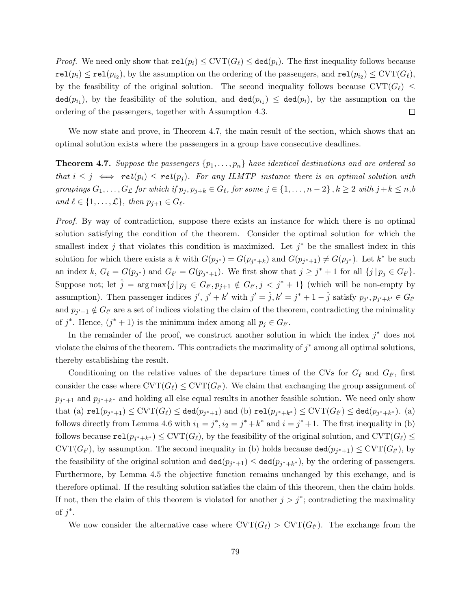*Proof.* We need only show that  $rel(p_i) \leq CVT(G_{\ell}) \leq ded(p_i)$ . The first inequality follows because  $\mathtt{rel}(p_i) \leq \mathtt{rel}(p_{i_2}),$  by the assumption on the ordering of the passengers, and  $\mathtt{rel}(p_{i_2}) \leq \mathrm{CVT}(G_\ell),$ by the feasibility of the original solution. The second inequality follows because  $\text{CVT}(G_\ell) \leq$  $\texttt{ded}(p_{i_1}),$  by the feasibility of the solution, and  $\texttt{ded}(p_{i_1}) \leq \texttt{ded}(p_i)$ , by the assumption on the ordering of the passengers, together with Assumption 4.3.  $\Box$ 

We now state and prove, in Theorem 4.7, the main result of the section, which shows that an optimal solution exists where the passengers in a group have consecutive deadlines.

**Theorem 4.7.** Suppose the passengers  $\{p_1, \ldots, p_n\}$  have identical destinations and are ordered so that  $i \leq j \iff rel(p_i) \leq rel(p_j)$ . For any ILMTP instance there is an optimal solution with groupings  $G_1, \ldots, G_{\mathcal{L}}$  for which if  $p_j, p_{j+k} \in G_{\ell}$ , for some  $j \in \{1, \ldots, n-2\}$ ,  $k \geq 2$  with  $j+k \leq n, b$ and  $\ell \in \{1, \ldots, \mathcal{L}\},\$  then  $p_{j+1} \in G_{\ell}$ .

Proof. By way of contradiction, suppose there exists an instance for which there is no optimal solution satisfying the condition of the theorem. Consider the optimal solution for which the smallest index j that violates this condition is maximized. Let  $j^*$  be the smallest index in this solution for which there exists a k with  $G(p_{j^*}) = G(p_{j^*+k})$  and  $G(p_{j^*+1}) \neq G(p_{j^*})$ . Let  $k^*$  be such an index k,  $G_{\ell} = G(p_{j^*})$  and  $G_{\ell'} = G(p_{j^*+1})$ . We first show that  $j \geq j^* + 1$  for all  $\{j | p_j \in G_{\ell'}\}$ . Suppose not; let  $\hat{j} = \arg \max\{j | p_j \in G_{\ell'}, p_{j+1} \notin G_{\ell'}, j < j^* + 1\}$  (which will be non-empty by assumption). Then passenger indices  $j', j' + k'$  with  $j' = \hat{j}, k' = j^* + 1 - \hat{j}$  satisfy  $p_{j'}, p_{j'+k'} \in G_{\ell'}$ and  $p_{j'+1} \notin G_{\ell'}$  are a set of indices violating the claim of the theorem, contradicting the minimality of  $j^*$ . Hence,  $(j^* + 1)$  is the minimum index among all  $p_j \in G_{\ell'}$ .

In the remainder of the proof, we construct another solution in which the index  $j^*$  does not violate the claims of the theorem. This contradicts the maximality of  $j^*$  among all optimal solutions, thereby establishing the result.

Conditioning on the relative values of the departure times of the CVs for  $G_{\ell}$  and  $G_{\ell'}$ , first consider the case where  $\mathrm{CVT}(G_\ell) \leq \mathrm{CVT}(G_{\ell'})$ . We claim that exchanging the group assignment of  $p_{j^*+1}$  and  $p_{j^*+k^*}$  and holding all else equal results in another feasible solution. We need only show that (a)  $\texttt{rel}(p_{j^*+1}) \leq \text{CVT}(G_{\ell}) \leq \texttt{ded}(p_{j^*+1})$  and (b)  $\texttt{rel}(p_{j^*+k^*}) \leq \text{CVT}(G_{\ell'}) \leq \text{ded}(p_{j^*+k^*}).$  (a) follows directly from Lemma 4.6 with  $i_1 = j^*, i_2 = j^* + k^*$  and  $i = j^* + 1$ . The first inequality in (b) follows because  $\mathtt{rel}(p_{j^*+k^*}) \leq \mathrm{CVT}(G_\ell)$ , by the feasibility of the original solution, and  $\mathrm{CVT}(G_\ell) \leq$  $\mathrm{CVT}(G_{\ell'})$ , by assumption. The second inequality in (b) holds because  $\text{ded}(p_{j^*+1}) \leq \mathrm{CVT}(G_{\ell'})$ , by the feasibility of the original solution and  $\text{ded}(p_{j^*+1}) \leq \text{ded}(p_{j^*+k^*})$ , by the ordering of passengers. Furthermore, by Lemma 4.5 the objective function remains unchanged by this exchange, and is therefore optimal. If the resulting solution satisfies the claim of this theorem, then the claim holds. If not, then the claim of this theorem is violated for another  $j > j^*$ ; contradicting the maximality of  $j^*$ .

We now consider the alternative case where  $\text{CVT}(G_\ell) > \text{CVT}(G_{\ell'})$ . The exchange from the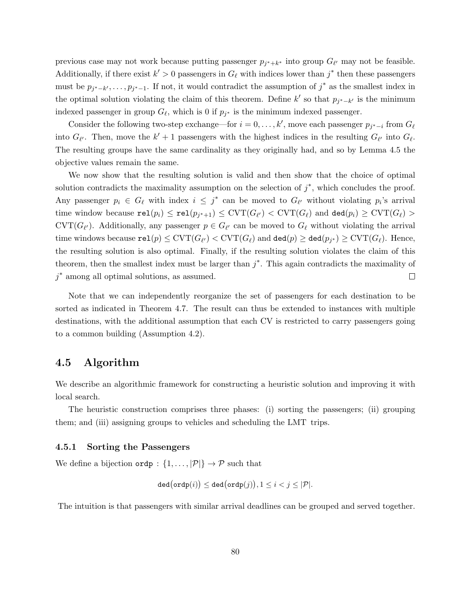previous case may not work because putting passenger  $p_{j^*+k^*}$  into group  $G_{\ell'}$  may not be feasible. Additionally, if there exist  $k' > 0$  passengers in  $G_\ell$  with indices lower than  $j^*$  then these passengers must be  $p_{j^*-k'}, \ldots, p_{j^*-1}$ . If not, it would contradict the assumption of  $j^*$  as the smallest index in the optimal solution violating the claim of this theorem. Define k' so that  $p_{j^*-k'}$  is the minimum indexed passenger in group  $G_{\ell}$ , which is 0 if  $p_{j^*}$  is the minimum indexed passenger.

Consider the following two-step exchange—for  $i = 0, \ldots, k'$ , move each passenger  $p_{j^*-i}$  from  $G_\ell$ into  $G_{\ell'}$ . Then, move the  $k' + 1$  passengers with the highest indices in the resulting  $G_{\ell'}$  into  $G_{\ell}$ . The resulting groups have the same cardinality as they originally had, and so by Lemma 4.5 the objective values remain the same.

We now show that the resulting solution is valid and then show that the choice of optimal solution contradicts the maximality assumption on the selection of  $j^*$ , which concludes the proof. Any passenger  $p_i \in G_\ell$  with index  $i \leq j^*$  can be moved to  $G_{\ell'}$  without violating  $p_i$ 's arrival time window because  $\mathtt{rel}(p_i) \leq \mathtt{rel}(p_{j^*+1}) \leq \mathrm{CVT}(G_{\ell'}) < \mathrm{CVT}(G_{\ell})$  and  $\mathtt{ded}(p_i) \geq \mathrm{CVT}(G_{\ell}) >$  $\mathrm{CVT}(G_{\ell'})$ . Additionally, any passenger  $p \in G_{\ell'}$  can be moved to  $G_{\ell}$  without violating the arrival time windows because  $\mathtt{rel}(p) \leq \mathrm{CVT}(G_{\ell'}) < \mathrm{CVT}(G_{\ell})$  and  $\mathtt{ded}(p) \geq \mathtt{ded}(p_{j^*}) \geq \mathrm{CVT}(G_{\ell}).$  Hence, the resulting solution is also optimal. Finally, if the resulting solution violates the claim of this theorem, then the smallest index must be larger than  $j^*$ . This again contradicts the maximality of j<sup>\*</sup> among all optimal solutions, as assumed.  $\Box$ 

Note that we can independently reorganize the set of passengers for each destination to be sorted as indicated in Theorem 4.7. The result can thus be extended to instances with multiple destinations, with the additional assumption that each CV is restricted to carry passengers going to a common building (Assumption 4.2).

## 4.5 Algorithm

We describe an algorithmic framework for constructing a heuristic solution and improving it with local search.

The heuristic construction comprises three phases: (i) sorting the passengers; (ii) grouping them; and (iii) assigning groups to vehicles and scheduling the LMT trips.

#### 4.5.1 Sorting the Passengers

We define a bijection  $\text{ordp} : \{1, \ldots, |\mathcal{P}|\} \to \mathcal{P}$  such that

$$
\mathtt{ded}\bigl(\mathtt{ordp}(i)\bigr) \leq \mathtt{ded}\bigl(\mathtt{ordp}(j)\bigr), 1 \leq i < j \leq |\mathcal{P}|.
$$

The intuition is that passengers with similar arrival deadlines can be grouped and served together.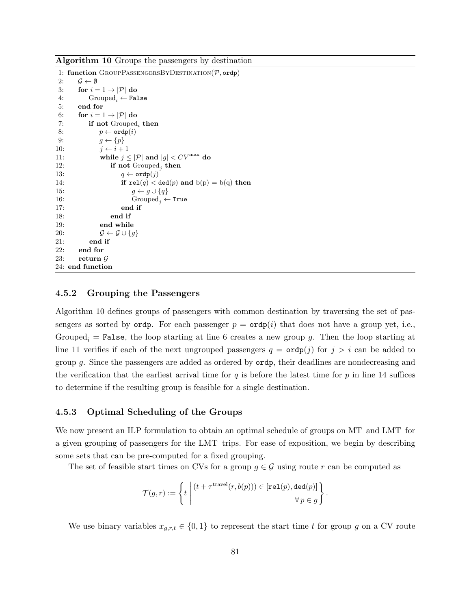Algorithm 10 Groups the passengers by destination

```
1: function GROUPPASSENGERSBYDESTINATION(\mathcal{P}, \text{ordp})2: \mathcal{G} \leftarrow \emptyset3: for i = 1 \rightarrow |\mathcal{P}| do
4: Grouped<sub>i</sub> ← False<br>5: end for
       5: end for
6: for i = 1 \rightarrow |\mathcal{P}| do
 7: if not Grouped_i then
8: p \leftarrow \texttt{ordp}(i)9: g \leftarrow \{p\}10: j \leftarrow i + 111: while j \leq |\mathcal{P}| and |g| < CV^{\max} do
12: if not Grouped<sub>j</sub> then
13: q \leftarrow \text{ordp}(j)14: if rel(q) < ded(p) and b(p) = b(q) then
15: g \leftarrow g \cup \{q\}16: Grouped<sub>j</sub> ← True
17: end if
18: end if
19: end while
20: \mathcal{G} \leftarrow \mathcal{G} \cup \{g\}21: end if
22: end for
23: return G24: end function
```
### 4.5.2 Grouping the Passengers

Algorithm 10 defines groups of passengers with common destination by traversing the set of passengers as sorted by ordp. For each passenger  $p = \text{ord}(i)$  that does not have a group yet, i.e., Grouped<sub>i</sub> = False, the loop starting at line 6 creates a new group g. Then the loop starting at line 11 verifies if each of the next ungrouped passengers  $q = \text{ordp}(j)$  for  $j > i$  can be added to group g. Since the passengers are added as ordered by ordp, their deadlines are nondecreasing and the verification that the earliest arrival time for  $q$  is before the latest time for  $p$  in line 14 suffices to determine if the resulting group is feasible for a single destination.

#### 4.5.3 Optimal Scheduling of the Groups

We now present an ILP formulation to obtain an optimal schedule of groups on MT and LMT for a given grouping of passengers for the LMT trips. For ease of exposition, we begin by describing some sets that can be pre-computed for a fixed grouping.

The set of feasible start times on CVs for a group  $g \in \mathcal{G}$  using route r can be computed as

$$
\mathcal{T}(g,r) := \left\{ t \mid (t + \tau^{\text{travel}}(r,b(p))) \in [\texttt{rel}(p),\texttt{ded}(p)] \atop \forall p \in g \right\}.
$$

We use binary variables  $x_{g,r,t} \in \{0,1\}$  to represent the start time t for group g on a CV route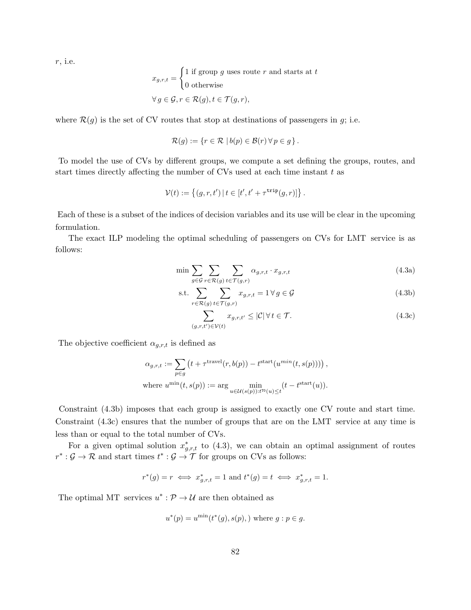r, i.e.

$$
x_{g,r,t} = \begin{cases} 1 \text{ if group } g \text{ uses route } r \text{ and starts at } t \\ 0 \text{ otherwise} \end{cases}
$$
  

$$
\forall g \in \mathcal{G}, r \in \mathcal{R}(g), t \in \mathcal{T}(g, r),
$$

where  $\mathcal{R}(g)$  is the set of CV routes that stop at destinations of passengers in g; i.e.

$$
\mathcal{R}(g) := \{ r \in \mathcal{R} \mid b(p) \in \mathcal{B}(r) \,\forall \, p \in g \}.
$$

To model the use of CVs by different groups, we compute a set defining the groups, routes, and start times directly affecting the number of CVs used at each time instant  $t$  as

$$
\mathcal{V}(t) := \{(g, r, t') | t \in [t', t' + \tau^{\text{trip}}(g, r)]\}.
$$

Each of these is a subset of the indices of decision variables and its use will be clear in the upcoming formulation.

The exact ILP modeling the optimal scheduling of passengers on CVs for LMT service is as follows:

$$
\min \sum_{g \in \mathcal{G}} \sum_{r \in \mathcal{R}(g)} \sum_{t \in \mathcal{T}(g,r)} \alpha_{g,r,t} \cdot x_{g,r,t} \tag{4.3a}
$$

s.t. 
$$
\sum_{r \in \mathcal{R}(g)} \sum_{t \in \mathcal{T}(g,r)} x_{g,r,t} = 1 \,\forall \, g \in \mathcal{G}
$$
 (4.3b)

$$
\sum_{(g,r,t')\in\mathcal{V}(t)} x_{g,r,t'} \le |\mathcal{C}| \,\forall \, t \in \mathcal{T}.\tag{4.3c}
$$

The objective coefficient  $\alpha_{g,r,t}$  is defined as

$$
\begin{aligned} \alpha_{g,r,t} &:= \sum_{p \in g} \left( t + \tau^{\text{travel}}(r,b(p)) - t^{\text{start}}(u^{min}(t,s(p))) \right), \\ \text{where } u^{\text{min}}(t,s(p)) &:= \arg \min_{u \in \mathcal{U}(s(p)) : t^{\text{ro}}(u) \leq t} (t - t^{\text{start}}(u)). \end{aligned}
$$

Constraint (4.3b) imposes that each group is assigned to exactly one CV route and start time. Constraint (4.3c) ensures that the number of groups that are on the LMT service at any time is less than or equal to the total number of CVs.

For a given optimal solution  $x_{g,r,t}^*$  to (4.3), we can obtain an optimal assignment of routes  $r^* : \mathcal{G} \to \mathcal{R}$  and start times  $t^* : \mathcal{G} \to \mathcal{T}$  for groups on CVs as follows:

$$
r^*(g) = r \iff x^*_{g,r,t} = 1
$$
 and  $t^*(g) = t \iff x^*_{g,r,t} = 1$ .

The optimal MT services  $u^* : \mathcal{P} \to \mathcal{U}$  are then obtained as

$$
u^*(p) = u^{\min}(t^*(g), s(p),)
$$
 where  $g : p \in g$ .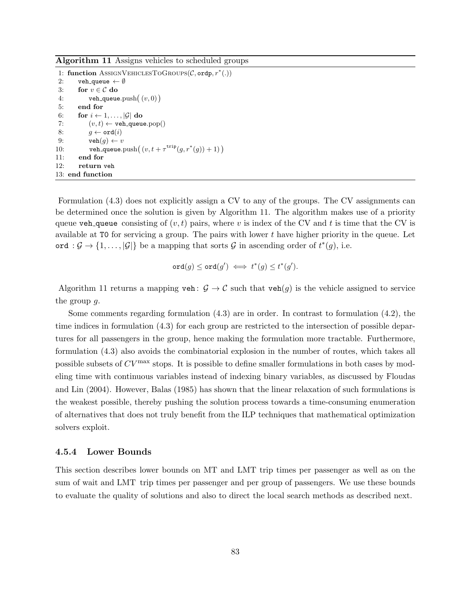Algorithm 11 Assigns vehicles to scheduled groups

1: function ASSIGNVEHICLESTOGROUPS( $C$ , ordp,  $r^*(.)$ ) 2: veh queue  $\leftarrow \emptyset$ 3: for  $v \in \mathcal{C}$  do 4: veh\_queue.push $((v, 0))$ 5: end for 6: for  $i \leftarrow 1, \ldots, |\mathcal{G}|$  do 7:  $(v, t) \leftarrow \texttt{veh\_queue.pop}()$ 8:  $g \leftarrow \texttt{ord}(i)$ 9:  $\text{veh}(g) \leftarrow v$ 10: veh queue.push $((v, t + \tau^{\text{trip}}(g, r^*(g)) + 1))$ 11: end for 12: return veh 13: end function

Formulation (4.3) does not explicitly assign a CV to any of the groups. The CV assignments can be determined once the solution is given by Algorithm 11. The algorithm makes use of a priority queue veh queue consisting of  $(v, t)$  pairs, where v is index of the CV and t is time that the CV is available at  $\overline{10}$  for servicing a group. The pairs with lower t have higher priority in the queue. Let ord :  $\mathcal{G} \to \{1, \ldots, |\mathcal{G}|\}$  be a mapping that sorts  $\mathcal{G}$  in ascending order of  $t^*(g)$ , i.e.

$$
\texttt{ord}(g) \leq \texttt{ord}(g') \iff t^*(g) \leq t^*(g').
$$

Algorithm 11 returns a mapping veh:  $\mathcal{G} \to \mathcal{C}$  such that veh(q) is the vehicle assigned to service the group  $q$ .

Some comments regarding formulation  $(4.3)$  are in order. In contrast to formulation  $(4.2)$ , the time indices in formulation (4.3) for each group are restricted to the intersection of possible departures for all passengers in the group, hence making the formulation more tractable. Furthermore, formulation (4.3) also avoids the combinatorial explosion in the number of routes, which takes all possible subsets of  $CV<sup>max</sup>$  stops. It is possible to define smaller formulations in both cases by modeling time with continuous variables instead of indexing binary variables, as discussed by Floudas and Lin (2004). However, Balas (1985) has shown that the linear relaxation of such formulations is the weakest possible, thereby pushing the solution process towards a time-consuming enumeration of alternatives that does not truly benefit from the ILP techniques that mathematical optimization solvers exploit.

#### 4.5.4 Lower Bounds

This section describes lower bounds on MT and LMT trip times per passenger as well as on the sum of wait and LMT trip times per passenger and per group of passengers. We use these bounds to evaluate the quality of solutions and also to direct the local search methods as described next.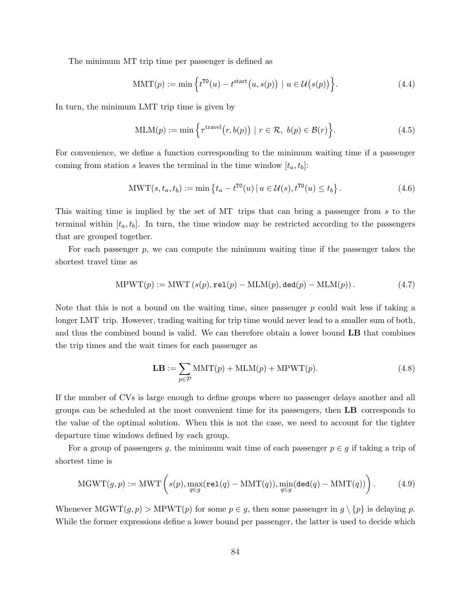The minimum MT trip time per passenger is defined as

$$
MMT(p) := \min\left\{ t^{T0}(u) - t^{\text{start}}(u, s(p)) \mid u \in \mathcal{U}(s(p)) \right\}.
$$
 (4.4)

In turn, the minimum LMT trip time is given by

$$
MLM(p) := \min\left\{\tau^{\text{travel}}(r, b(p)) \mid r \in \mathcal{R}, \ b(p) \in \mathcal{B}(r)\right\}.
$$
\n(4.5)

For convenience, we define a function corresponding to the minimum waiting time if a passenger coming from station s leaves the terminal in the time window  $[t_a, t_b]$ :

$$
MWT(s, t_a, t_b) := \min \left\{ t_a - t^{T0}(u) \, | \, u \in \mathcal{U}(s), t^{T0}(u) \le t_b \right\}. \tag{4.6}
$$

This waiting time is implied by the set of MT trips that can bring a passenger from s to the terminal within  $[t_a, t_b]$ . In turn, the time window may be restricted according to the passengers that are grouped together.

For each passenger p, we can compute the minimum waiting time if the passenger takes the shortest travel time as

$$
MPWT(p) := MWT(s(p), rel(p) - MLM(p), ded(p) - MLM(p)).
$$
\n(4.7)

Note that this is not a bound on the waiting time, since passenger  $p$  could wait less if taking a longer LMT trip. However, trading waiting for trip time would never lead to a smaller sum of both, and thus the combined bound is valid. We can therefore obtain a lower bound LB that combines the trip times and the wait times for each passenger as

$$
\mathbf{LB} := \sum_{p \in \mathcal{P}} \text{MMT}(p) + \text{MLM}(p) + \text{MPWT}(p). \tag{4.8}
$$

If the number of CVs is large enough to define groups where no passenger delays another and all groups can be scheduled at the most convenient time for its passengers, then LB corresponds to the value of the optimal solution. When this is not the case, we need to account for the tighter departure time windows defined by each group.

For a group of passengers g, the minimum wait time of each passenger  $p \in g$  if taking a trip of shortest time is

$$
MGWT(g, p) := MWT\left(s(p), \max_{q \in g} (\text{rel}(q) - MMT(q)), \min_{q \in g} (\text{ded}(q) - MMT(q))\right).
$$
 (4.9)

Whenever  $MGWT(g, p) > MPWT(p)$  for some  $p \in g$ , then some passenger in  $g \setminus \{p\}$  is delaying p. While the former expressions define a lower bound per passenger, the latter is used to decide which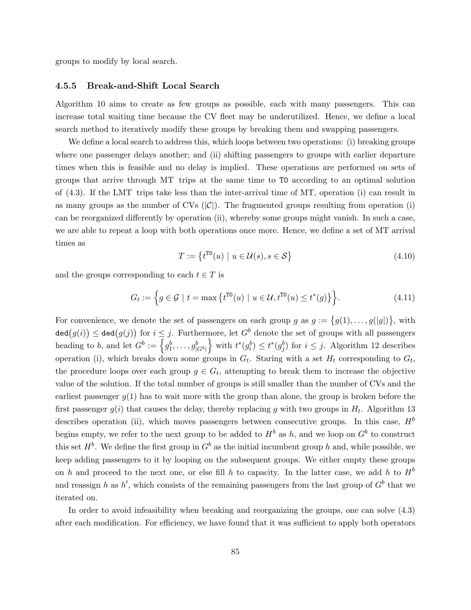groups to modify by local search.

#### 4.5.5 Break-and-Shift Local Search

Algorithm 10 aims to create as few groups as possible, each with many passengers. This can increase total waiting time because the CV fleet may be underutilized. Hence, we define a local search method to iteratively modify these groups by breaking them and swapping passengers.

We define a local search to address this, which loops between two operations: (i) breaking groups where one passenger delays another; and (ii) shifting passengers to groups with earlier departure times when this is feasible and no delay is implied. These operations are performed on sets of groups that arrive through MT trips at the same time to T0 according to an optimal solution of (4.3). If the LMT trips take less than the inter-arrival time of MT, operation (i) can result in as many groups as the number of CVs  $(|\mathcal{C}|)$ . The fragmented groups resulting from operation (i) can be reorganized differently by operation (ii), whereby some groups might vanish. In such a case, we are able to repeat a loop with both operations once more. Hence, we define a set of MT arrival times as

$$
T := \left\{ t^{T0}(u) \mid u \in \mathcal{U}(s), s \in \mathcal{S} \right\}
$$
\n
$$
(4.10)
$$

and the groups corresponding to each  $t \in T$  is

$$
G_t := \left\{ g \in \mathcal{G} \mid t = \max \left\{ t^{\text{TO}}(u) \mid u \in \mathcal{U}, t^{\text{TO}}(u) \le t^*(g) \right\} \right\}.
$$
 (4.11)

For convenience, we denote the set of passengers on each group  $g$  as  $g := \{g(1), \ldots, g(|g|)\}\$ , with  $\texttt{ded}(g(i)) \leq \texttt{ded}(g(j))$  for  $i \leq j$ . Furthermore, let  $G^b$  denote the set of groups with all passengers heading to b, and let  $G^b := \left\{g_1^b, \ldots, g_{|G^b|}^b\right\}$  with  $t^*(g_i^b) \leq t^*(g_j^b)$  for  $i \leq j$ . Algorithm 12 describes operation (i), which breaks down some groups in  $G_t$ . Staring with a set  $H_t$  corresponding to  $G_t$ , the procedure loops over each group  $g \in G_t$ , attempting to break them to increase the objective value of the solution. If the total number of groups is still smaller than the number of CVs and the earliest passenger  $g(1)$  has to wait more with the group than alone, the group is broken before the first passenger  $g(i)$  that causes the delay, thereby replacing g with two groups in  $H_t$ . Algorithm 13 describes operation (ii), which moves passengers between consecutive groups. In this case,  $H^b$ begins empty, we refer to the next group to be added to  $H^b$  as h, and we loop on  $G^b$  to construct this set  $H^b$ . We define the first group in  $G^b$  as the initial incumbent group h and, while possible, we keep adding passengers to it by looping on the subsequent groups. We either empty these groups on h and proceed to the next one, or else fill h to capacity. In the latter case, we add h to  $H^b$ and reassign h as h', which consists of the remaining passengers from the last group of  $G^b$  that we iterated on.

In order to avoid infeasibility when breaking and reorganizing the groups, one can solve (4.3) after each modification. For efficiency, we have found that it was sufficient to apply both operators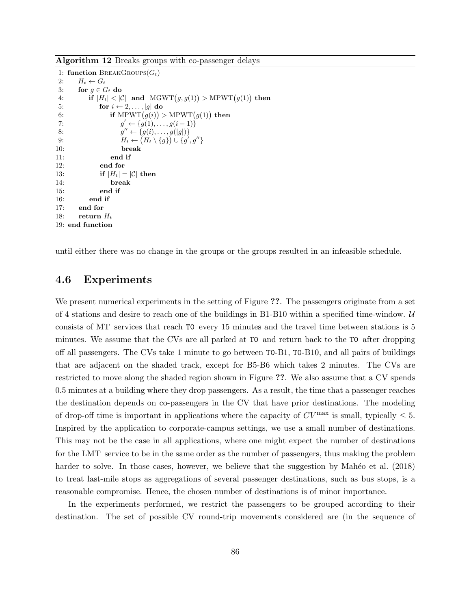Algorithm 12 Breaks groups with co-passenger delays

```
1: function BREAKGROUPS(G_t)2: H_t \leftarrow G_t3: for g \in G_t do
 4: if |H_t| < |\mathcal{C}| and \text{MGWT}(g, g(1)) > \text{MPWT}(g(1)) then
5: for i \leftarrow 2, \ldots, |g| do
 6: if \text{MPWT}(g(i)) > \text{MPWT}(g(1)) then
 7: g
                  g' \leftarrow \{g(1), \ldots, g(i-1)\}\8: g
                  g'' \leftarrow \{g(i), \ldots, g(|g|)\}\9: H_t \leftarrow (H_t \setminus \{g\}) \cup \{g', g''\}10: break
11: end if
12: end for
13: if |H_t| = |\mathcal{C}| then
14: break
15: end if
16: end if
17: end for
18: return H_t19: end function
```
until either there was no change in the groups or the groups resulted in an infeasible schedule.

### 4.6 Experiments

We present numerical experiments in the setting of Figure ??. The passengers originate from a set of 4 stations and desire to reach one of the buildings in B1-B10 within a specified time-window.  $U$ consists of MT services that reach T0 every 15 minutes and the travel time between stations is 5 minutes. We assume that the CVs are all parked at T0 and return back to the T0 after dropping off all passengers. The CVs take 1 minute to go between T0-B1, T0-B10, and all pairs of buildings that are adjacent on the shaded track, except for B5-B6 which takes 2 minutes. The CVs are restricted to move along the shaded region shown in Figure ??. We also assume that a CV spends 0.5 minutes at a building where they drop passengers. As a result, the time that a passenger reaches the destination depends on co-passengers in the CV that have prior destinations. The modeling of drop-off time is important in applications where the capacity of  $CV^{\max}$  is small, typically  $\leq 5$ . Inspired by the application to corporate-campus settings, we use a small number of destinations. This may not be the case in all applications, where one might expect the number of destinations for the LMT service to be in the same order as the number of passengers, thus making the problem harder to solve. In those cases, however, we believe that the suggestion by Mahéo et al. (2018) to treat last-mile stops as aggregations of several passenger destinations, such as bus stops, is a reasonable compromise. Hence, the chosen number of destinations is of minor importance.

In the experiments performed, we restrict the passengers to be grouped according to their destination. The set of possible CV round-trip movements considered are (in the sequence of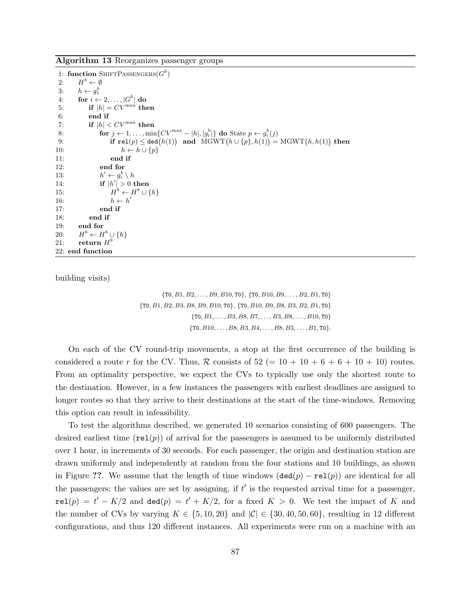Algorithm 13 Reorganizes passenger groups

1: function SHIFTPASSENGERS $(G^b)$ 2:  $H^b \leftarrow \emptyset$ 3:  $h \leftarrow g_1^b$ 4: for  $i \leftarrow 2, \ldots, |G^b|$  do 5: if  $|h| = CV^{\max}$  then 6: end if 7: if  $|h| < CV^{\max}$  then 8: for  $j \leftarrow 1, ..., \min\{CV^{\max} - |h|, |g_i^b|\}$  do State  $p \leftarrow g_i^b(j)$ 9: if  $\mathtt{rel}(p) \leq \mathtt{ded}(h(1))$  and  $\mathrm{MGWT}(h \cup \{p\}, h(1)) = \mathrm{MGWT}(h, h(1))$  then 10:  $h \leftarrow h \cup \{p\}$ 11: end if 12: end for  $13:$  $v' \leftarrow g_i^b \setminus h$ 14: if  $|h'| > 0$  then  $15:$  $b \leftarrow H^b \cup \{h\}$ 16:  $h \leftarrow h'$ 17: end if 18: end if 19: end for  $20:$  $b \leftarrow H^b \cup \{h\}$ 21: return  $H^b$ 22: end function

building visits)

 $\{T0, B1, B2, \ldots, B9, B10, T0\}, \{T0, B10, B9, \ldots, B2, B1, T0\}$  $\{ {\tt T0}, B1, B2, B3, B8, B9, B10, {\tt T0} \}, \, \{ {\tt T0}, B10, B9, B8, B3, B2, B1, {\tt T0} \}$  $\{T0, B1, \ldots, B3, B8, B7, \ldots, B3, B8, \ldots, B10, T0\}$  $\{T0, B10, \ldots, B8, B3, B4, \ldots, B8, B3, \ldots, B1, T0\}.$ 

On each of the CV round-trip movements, a stop at the first occurrence of the building is considered a route r for the CV. Thus, R consists of  $52 (= 10 + 10 + 6 + 6 + 10 + 10)$  routes. From an optimality perspective, we expect the CVs to typically use only the shortest route to the destination. However, in a few instances the passengers with earliest deadlines are assigned to longer routes so that they arrive to their destinations at the start of the time-windows. Removing this option can result in infeasibility.

To test the algorithms described, we generated 10 scenarios consisting of 600 passengers. The desired earliest time  $(\text{rel}(p))$  of arrival for the passengers is assumed to be uniformly distributed over 1 hour, in increments of 30 seconds. For each passenger, the origin and destination station are drawn uniformly and independently at random from the four stations and 10 buildings, as shown in Figure ??. We assume that the length of time windows  $(\text{ded}(p) - \text{rel}(p))$  are identical for all the passengers; the values are set by assigning, if  $t'$  is the requested arrival time for a passenger,  $rel(p) = t' - K/2$  and  $ded(p) = t' + K/2$ , for a fixed  $K > 0$ . We test the impact of K and the number of CVs by varying  $K \in \{5, 10, 20\}$  and  $|\mathcal{C}| \in \{30, 40, 50, 60\}$ , resulting in 12 different configurations, and thus 120 different instances. All experiments were run on a machine with an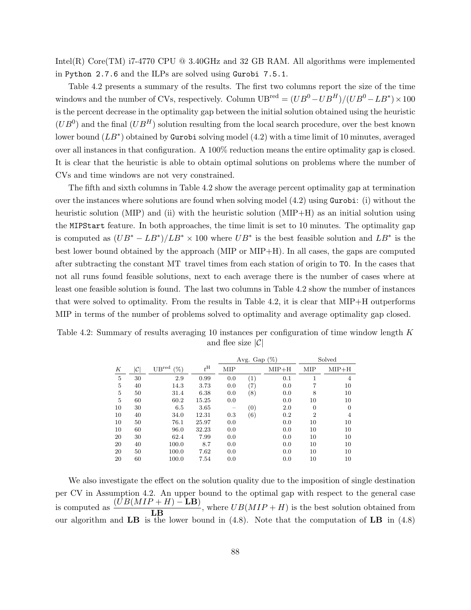Intel(R) Core(TM) i7-4770 CPU  $\textcircled{a}$  3.40GHz and 32 GB RAM. All algorithms were implemented in Python 2.7.6 and the ILPs are solved using Gurobi 7.5.1.

Table 4.2 presents a summary of the results. The first two columns report the size of the time windows and the number of CVs, respectively. Column  $UB^{red} = (UB^0 - UB^H)/(UB^0 - LB^*) \times 100$ is the percent decrease in the optimality gap between the initial solution obtained using the heuristic  $(UB^0)$  and the final  $(UB^H)$  solution resulting from the local search procedure, over the best known lower bound  $(LB^*)$  obtained by Gurobi solving model  $(4.2)$  with a time limit of 10 minutes, averaged over all instances in that configuration. A 100% reduction means the entire optimality gap is closed. It is clear that the heuristic is able to obtain optimal solutions on problems where the number of CVs and time windows are not very constrained.

The fifth and sixth columns in Table 4.2 show the average percent optimality gap at termination over the instances where solutions are found when solving model (4.2) using Gurobi: (i) without the heuristic solution (MIP) and (ii) with the heuristic solution (MIP+H) as an initial solution using the MIPStart feature. In both approaches, the time limit is set to 10 minutes. The optimality gap is computed as  $(UB^* - LB^*)/LB^* \times 100$  where  $UB^*$  is the best feasible solution and  $LB^*$  is the best lower bound obtained by the approach (MIP or MIP+H). In all cases, the gaps are computed after subtracting the constant MT travel times from each station of origin to T0. In the cases that not all runs found feasible solutions, next to each average there is the number of cases where at least one feasible solution is found. The last two columns in Table 4.2 show the number of instances that were solved to optimality. From the results in Table 4.2, it is clear that MIP+H outperforms MIP in terms of the number of problems solved to optimality and average optimality gap closed.

Table 4.2: Summary of results averaging 10 instances per configuration of time window length K and flee size  $|\mathcal{C}|$ 

|                |    |                          |             | Avg. Gap $(\%)$ |                   |         |                | Solved         |
|----------------|----|--------------------------|-------------|-----------------|-------------------|---------|----------------|----------------|
| К              | C  | $UB^{\rm red}$<br>$(\%)$ | $t^{\rm H}$ | <b>MIP</b>      |                   | $MIP+H$ | <b>MIP</b>     | $MIP+H$        |
| $\overline{5}$ | 30 | 2.9                      | 0.99        | 0.0             | (1)               | 0.1     | 1              | $\overline{4}$ |
| $\overline{5}$ | 40 | 14.3                     | 3.73        | 0.0             | $\left( 7\right)$ | 0.0     | 7              | 10             |
| $\overline{5}$ | 50 | 31.4                     | 6.38        | 0.0             | (8)               | 0.0     | 8              | 10             |
| 5              | 60 | 60.2                     | 15.25       | 0.0             |                   | 0.0     | 10             | 10             |
| 10             | 30 | 6.5                      | 3.65        |                 | (0)               | 2.0     | $\overline{0}$ | $\Omega$       |
| 10             | 40 | 34.0                     | 12.31       | 0.3             | (6)               | 0.2     | $\overline{2}$ | 4              |
| 10             | 50 | 76.1                     | 25.97       | 0.0             |                   | 0.0     | 10             | 10             |
| 10             | 60 | 96.0                     | 32.23       | 0.0             |                   | 0.0     | 10             | 10             |
| 20             | 30 | 62.4                     | 7.99        | 0.0             |                   | 0.0     | 10             | 10             |
| 20             | 40 | 100.0                    | 8.7         | 0.0             |                   | 0.0     | 10             | 10             |
| 20             | 50 | 100.0                    | 7.62        | 0.0             |                   | 0.0     | 10             | 10             |
| 20             | 60 | 100.0                    | 7.54        | 0.0             |                   | 0.0     | 10             | 10             |

We also investigate the effect on the solution quality due to the imposition of single destination per CV in Assumption 4.2. An upper bound to the optimal gap with respect to the general case is computed as  $\frac{(UB(MIP + H) - LB)}{LB}$ , where  $UB(MIP + H)$  is the best solution obtained from our algorithm and  $LB$  is the lower bound in (4.8). Note that the computation of  $LB$  in (4.8)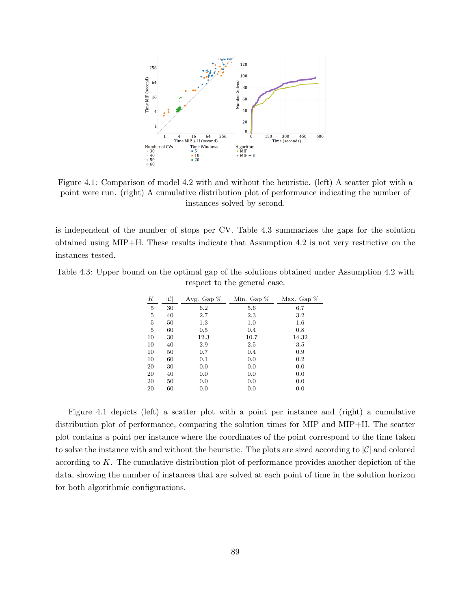

Figure 4.1: Comparison of model 4.2 with and without the heuristic. (left) A scatter plot with a point were run. (right) A cumulative distribution plot of performance indicating the number of instances solved by second.

is independent of the number of stops per CV. Table 4.3 summarizes the gaps for the solution obtained using MIP+H. These results indicate that Assumption 4.2 is not very restrictive on the instances tested.

Table 4.3: Upper bound on the optimal gap of the solutions obtained under Assumption 4.2 with respect to the general case.

| К  | $ \mathcal{C} $ | Avg. Gap % | Min. Gap $%$ | Max. Gap $%$ |
|----|-----------------|------------|--------------|--------------|
| 5  | 30              | 6.2        | 5.6          | 6.7          |
| 5  | 40              | 2.7        | 2.3          | 3.2          |
| 5  | 50              | 1.3        | 1.0          | $1.6\,$      |
| 5  | 60              | $0.5\,$    | 0.4          | 0.8          |
| 10 | 30              | 12.3       | 10.7         | 14.32        |
| 10 | 40              | 2.9        | 2.5          | 3.5          |
| 10 | 50              | 0.7        | 0.4          | 0.9          |
| 10 | 60              | 0.1        | 0.0          | 0.2          |
| 20 | 30              | 0.0        | 0.0          | 0.0          |
| 20 | 40              | 0.0        | 0.0          | 0.0          |
| 20 | 50              | 0.0        | 0.0          | 0.0          |
| 20 | 60              | 0.0        | 0.0          | 0.0          |

Figure 4.1 depicts (left) a scatter plot with a point per instance and (right) a cumulative distribution plot of performance, comparing the solution times for MIP and MIP+H. The scatter plot contains a point per instance where the coordinates of the point correspond to the time taken to solve the instance with and without the heuristic. The plots are sized according to  $|\mathcal{C}|$  and colored according to  $K$ . The cumulative distribution plot of performance provides another depiction of the data, showing the number of instances that are solved at each point of time in the solution horizon for both algorithmic configurations.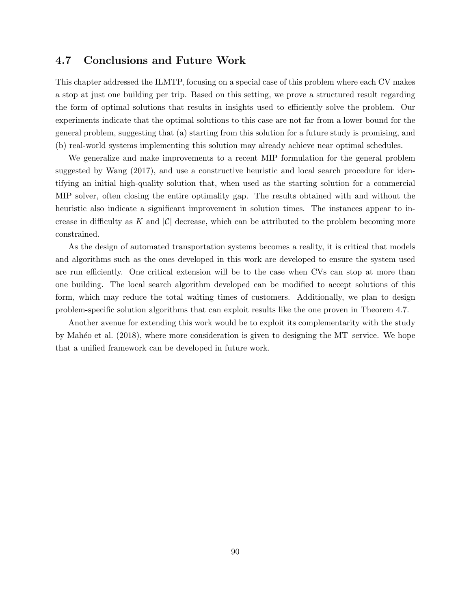## 4.7 Conclusions and Future Work

This chapter addressed the ILMTP, focusing on a special case of this problem where each CV makes a stop at just one building per trip. Based on this setting, we prove a structured result regarding the form of optimal solutions that results in insights used to efficiently solve the problem. Our experiments indicate that the optimal solutions to this case are not far from a lower bound for the general problem, suggesting that (a) starting from this solution for a future study is promising, and (b) real-world systems implementing this solution may already achieve near optimal schedules.

We generalize and make improvements to a recent MIP formulation for the general problem suggested by Wang (2017), and use a constructive heuristic and local search procedure for identifying an initial high-quality solution that, when used as the starting solution for a commercial MIP solver, often closing the entire optimality gap. The results obtained with and without the heuristic also indicate a significant improvement in solution times. The instances appear to increase in difficulty as K and  $|\mathcal{C}|$  decrease, which can be attributed to the problem becoming more constrained.

As the design of automated transportation systems becomes a reality, it is critical that models and algorithms such as the ones developed in this work are developed to ensure the system used are run efficiently. One critical extension will be to the case when CVs can stop at more than one building. The local search algorithm developed can be modified to accept solutions of this form, which may reduce the total waiting times of customers. Additionally, we plan to design problem-specific solution algorithms that can exploit results like the one proven in Theorem 4.7.

Another avenue for extending this work would be to exploit its complementarity with the study by Mah $\acute{e}$ o et al. (2018), where more consideration is given to designing the MT service. We hope that a unified framework can be developed in future work.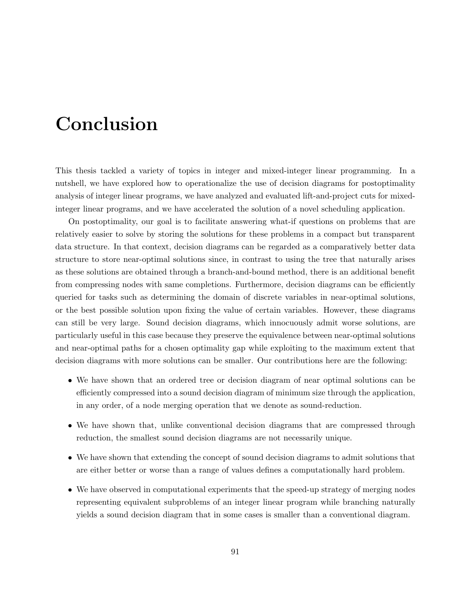## Conclusion

This thesis tackled a variety of topics in integer and mixed-integer linear programming. In a nutshell, we have explored how to operationalize the use of decision diagrams for postoptimality analysis of integer linear programs, we have analyzed and evaluated lift-and-project cuts for mixedinteger linear programs, and we have accelerated the solution of a novel scheduling application.

On postoptimality, our goal is to facilitate answering what-if questions on problems that are relatively easier to solve by storing the solutions for these problems in a compact but transparent data structure. In that context, decision diagrams can be regarded as a comparatively better data structure to store near-optimal solutions since, in contrast to using the tree that naturally arises as these solutions are obtained through a branch-and-bound method, there is an additional benefit from compressing nodes with same completions. Furthermore, decision diagrams can be efficiently queried for tasks such as determining the domain of discrete variables in near-optimal solutions, or the best possible solution upon fixing the value of certain variables. However, these diagrams can still be very large. Sound decision diagrams, which innocuously admit worse solutions, are particularly useful in this case because they preserve the equivalence between near-optimal solutions and near-optimal paths for a chosen optimality gap while exploiting to the maximum extent that decision diagrams with more solutions can be smaller. Our contributions here are the following:

- We have shown that an ordered tree or decision diagram of near optimal solutions can be efficiently compressed into a sound decision diagram of minimum size through the application, in any order, of a node merging operation that we denote as sound-reduction.
- We have shown that, unlike conventional decision diagrams that are compressed through reduction, the smallest sound decision diagrams are not necessarily unique.
- We have shown that extending the concept of sound decision diagrams to admit solutions that are either better or worse than a range of values defines a computationally hard problem.
- We have observed in computational experiments that the speed-up strategy of merging nodes representing equivalent subproblems of an integer linear program while branching naturally yields a sound decision diagram that in some cases is smaller than a conventional diagram.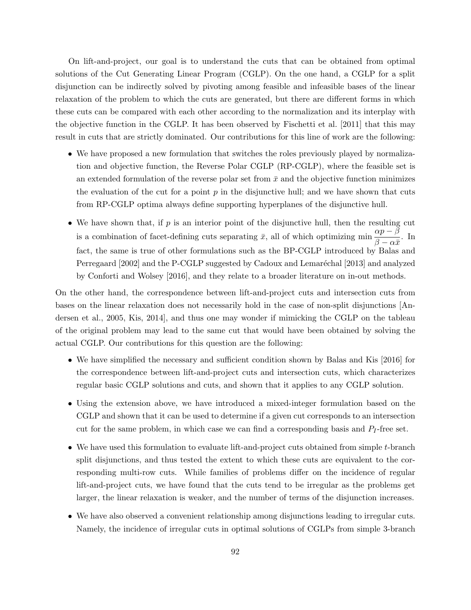On lift-and-project, our goal is to understand the cuts that can be obtained from optimal solutions of the Cut Generating Linear Program (CGLP). On the one hand, a CGLP for a split disjunction can be indirectly solved by pivoting among feasible and infeasible bases of the linear relaxation of the problem to which the cuts are generated, but there are different forms in which these cuts can be compared with each other according to the normalization and its interplay with the objective function in the CGLP. It has been observed by Fischetti et al. [2011] that this may result in cuts that are strictly dominated. Our contributions for this line of work are the following:

- We have proposed a new formulation that switches the roles previously played by normalization and objective function, the Reverse Polar CGLP (RP-CGLP), where the feasible set is an extended formulation of the reverse polar set from  $\bar{x}$  and the objective function minimizes the evaluation of the cut for a point  $p$  in the disjunctive hull; and we have shown that cuts from RP-CGLP optima always define supporting hyperplanes of the disjunctive hull.
- We have shown that, if  $p$  is an interior point of the disjunctive hull, then the resulting cut is a combination of facet-defining cuts separating  $\bar{x}$ , all of which optimizing min  $\frac{\alpha p - \beta}{\beta}$  $\frac{\alpha_P - \beta}{\beta - \alpha \bar{x}}$ . In fact, the same is true of other formulations such as the BP-CGLP introduced by Balas and Perregaard [2002] and the P-CGLP suggested by Cadoux and Lemaréchal [2013] and analyzed by Conforti and Wolsey [2016], and they relate to a broader literature on in-out methods.

On the other hand, the correspondence between lift-and-project cuts and intersection cuts from bases on the linear relaxation does not necessarily hold in the case of non-split disjunctions [Andersen et al., 2005, Kis, 2014], and thus one may wonder if mimicking the CGLP on the tableau of the original problem may lead to the same cut that would have been obtained by solving the actual CGLP. Our contributions for this question are the following:

- We have simplified the necessary and sufficient condition shown by Balas and Kis [2016] for the correspondence between lift-and-project cuts and intersection cuts, which characterizes regular basic CGLP solutions and cuts, and shown that it applies to any CGLP solution.
- Using the extension above, we have introduced a mixed-integer formulation based on the CGLP and shown that it can be used to determine if a given cut corresponds to an intersection cut for the same problem, in which case we can find a corresponding basis and  $P_I$ -free set.
- We have used this formulation to evaluate lift-and-project cuts obtained from simple t-branch split disjunctions, and thus tested the extent to which these cuts are equivalent to the corresponding multi-row cuts. While families of problems differ on the incidence of regular lift-and-project cuts, we have found that the cuts tend to be irregular as the problems get larger, the linear relaxation is weaker, and the number of terms of the disjunction increases.
- We have also observed a convenient relationship among disjunctions leading to irregular cuts. Namely, the incidence of irregular cuts in optimal solutions of CGLPs from simple 3-branch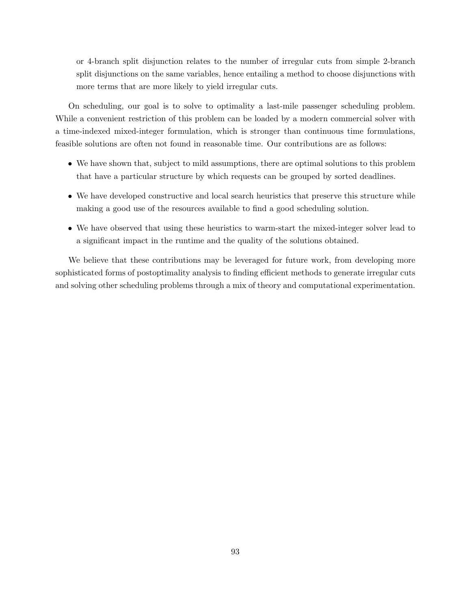or 4-branch split disjunction relates to the number of irregular cuts from simple 2-branch split disjunctions on the same variables, hence entailing a method to choose disjunctions with more terms that are more likely to yield irregular cuts.

On scheduling, our goal is to solve to optimality a last-mile passenger scheduling problem. While a convenient restriction of this problem can be loaded by a modern commercial solver with a time-indexed mixed-integer formulation, which is stronger than continuous time formulations, feasible solutions are often not found in reasonable time. Our contributions are as follows:

- We have shown that, subject to mild assumptions, there are optimal solutions to this problem that have a particular structure by which requests can be grouped by sorted deadlines.
- We have developed constructive and local search heuristics that preserve this structure while making a good use of the resources available to find a good scheduling solution.
- We have observed that using these heuristics to warm-start the mixed-integer solver lead to a significant impact in the runtime and the quality of the solutions obtained.

We believe that these contributions may be leveraged for future work, from developing more sophisticated forms of postoptimality analysis to finding efficient methods to generate irregular cuts and solving other scheduling problems through a mix of theory and computational experimentation.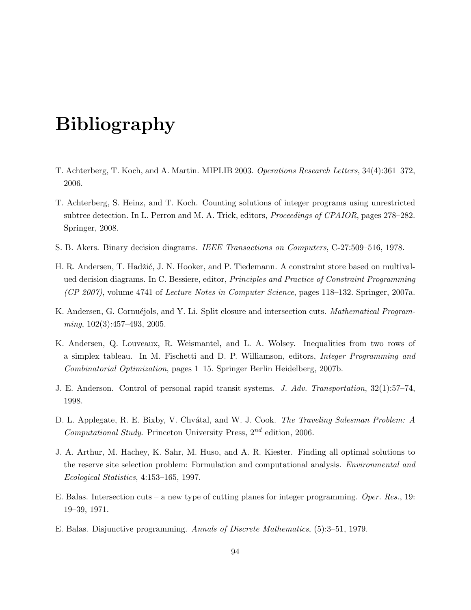## Bibliography

- T. Achterberg, T. Koch, and A. Martin. MIPLIB 2003. Operations Research Letters, 34(4):361–372, 2006.
- T. Achterberg, S. Heinz, and T. Koch. Counting solutions of integer programs using unrestricted subtree detection. In L. Perron and M. A. Trick, editors, Proceedings of CPAIOR, pages 278–282. Springer, 2008.
- S. B. Akers. Binary decision diagrams. IEEE Transactions on Computers, C-27:509–516, 1978.
- H. R. Andersen, T. Hadžić, J. N. Hooker, and P. Tiedemann. A constraint store based on multivalued decision diagrams. In C. Bessiere, editor, Principles and Practice of Constraint Programming (CP 2007), volume 4741 of Lecture Notes in Computer Science, pages 118–132. Springer, 2007a.
- K. Andersen, G. Cornuéjols, and Y. Li. Split closure and intersection cuts. *Mathematical Program* $ming, 102(3):457-493, 2005.$
- K. Andersen, Q. Louveaux, R. Weismantel, and L. A. Wolsey. Inequalities from two rows of a simplex tableau. In M. Fischetti and D. P. Williamson, editors, Integer Programming and Combinatorial Optimization, pages 1–15. Springer Berlin Heidelberg, 2007b.
- J. E. Anderson. Control of personal rapid transit systems. J. Adv. Transportation, 32(1):57–74, 1998.
- D. L. Applegate, R. E. Bixby, V. Chvátal, and W. J. Cook. *The Traveling Salesman Problem: A* Computational Study. Princeton University Press,  $2^{nd}$  edition, 2006.
- J. A. Arthur, M. Hachey, K. Sahr, M. Huso, and A. R. Kiester. Finding all optimal solutions to the reserve site selection problem: Formulation and computational analysis. Environmental and Ecological Statistics, 4:153–165, 1997.
- E. Balas. Intersection cuts a new type of cutting planes for integer programming. Oper. Res., 19: 19–39, 1971.
- E. Balas. Disjunctive programming. Annals of Discrete Mathematics, (5):3–51, 1979.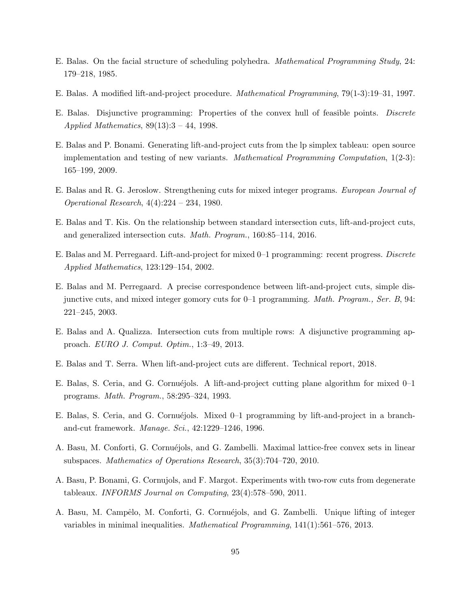- E. Balas. On the facial structure of scheduling polyhedra. Mathematical Programming Study, 24: 179–218, 1985.
- E. Balas. A modified lift-and-project procedure. Mathematical Programming, 79(1-3):19–31, 1997.
- E. Balas. Disjunctive programming: Properties of the convex hull of feasible points. Discrete Applied Mathematics,  $89(13):3 - 44$ , 1998.
- E. Balas and P. Bonami. Generating lift-and-project cuts from the lp simplex tableau: open source implementation and testing of new variants. *Mathematical Programming Computation*,  $1(2-3)$ : 165–199, 2009.
- E. Balas and R. G. Jeroslow. Strengthening cuts for mixed integer programs. European Journal of Operational Research, 4(4):224 – 234, 1980.
- E. Balas and T. Kis. On the relationship between standard intersection cuts, lift-and-project cuts, and generalized intersection cuts. Math. Program., 160:85–114, 2016.
- E. Balas and M. Perregaard. Lift-and-project for mixed 0–1 programming: recent progress. Discrete Applied Mathematics, 123:129–154, 2002.
- E. Balas and M. Perregaard. A precise correspondence between lift-and-project cuts, simple disjunctive cuts, and mixed integer gomory cuts for 0–1 programming. Math. Program., Ser. B, 94: 221–245, 2003.
- E. Balas and A. Qualizza. Intersection cuts from multiple rows: A disjunctive programming approach. EURO J. Comput. Optim., 1:3–49, 2013.
- E. Balas and T. Serra. When lift-and-project cuts are different. Technical report, 2018.
- E. Balas, S. Ceria, and G. Cornuéjols. A lift-and-project cutting plane algorithm for mixed  $0-1$ programs. Math. Program., 58:295–324, 1993.
- E. Balas, S. Ceria, and G. Cornuéjols. Mixed 0–1 programming by lift-and-project in a branchand-cut framework. Manage. Sci., 42:1229–1246, 1996.
- A. Basu, M. Conforti, G. Cornuéjols, and G. Zambelli. Maximal lattice-free convex sets in linear subspaces. Mathematics of Operations Research, 35(3):704–720, 2010.
- A. Basu, P. Bonami, G. Cornujols, and F. Margot. Experiments with two-row cuts from degenerate tableaux. INFORMS Journal on Computing, 23(4):578–590, 2011.
- A. Basu, M. Campêlo, M. Conforti, G. Cornuéjols, and G. Zambelli. Unique lifting of integer variables in minimal inequalities. Mathematical Programming, 141(1):561–576, 2013.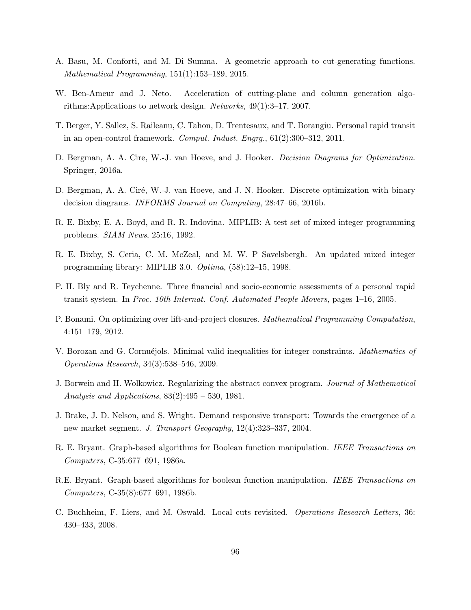- A. Basu, M. Conforti, and M. Di Summa. A geometric approach to cut-generating functions. Mathematical Programming, 151(1):153–189, 2015.
- W. Ben-Ameur and J. Neto. Acceleration of cutting-plane and column generation algorithms:Applications to network design. Networks, 49(1):3–17, 2007.
- T. Berger, Y. Sallez, S. Raileanu, C. Tahon, D. Trentesaux, and T. Borangiu. Personal rapid transit in an open-control framework. Comput. Indust. Engrg., 61(2):300–312, 2011.
- D. Bergman, A. A. Cire, W.-J. van Hoeve, and J. Hooker. Decision Diagrams for Optimization. Springer, 2016a.
- D. Bergman, A. A. Ciré, W.-J. van Hoeve, and J. N. Hooker. Discrete optimization with binary decision diagrams. INFORMS Journal on Computing, 28:47–66, 2016b.
- R. E. Bixby, E. A. Boyd, and R. R. Indovina. MIPLIB: A test set of mixed integer programming problems. SIAM News, 25:16, 1992.
- R. E. Bixby, S. Ceria, C. M. McZeal, and M. W. P Savelsbergh. An updated mixed integer programming library: MIPLIB 3.0. Optima, (58):12–15, 1998.
- P. H. Bly and R. Teychenne. Three financial and socio-economic assessments of a personal rapid transit system. In Proc. 10th Internat. Conf. Automated People Movers, pages 1–16, 2005.
- P. Bonami. On optimizing over lift-and-project closures. Mathematical Programming Computation, 4:151–179, 2012.
- V. Borozan and G. Cornuéjols. Minimal valid inequalities for integer constraints. Mathematics of Operations Research, 34(3):538–546, 2009.
- J. Borwein and H. Wolkowicz. Regularizing the abstract convex program. Journal of Mathematical Analysis and Applications,  $83(2):495 - 530$ , 1981.
- J. Brake, J. D. Nelson, and S. Wright. Demand responsive transport: Towards the emergence of a new market segment. J. Transport Geography, 12(4):323–337, 2004.
- R. E. Bryant. Graph-based algorithms for Boolean function manipulation. IEEE Transactions on Computers, C-35:677–691, 1986a.
- R.E. Bryant. Graph-based algorithms for boolean function manipulation. IEEE Transactions on Computers, C-35(8):677–691, 1986b.
- C. Buchheim, F. Liers, and M. Oswald. Local cuts revisited. Operations Research Letters, 36: 430–433, 2008.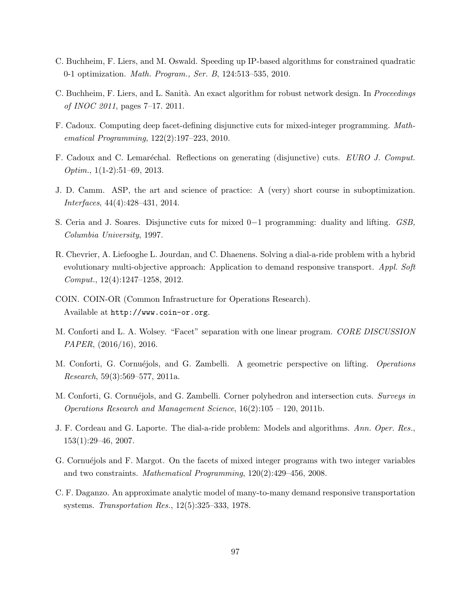- C. Buchheim, F. Liers, and M. Oswald. Speeding up IP-based algorithms for constrained quadratic 0-1 optimization. Math. Program., Ser. B, 124:513–535, 2010.
- C. Buchheim, F. Liers, and L. Sanità. An exact algorithm for robust network design. In *Proceedings* of INOC 2011, pages 7–17. 2011.
- F. Cadoux. Computing deep facet-defining disjunctive cuts for mixed-integer programming. Mathematical Programming, 122(2):197–223, 2010.
- F. Cadoux and C. Lemaréchal. Reflections on generating (disjunctive) cuts. EURO J. Comput.  $Optim.$ , 1(1-2):51–69, 2013.
- J. D. Camm. ASP, the art and science of practice: A (very) short course in suboptimization. Interfaces, 44(4):428–431, 2014.
- S. Ceria and J. Soares. Disjunctive cuts for mixed 0−1 programming: duality and lifting. GSB, Columbia University, 1997.
- R. Chevrier, A. Liefooghe L. Jourdan, and C. Dhaenens. Solving a dial-a-ride problem with a hybrid evolutionary multi-objective approach: Application to demand responsive transport. Appl. Soft Comput., 12(4):1247–1258, 2012.
- COIN. COIN-OR (Common Infrastructure for Operations Research). Available at http://www.coin-or.org.
- M. Conforti and L. A. Wolsey. "Facet" separation with one linear program. CORE DISCUSSION PAPER, (2016/16), 2016.
- M. Conforti, G. Cornuéjols, and G. Zambelli. A geometric perspective on lifting. Operations Research, 59(3):569–577, 2011a.
- M. Conforti, G. Cornuéjols, and G. Zambelli. Corner polyhedron and intersection cuts. Surveys in Operations Research and Management Science,  $16(2):105 - 120$ , 2011b.
- J. F. Cordeau and G. Laporte. The dial-a-ride problem: Models and algorithms. Ann. Oper. Res., 153(1):29–46, 2007.
- G. Cornuéjols and F. Margot. On the facets of mixed integer programs with two integer variables and two constraints. Mathematical Programming, 120(2):429–456, 2008.
- C. F. Daganzo. An approximate analytic model of many-to-many demand responsive transportation systems. Transportation Res., 12(5):325–333, 1978.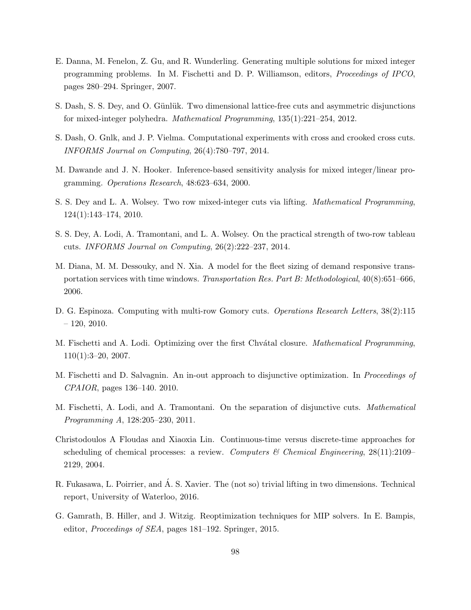- E. Danna, M. Fenelon, Z. Gu, and R. Wunderling. Generating multiple solutions for mixed integer programming problems. In M. Fischetti and D. P. Williamson, editors, Proceedings of IPCO, pages 280–294. Springer, 2007.
- S. Dash, S. S. Dey, and O. Günlük. Two dimensional lattice-free cuts and asymmetric disjunctions for mixed-integer polyhedra. Mathematical Programming, 135(1):221–254, 2012.
- S. Dash, O. Gnlk, and J. P. Vielma. Computational experiments with cross and crooked cross cuts. INFORMS Journal on Computing, 26(4):780–797, 2014.
- M. Dawande and J. N. Hooker. Inference-based sensitivity analysis for mixed integer/linear programming. Operations Research, 48:623–634, 2000.
- S. S. Dey and L. A. Wolsey. Two row mixed-integer cuts via lifting. Mathematical Programming, 124(1):143–174, 2010.
- S. S. Dey, A. Lodi, A. Tramontani, and L. A. Wolsey. On the practical strength of two-row tableau cuts. INFORMS Journal on Computing, 26(2):222–237, 2014.
- M. Diana, M. M. Dessouky, and N. Xia. A model for the fleet sizing of demand responsive transportation services with time windows. Transportation Res. Part B: Methodological, 40(8):651–666, 2006.
- D. G. Espinoza. Computing with multi-row Gomory cuts. *Operations Research Letters*,  $38(2)$ :115  $-120, 2010.$
- M. Fischetti and A. Lodi. Optimizing over the first Chvátal closure. *Mathematical Programming*,  $110(1):3-20, 2007.$
- M. Fischetti and D. Salvagnin. An in-out approach to disjunctive optimization. In Proceedings of CPAIOR, pages 136–140. 2010.
- M. Fischetti, A. Lodi, and A. Tramontani. On the separation of disjunctive cuts. Mathematical Programming A, 128:205–230, 2011.
- Christodoulos A Floudas and Xiaoxia Lin. Continuous-time versus discrete-time approaches for scheduling of chemical processes: a review. Computers & Chemical Engineering,  $28(11):2109-$ 2129, 2004.
- R. Fukasawa, L. Poirrier, and A. S. Xavier. The (not so) trivial lifting in two dimensions. Technical ´ report, University of Waterloo, 2016.
- G. Gamrath, B. Hiller, and J. Witzig. Reoptimization techniques for MIP solvers. In E. Bampis, editor, Proceedings of SEA, pages 181–192. Springer, 2015.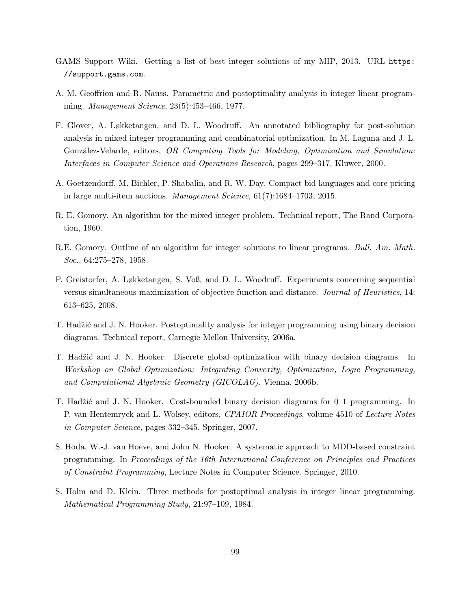- GAMS Support Wiki. Getting a list of best integer solutions of my MIP, 2013. URL https: //support.gams.com.
- A. M. Geoffrion and R. Nauss. Parametric and postoptimality analysis in integer linear programming. Management Science, 23(5):453–466, 1977.
- F. Glover, A. Løkketangen, and D. L. Woodruff. An annotated bibliography for post-solution analysis in mixed integer programming and combinatorial optimization. In M. Laguna and J. L. González-Velarde, editors, OR Computing Tools for Modeling, Optimization and Simulation: Interfaces in Computer Science and Operations Research, pages 299–317. Kluwer, 2000.
- A. Goetzendorff, M. Bichler, P. Shabalin, and R. W. Day. Compact bid languages and core pricing in large multi-item auctions. Management Science, 61(7):1684–1703, 2015.
- R. E. Gomory. An algorithm for the mixed integer problem. Technical report, The Rand Corporation, 1960.
- R.E. Gomory. Outline of an algorithm for integer solutions to linear programs. Bull. Am. Math. Soc., 64:275–278, 1958.
- P. Greistorfer, A. Løkketangen, S. Voß, and D. L. Woodruff. Experiments concerning sequential versus simultaneous maximization of objective function and distance. Journal of Heuristics, 14: 613–625, 2008.
- T. Hadžić and J. N. Hooker. Postoptimality analysis for integer programming using binary decision diagrams. Technical report, Carnegie Mellon University, 2006a.
- T. Hadžić and J. N. Hooker. Discrete global optimization with binary decision diagrams. In Workshop on Global Optimization: Integrating Convexity, Optimization, Logic Programming, and Computational Algebraic Geometry (GICOLAG), Vienna, 2006b.
- T. Hadžić and J. N. Hooker. Cost-bounded binary decision diagrams for 0–1 programming. In P. van Hentemryck and L. Wolsey, editors, CPAIOR Proceedings, volume 4510 of Lecture Notes in Computer Science, pages 332–345. Springer, 2007.
- S. Hoda, W.-J. van Hoeve, and John N. Hooker. A systematic approach to MDD-based constraint programming. In Proceedings of the 16th International Conference on Principles and Practices of Constraint Programming, Lecture Notes in Computer Science. Springer, 2010.
- S. Holm and D. Klein. Three methods for postoptimal analysis in integer linear programming. Mathematical Programming Study, 21:97–109, 1984.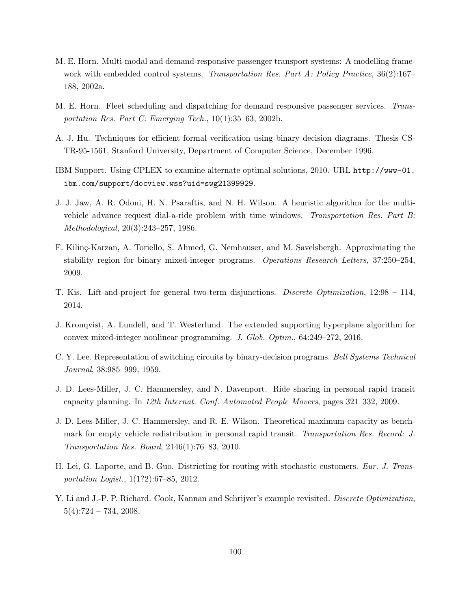- M. E. Horn. Multi-modal and demand-responsive passenger transport systems: A modelling framework with embedded control systems. Transportation Res. Part A: Policy Practice, 36(2):167– 188, 2002a.
- M. E. Horn. Fleet scheduling and dispatching for demand responsive passenger services. Transportation Res. Part C: Emerging Tech., 10(1):35–63, 2002b.
- A. J. Hu. Techniques for efficient formal verification using binary decision diagrams. Thesis CS-TR-95-1561, Stanford University, Department of Computer Science, December 1996.
- IBM Support. Using CPLEX to examine alternate optimal solutions, 2010. URL http://www-01. ibm.com/support/docview.wss?uid=swg21399929.
- J. J. Jaw, A. R. Odoni, H. N. Psaraftis, and N. H. Wilson. A heuristic algorithm for the multivehicle advance request dial-a-ride problem with time windows. Transportation Res. Part B: Methodological, 20(3):243–257, 1986.
- F. Kiling-Karzan, A. Toriello, S. Ahmed, G. Nemhauser, and M. Savelsbergh. Approximating the stability region for binary mixed-integer programs. Operations Research Letters, 37:250–254, 2009.
- T. Kis. Lift-and-project for general two-term disjunctions. Discrete Optimization, 12:98 114, 2014.
- J. Kronqvist, A. Lundell, and T. Westerlund. The extended supporting hyperplane algorithm for convex mixed-integer nonlinear programming. J. Glob. Optim., 64:249–272, 2016.
- C. Y. Lee. Representation of switching circuits by binary-decision programs. Bell Systems Technical Journal, 38:985–999, 1959.
- J. D. Lees-Miller, J. C. Hammersley, and N. Davenport. Ride sharing in personal rapid transit capacity planning. In 12th Internat. Conf. Automated People Movers, pages 321–332, 2009.
- J. D. Lees-Miller, J. C. Hammersley, and R. E. Wilson. Theoretical maximum capacity as benchmark for empty vehicle redistribution in personal rapid transit. Transportation Res. Record: J. Transportation Res. Board, 2146(1):76–83, 2010.
- H. Lei, G. Laporte, and B. Guo. Districting for routing with stochastic customers. Eur. J. Transportation Logist., 1(1?2):67–85, 2012.
- Y. Li and J.-P. P. Richard. Cook, Kannan and Schrijver's example revisited. *Discrete Optimization*,  $5(4):724 - 734, 2008.$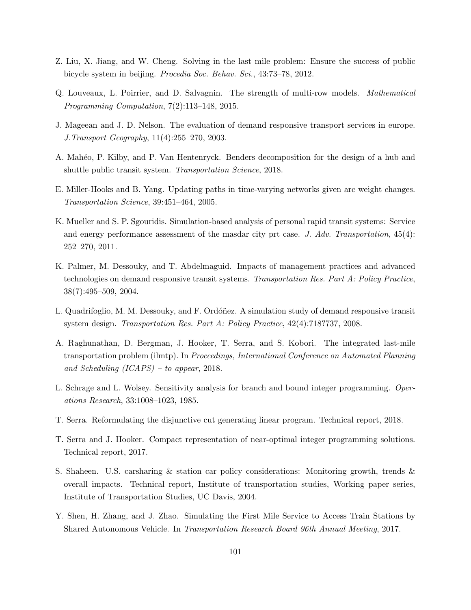- Z. Liu, X. Jiang, and W. Cheng. Solving in the last mile problem: Ensure the success of public bicycle system in beijing. Procedia Soc. Behav. Sci., 43:73–78, 2012.
- Q. Louveaux, L. Poirrier, and D. Salvagnin. The strength of multi-row models. Mathematical Programming Computation, 7(2):113–148, 2015.
- J. Mageean and J. D. Nelson. The evaluation of demand responsive transport services in europe. J.Transport Geography, 11(4):255–270, 2003.
- A. Mah´eo, P. Kilby, and P. Van Hentenryck. Benders decomposition for the design of a hub and shuttle public transit system. Transportation Science, 2018.
- E. Miller-Hooks and B. Yang. Updating paths in time-varying networks given arc weight changes. Transportation Science, 39:451–464, 2005.
- K. Mueller and S. P. Sgouridis. Simulation-based analysis of personal rapid transit systems: Service and energy performance assessment of the masdar city prt case. J. Adv. Transportation,  $45(4)$ : 252–270, 2011.
- K. Palmer, M. Dessouky, and T. Abdelmaguid. Impacts of management practices and advanced technologies on demand responsive transit systems. Transportation Res. Part A: Policy Practice, 38(7):495–509, 2004.
- L. Quadrifoglio, M. M. Dessouky, and F. Ordónez. A simulation study of demand responsive transit system design. Transportation Res. Part A: Policy Practice, 42(4):718?737, 2008.
- A. Raghunathan, D. Bergman, J. Hooker, T. Serra, and S. Kobori. The integrated last-mile transportation problem (ilmtp). In Proceedings, International Conference on Automated Planning and Scheduling (ICAPS) – to appear, 2018.
- L. Schrage and L. Wolsey. Sensitivity analysis for branch and bound integer programming. Operations Research, 33:1008–1023, 1985.
- T. Serra. Reformulating the disjunctive cut generating linear program. Technical report, 2018.
- T. Serra and J. Hooker. Compact representation of near-optimal integer programming solutions. Technical report, 2017.
- S. Shaheen. U.S. carsharing & station car policy considerations: Monitoring growth, trends & overall impacts. Technical report, Institute of transportation studies, Working paper series, Institute of Transportation Studies, UC Davis, 2004.
- Y. Shen, H. Zhang, and J. Zhao. Simulating the First Mile Service to Access Train Stations by Shared Autonomous Vehicle. In Transportation Research Board 96th Annual Meeting, 2017.